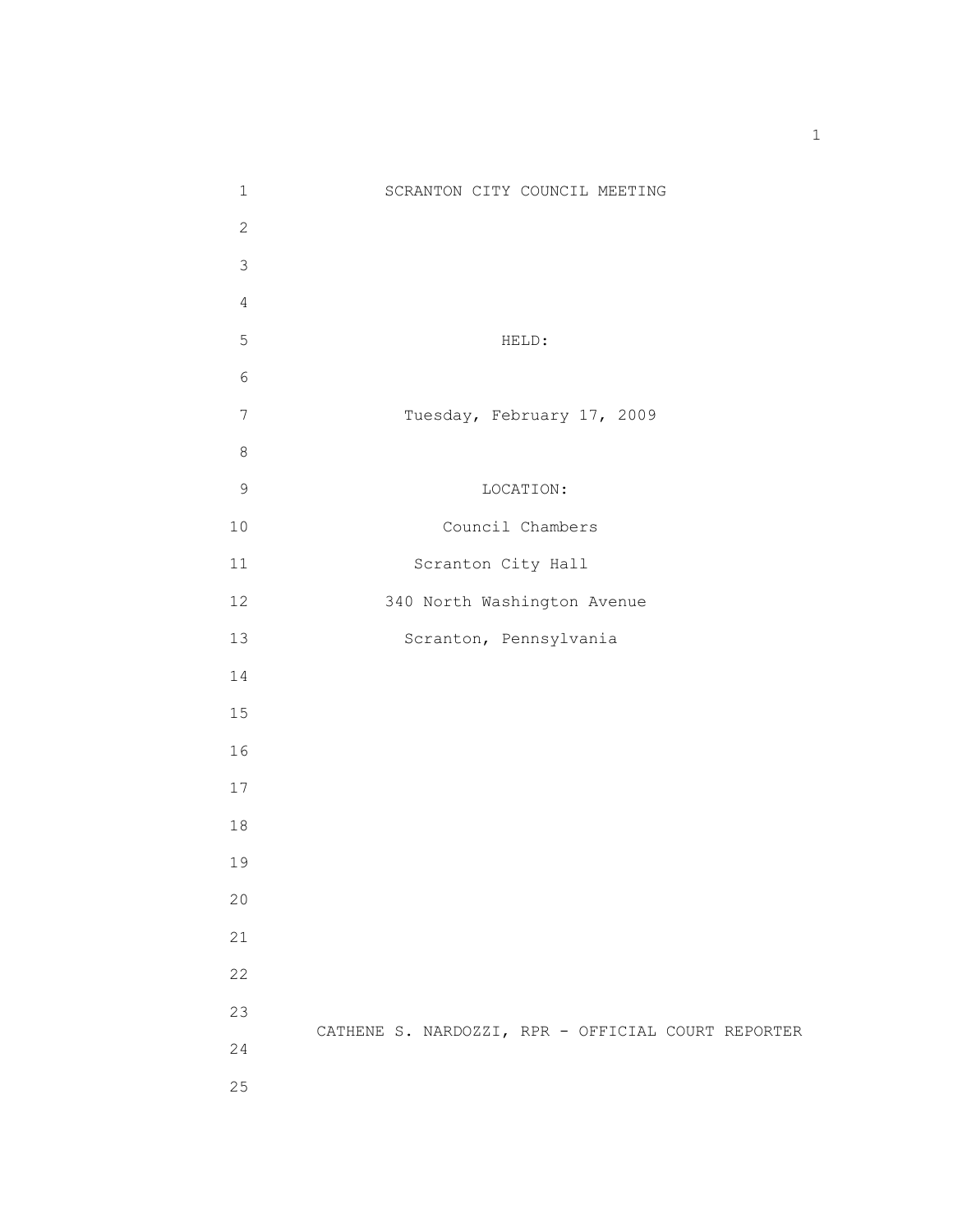| $\mathbf 1$    | SCRANTON CITY COUNCIL MEETING                      |
|----------------|----------------------------------------------------|
| $\mathbf{2}$   |                                                    |
| 3              |                                                    |
| $\overline{4}$ |                                                    |
| 5              | HELD:                                              |
| $\epsilon$     |                                                    |
| $7\phantom{.}$ | Tuesday, February 17, 2009                         |
| $\,8\,$        |                                                    |
| $\mathsf 9$    | LOCATION:                                          |
| $10$           | Council Chambers                                   |
| 11             | Scranton City Hall                                 |
| 12             | 340 North Washington Avenue                        |
| 13             | Scranton, Pennsylvania                             |
| 14             |                                                    |
| 15             |                                                    |
| 16             |                                                    |
| 17             |                                                    |
| 18             |                                                    |
| 19             |                                                    |
| 20             |                                                    |
| 21             |                                                    |
| 22             |                                                    |
| 23             |                                                    |
| 24             | CATHENE S. NARDOZZI, RPR - OFFICIAL COURT REPORTER |
| 25             |                                                    |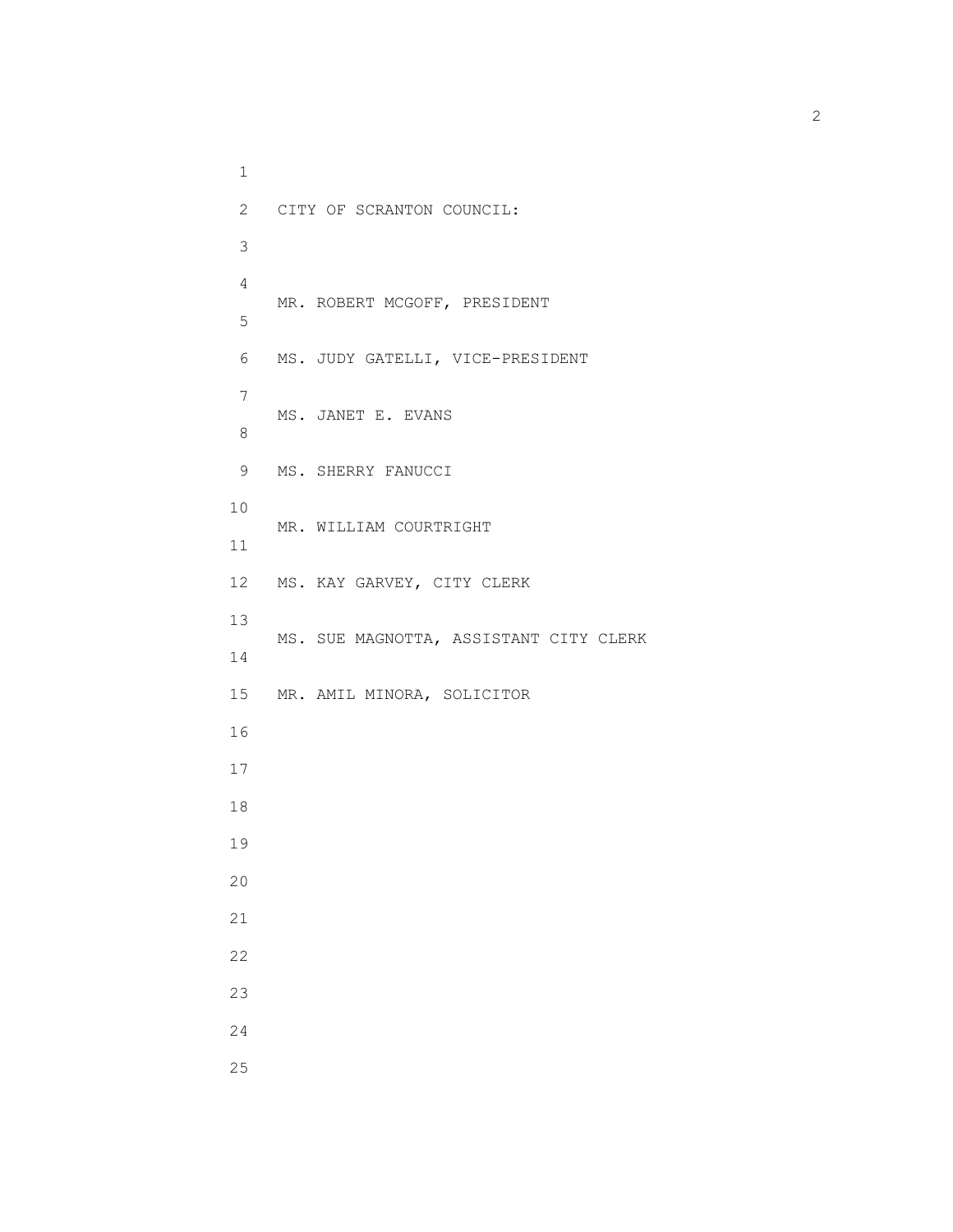1 2 CITY OF SCRANTON COUNCIL: 3 4 MR. ROBERT MCGOFF, PRESIDENT 5 6 MS. JUDY GATELLI, VICE-PRESIDENT 7 MS. JANET E. EVANS 8 9 MS. SHERRY FANUCCI 10 MR. WILLIAM COURTRIGHT 11 12 MS. KAY GARVEY, CITY CLERK 13 MS. SUE MAGNOTTA, ASSISTANT CITY CLERK 14 15 MR. AMIL MINORA, SOLICITOR 16 17 18 19 20 21 22 23 24 25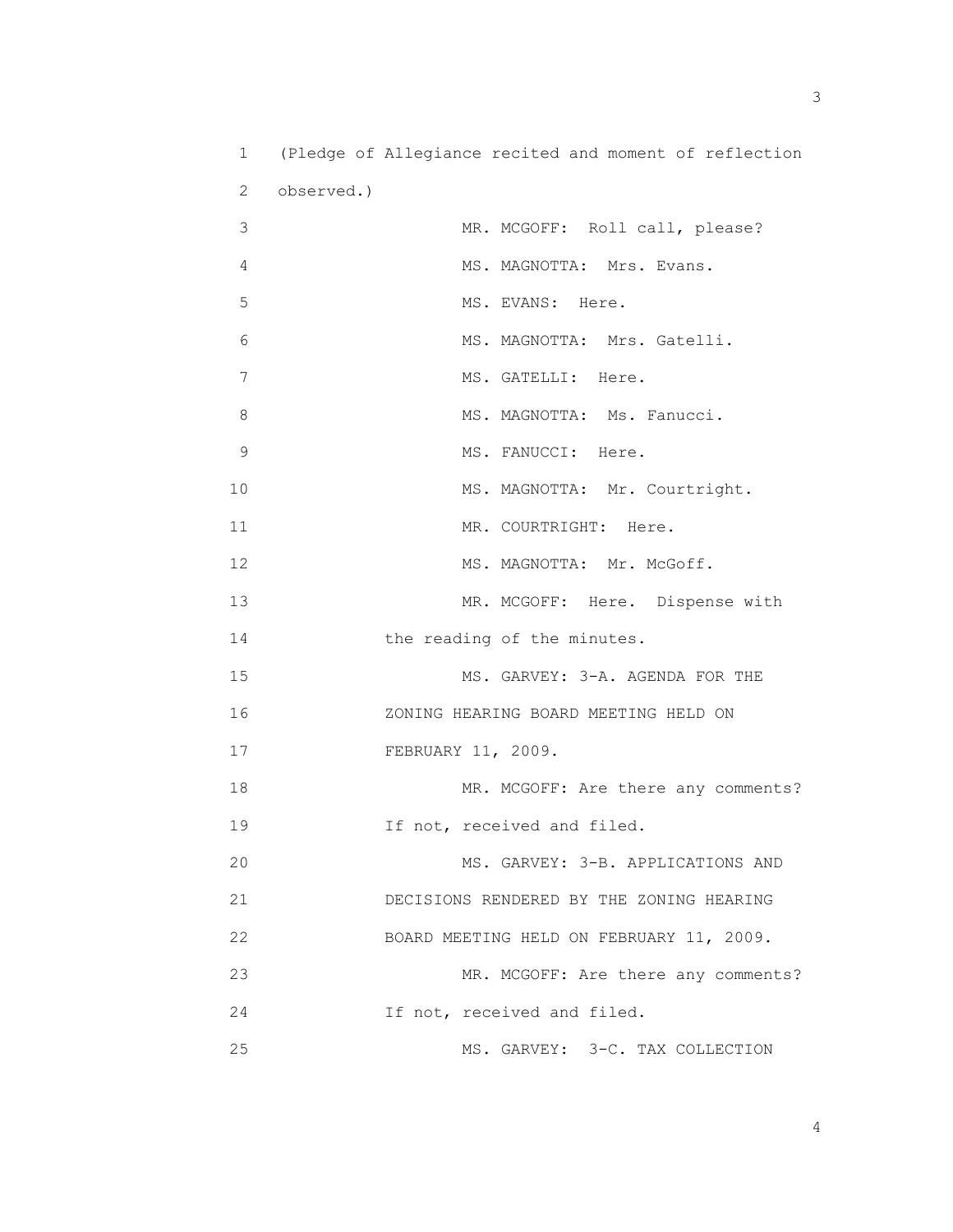| $\mathbf 1$   | (Pledge of Allegiance recited and moment of reflection |
|---------------|--------------------------------------------------------|
| 2             | observed.)                                             |
| 3             | MR. MCGOFF: Roll call, please?                         |
| 4             | MS. MAGNOTTA: Mrs. Evans.                              |
| 5             | MS. EVANS: Here.                                       |
| 6             | MS. MAGNOTTA: Mrs. Gatelli.                            |
| 7             | MS. GATELLI: Here.                                     |
| 8             | MS. MAGNOTTA: Ms. Fanucci.                             |
| $\mathcal{G}$ | MS. FANUCCI: Here.                                     |
| 10            | MS. MAGNOTTA: Mr. Courtright.                          |
| 11            | MR. COURTRIGHT: Here.                                  |
| 12            | MS. MAGNOTTA: Mr. McGoff.                              |
| 13            | MR. MCGOFF: Here. Dispense with                        |
| 14            | the reading of the minutes.                            |
| 15            | MS. GARVEY: 3-A. AGENDA FOR THE                        |
| 16            | ZONING HEARING BOARD MEETING HELD ON                   |
| 17            | FEBRUARY 11, 2009.                                     |
| 18            | MR. MCGOFF: Are there any comments?                    |
| 19            | If not, received and filed.                            |
| 20            | MS. GARVEY: 3-B. APPLICATIONS AND                      |
| 21            | DECISIONS RENDERED BY THE ZONING HEARING               |
| 22            | BOARD MEETING HELD ON FEBRUARY 11, 2009.               |
| 23            | MR. MCGOFF: Are there any comments?                    |
| 24            | If not, received and filed.                            |
| 25            | MS. GARVEY: 3-C. TAX COLLECTION                        |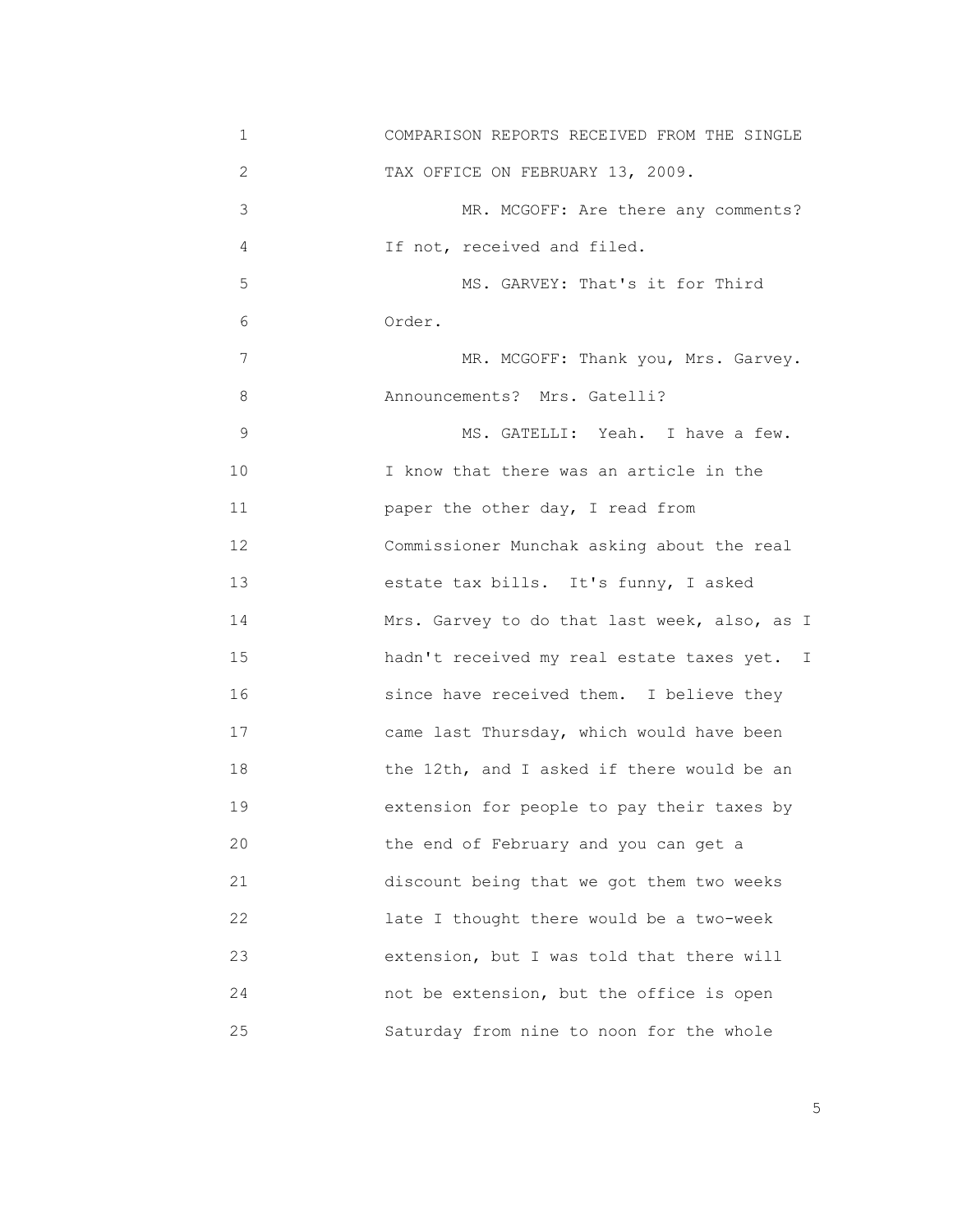| 1  | COMPARISON REPORTS RECEIVED FROM THE SINGLE  |
|----|----------------------------------------------|
| 2  | TAX OFFICE ON FEBRUARY 13, 2009.             |
| 3  | MR. MCGOFF: Are there any comments?          |
| 4  | If not, received and filed.                  |
| 5  | MS. GARVEY: That's it for Third              |
| 6  | Order.                                       |
| 7  | MR. MCGOFF: Thank you, Mrs. Garvey.          |
| 8  | Announcements? Mrs. Gatelli?                 |
| 9  | MS. GATELLI: Yeah. I have a few.             |
| 10 | I know that there was an article in the      |
| 11 | paper the other day, I read from             |
| 12 | Commissioner Munchak asking about the real   |
| 13 | estate tax bills. It's funny, I asked        |
| 14 | Mrs. Garvey to do that last week, also, as I |
| 15 | hadn't received my real estate taxes yet. I  |
| 16 | since have received them. I believe they     |
| 17 | came last Thursday, which would have been    |
| 18 | the 12th, and I asked if there would be an   |
| 19 | extension for people to pay their taxes by   |
| 20 | the end of February and you can get a        |
| 21 | discount being that we got them two weeks    |
| 22 | late I thought there would be a two-week     |
| 23 | extension, but I was told that there will    |
| 24 | not be extension, but the office is open     |
| 25 | Saturday from nine to noon for the whole     |

the contract of the contract of the contract of the contract of the contract of the contract of the contract of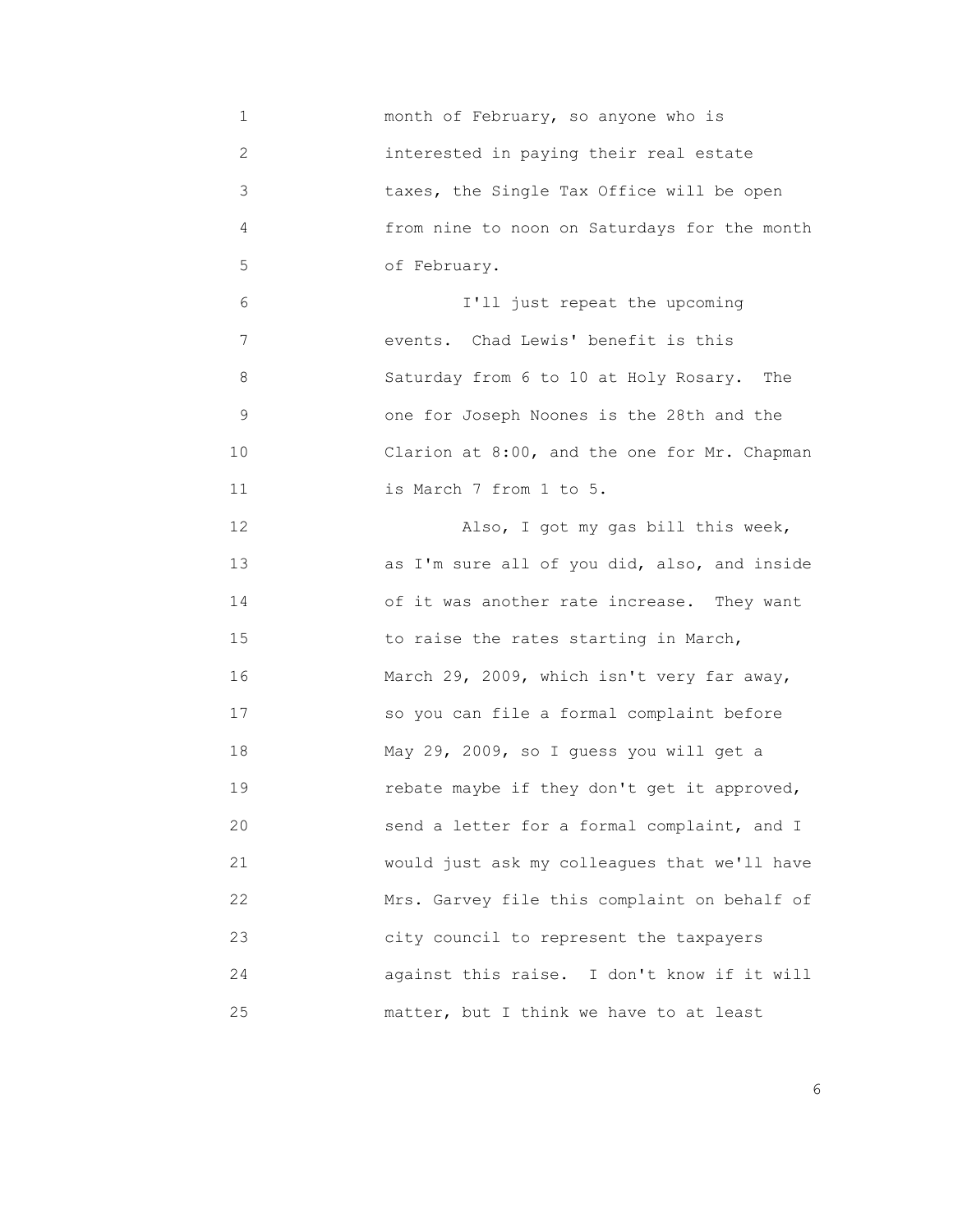1 month of February, so anyone who is 2 interested in paying their real estate 3 taxes, the Single Tax Office will be open 4 from nine to noon on Saturdays for the month 5 of February. 6 I'll just repeat the upcoming 7 events. Chad Lewis' benefit is this 8 Saturday from 6 to 10 at Holy Rosary. The 9 one for Joseph Noones is the 28th and the 10 Clarion at 8:00, and the one for Mr. Chapman 11 is March 7 from 1 to 5. 12 Also, I got my gas bill this week, 13 **12 12 as I'm sure all of you did, also, and inside** 14 of it was another rate increase. They want 15 to raise the rates starting in March, 16 March 29, 2009, which isn't very far away, 17 so you can file a formal complaint before 18 May 29, 2009, so I guess you will get a 19 rebate maybe if they don't get it approved, 20 send a letter for a formal complaint, and I 21 would just ask my colleagues that we'll have 22 Mrs. Garvey file this complaint on behalf of 23 city council to represent the taxpayers 24 against this raise. I don't know if it will 25 **matter, but I think we have to at least** 

<u>6. In the set of the set of the set of the set of the set of the set of the set of the set of the set of the set of the set of the set of the set of the set of the set of the set of the set of the set of the set of the se</u>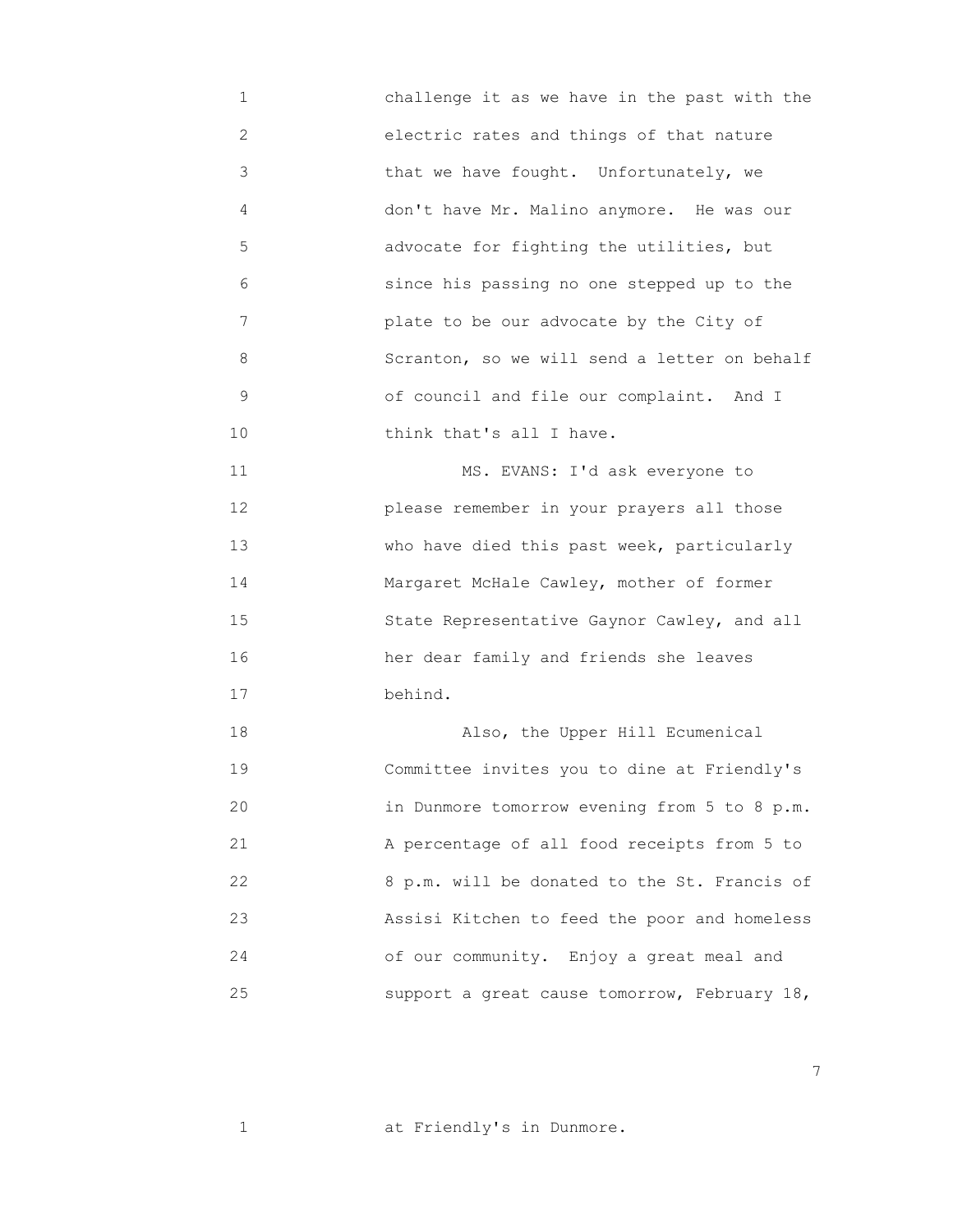1 challenge it as we have in the past with the 2 electric rates and things of that nature 3 that we have fought. Unfortunately, we 4 don't have Mr. Malino anymore. He was our 5 advocate for fighting the utilities, but 6 since his passing no one stepped up to the 7 plate to be our advocate by the City of 8 Scranton, so we will send a letter on behalf 9 of council and file our complaint. And I 10 **think that's all I have.** 

11 MS. EVANS: I'd ask everyone to 12 please remember in your prayers all those 13 who have died this past week, particularly 14 Margaret McHale Cawley, mother of former 15 State Representative Gaynor Cawley, and all 16 her dear family and friends she leaves 17 behind.

 18 Also, the Upper Hill Ecumenical 19 Committee invites you to dine at Friendly's 20 in Dunmore tomorrow evening from 5 to 8 p.m. 21 A percentage of all food receipts from 5 to 22 8 p.m. will be donated to the St. Francis of 23 Assisi Kitchen to feed the poor and homeless 24 of our community. Enjoy a great meal and 25 support a great cause tomorrow, February 18,

1 at Friendly's in Dunmore.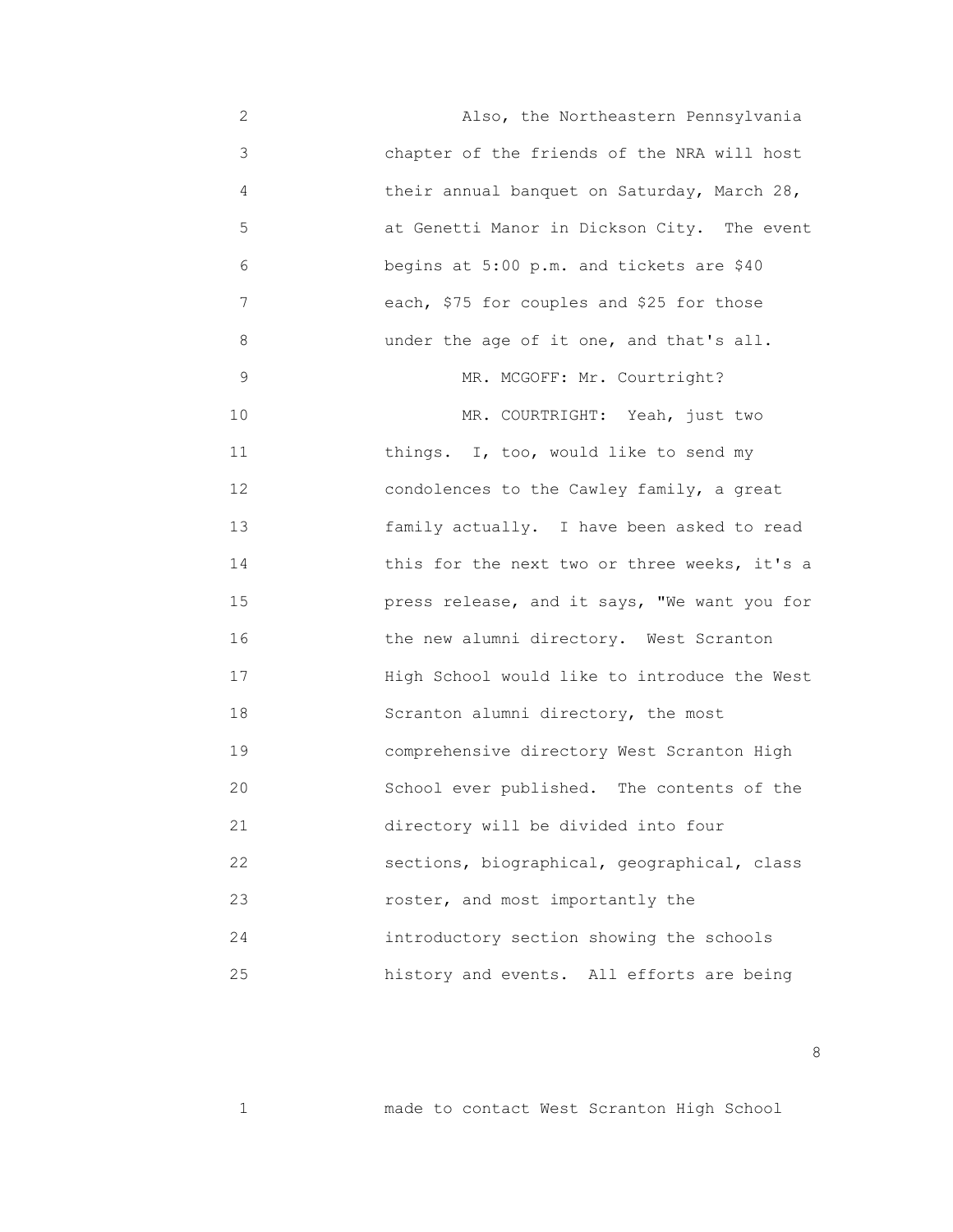2 Also, the Northeastern Pennsylvania 3 chapter of the friends of the NRA will host 4 their annual banquet on Saturday, March 28, 5 at Genetti Manor in Dickson City. The event 6 begins at 5:00 p.m. and tickets are \$40 7 each, \$75 for couples and \$25 for those 8 under the age of it one, and that's all. 9 MR. MCGOFF: Mr. Courtright? 10 MR. COURTRIGHT: Yeah, just two 11 **things.** I, too, would like to send my 12 condolences to the Cawley family, a great 13 family actually. I have been asked to read 14 **14 14 this for the next two or three weeks, it's a**  15 press release, and it says, "We want you for 16 the new alumni directory. West Scranton 17 High School would like to introduce the West 18 Scranton alumni directory, the most 19 comprehensive directory West Scranton High 20 School ever published. The contents of the 21 directory will be divided into four 22 sections, biographical, geographical, class 23 roster, and most importantly the 24 introductory section showing the schools 25 history and events. All efforts are being

1 made to contact West Scranton High School

<u>and the state of the state of the state of the state of the state of the state of the state of the state of the state of the state of the state of the state of the state of the state of the state of the state of the state</u>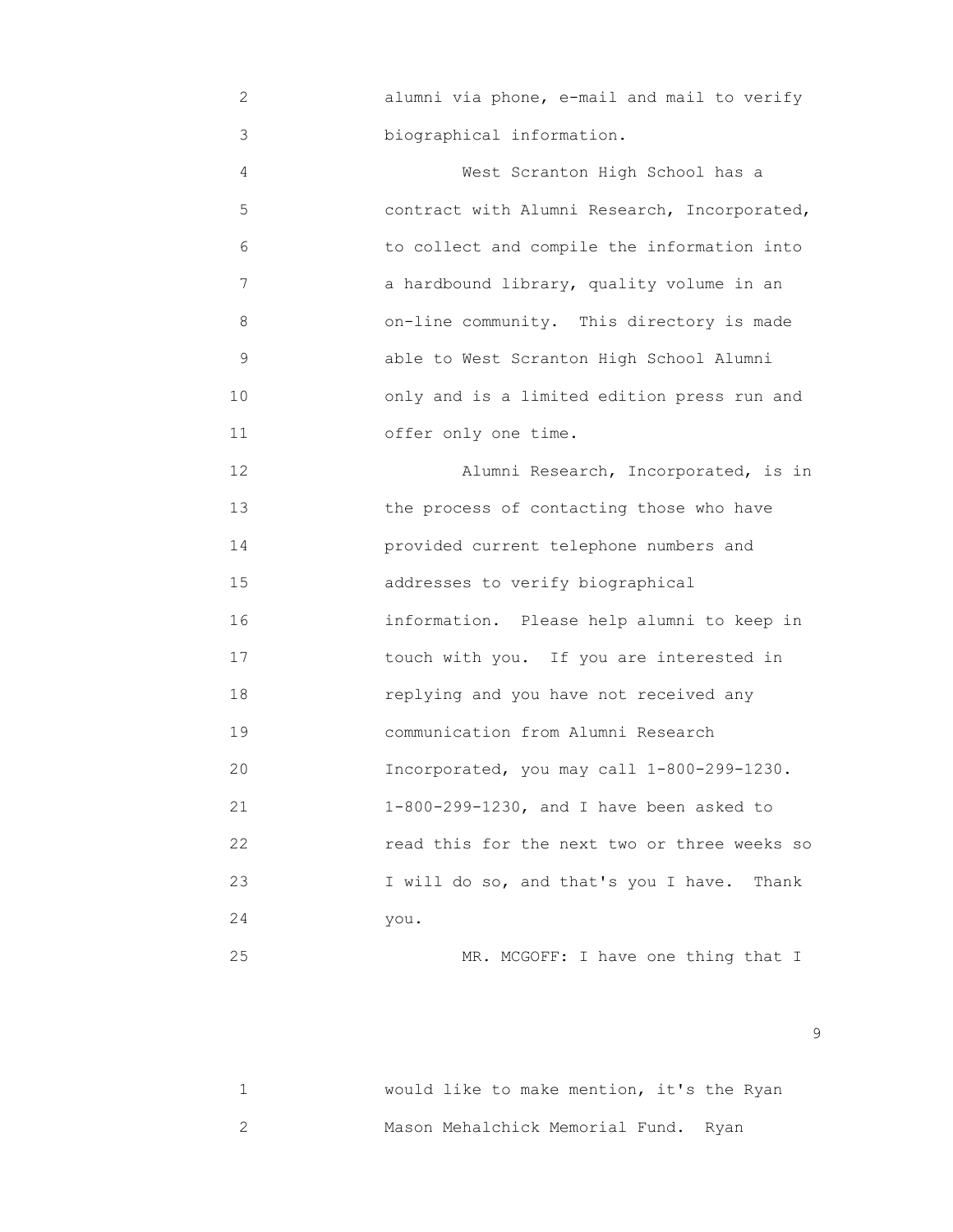2 alumni via phone, e-mail and mail to verify 3 biographical information.

 4 West Scranton High School has a 5 contract with Alumni Research, Incorporated, 6 to collect and compile the information into 7 a hardbound library, quality volume in an 8 on-line community. This directory is made 9 able to West Scranton High School Alumni 10 only and is a limited edition press run and 11 offer only one time.

 12 Alumni Research, Incorporated, is in 13 the process of contacting those who have 14 provided current telephone numbers and 15 addresses to verify biographical 16 information. Please help alumni to keep in 17 touch with you. If you are interested in 18 replying and you have not received any 19 communication from Alumni Research 20 Incorporated, you may call 1-800-299-1230. 21 1-800-299-1230, and I have been asked to 22 read this for the next two or three weeks so 23 I will do so, and that's you I have. Thank 24 you.

25 MR. MCGOFF: I have one thing that I

 1 would like to make mention, it's the Ryan 2 Mason Mehalchick Memorial Fund. Ryan

en de la construction de la construction de la construction de la construction de la construction de la constr<br>1990 : la construction de la construction de la construction de la construction de la construction de la const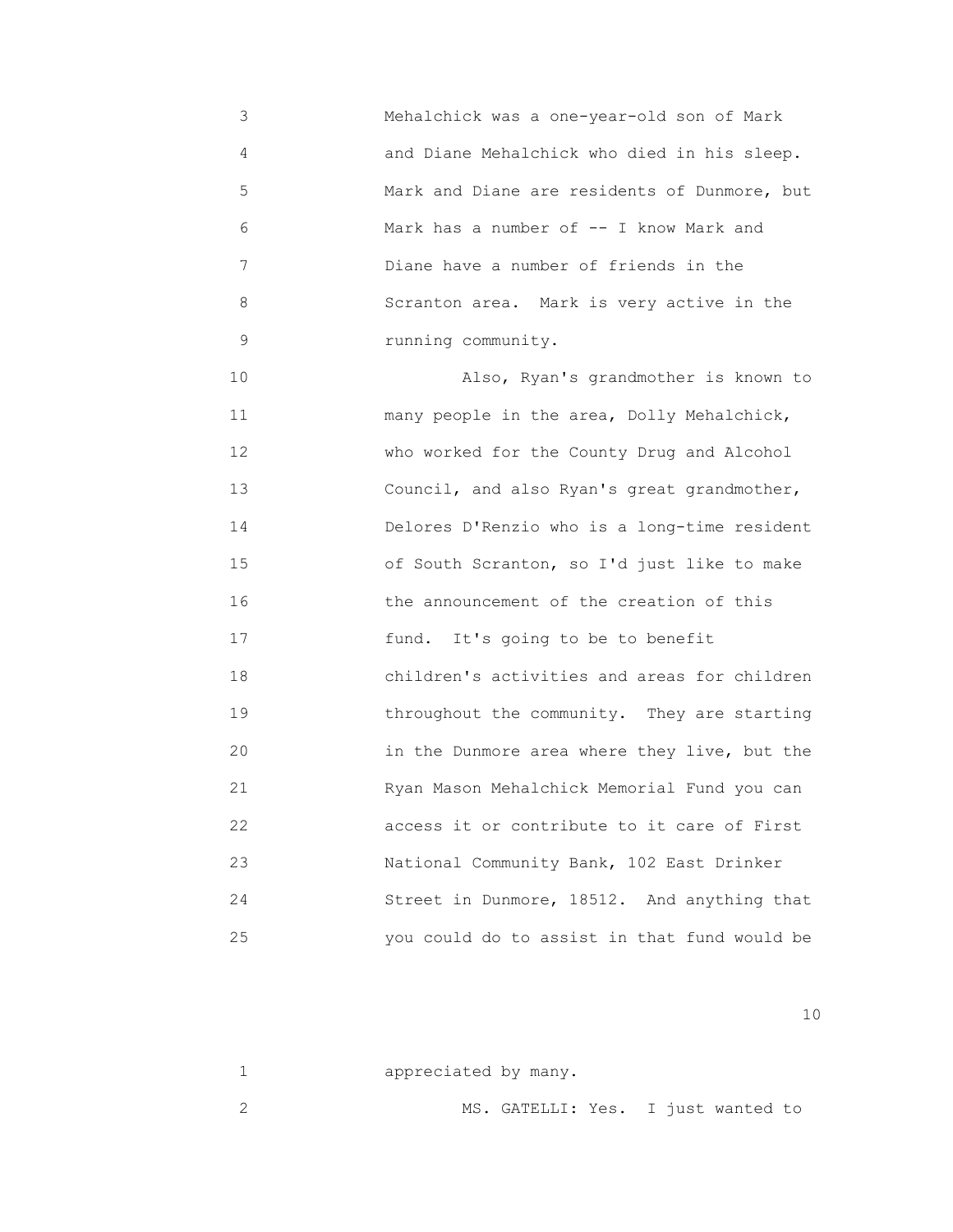3 Mehalchick was a one-year-old son of Mark 4 and Diane Mehalchick who died in his sleep. 5 Mark and Diane are residents of Dunmore, but 6 Mark has a number of -- I know Mark and 7 Diane have a number of friends in the 8 Scranton area. Mark is very active in the 9 running community.

 10 Also, Ryan's grandmother is known to 11 many people in the area, Dolly Mehalchick, 12 who worked for the County Drug and Alcohol 13 Council, and also Ryan's great grandmother, 14 Delores D'Renzio who is a long-time resident 15 of South Scranton, so I'd just like to make 16 the announcement of the creation of this 17 **17 11** fund. It's going to be to benefit 18 children's activities and areas for children 19 **19** throughout the community. They are starting 20 in the Dunmore area where they live, but the 21 Ryan Mason Mehalchick Memorial Fund you can 22 access it or contribute to it care of First 23 National Community Bank, 102 East Drinker 24 Street in Dunmore, 18512. And anything that 25 you could do to assist in that fund would be

| appreciated by many. |                                    |  |  |  |
|----------------------|------------------------------------|--|--|--|
|                      | MS. GATELLI: Yes. I just wanted to |  |  |  |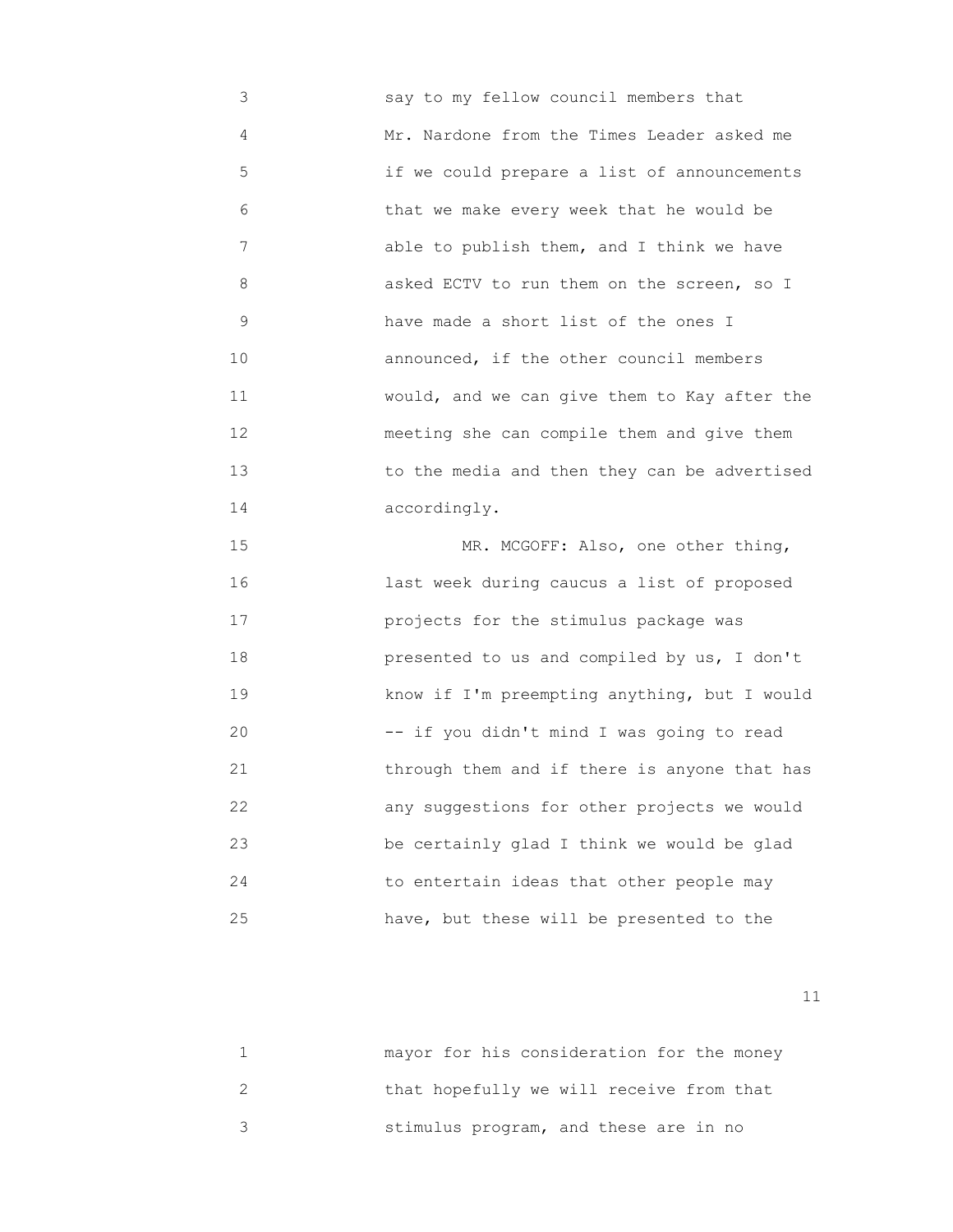3 say to my fellow council members that 4 Mr. Nardone from the Times Leader asked me 5 if we could prepare a list of announcements 6 that we make every week that he would be 7 able to publish them, and I think we have 8 asked ECTV to run them on the screen, so I 9 have made a short list of the ones I 10 **announced**, if the other council members 11 would, and we can give them to Kay after the 12 meeting she can compile them and give them 13 to the media and then they can be advertised 14 accordingly.

15 MR. MCGOFF: Also, one other thing, 16 last week during caucus a list of proposed 17 projects for the stimulus package was 18 presented to us and compiled by us, I don't 19 know if I'm preempting anything, but I would 20 -- if you didn't mind I was going to read 21 through them and if there is anyone that has 22 any suggestions for other projects we would 23 be certainly glad I think we would be glad 24 to entertain ideas that other people may 25 have, but these will be presented to the

| mayor for his consideration for the money |
|-------------------------------------------|
| that hopefully we will receive from that  |
| stimulus program, and these are in no     |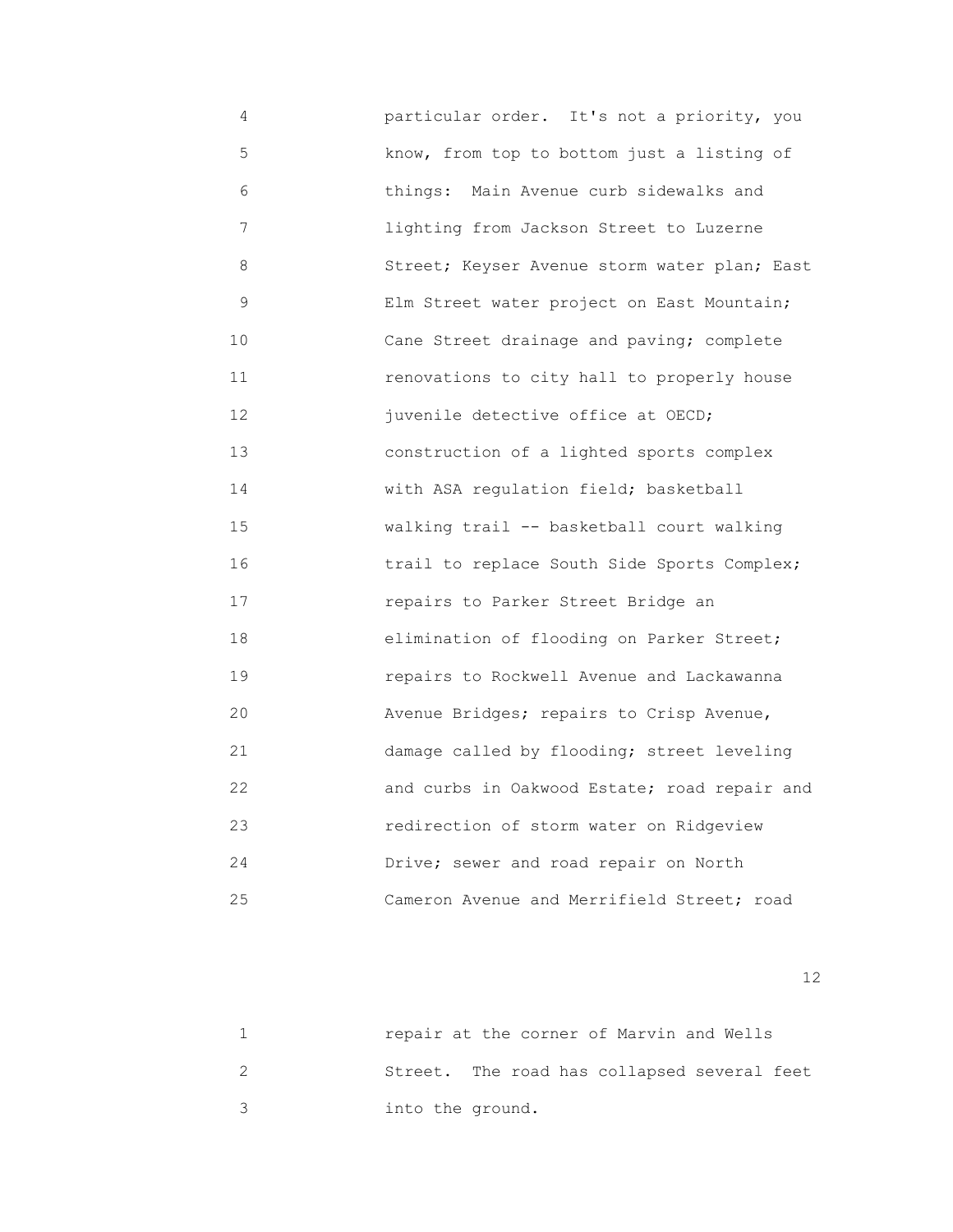4 particular order. It's not a priority, you 5 know, from top to bottom just a listing of 6 things: Main Avenue curb sidewalks and 7 lighting from Jackson Street to Luzerne 8 Street; Keyser Avenue storm water plan; East 9 Elm Street water project on East Mountain; 10 Cane Street drainage and paving; complete 11 renovations to city hall to properly house 12 juvenile detective office at OECD; 13 construction of a lighted sports complex 14 with ASA regulation field; basketball 15 walking trail -- basketball court walking 16 trail to replace South Side Sports Complex; 17 repairs to Parker Street Bridge an 18 elimination of flooding on Parker Street; 19 repairs to Rockwell Avenue and Lackawanna 20 Avenue Bridges; repairs to Crisp Avenue, 21 damage called by flooding; street leveling 22 and curbs in Oakwood Estate; road repair and 23 redirection of storm water on Ridgeview 24 Drive; sewer and road repair on North 25 Cameron Avenue and Merrifield Street; road

| repair at the corner of Marvin and Wells    |
|---------------------------------------------|
| Street. The road has collapsed several feet |
| into the ground.                            |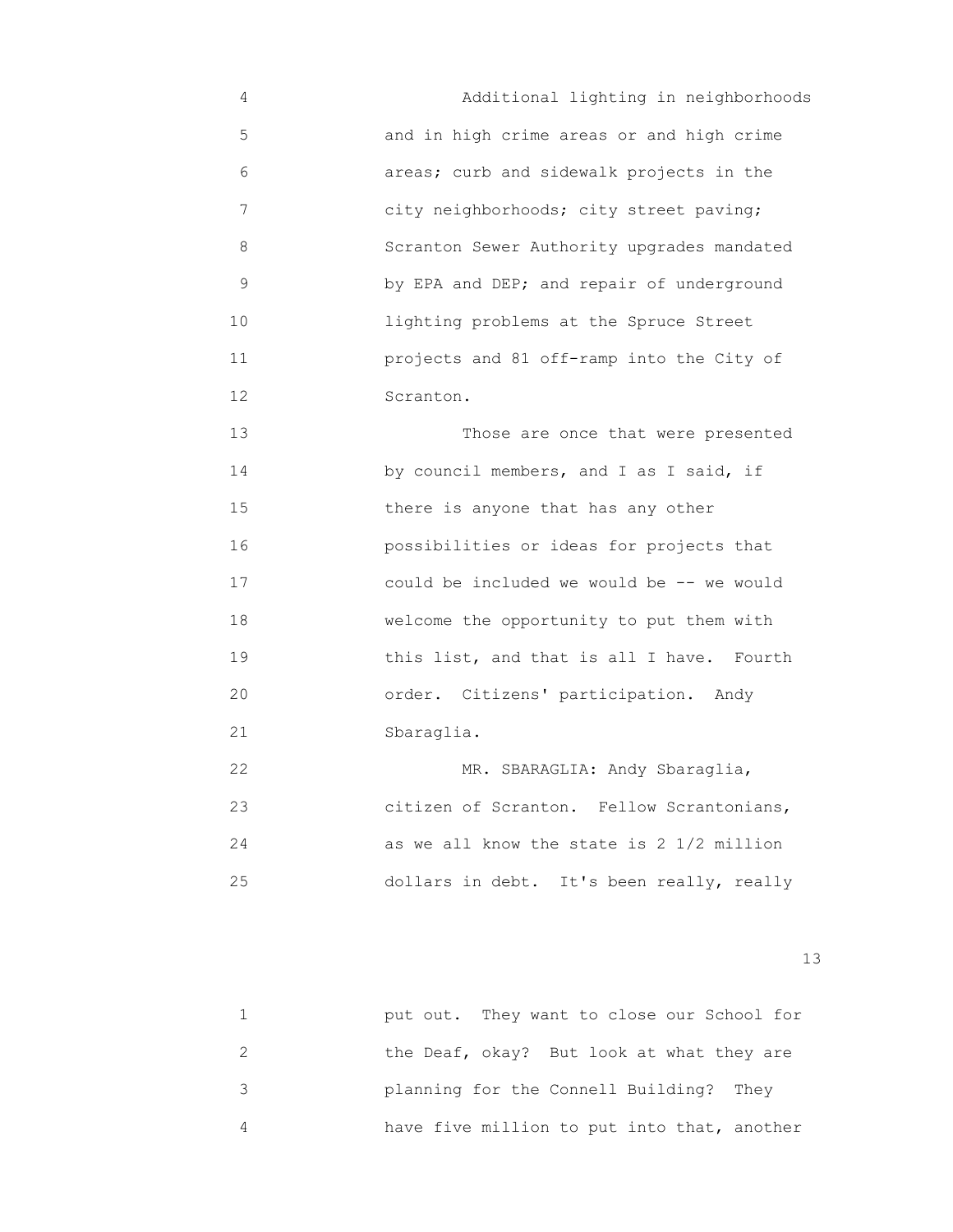4 Additional lighting in neighborhoods 5 and in high crime areas or and high crime 6 areas; curb and sidewalk projects in the 7 city neighborhoods; city street paving; 8 Scranton Sewer Authority upgrades mandated 9 by EPA and DEP; and repair of underground 10 lighting problems at the Spruce Street 11 projects and 81 off-ramp into the City of 12 Scranton.

 13 Those are once that were presented 14 **by council members, and I as I said, if**  15 there is anyone that has any other 16 possibilities or ideas for projects that 17 could be included we would be -- we would 18 welcome the opportunity to put them with 19 **19** this list, and that is all I have. Fourth 20 order. Citizens' participation. Andy 21 Sbaraglia.

22 MR. SBARAGLIA: Andy Sbaraglia, 23 citizen of Scranton. Fellow Scrantonians, 24 as we all know the state is 2 1/2 million 25 dollars in debt. It's been really, really

13<sup>3</sup>

|   | put out. They want to close our School for  |
|---|---------------------------------------------|
|   | the Deaf, okay? But look at what they are   |
| २ | planning for the Connell Building? They     |
|   | have five million to put into that, another |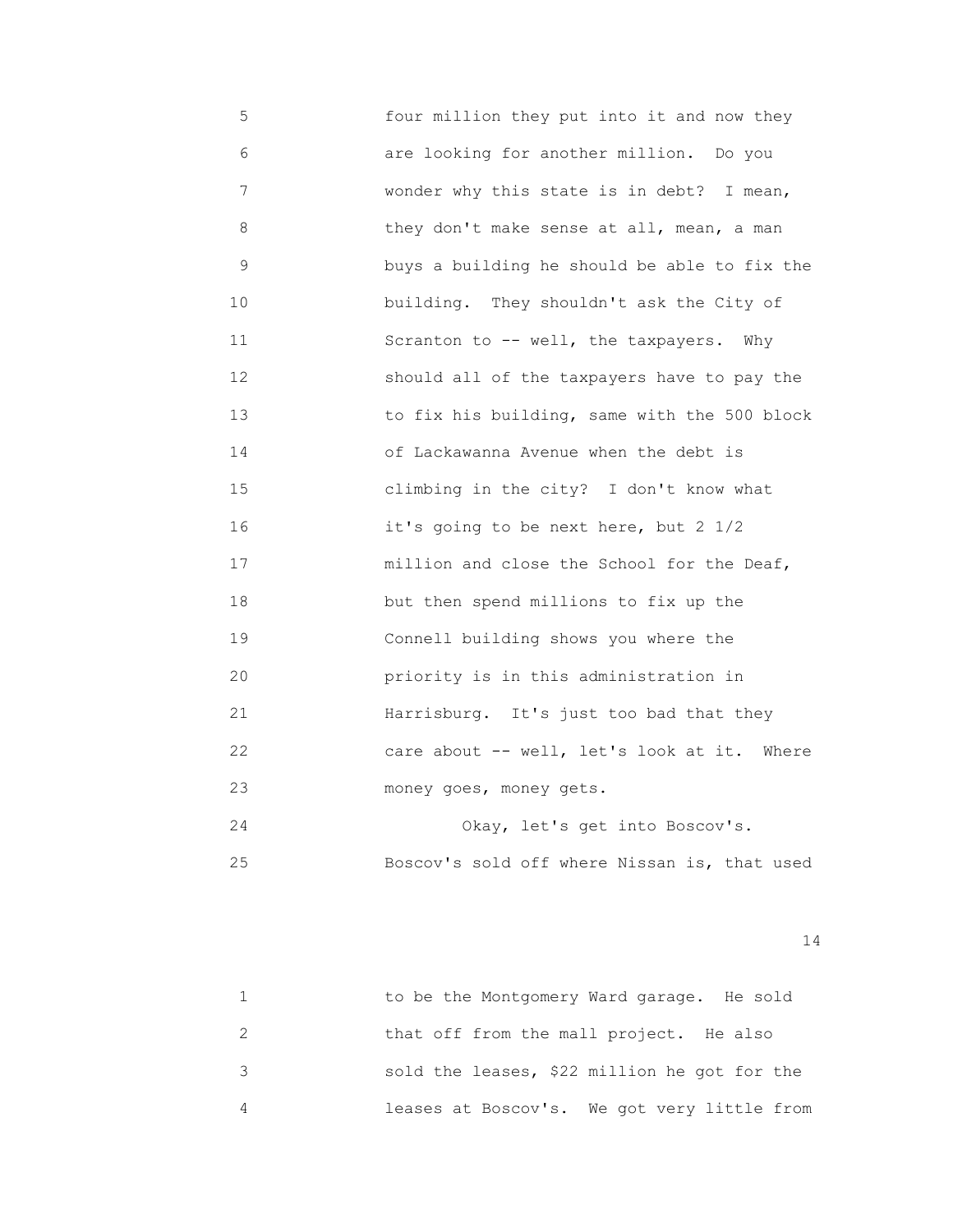5 four million they put into it and now they 6 are looking for another million. Do you 7 wonder why this state is in debt? I mean, 8 they don't make sense at all, mean, a man 9 buys a building he should be able to fix the 10 **building.** They shouldn't ask the City of 11 Scranton to -- well, the taxpayers. Why 12 should all of the taxpayers have to pay the 13 to fix his building, same with the 500 block 14 of Lackawanna Avenue when the debt is 15 climbing in the city? I don't know what 16 it's going to be next here, but 2 1/2 17 **million and close the School for the Deaf,**  18 but then spend millions to fix up the 19 Connell building shows you where the 20 priority is in this administration in 21 Harrisburg. It's just too bad that they 22 care about -- well, let's look at it. Where 23 money goes, money gets. 24 Okay, let's get into Boscov's. 25 Boscov's sold off where Nissan is, that used

| to be the Montgomery Ward garage. He sold    |
|----------------------------------------------|
| that off from the mall project. He also      |
| sold the leases, \$22 million he got for the |
| leases at Boscov's. We got very little from  |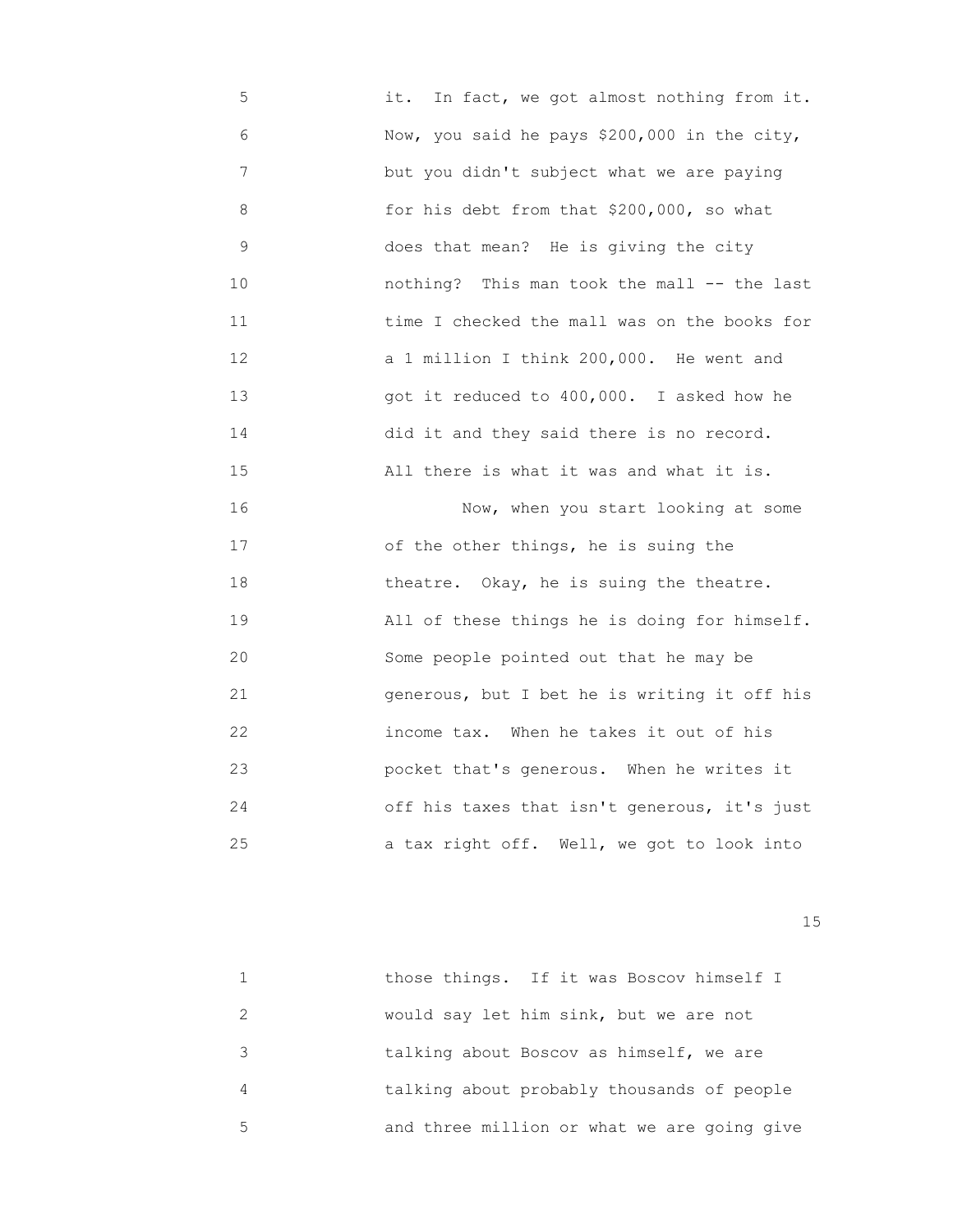5 it. In fact, we got almost nothing from it. 6 Now, you said he pays \$200,000 in the city, 7 but you didn't subject what we are paying 8 for his debt from that \$200,000, so what 9 does that mean? He is giving the city 10 nothing? This man took the mall -- the last 11 time I checked the mall was on the books for 12 a 1 million I think 200,000. He went and 13 got it reduced to 400,000. I asked how he 14 did it and they said there is no record. 15 All there is what it was and what it is. 16 Now, when you start looking at some 17 of the other things, he is suing the 18 theatre. Okay, he is suing the theatre. 19 All of these things he is doing for himself. 20 Some people pointed out that he may be 21 generous, but I bet he is writing it off his 22 income tax. When he takes it out of his 23 pocket that's generous. When he writes it 24 off his taxes that isn't generous, it's just

25 a tax right off. Well, we got to look into

15 and 15 and 15 and 15 and 15 and 15 and 15 and 15 and 15 and 15 and 15 and 15 and 15 and 15 and 15

|                             | those things. If it was Boscov himself I    |
|-----------------------------|---------------------------------------------|
| $\mathcal{D}_{\mathcal{A}}$ | would say let him sink, but we are not      |
| 3                           | talking about Boscov as himself, we are     |
| 4                           | talking about probably thousands of people  |
| 5                           | and three million or what we are going give |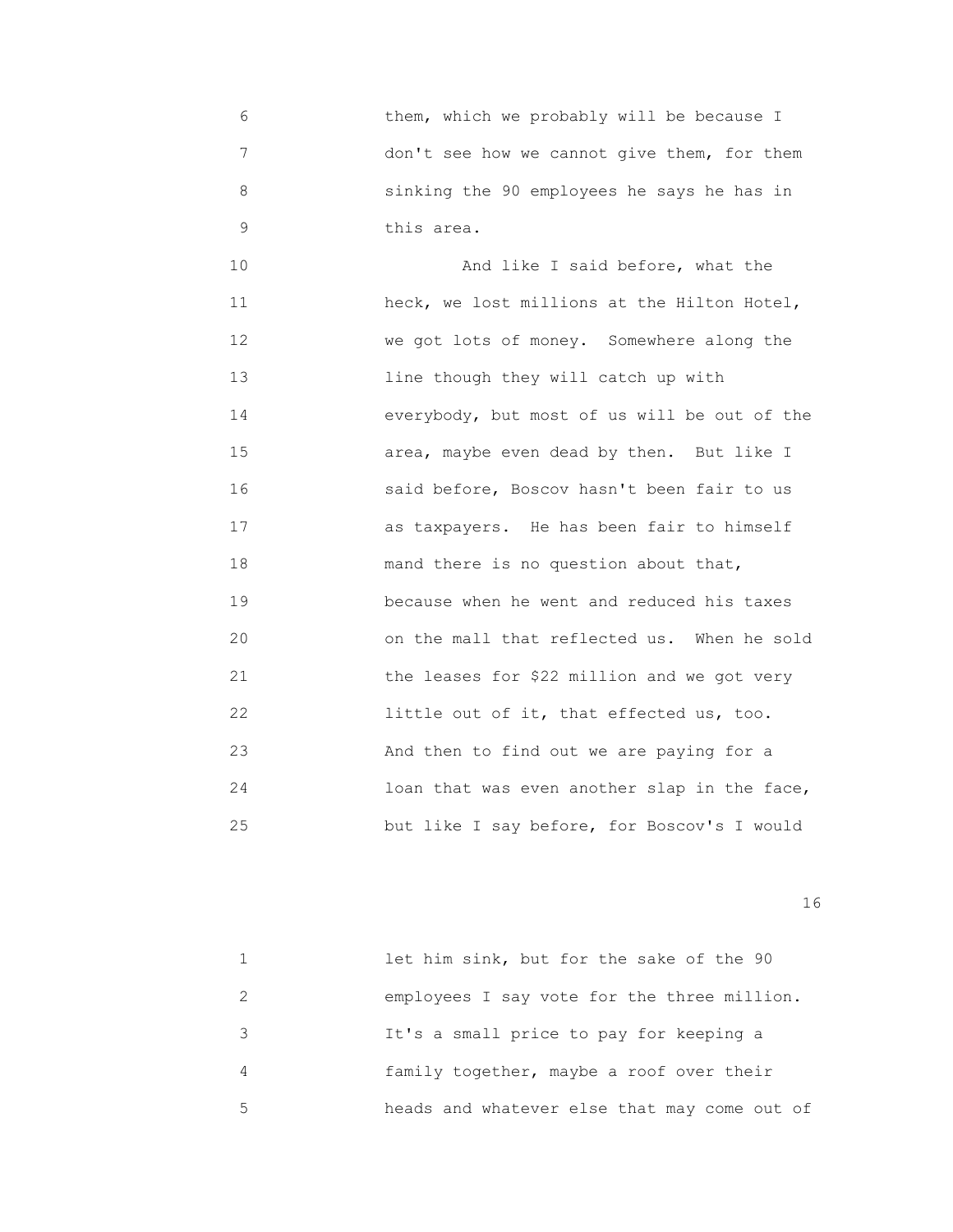6 them, which we probably will be because I 7 don't see how we cannot give them, for them 8 sinking the 90 employees he says he has in 9 **this area.** 

 10 And like I said before, what the 11 heck, we lost millions at the Hilton Hotel, 12 We got lots of money. Somewhere along the 13 line though they will catch up with 14 everybody, but most of us will be out of the 15 area, maybe even dead by then. But like I 16 said before, Boscov hasn't been fair to us 17 as taxpayers. He has been fair to himself 18 mand there is no question about that, 19 because when he went and reduced his taxes 20 on the mall that reflected us. When he sold 21 the leases for \$22 million and we got very 22 little out of it, that effected us, too. 23 And then to find out we are paying for a 24 loan that was even another slap in the face, 25 but like I say before, for Boscov's I would

|   | let him sink, but for the sake of the 90     |
|---|----------------------------------------------|
|   | employees I say vote for the three million.  |
|   | It's a small price to pay for keeping a      |
| 4 | family together, maybe a roof over their     |
| 5 | heads and whatever else that may come out of |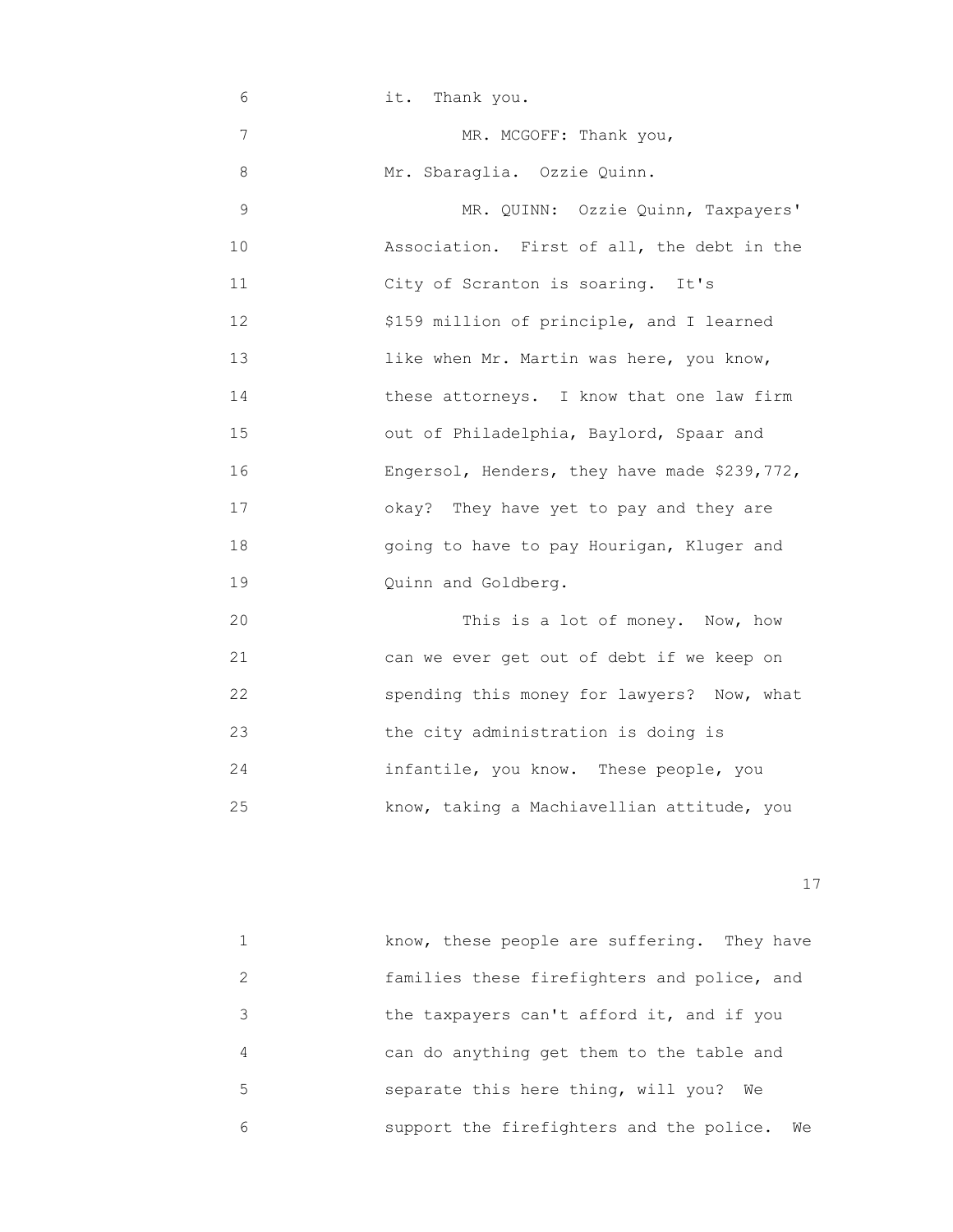| 6  | it. Thank you.                               |
|----|----------------------------------------------|
| 7  | MR. MCGOFF: Thank you,                       |
| 8  | Mr. Sbaraglia. Ozzie Quinn.                  |
| 9  | MR. QUINN: Ozzie Quinn, Taxpayers'           |
| 10 | Association. First of all, the debt in the   |
| 11 | City of Scranton is soaring. It's            |
| 12 | \$159 million of principle, and I learned    |
| 13 | like when Mr. Martin was here, you know,     |
| 14 | these attorneys. I know that one law firm    |
| 15 | out of Philadelphia, Baylord, Spaar and      |
| 16 | Engersol, Henders, they have made \$239,772, |
| 17 | okay? They have yet to pay and they are      |
| 18 | going to have to pay Hourigan, Kluger and    |
| 19 | Quinn and Goldberg.                          |
| 20 | This is a lot of money. Now, how             |
| 21 | can we ever get out of debt if we keep on    |
| 22 | spending this money for lawyers? Now, what   |
| 23 | the city administration is doing is          |

25 know, taking a Machiavellian attitude, you

24 infantile, you know. These people, you

|   | know, these people are suffering. They have    |
|---|------------------------------------------------|
|   | families these firefighters and police, and    |
| 3 | the taxpayers can't afford it, and if you      |
| 4 | can do anything get them to the table and      |
| 5 | separate this here thing, will you?<br>We      |
| 6 | support the firefighters and the police.<br>We |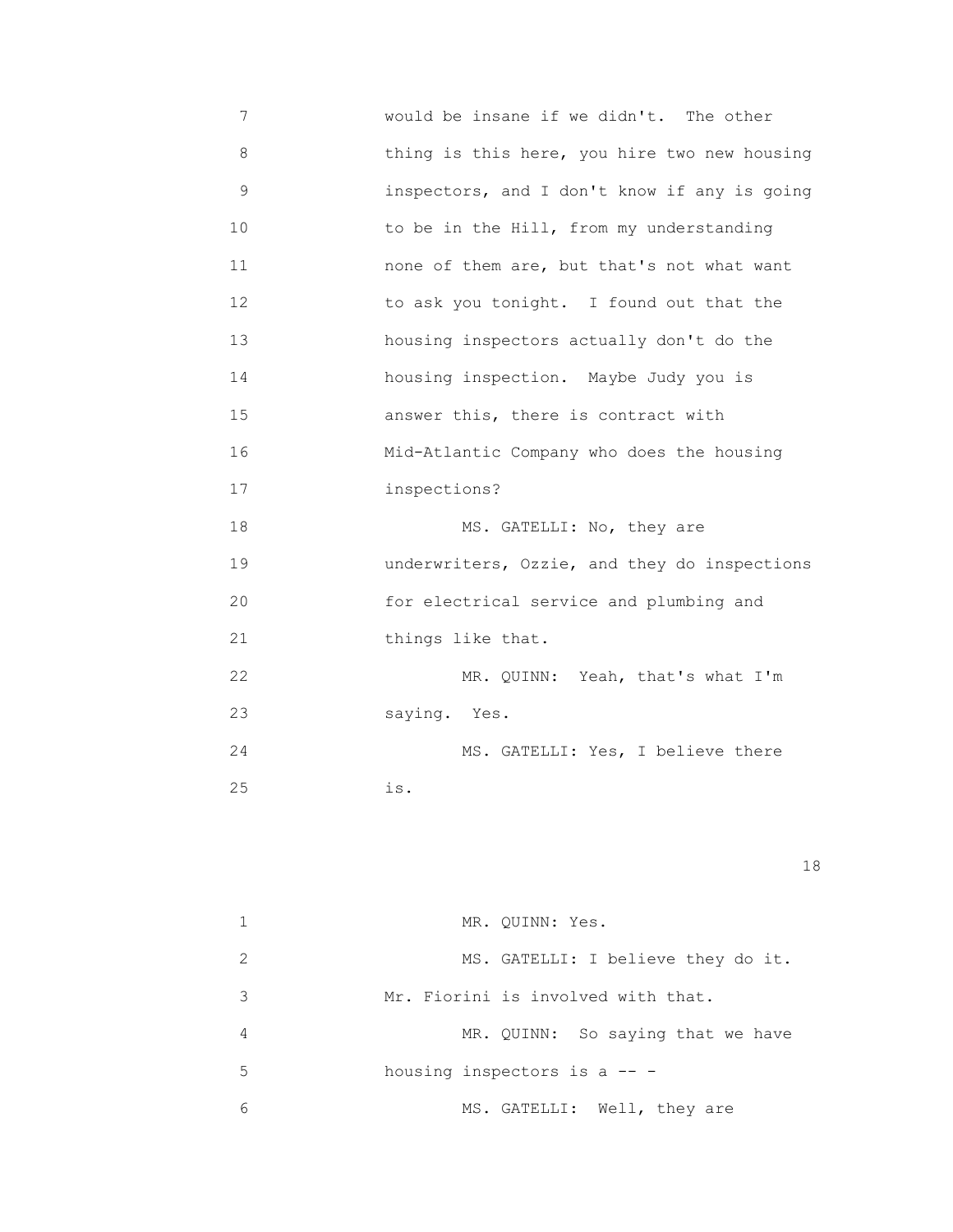7 would be insane if we didn't. The other 8 thing is this here, you hire two new housing 9 inspectors, and I don't know if any is going 10 **10** to be in the Hill, from my understanding 11 none of them are, but that's not what want 12 to ask you tonight. I found out that the 13 housing inspectors actually don't do the 14 housing inspection. Maybe Judy you is 15 answer this, there is contract with 16 Mid-Atlantic Company who does the housing 17 inspections? 18 MS. GATELLI: No, they are 19 underwriters, Ozzie, and they do inspections 20 for electrical service and plumbing and 21 **things like that.** 22 MR. QUINN: Yeah, that's what I'm 23 saying. Yes. 24 MS. GATELLI: Yes, I believe there 25 is.

|               | MR. QUINN: Yes.                    |
|---------------|------------------------------------|
| $\mathcal{L}$ | MS. GATELLI: I believe they do it. |
| 3             | Mr. Fiorini is involved with that. |
| 4             | MR. QUINN: So saying that we have  |
| .5            | housing inspectors is a $--$       |
| 6             | MS. GATELLI: Well, they are        |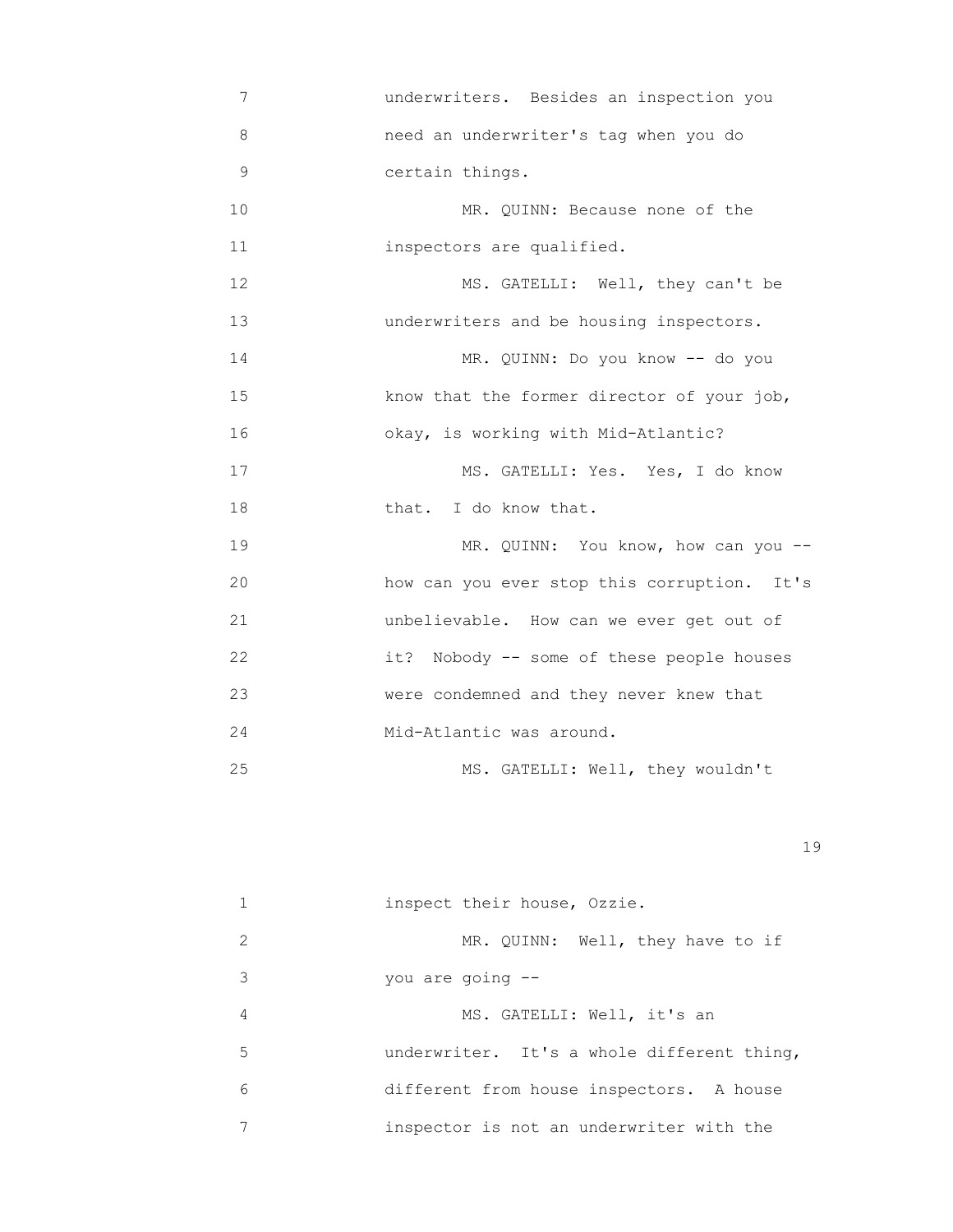7 underwriters. Besides an inspection you 8 need an underwriter's tag when you do 9 certain things. 10 MR. QUINN: Because none of the 11 inspectors are qualified. 12 MS. GATELLI: Well, they can't be 13 underwriters and be housing inspectors. 14 MR. QUINN: Do you know -- do you 15 know that the former director of your job, 16 okay, is working with Mid-Atlantic? 17 MS. GATELLI: Yes. Yes, I do know 18 that. I do know that. 19 MR. QUINN: You know, how can you -- 20 how can you ever stop this corruption. It's 21 unbelievable. How can we ever get out of 22 it? Nobody -- some of these people houses 23 were condemned and they never knew that 24 Mid-Atlantic was around. 25 MS. GATELLI: Well, they wouldn't

|   | inspect their house, Ozzie.                |
|---|--------------------------------------------|
| 2 | MR. QUINN: Well, they have to if           |
| 3 | you are going $--$                         |
| 4 | MS. GATELLI: Well, it's an                 |
| 5 | underwriter. It's a whole different thing, |
| 6 | different from house inspectors. A house   |
|   | inspector is not an underwriter with the   |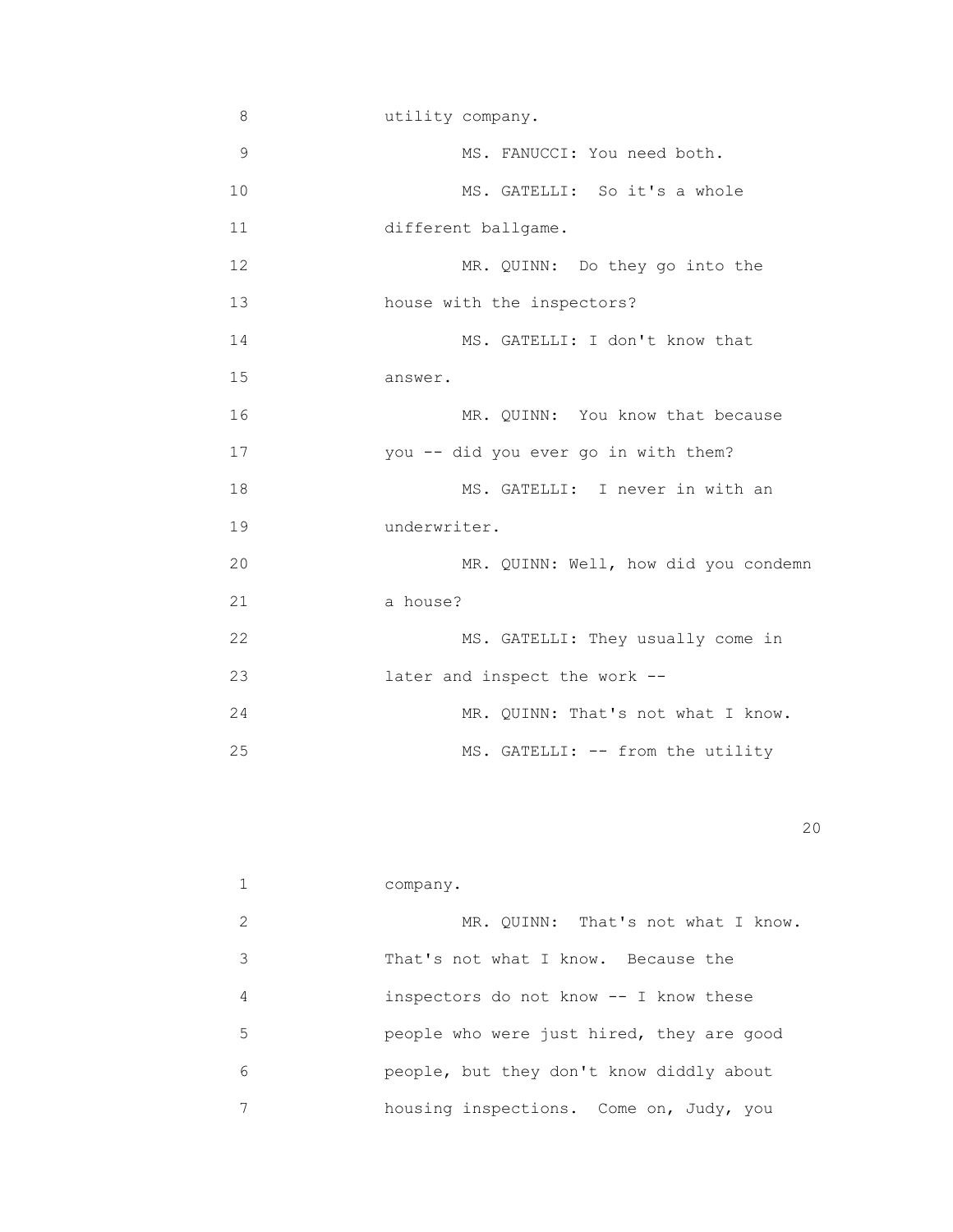| 8             | utility company.                     |
|---------------|--------------------------------------|
| $\mathcal{G}$ | MS. FANUCCI: You need both.          |
| 10            | MS. GATELLI: So it's a whole         |
| 11            | different ballgame.                  |
| 12            | MR. QUINN: Do they go into the       |
| 13            | house with the inspectors?           |
| 14            | MS. GATELLI: I don't know that       |
| 15            | answer.                              |
| 16            | MR. QUINN: You know that because     |
| 17            | you -- did you ever go in with them? |
| 18            | MS. GATELLI: I never in with an      |
| 19            | underwriter.                         |
| 20            | MR. QUINN: Well, how did you condemn |
| 21            | a house?                             |
| 22            | MS. GATELLI: They usually come in    |
| 23            | later and inspect the work --        |
| 24            | MR. QUINN: That's not what I know.   |
| 25            | MS. GATELLI: -- from the utility     |

|   | company.                                  |
|---|-------------------------------------------|
| 2 | MR. OUINN: That's not what I know.        |
| 3 | That's not what I know. Because the       |
| 4 | inspectors do not know -- I know these    |
| 5 | people who were just hired, they are good |
| 6 | people, but they don't know diddly about  |
|   | housing inspections. Come on, Judy, you   |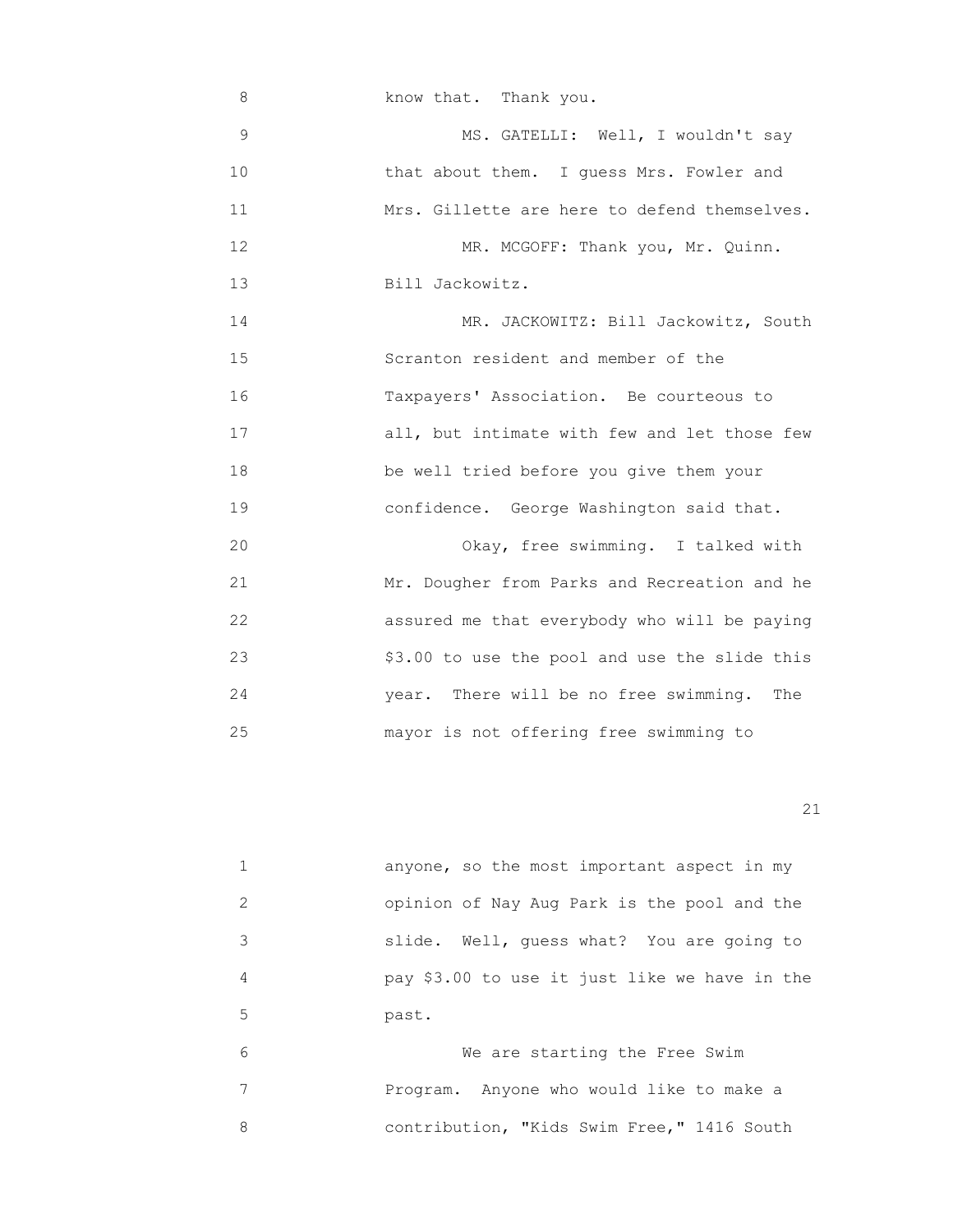8 know that. Thank you. 9 MS. GATELLI: Well, I wouldn't say 10 **that about them.** I guess Mrs. Fowler and 11 Mrs. Gillette are here to defend themselves. 12 MR. MCGOFF: Thank you, Mr. Quinn. 13 Bill Jackowitz. 14 MR. JACKOWITZ: Bill Jackowitz, South 15 Scranton resident and member of the 16 Taxpayers' Association. Be courteous to 17 **all, but intimate with few and let those few**  18 be well tried before you give them your 19 confidence. George Washington said that. 20 Okay, free swimming. I talked with 21 Mr. Dougher from Parks and Recreation and he 22 assured me that everybody who will be paying 23 \$3.00 to use the pool and use the slide this 24 year. There will be no free swimming. The 25 mayor is not offering free swimming to

21

|               | anyone, so the most important aspect in my    |
|---------------|-----------------------------------------------|
| $\mathcal{L}$ | opinion of Nay Aug Park is the pool and the   |
| 3             | Well, quess what? You are going to<br>slide.  |
| 4             | pay \$3.00 to use it just like we have in the |
| 5             | past.                                         |
| $\sim$        | Wo are starting the Free Swim                 |

We are starting the Free Swim 7 Program. Anyone who would like to make a 8 contribution, "Kids Swim Free," 1416 South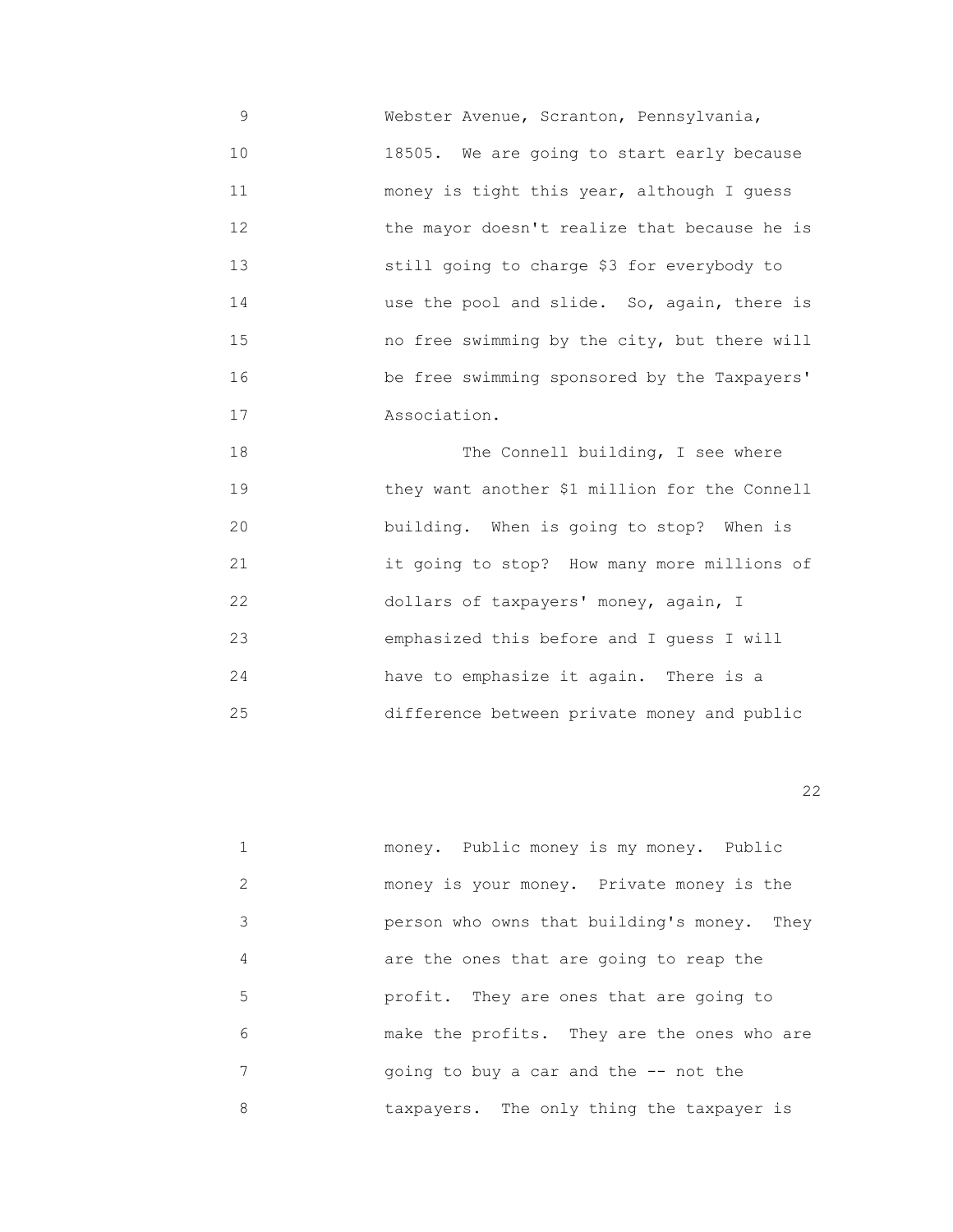9 Webster Avenue, Scranton, Pennsylvania, 10 18505. We are going to start early because 11 money is tight this year, although I guess 12 the mayor doesn't realize that because he is 13 still going to charge \$3 for everybody to 14 use the pool and slide. So, again, there is 15 no free swimming by the city, but there will 16 be free swimming sponsored by the Taxpayers' 17 **Association.** 

 18 The Connell building, I see where 19 they want another \$1 million for the Connell 20 building. When is going to stop? When is 21 it going to stop? How many more millions of 22 dollars of taxpayers' money, again, I 23 emphasized this before and I guess I will 24 have to emphasize it again. There is a 25 difference between private money and public

22 and 22 and 23 and 23 and 23 and 23 and 23 and 23 and 23 and 23 and 23 and 23 and 23 and 23 and 23 and 23 and 23 and 24 and 25 and 26 and 26 and 26 and 26 and 26 and 26 and 26 and 26 and 26 and 26 and 26 and 26 and 26 an

|   | money. Public money is my money. Public     |
|---|---------------------------------------------|
| 2 | money is your money. Private money is the   |
| 3 | person who owns that building's money. They |
| 4 | are the ones that are going to reap the     |
| 5 | profit. They are ones that are going to     |
| 6 | make the profits. They are the ones who are |
| 7 | going to buy a car and the $-$ - not the    |
| 8 | taxpayers. The only thing the taxpayer is   |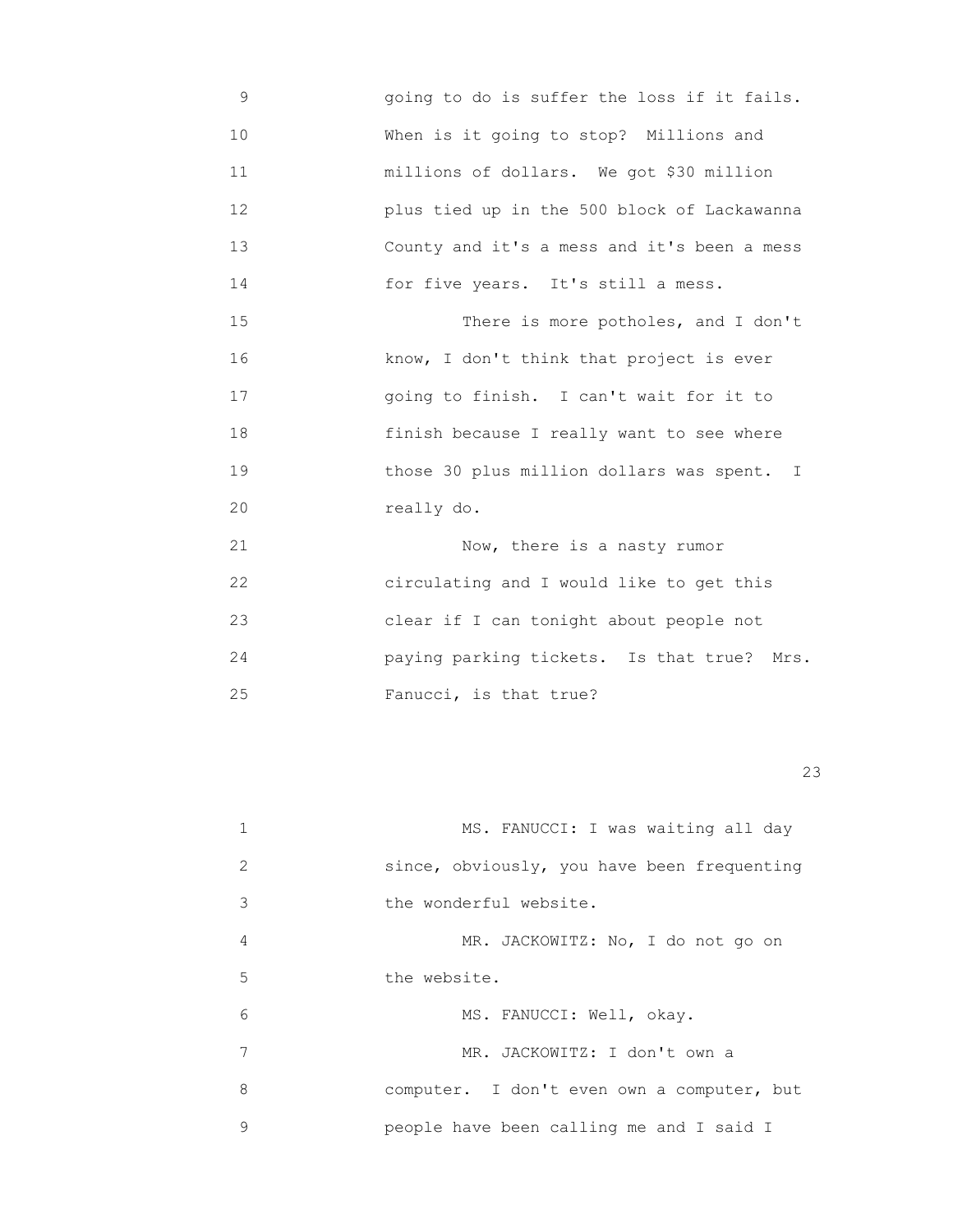- 9 going to do is suffer the loss if it fails. 10 When is it going to stop? Millions and 11 millions of dollars. We got \$30 million 12 plus tied up in the 500 block of Lackawanna 13 County and it's a mess and it's been a mess 14 for five years. It's still a mess. 15 There is more potholes, and I don't 16 know, I don't think that project is ever 17 going to finish. I can't wait for it to
- 18 finish because I really want to see where 19 those 30 plus million dollars was spent. I 20 really do.

 21 Now, there is a nasty rumor 22 circulating and I would like to get this 23 clear if I can tonight about people not 24 paying parking tickets. Is that true? Mrs. 25 Fanucci, is that true?

| 1 | MS. FANUCCI: I was waiting all day          |
|---|---------------------------------------------|
| 2 | since, obviously, you have been frequenting |
| 3 | the wonderful website.                      |
| 4 | MR. JACKOWITZ: No, I do not go on           |
| 5 | the website.                                |
| 6 | MS. FANUCCI: Well, okay.                    |
| 7 | MR. JACKOWITZ: I don't own a                |
| 8 | computer. I don't even own a computer, but  |
| 9 | people have been calling me and I said I    |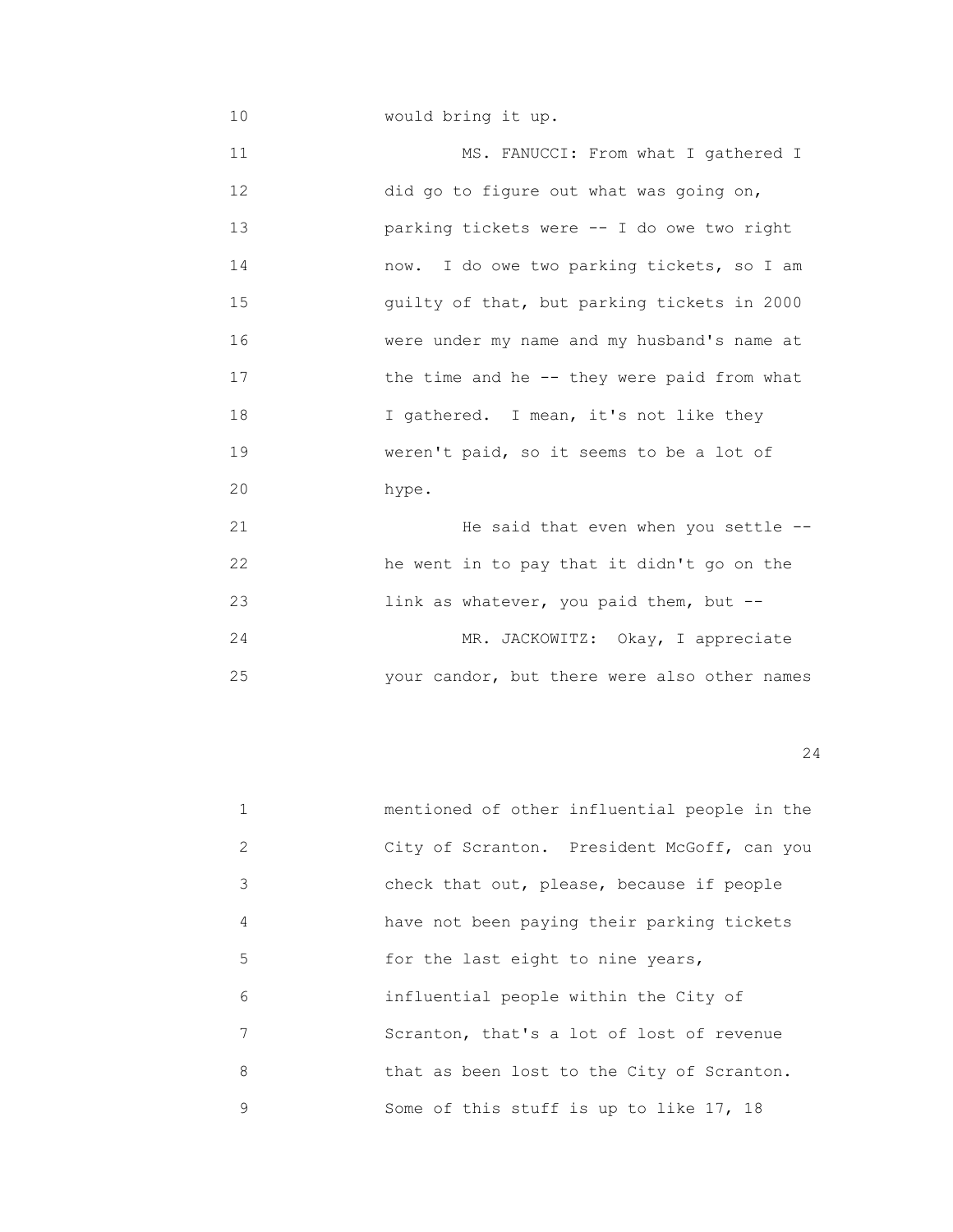10 would bring it up.

11 MS. FANUCCI: From what I gathered I 12 did go to figure out what was going on, 13 parking tickets were -- I do owe two right 14 now. I do owe two parking tickets, so I am 15 guilty of that, but parking tickets in 2000 16 were under my name and my husband's name at 17 the time and he -- they were paid from what 18 I gathered. I mean, it's not like they 19 **WERENT WETER WETER WETER** TO SOFIE SEEMS to be a lot of 20 hype.

 21 He said that even when you settle -- 22 he went in to pay that it didn't go on the 23 link as whatever, you paid them, but -- 24 MR. JACKOWITZ: Okay, I appreciate 25 your candor, but there were also other names

|               | mentioned of other influential people in the |
|---------------|----------------------------------------------|
| $\mathcal{L}$ | City of Scranton. President McGoff, can you  |
| 3             | check that out, please, because if people    |
| 4             | have not been paying their parking tickets   |
| 5             | for the last eight to nine years,            |
| 6             | influential people within the City of        |
| 7             | Scranton, that's a lot of lost of revenue    |
| 8             | that as been lost to the City of Scranton.   |
| 9             | Some of this stuff is up to like 17, 18      |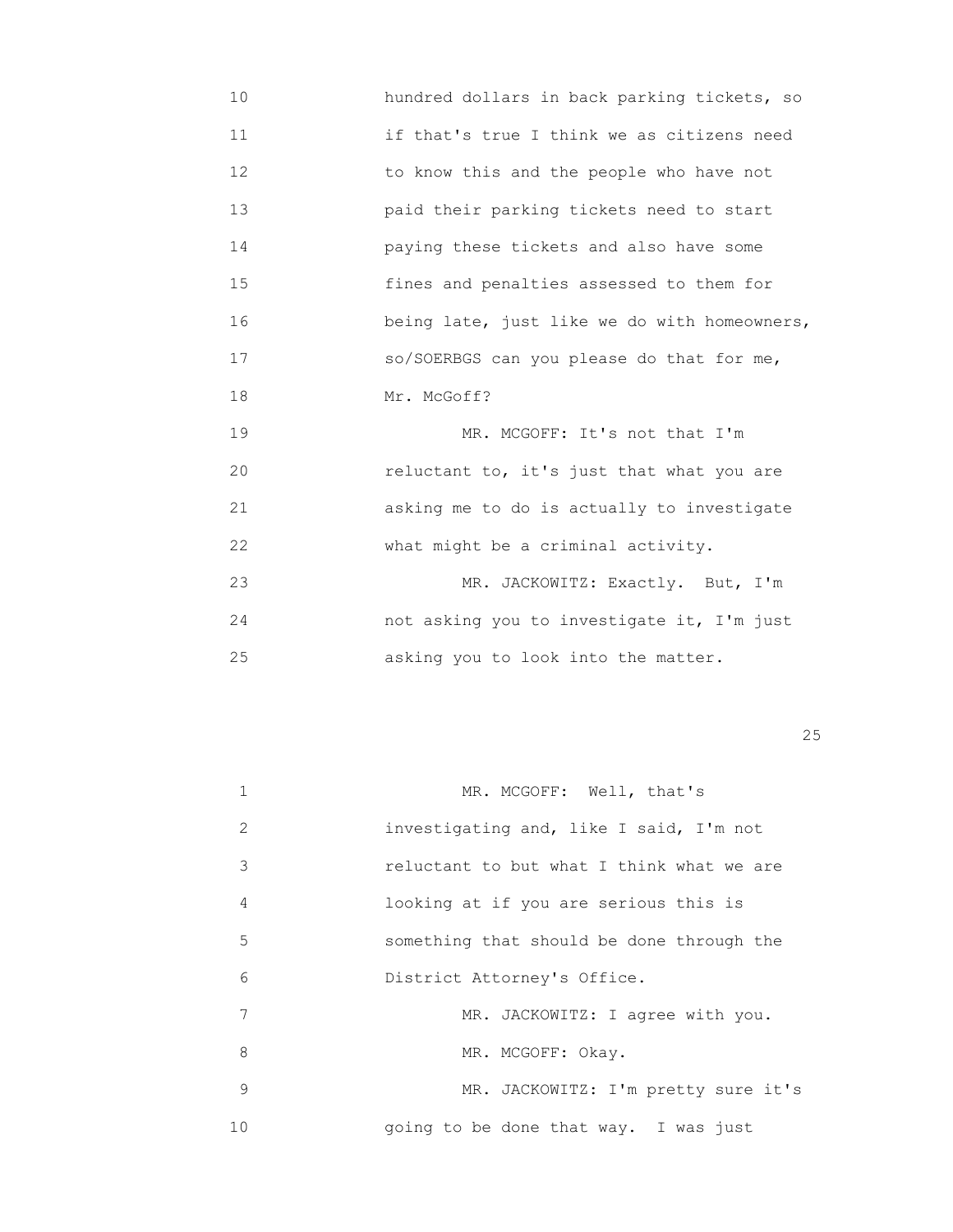10 hundred dollars in back parking tickets, so 11 if that's true I think we as citizens need 12 to know this and the people who have not 13 paid their parking tickets need to start 14 paying these tickets and also have some 15 fines and penalties assessed to them for 16 **being late, just like we do with homeowners,**  17 so/SOERBGS can you please do that for me, 18 Mr. McGoff?

19 MR. MCGOFF: It's not that I'm 20 reluctant to, it's just that what you are 21 asking me to do is actually to investigate 22 **What might be a criminal activity.** 23 MR. JACKOWITZ: Exactly. But, I'm

 24 not asking you to investigate it, I'm just 25 asking you to look into the matter.

<u>25</u>

| $\mathbf{1}$ | MR. MCGOFF: Well, that's                  |
|--------------|-------------------------------------------|
| 2            | investigating and, like I said, I'm not   |
| 3            | reluctant to but what I think what we are |
| 4            | looking at if you are serious this is     |
| 5            | something that should be done through the |
| 6            | District Attorney's Office.               |
| 7            | MR. JACKOWITZ: I agree with you.          |
| 8            | MR. MCGOFF: Okay.                         |
| 9            | MR. JACKOWITZ: I'm pretty sure it's       |
| 10           | going to be done that way. I was just     |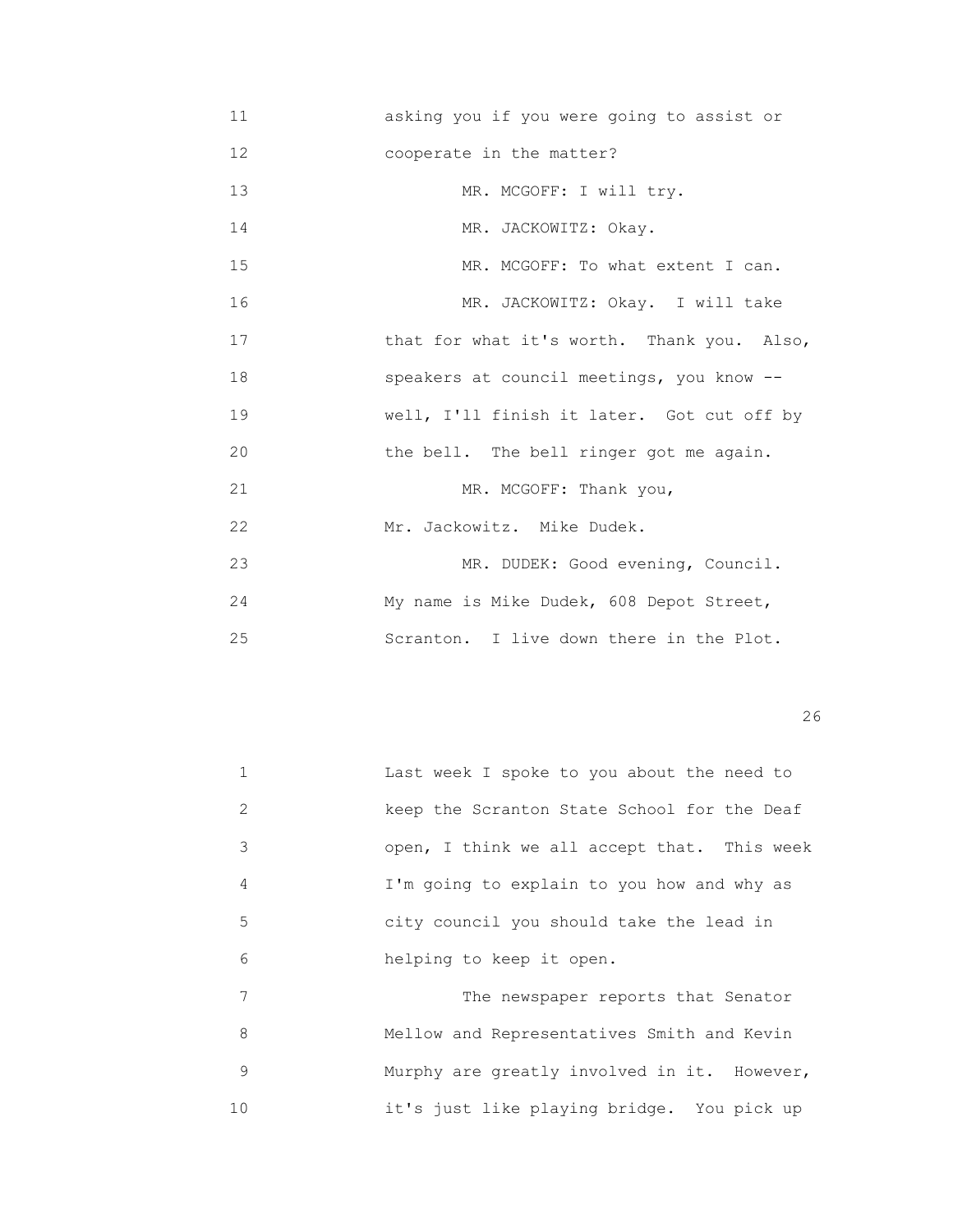11 asking you if you were going to assist or 12 cooperate in the matter? 13 MR. MCGOFF: I will try. 14 MR. JACKOWITZ: Okay. 15 MR. MCGOFF: To what extent I can. 16 MR. JACKOWITZ: Okay. I will take 17 **that for what it's worth.** Thank you. Also, 18 speakers at council meetings, you know -- 19 well, I'll finish it later. Got cut off by 20 the bell. The bell ringer got me again. 21 MR. MCGOFF: Thank you, 22 Mr. Jackowitz. Mike Dudek. 23 MR. DUDEK: Good evening, Council. 24 My name is Mike Dudek, 608 Depot Street, 25 Scranton. I live down there in the Plot.

 $26$ 

|               | Last week I spoke to you about the need to  |
|---------------|---------------------------------------------|
| $\mathcal{L}$ | keep the Scranton State School for the Deaf |
| 3             | open, I think we all accept that. This week |
| 4             | I'm going to explain to you how and why as  |
| 5             | city council you should take the lead in    |
| 6             | helping to keep it open.                    |
| 7             | The newspaper reports that Senator          |
| 8             | Mellow and Representatives Smith and Kevin  |

9 Murphy are greatly involved in it. However, 10 it's just like playing bridge. You pick up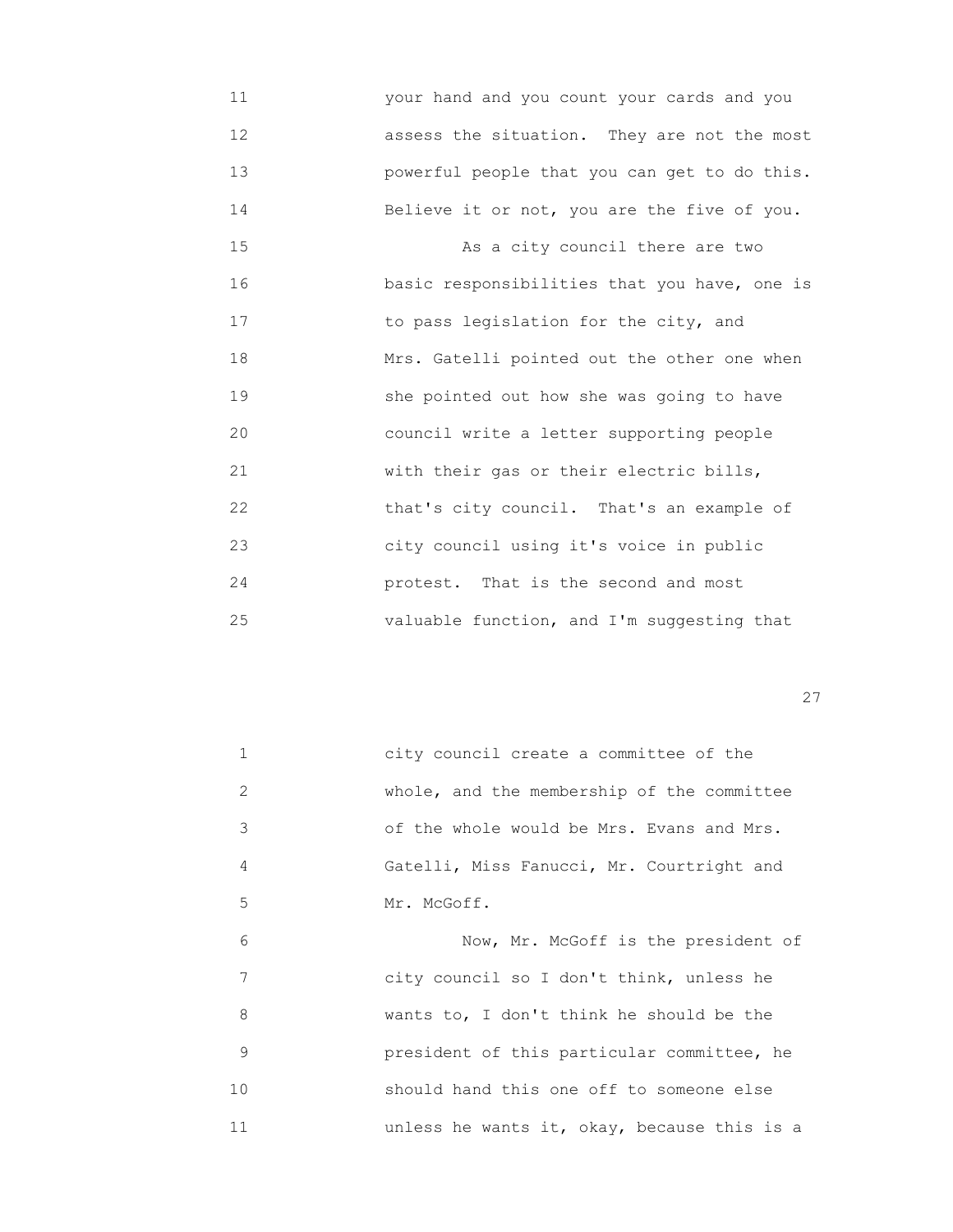11 your hand and you count your cards and you 12 assess the situation. They are not the most 13 powerful people that you can get to do this. 14 Believe it or not, you are the five of you.

15 As a city council there are two 16 **basic responsibilities that you have, one is**  17 to pass legislation for the city, and 18 Mrs. Gatelli pointed out the other one when 19 she pointed out how she was going to have 20 council write a letter supporting people 21 with their gas or their electric bills, 22 that's city council. That's an example of 23 city council using it's voice in public 24 protest. That is the second and most 25 valuable function, and I'm suggesting that

<u>27</u>

| 1  | city council create a committee of the      |
|----|---------------------------------------------|
| 2  | whole, and the membership of the committee  |
| 3  | of the whole would be Mrs. Evans and Mrs.   |
| 4  | Gatelli, Miss Fanucci, Mr. Courtright and   |
| 5  | Mr. McGoff.                                 |
| 6  | Now, Mr. McGoff is the president of         |
| 7  | city council so I don't think, unless he    |
| 8  | wants to, I don't think he should be the    |
| 9  | president of this particular committee, he  |
| 10 | should hand this one off to someone else    |
| 11 | unless he wants it, okay, because this is a |
|    |                                             |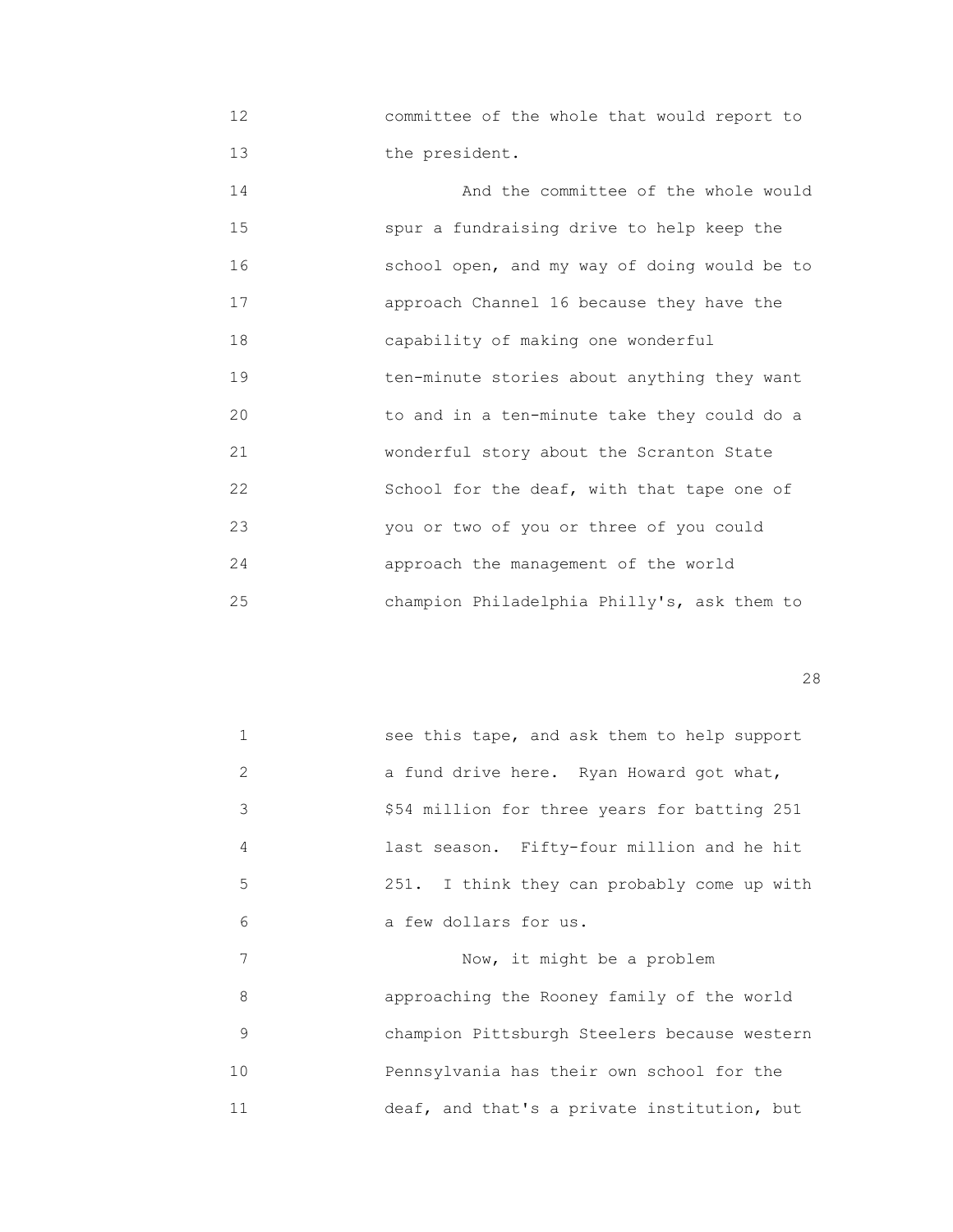12 committee of the whole that would report to 13 the president.

14 **And the committee of the whole would**  15 spur a fundraising drive to help keep the 16 school open, and my way of doing would be to 17 approach Channel 16 because they have the 18 capability of making one wonderful 19 ten-minute stories about anything they want 20 to and in a ten-minute take they could do a 21 wonderful story about the Scranton State 22 School for the deaf, with that tape one of 23 you or two of you or three of you could 24 approach the management of the world 25 champion Philadelphia Philly's, ask them to

<u>28</u>

| $\mathbf{1}$  | see this tape, and ask them to help support  |
|---------------|----------------------------------------------|
| $\mathcal{L}$ | a fund drive here. Ryan Howard got what,     |
| 3             | \$54 million for three years for batting 251 |
| 4             | last season. Fifty-four million and he hit   |
| 5             | 251. I think they can probably come up with  |
| 6             | a few dollars for us.                        |
| 7             | Now, it might be a problem                   |
| 8             | approaching the Rooney family of the world   |
| 9             | champion Pittsburgh Steelers because western |
| 10            | Pennsylvania has their own school for the    |
| 11            | deaf, and that's a private institution, but  |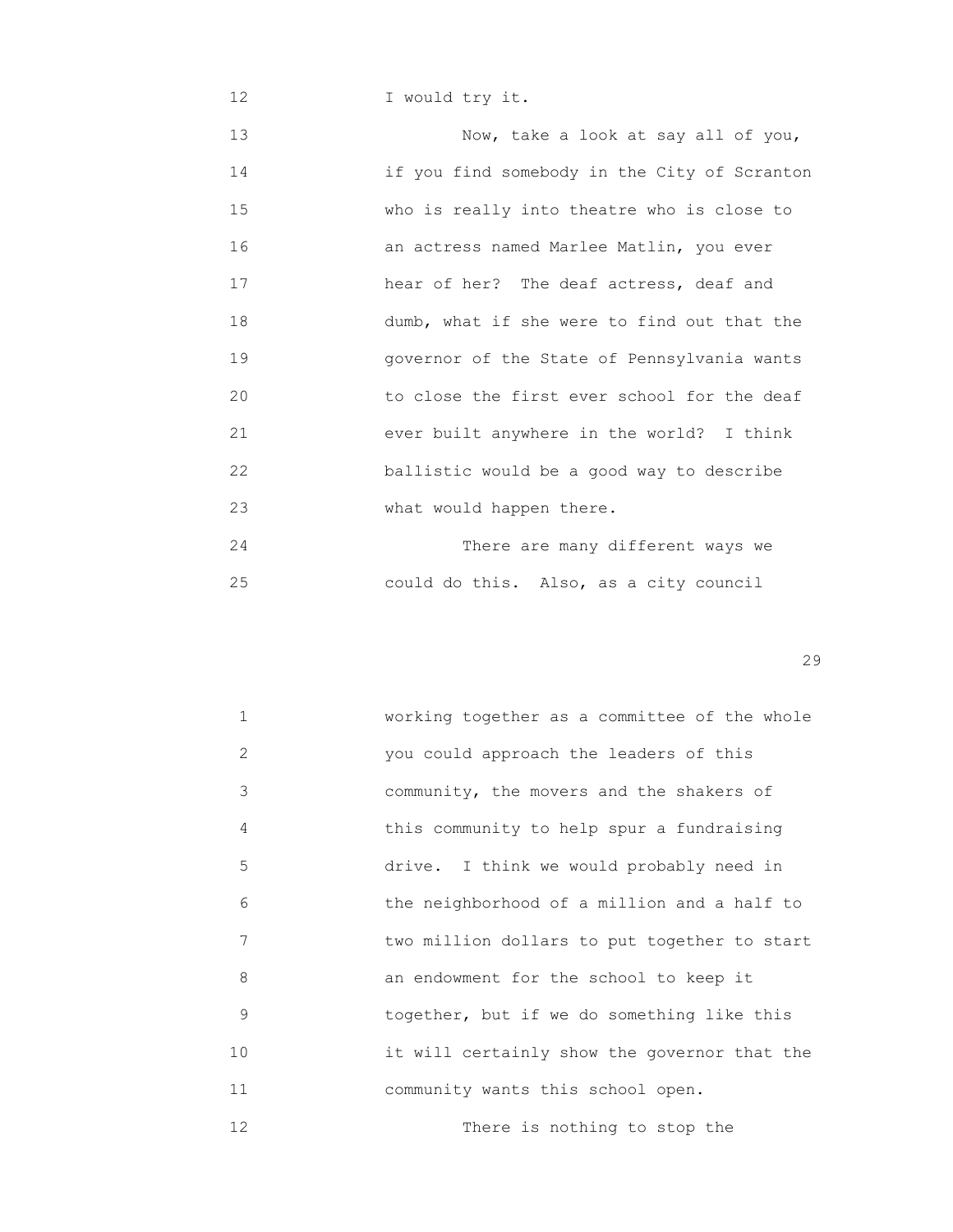12 I would try it.

13 Now, take a look at say all of you, 14 if you find somebody in the City of Scranton 15 who is really into theatre who is close to 16 an actress named Marlee Matlin, you ever 17 hear of her? The deaf actress, deaf and 18 dumb, what if she were to find out that the 19 governor of the State of Pennsylvania wants 20 to close the first ever school for the deaf 21 ever built anywhere in the world? I think 22 ballistic would be a good way to describe 23 What would happen there. 24 There are many different ways we

25 could do this. Also, as a city council

| $\mathbf{1}$ | working together as a committee of the whole |
|--------------|----------------------------------------------|
| 2            | you could approach the leaders of this       |
| 3            | community, the movers and the shakers of     |
| 4            | this community to help spur a fundraising    |
| 5            | drive. I think we would probably need in     |
| 6            | the neighborhood of a million and a half to  |
| 7            | two million dollars to put together to start |
| 8            | an endowment for the school to keep it       |
| 9            | together, but if we do something like this   |
| 10           | it will certainly show the governor that the |
| 11           | community wants this school open.            |
| 12           | There is nothing to stop the                 |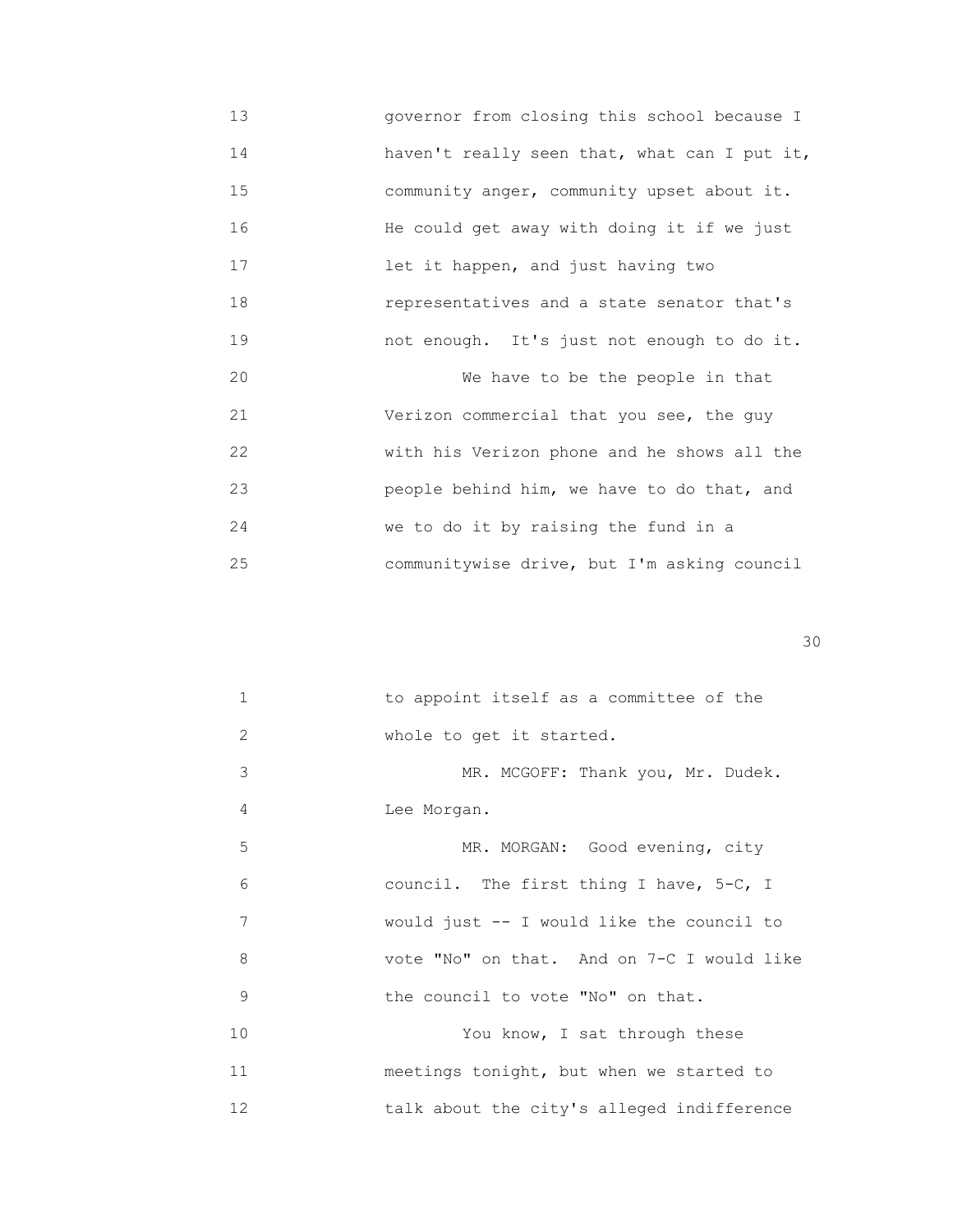13 governor from closing this school because I 14 haven't really seen that, what can I put it, 15 community anger, community upset about it. 16 He could get away with doing it if we just 17 **17 12** let it happen, and just having two 18 representatives and a state senator that's 19 not enough. It's just not enough to do it. 20 We have to be the people in that 21 Verizon commercial that you see, the guy 22 with his Verizon phone and he shows all the 23 people behind him, we have to do that, and 24 we to do it by raising the fund in a 25 communitywise drive, but I'm asking council

| $\mathbf{1}$      | to appoint itself as a committee of the    |
|-------------------|--------------------------------------------|
| 2                 | whole to get it started.                   |
| 3                 | MR. MCGOFF: Thank you, Mr. Dudek.          |
| 4                 | Lee Morgan.                                |
| 5                 | MR. MORGAN: Good evening, city             |
| 6                 | council. The first thing I have, 5-C, I    |
| 7                 | would just -- I would like the council to  |
| 8                 | vote "No" on that. And on 7-C I would like |
| 9                 | the council to vote "No" on that.          |
| 10                | You know, I sat through these              |
| 11                | meetings tonight, but when we started to   |
| $12 \overline{ }$ | talk about the city's alleged indifference |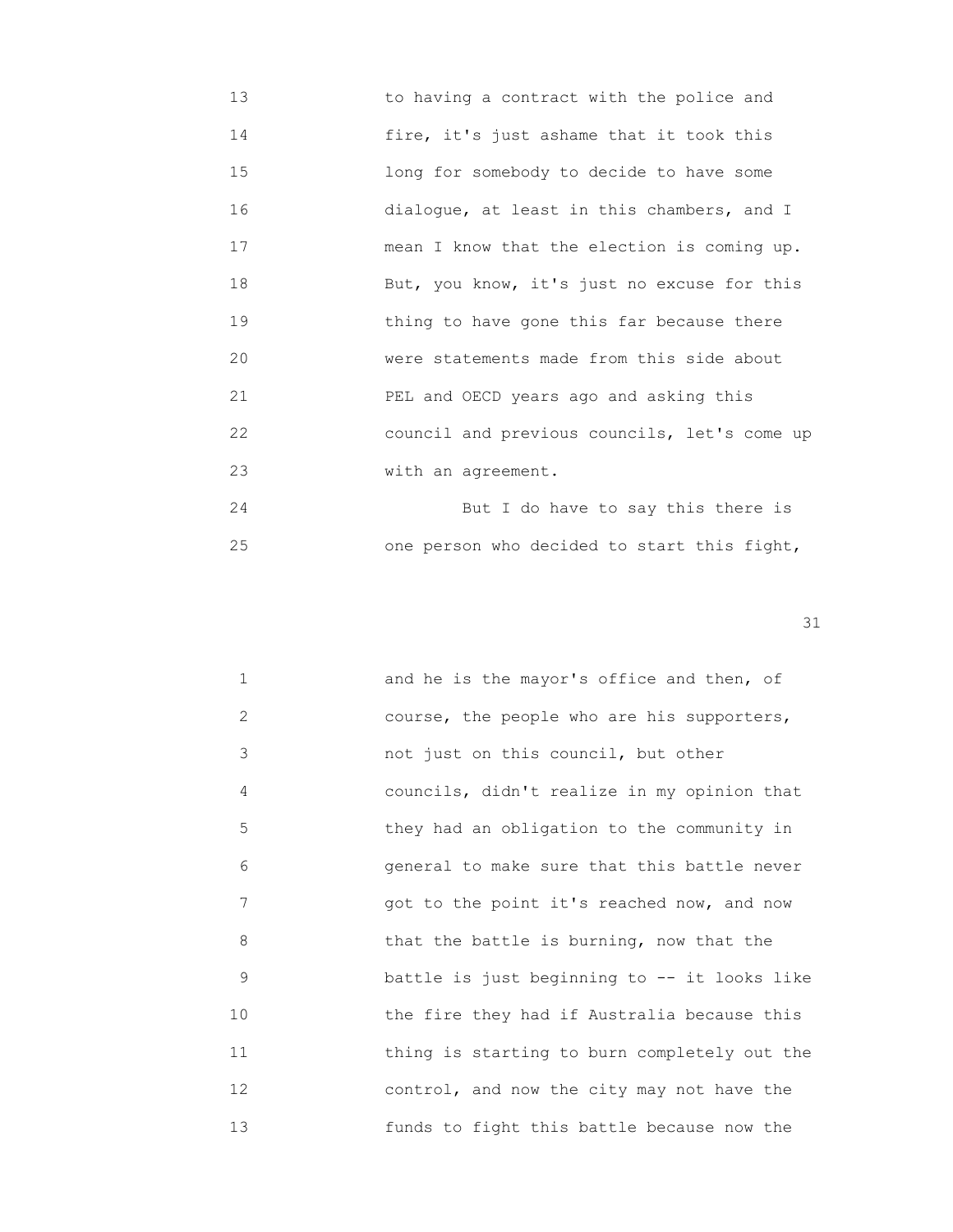13 to having a contract with the police and 14 fire, it's just ashame that it took this 15 long for somebody to decide to have some 16 dialogue, at least in this chambers, and I 17 mean I know that the election is coming up. 18 But, you know, it's just no excuse for this 19 **19** thing to have gone this far because there 20 were statements made from this side about 21 PEL and OECD years ago and asking this 22 council and previous councils, let's come up 23 With an agreement.

 24 But I do have to say this there is 25 one person who decided to start this fight,

| $\mathbf{1}$ | and he is the mayor's office and then, of     |
|--------------|-----------------------------------------------|
| 2            | course, the people who are his supporters,    |
| 3            | not just on this council, but other           |
| 4            | councils, didn't realize in my opinion that   |
| 5            | they had an obligation to the community in    |
| 6            | general to make sure that this battle never   |
| 7            | got to the point it's reached now, and now    |
| 8            | that the battle is burning, now that the      |
| 9            | battle is just beginning to $-$ it looks like |
| 10           | the fire they had if Australia because this   |
| 11           | thing is starting to burn completely out the  |
| 12           | control, and now the city may not have the    |
| 13           | funds to fight this battle because now the    |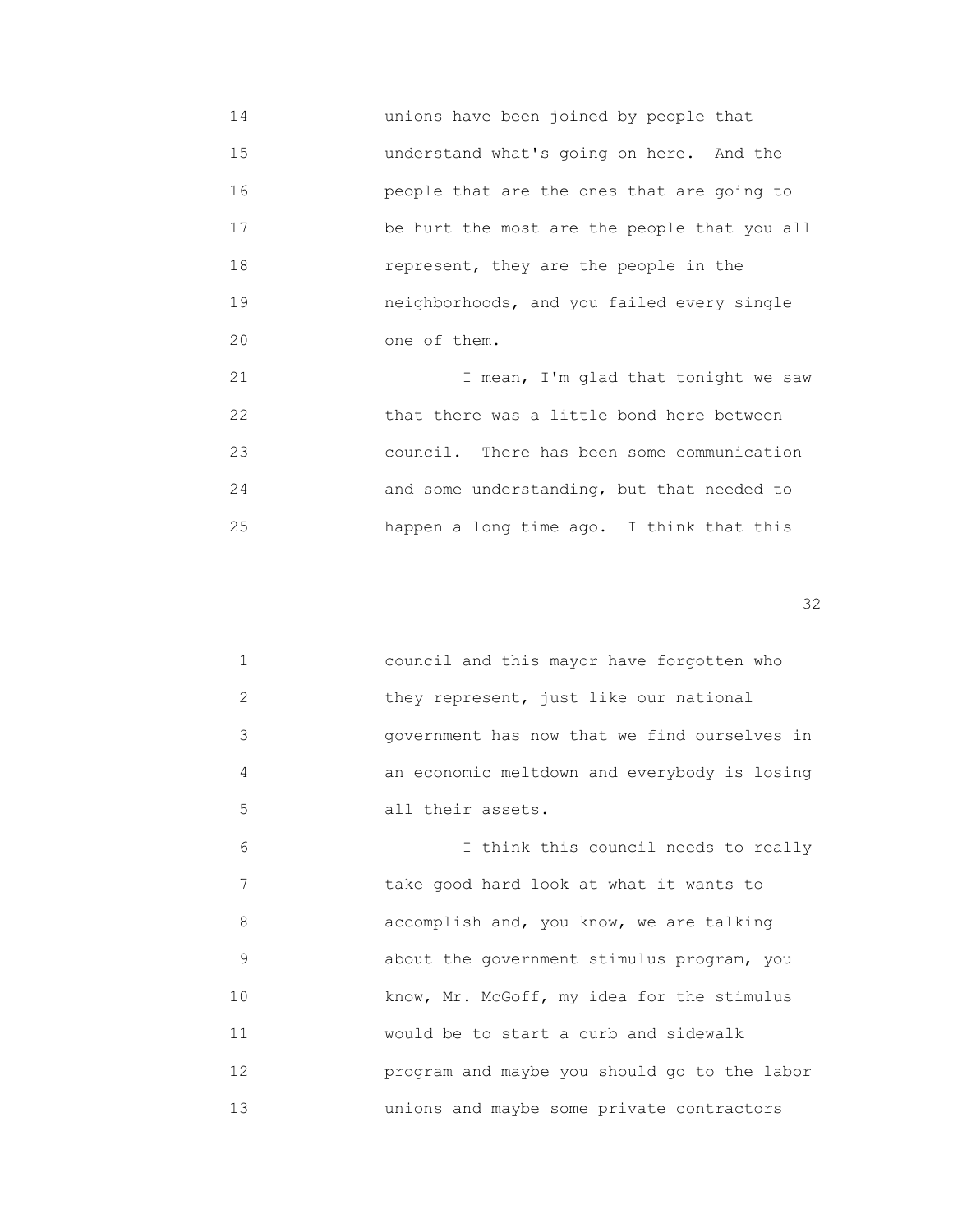14 unions have been joined by people that 15 understand what's going on here. And the 16 people that are the ones that are going to 17 **be hurt the most are the people that you all**  18 represent, they are the people in the 19 neighborhoods, and you failed every single 20 one of them.

 21 I mean, I'm glad that tonight we saw 22 that there was a little bond here between 23 council. There has been some communication 24 and some understanding, but that needed to 25 happen a long time ago. I think that this

 $32$ 

|   | council and this mayor have forgotten who    |
|---|----------------------------------------------|
|   | they represent, just like our national       |
| 3 | government has now that we find ourselves in |
|   | an economic meltdown and everybody is losing |
| 5 | all their assets.                            |

 6 I think this council needs to really 7 take good hard look at what it wants to 8 accomplish and, you know, we are talking 9 about the government stimulus program, you 10 **Example 10** know, Mr. McGoff, my idea for the stimulus 11 would be to start a curb and sidewalk 12 program and maybe you should go to the labor 13 unions and maybe some private contractors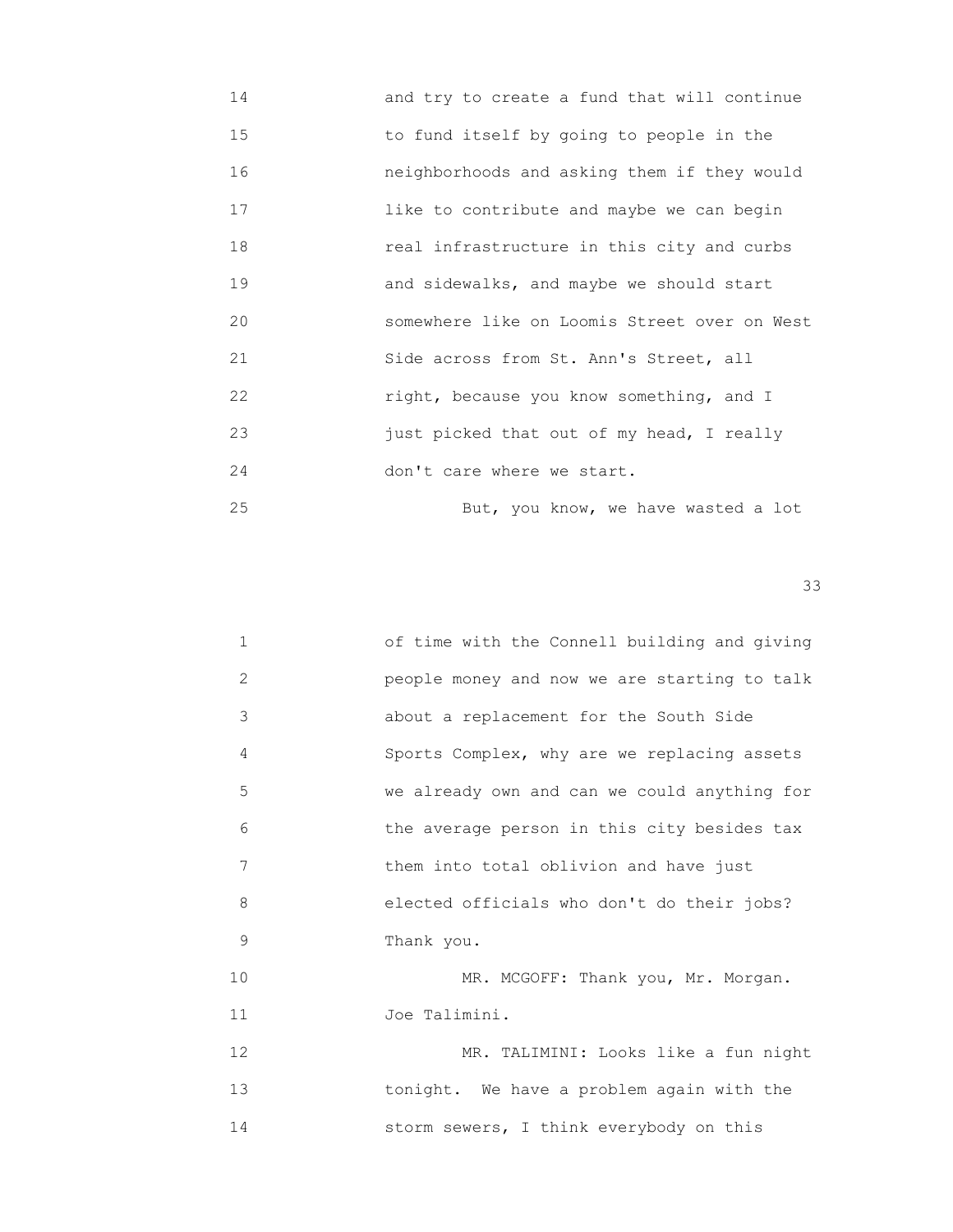14 and try to create a fund that will continue 15 to fund itself by going to people in the 16 neighborhoods and asking them if they would 17 like to contribute and maybe we can begin 18 real infrastructure in this city and curbs 19 and sidewalks, and maybe we should start 20 somewhere like on Loomis Street over on West 21 Side across from St. Ann's Street, all 22 right, because you know something, and I 23 just picked that out of my head, I really 24 don't care where we start. 25 But, you know, we have wasted a lot

| 1              | of time with the Connell building and giving |
|----------------|----------------------------------------------|
| $\overline{2}$ | people money and now we are starting to talk |
| 3              | about a replacement for the South Side       |
| 4              | Sports Complex, why are we replacing assets  |
| 5              | we already own and can we could anything for |
| 6              | the average person in this city besides tax  |
| 7              | them into total oblivion and have just       |
| 8              | elected officials who don't do their jobs?   |
| 9              | Thank you.                                   |
| 10             | MR. MCGOFF: Thank you, Mr. Morgan.           |
| 11             | Joe Talimini.                                |
| 12             | MR. TALIMINI: Looks like a fun night         |
| 13             | tonight. We have a problem again with the    |
| 14             | storm sewers, I think everybody on this      |
|                |                                              |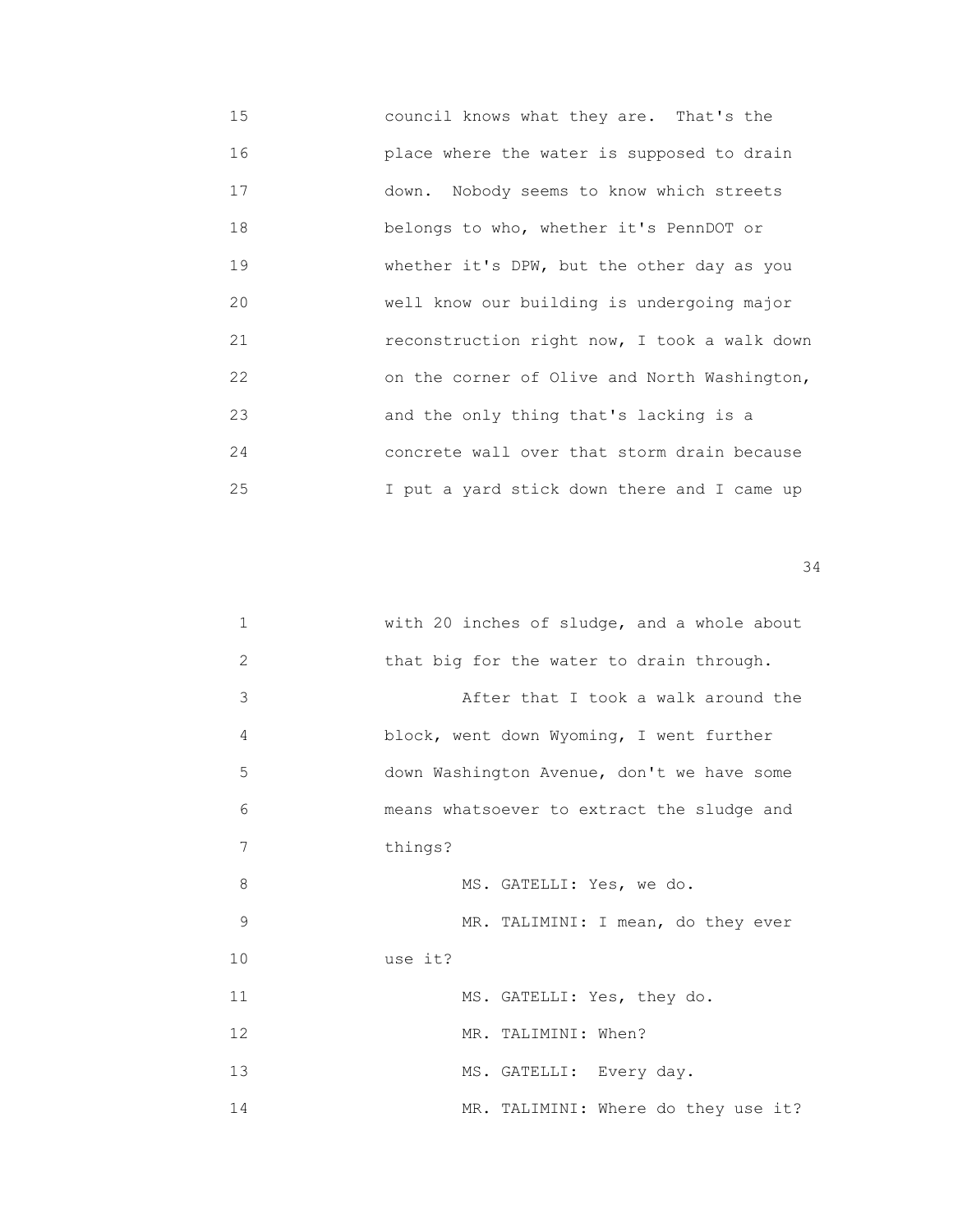15 council knows what they are. That's the 16 place where the water is supposed to drain 17 down. Nobody seems to know which streets 18 belongs to who, whether it's PennDOT or 19 **Whether it's DPW, but the other day as you**  20 well know our building is undergoing major 21 reconstruction right now, I took a walk down 22 on the corner of Olive and North Washington, 23 and the only thing that's lacking is a 24 concrete wall over that storm drain because 25 I put a yard stick down there and I came up

| $\mathbf{1}$   | with 20 inches of sludge, and a whole about |
|----------------|---------------------------------------------|
| 2              | that big for the water to drain through.    |
| 3              | After that I took a walk around the         |
| $\overline{4}$ | block, went down Wyoming, I went further    |
| 5              | down Washington Avenue, don't we have some  |
| 6              | means whatsoever to extract the sludge and  |
| 7              | things?                                     |
| 8              | MS. GATELLI: Yes, we do.                    |
| 9              | MR. TALIMINI: I mean, do they ever          |
| 10             | use it?                                     |
| 11             | MS. GATELLI: Yes, they do.                  |
| 12             | MR. TALIMINI: When?                         |
| 13             | MS. GATELLI: Every day.                     |
| 14             | MR. TALIMINI: Where do they use it?         |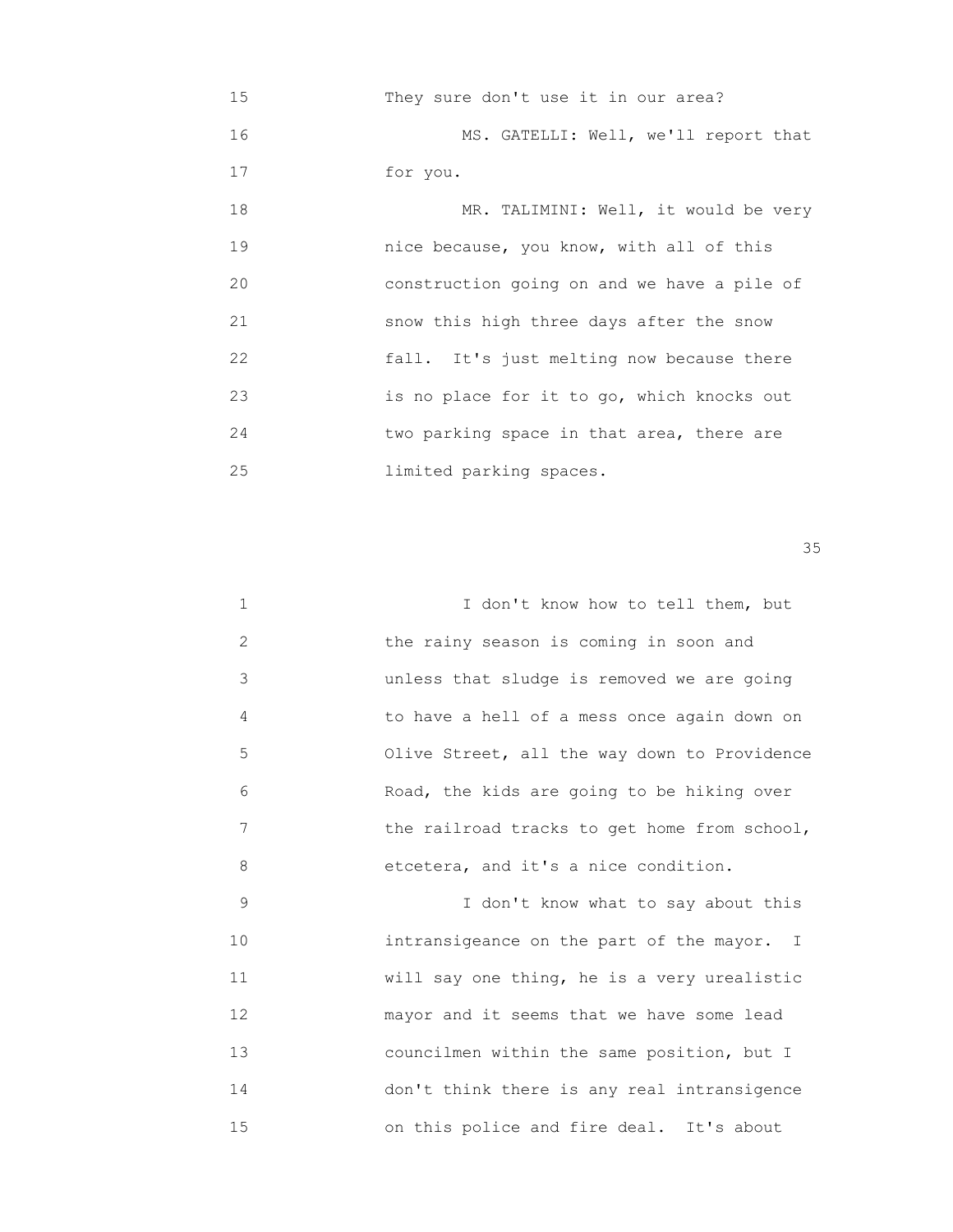15 They sure don't use it in our area? 16 MS. GATELLI: Well, we'll report that 17 for you. 18 MR. TALIMINI: Well, it would be very 19 nice because, you know, with all of this 20 construction going on and we have a pile of 21 snow this high three days after the snow 22 fall. It's just melting now because there 23 is no place for it to go, which knocks out 24 two parking space in that area, there are 25 limited parking spaces.

 $35$ 

| 1  | I don't know how to tell them, but           |
|----|----------------------------------------------|
| 2  | the rainy season is coming in soon and       |
| 3  | unless that sludge is removed we are going   |
| 4  | to have a hell of a mess once again down on  |
| 5  | Olive Street, all the way down to Providence |
| 6  | Road, the kids are going to be hiking over   |
| 7  | the railroad tracks to get home from school, |
| 8  | etcetera, and it's a nice condition.         |
| 9  | I don't know what to say about this          |
| 10 | intransigeance on the part of the mayor. I   |
| 11 | will say one thing, he is a very urealistic  |
| 12 | mayor and it seems that we have some lead    |
| 13 | councilmen within the same position, but I   |

 14 don't think there is any real intransigence 15 on this police and fire deal. It's about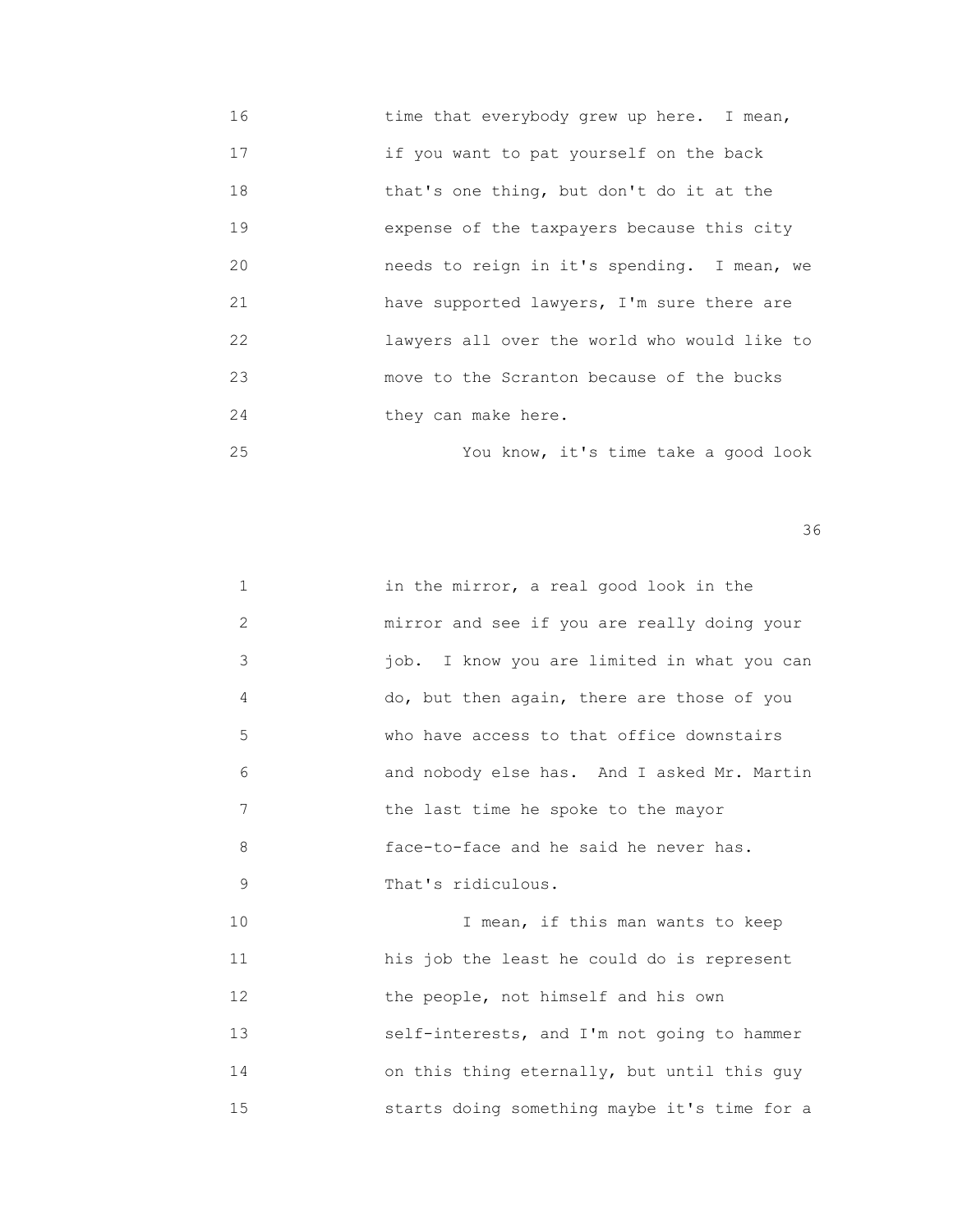- 16 time that everybody grew up here. I mean, 17 if you want to pat yourself on the back 18 that's one thing, but don't do it at the 19 expense of the taxpayers because this city 20 needs to reign in it's spending. I mean, we 21 have supported lawyers, I'm sure there are 22 lawyers all over the world who would like to 23 move to the Scranton because of the bucks 24 they can make here.
- 25 You know, it's time take a good look

| 1  | in the mirror, a real good look in the       |
|----|----------------------------------------------|
| 2  | mirror and see if you are really doing your  |
| 3  | job. I know you are limited in what you can  |
| 4  | do, but then again, there are those of you   |
| 5  | who have access to that office downstairs    |
| 6  | and nobody else has. And I asked Mr. Martin  |
| 7  | the last time he spoke to the mayor          |
| 8  | face-to-face and he said he never has.       |
| 9  | That's ridiculous.                           |
| 10 | I mean, if this man wants to keep            |
| 11 | his job the least he could do is represent   |
| 12 | the people, not himself and his own          |
| 13 | self-interests, and I'm not going to hammer  |
| 14 | on this thing eternally, but until this guy  |
| 15 | starts doing something maybe it's time for a |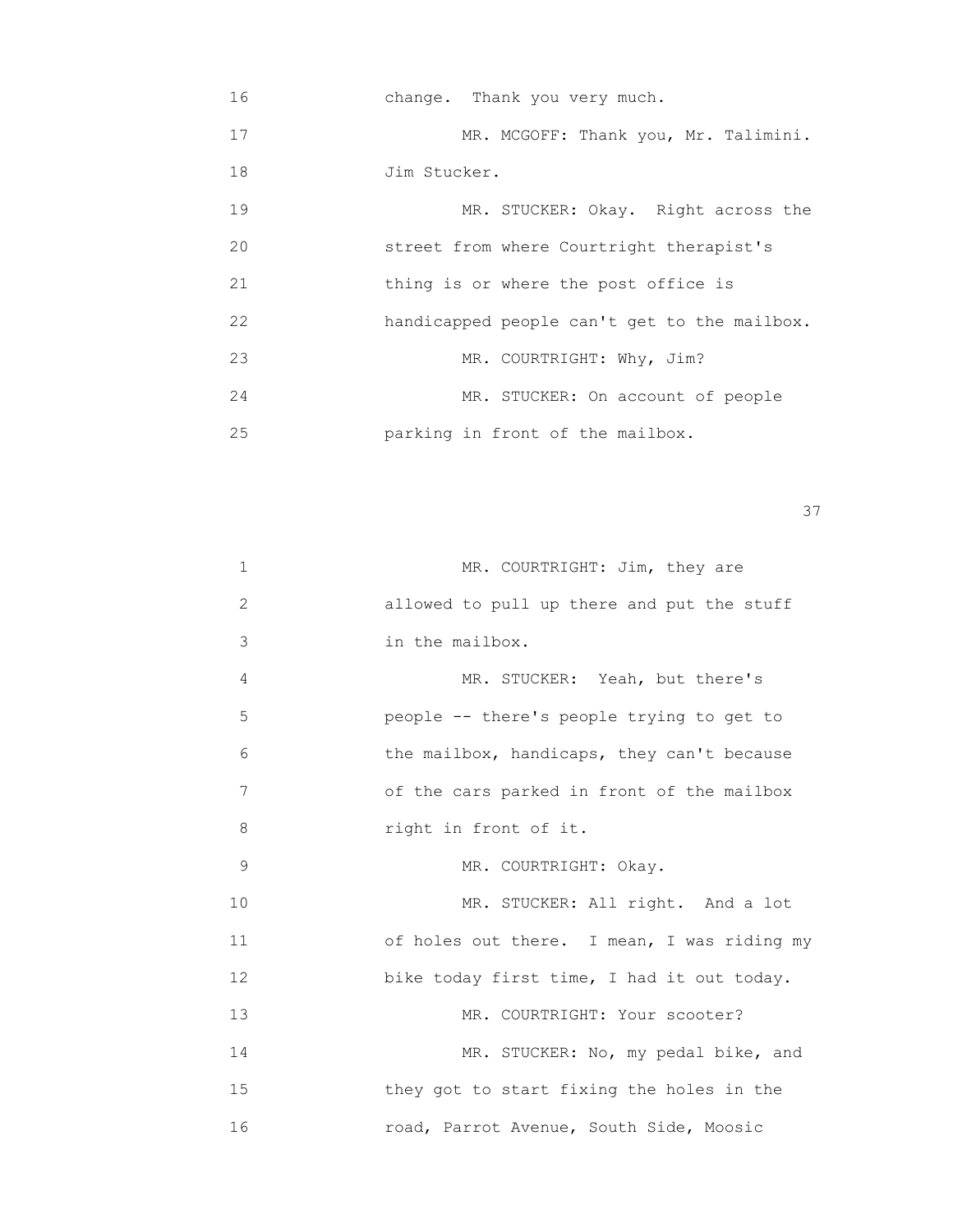16 change. Thank you very much. 17 MR. MCGOFF: Thank you, Mr. Talimini. 18 Jim Stucker. 19 MR. STUCKER: Okay. Right across the 20 street from where Courtright therapist's 21 thing is or where the post office is 22 handicapped people can't get to the mailbox. 23 MR. COURTRIGHT: Why, Jim? 24 MR. STUCKER: On account of people 25 parking in front of the mailbox.

<u>37</u>

| 1  | MR. COURTRIGHT: Jim, they are               |
|----|---------------------------------------------|
| 2  | allowed to pull up there and put the stuff  |
| 3  | in the mailbox.                             |
| 4  | MR. STUCKER: Yeah, but there's              |
| 5  | people -- there's people trying to get to   |
| 6  | the mailbox, handicaps, they can't because  |
| 7  | of the cars parked in front of the mailbox  |
| 8  | right in front of it.                       |
| 9  | MR. COURTRIGHT: Okay.                       |
| 10 | MR. STUCKER: All right. And a lot           |
| 11 | of holes out there. I mean, I was riding my |
| 12 | bike today first time, I had it out today.  |
| 13 | MR. COURTRIGHT: Your scooter?               |
| 14 | MR. STUCKER: No, my pedal bike, and         |
| 15 | they got to start fixing the holes in the   |
| 16 | road, Parrot Avenue, South Side, Moosic     |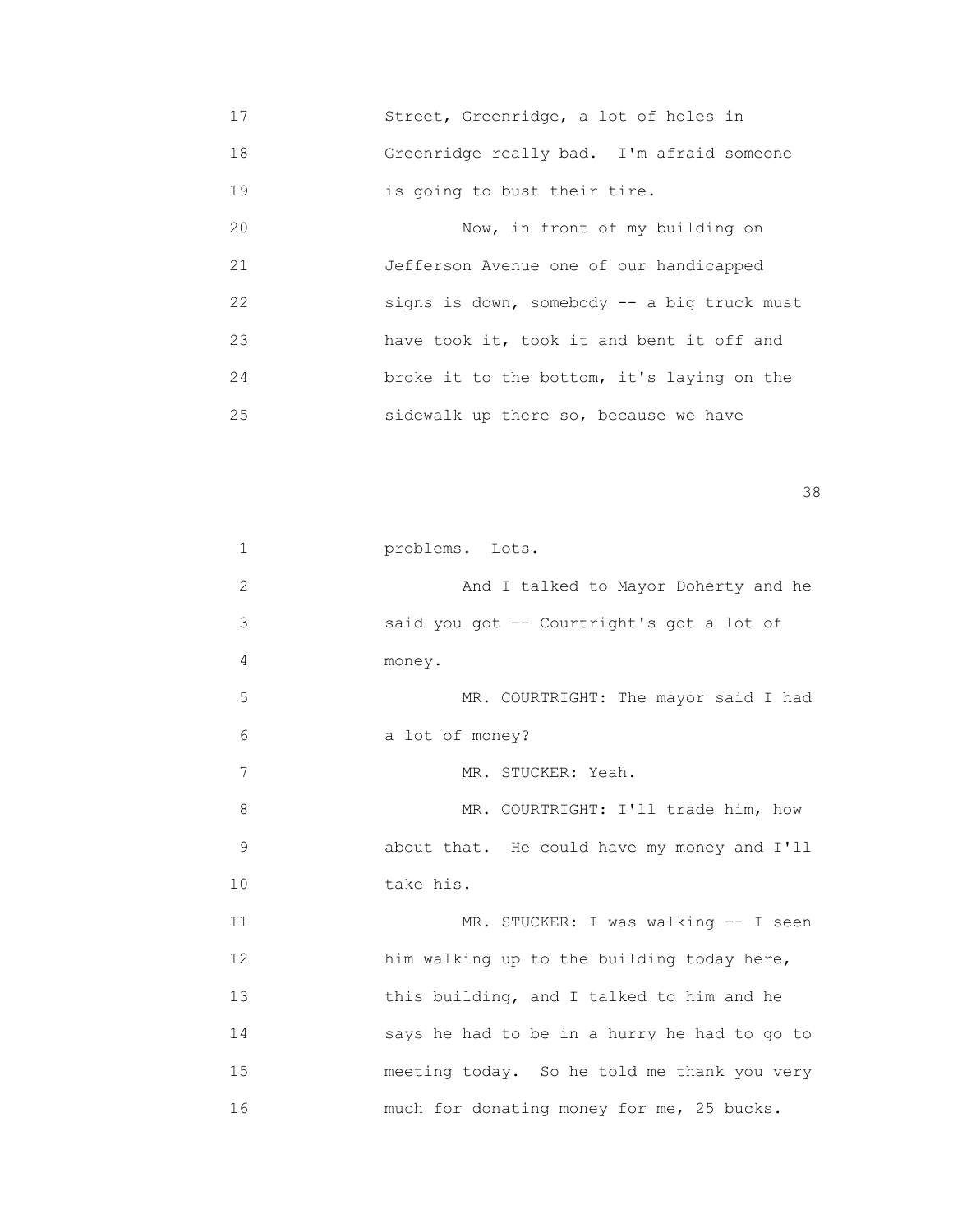17 Street, Greenridge, a lot of holes in 18 Greenridge really bad. I'm afraid someone 19 is going to bust their tire. 20 Now, in front of my building on

 21 Jefferson Avenue one of our handicapped 22 signs is down, somebody -- a big truck must 23 have took it, took it and bent it off and 24 broke it to the bottom, it's laying on the 25 sidewalk up there so, because we have

<u>38 and 2001 and 2002 and 2003 and 2003 and 2003 and 2003 and 2003 and 2003 and 2003 and 2003 and 2003 and 200</u>

| 1              | problems. Lots.                              |
|----------------|----------------------------------------------|
| $\overline{2}$ | And I talked to Mayor Doherty and he         |
| 3              | said you got -- Courtright's got a lot of    |
| 4              | money.                                       |
| 5              | MR. COURTRIGHT: The mayor said I had         |
| 6              | a lot of money?                              |
| 7              | MR. STUCKER: Yeah.                           |
| 8              | MR. COURTRIGHT: I'll trade him, how          |
| 9              | about that. He could have my money and I'll  |
| 10             | take his.                                    |
| 11             | MR. STUCKER: I was walking -- I seen         |
| 12             | him walking up to the building today here,   |
| 13             | this building, and I talked to him and he    |
| 14             | says he had to be in a hurry he had to go to |
| 15             | meeting today. So he told me thank you very  |
| 16             | much for donating money for me, 25 bucks.    |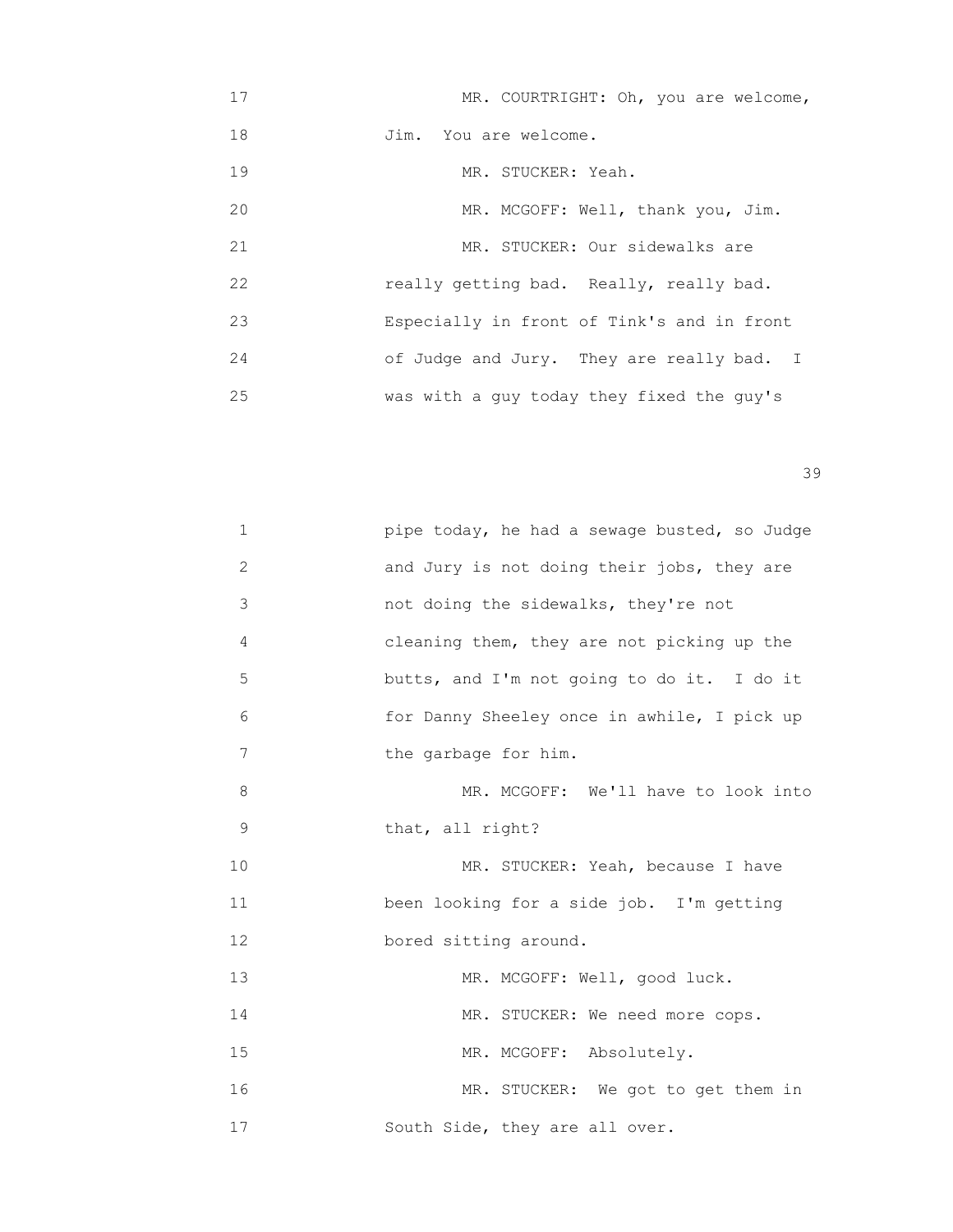| 17 | MR. COURTRIGHT: Oh, you are welcome,       |
|----|--------------------------------------------|
| 18 | Jim. You are welcome.                      |
| 19 | MR. STUCKER: Yeah.                         |
| 20 | MR. MCGOFF: Well, thank you, Jim.          |
| 21 | MR. STUCKER: Our sidewalks are             |
| 22 | really getting bad. Really, really bad.    |
| 23 | Especially in front of Tink's and in front |
| 24 | of Judge and Jury. They are really bad. I  |
| 25 | was with a guy today they fixed the guy's  |

| 1           | pipe today, he had a sewage busted, so Judge |
|-------------|----------------------------------------------|
| 2           | and Jury is not doing their jobs, they are   |
| 3           | not doing the sidewalks, they're not         |
| 4           | cleaning them, they are not picking up the   |
| 5           | butts, and I'm not going to do it. I do it   |
| 6           | for Danny Sheeley once in awhile, I pick up  |
| 7           | the garbage for him.                         |
| 8           | MR. MCGOFF: We'll have to look into          |
| $\mathsf 9$ | that, all right?                             |
| 10          | MR. STUCKER: Yeah, because I have            |
| 11          | been looking for a side job. I'm getting     |
| 12          | bored sitting around.                        |
| 13          | MR. MCGOFF: Well, good luck.                 |
| 14          | MR. STUCKER: We need more cops.              |
| 15          | MR. MCGOFF: Absolutely.                      |
| 16          | MR. STUCKER: We got to get them in           |
| 17          | South Side, they are all over.               |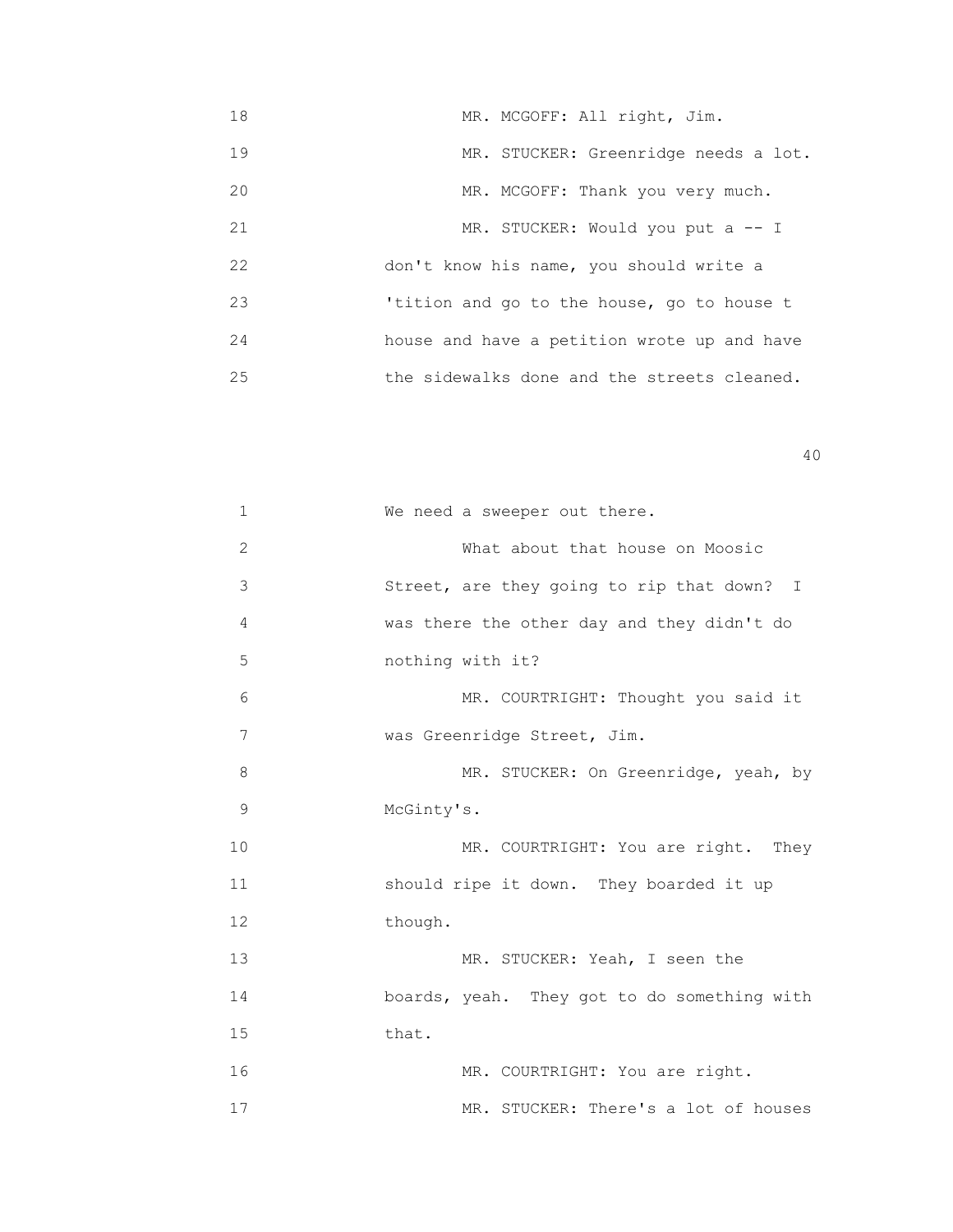18 MR. MCGOFF: All right, Jim. 19 MR. STUCKER: Greenridge needs a lot. 20 MR. MCGOFF: Thank you very much. 21 MR. STUCKER: Would you put a -- I 22 don't know his name, you should write a 23 'tition and go to the house, go to house t 24 house and have a petition wrote up and have 25 the sidewalks done and the streets cleaned.

| 1              | We need a sweeper out there.                |
|----------------|---------------------------------------------|
|                |                                             |
| $\overline{2}$ | What about that house on Moosic             |
| 3              | Street, are they going to rip that down? I  |
| 4              | was there the other day and they didn't do  |
| 5              | nothing with it?                            |
| 6              | MR. COURTRIGHT: Thought you said it         |
| 7              | was Greenridge Street, Jim.                 |
| 8              | MR. STUCKER: On Greenridge, yeah, by        |
| 9              | McGinty's.                                  |
| 10             | MR. COURTRIGHT: You are right. They         |
| 11             | should ripe it down. They boarded it up     |
| 12             | though.                                     |
| 13             | MR. STUCKER: Yeah, I seen the               |
| 14             | boards, yeah. They got to do something with |
| 15             | that.                                       |
| 16             | MR. COURTRIGHT: You are right.              |
| 17             | MR. STUCKER: There's a lot of houses        |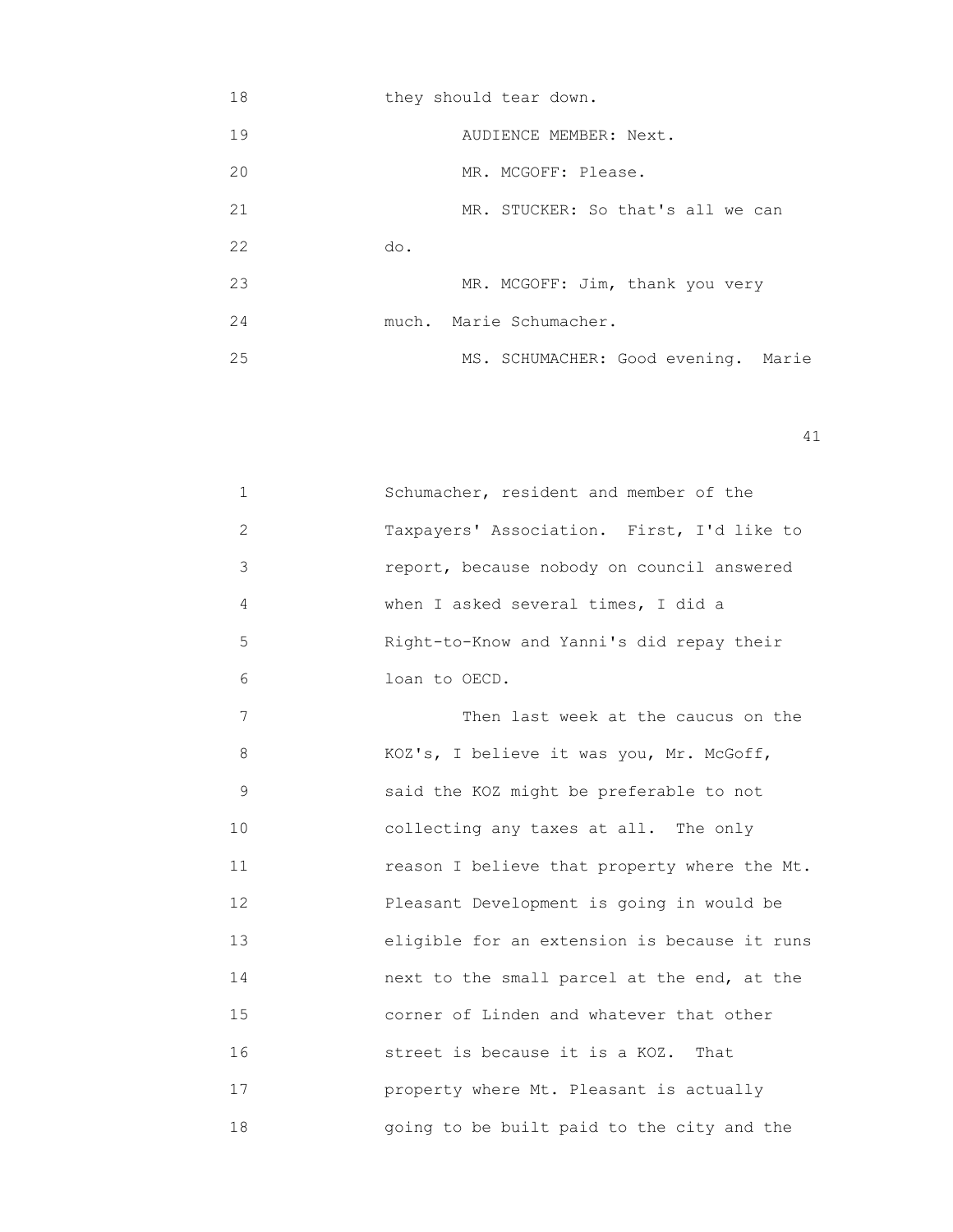| 18 | they should tear down.              |
|----|-------------------------------------|
| 19 | AUDIENCE MEMBER: Next.              |
| 20 | MR. MCGOFF: Please.                 |
| 21 | MR. STUCKER: So that's all we can   |
| 22 | do.                                 |
| 23 | MR. MCGOFF: Jim, thank you very     |
| 24 | much. Marie Schumacher.             |
| 25 | MS. SCHUMACHER: Good evening. Marie |

| 1             | Schumacher, resident and member of the     |
|---------------|--------------------------------------------|
| $\mathcal{L}$ | Taxpayers' Association. First, I'd like to |
| 3             | report, because nobody on council answered |
| 4             | when I asked several times, I did a        |
| 5             | Right-to-Know and Yanni's did repay their  |
| 6             | loan to OECD.                              |
| 7             | Then last week at the caucus on the        |
| 8             | KOZ's, I believe it was you, Mr. McGoff,   |
| 9             | said the KOZ might be preferable to not    |
| 10            | collecting any taxes at all. The only      |
|               |                                            |

 10 collecting any taxes at all. The only 11 reason I believe that property where the Mt. 12 Pleasant Development is going in would be 13 eligible for an extension is because it runs 14 next to the small parcel at the end, at the 15 corner of Linden and whatever that other 16 street is because it is a KOZ. That 17 property where Mt. Pleasant is actually 18 going to be built paid to the city and the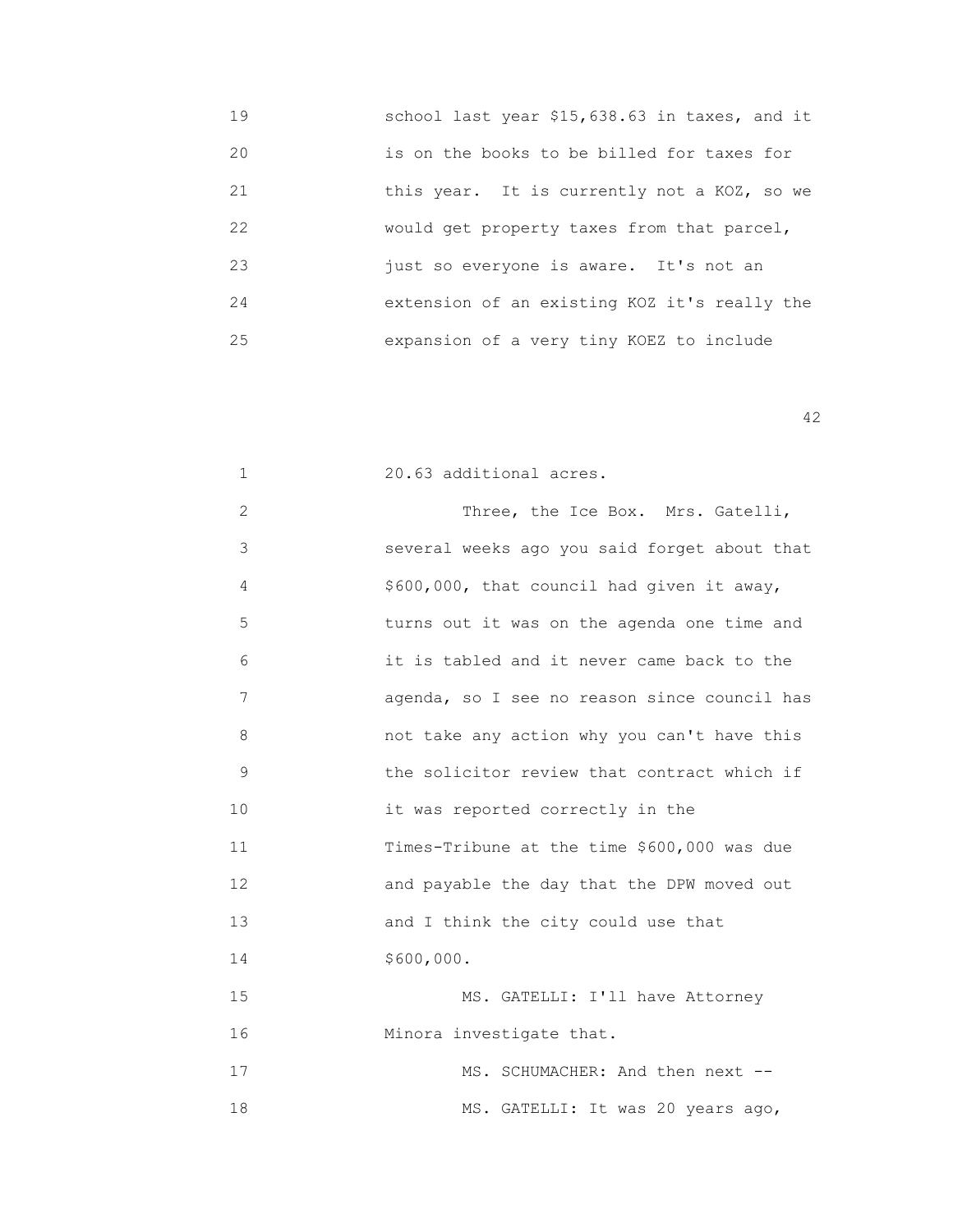19 school last year \$15,638.63 in taxes, and it 20 is on the books to be billed for taxes for 21 this year. It is currently not a KOZ, so we 22 would get property taxes from that parcel, 23 just so everyone is aware. It's not an 24 extension of an existing KOZ it's really the 25 expansion of a very tiny KOEZ to include

| $\mathbf{1}$ | 20.63 additional acres.                      |
|--------------|----------------------------------------------|
| 2            | Three, the Ice Box. Mrs. Gatelli,            |
| 3            | several weeks ago you said forget about that |
| 4            | \$600,000, that council had given it away,   |
| 5            | turns out it was on the agenda one time and  |
| 6            | it is tabled and it never came back to the   |
| 7            | agenda, so I see no reason since council has |
| 8            | not take any action why you can't have this  |
| 9            | the solicitor review that contract which if  |
| 10           | it was reported correctly in the             |
| 11           | Times-Tribune at the time \$600,000 was due  |
| 12           | and payable the day that the DPW moved out   |
| 13           | and I think the city could use that          |
| 14           | \$600,000.                                   |
| 15           | MS. GATELLI: I'll have Attorney              |
| 16           | Minora investigate that.                     |
| 17           | MS. SCHUMACHER: And then next --             |
| 18           | MS. GATELLI: It was 20 years ago,            |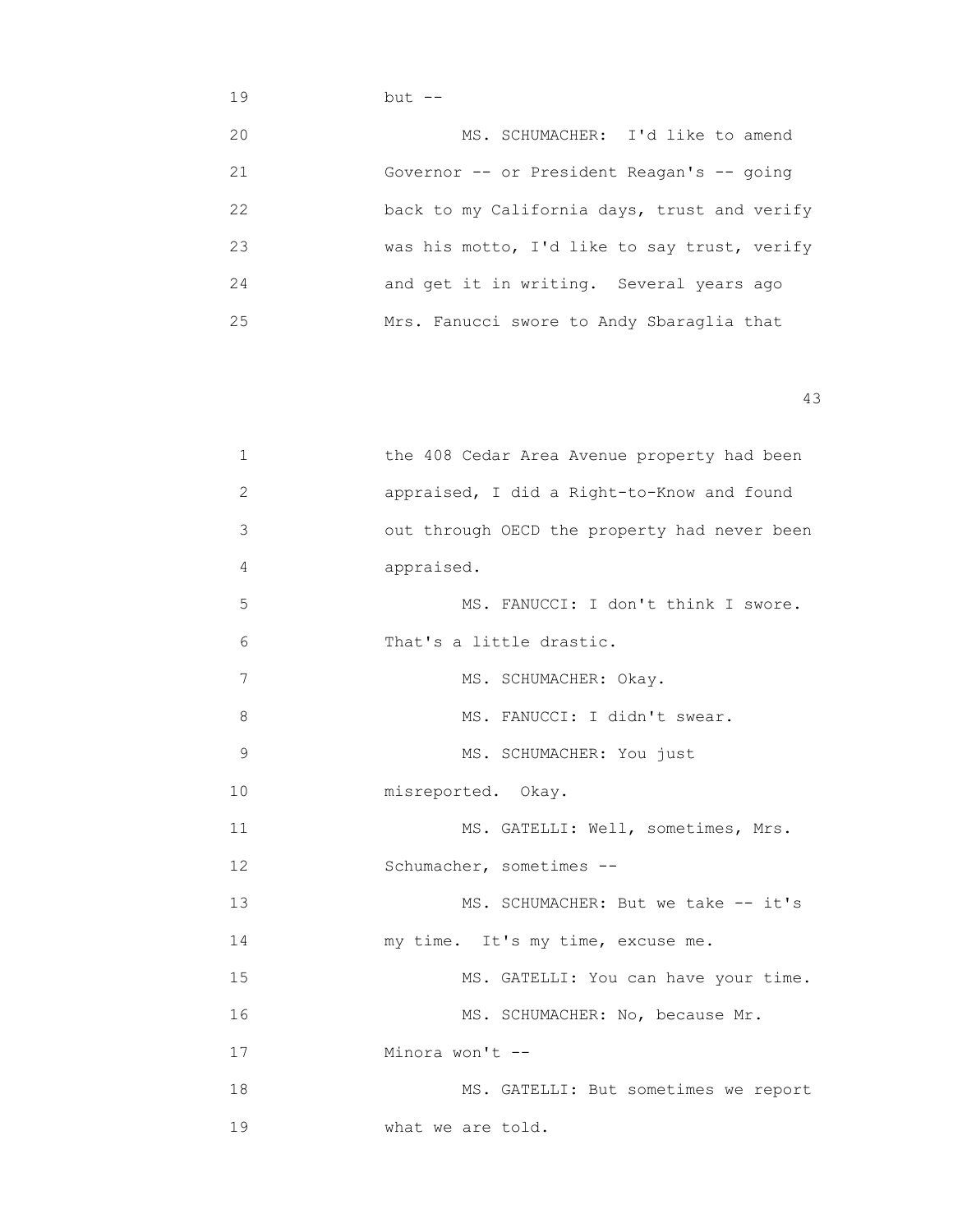## 19 but -- 20 MS. SCHUMACHER: I'd like to amend 21 Governor -- or President Reagan's -- going 22 back to my California days, trust and verify 23 was his motto, I'd like to say trust, verify 24 and get it in writing. Several years ago 25 Mrs. Fanucci swore to Andy Sbaraglia that

| 1              | the 408 Cedar Area Avenue property had been  |
|----------------|----------------------------------------------|
| $\overline{2}$ | appraised, I did a Right-to-Know and found   |
| 3              | out through OECD the property had never been |
| 4              | appraised.                                   |
| 5              | MS. FANUCCI: I don't think I swore.          |
| 6              | That's a little drastic.                     |
| 7              | MS. SCHUMACHER: Okay.                        |
| 8              | MS. FANUCCI: I didn't swear.                 |
| 9              | MS. SCHUMACHER: You just                     |
| 10             | misreported. Okay.                           |
| 11             | MS. GATELLI: Well, sometimes, Mrs.           |
| 12             | Schumacher, sometimes --                     |
| 13             | MS. SCHUMACHER: But we take -- it's          |
| 14             | my time. It's my time, excuse me.            |
| 15             | MS. GATELLI: You can have your time.         |
| 16             | MS. SCHUMACHER: No, because Mr.              |
| 17             | Minora won't --                              |
| 18             | MS. GATELLI: But sometimes we report         |
| 19             | what we are told.                            |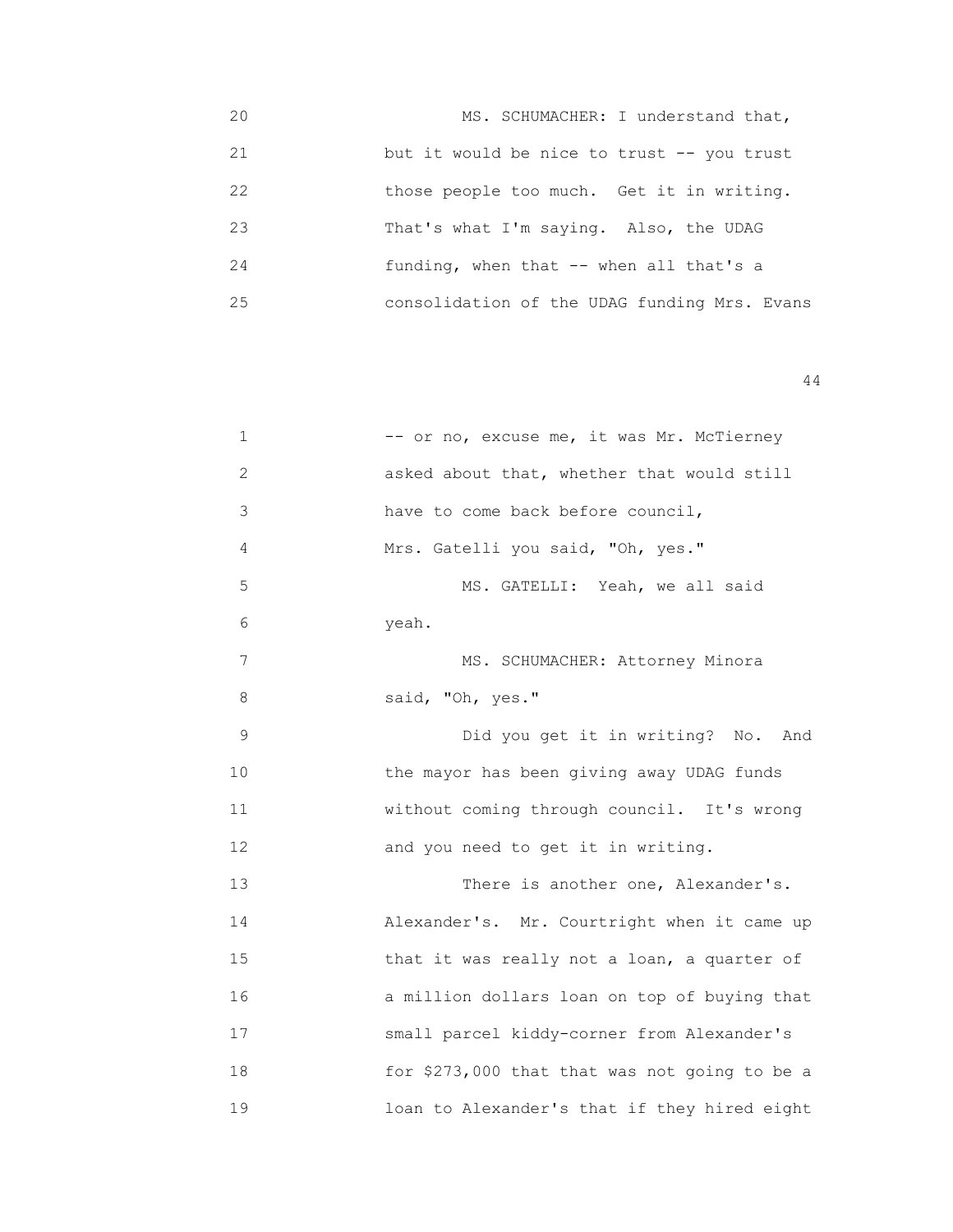20 MS. SCHUMACHER: I understand that, 21 but it would be nice to trust -- you trust 22 those people too much. Get it in writing. 23 That's what I'm saying. Also, the UDAG 24 funding, when that -- when all that's a 25 consolidation of the UDAG funding Mrs. Evans

| $\mathbf 1$ | -- or no, excuse me, it was Mr. McTierney     |
|-------------|-----------------------------------------------|
| 2           | asked about that, whether that would still    |
| 3           | have to come back before council,             |
| 4           | Mrs. Gatelli you said, "Oh, yes."             |
| 5           | MS. GATELLI: Yeah, we all said                |
| 6           | yeah.                                         |
| 7           | MS. SCHUMACHER: Attorney Minora               |
| 8           | said, "Oh, yes."                              |
| $\mathsf 9$ | Did you get it in writing? No. And            |
| 10          | the mayor has been giving away UDAG funds     |
| 11          | without coming through council. It's wrong    |
| 12          | and you need to get it in writing.            |
| 13          | There is another one, Alexander's.            |
| 14          | Alexander's. Mr. Courtright when it came up   |
| 15          | that it was really not a loan, a quarter of   |
| 16          | a million dollars loan on top of buying that  |
| 17          | small parcel kiddy-corner from Alexander's    |
| 18          | for \$273,000 that that was not going to be a |
| 19          | loan to Alexander's that if they hired eight  |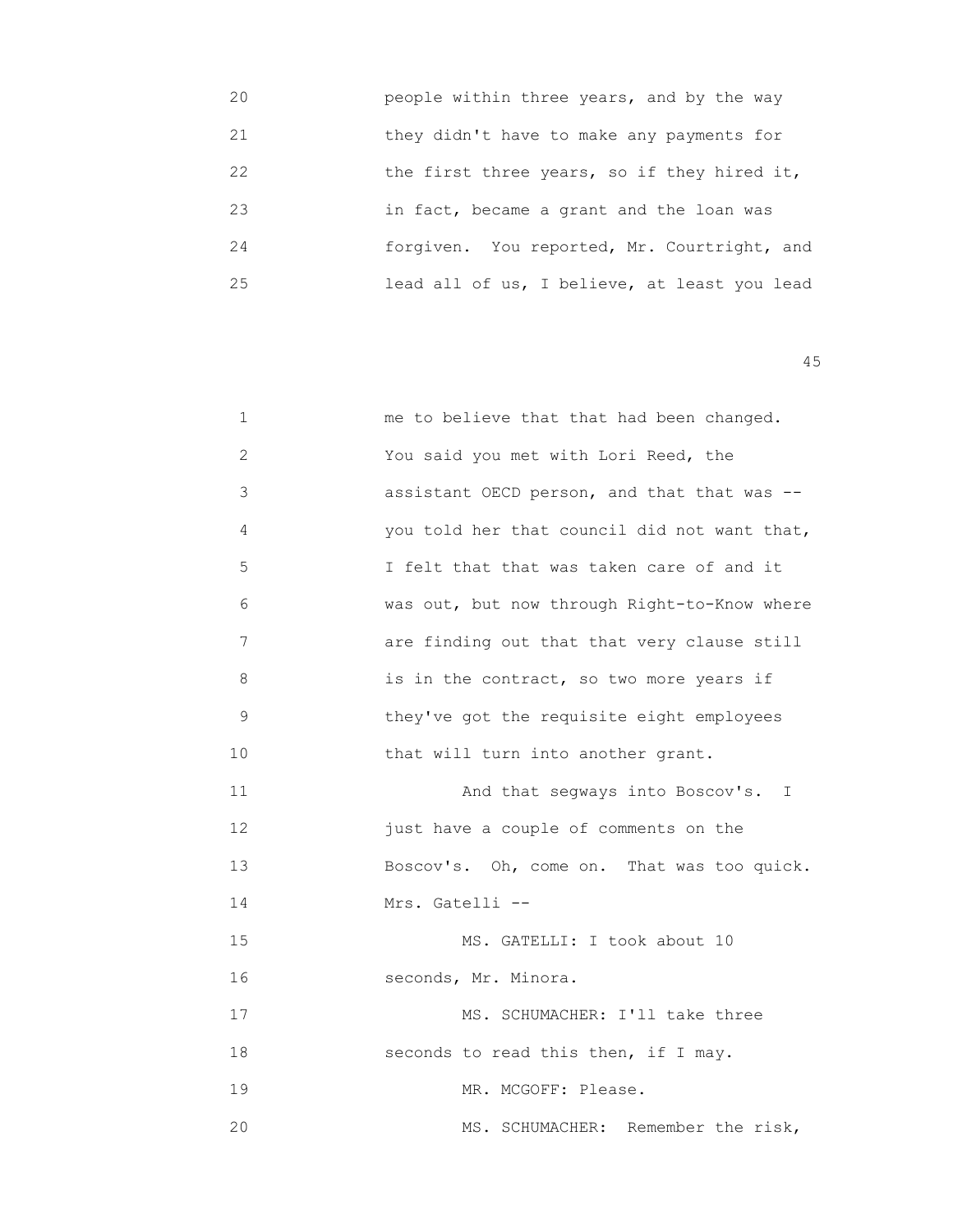| 20 | people within three years, and by the way    |
|----|----------------------------------------------|
| 21 | they didn't have to make any payments for    |
| 22 | the first three years, so if they hired it,  |
| 23 | in fact, became a grant and the loan was     |
| 24 | forgiven. You reported, Mr. Courtright, and  |
| 25 | lead all of us, I believe, at least you lead |

| 1  | me to believe that that had been changed.    |
|----|----------------------------------------------|
| 2  | You said you met with Lori Reed, the         |
| 3  | assistant OECD person, and that that was --  |
| 4  | you told her that council did not want that, |
| 5  | I felt that that was taken care of and it    |
| 6  | was out, but now through Right-to-Know where |
| 7  | are finding out that that very clause still  |
| 8  | is in the contract, so two more years if     |
| 9  | they've got the requisite eight employees    |
| 10 | that will turn into another grant.           |
| 11 | And that segways into Boscov's. I            |
| 12 | just have a couple of comments on the        |
| 13 | Boscov's. Oh, come on. That was too quick.   |
| 14 | Mrs. Gatelli --                              |
| 15 | MS. GATELLI: I took about 10                 |
| 16 | seconds, Mr. Minora.                         |
| 17 | MS. SCHUMACHER: I'll take three              |
| 18 | seconds to read this then, if I may.         |
| 19 | MR. MCGOFF: Please.                          |
| 20 | Remember the risk,<br>MS. SCHUMACHER:        |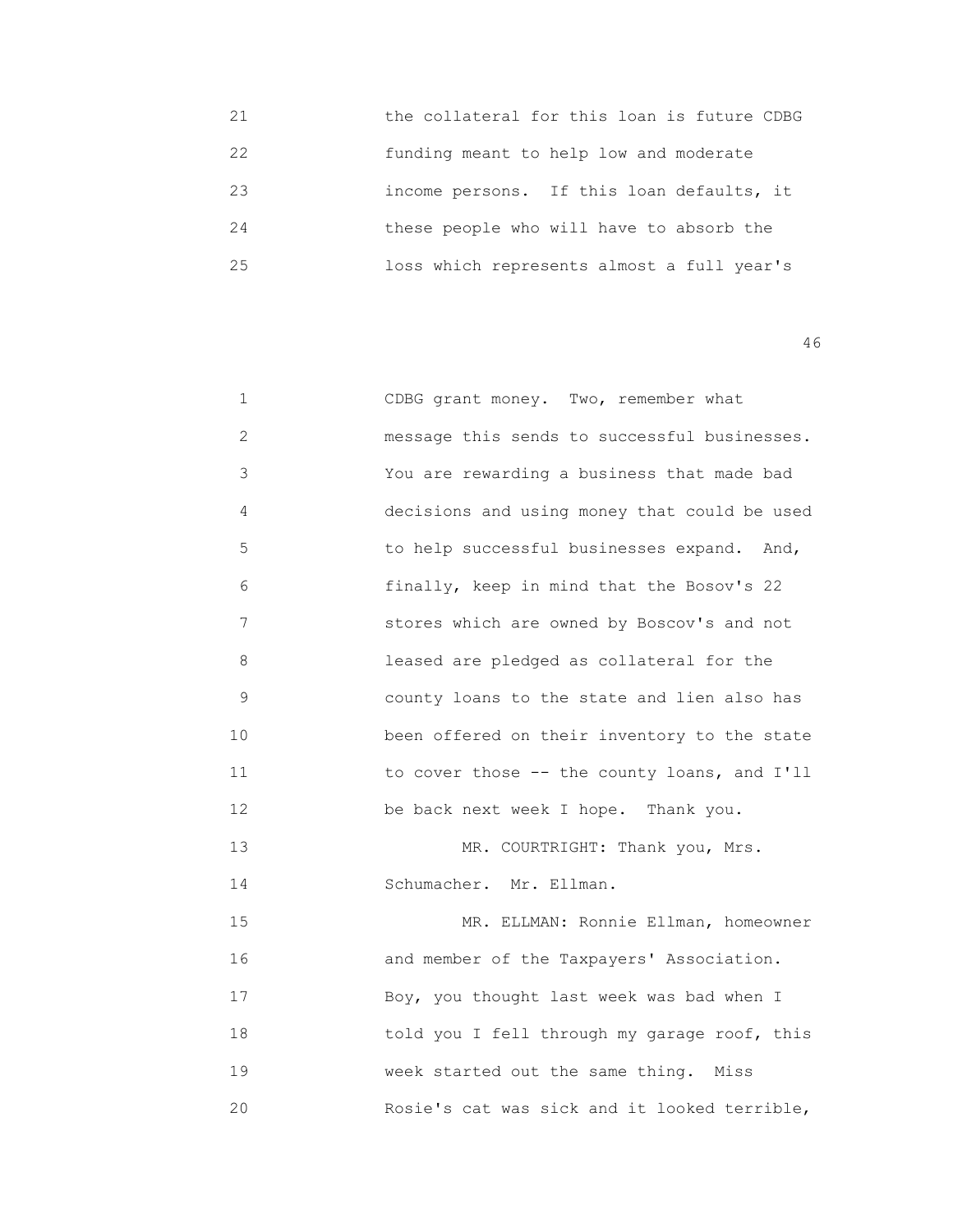| 21 | the collateral for this loan is future CDBG |
|----|---------------------------------------------|
| 22 | funding meant to help low and moderate      |
| 23 | income persons. If this loan defaults, it   |
| 24 | these people who will have to absorb the    |
| 25 | loss which represents almost a full year's  |

| 1            | CDBG grant money. Two, remember what         |
|--------------|----------------------------------------------|
| $\mathbf{2}$ | message this sends to successful businesses. |
| 3            | You are rewarding a business that made bad   |
| 4            | decisions and using money that could be used |
| 5            | to help successful businesses expand. And,   |
| 6            | finally, keep in mind that the Bosov's 22    |
| 7            | stores which are owned by Boscov's and not   |
| 8            | leased are pledged as collateral for the     |
| 9            | county loans to the state and lien also has  |
| 10           | been offered on their inventory to the state |
| 11           | to cover those -- the county loans, and I'll |
| 12           | be back next week I hope. Thank you.         |
| 13           | MR. COURTRIGHT: Thank you, Mrs.              |
| 14           | Schumacher. Mr. Ellman.                      |
| 15           | MR. ELLMAN: Ronnie Ellman, homeowner         |
| 16           | and member of the Taxpayers' Association.    |
| 17           | Boy, you thought last week was bad when I    |
| 18           | told you I fell through my garage roof, this |
| 19           | week started out the same thing. Miss        |
| 20           | Rosie's cat was sick and it looked terrible, |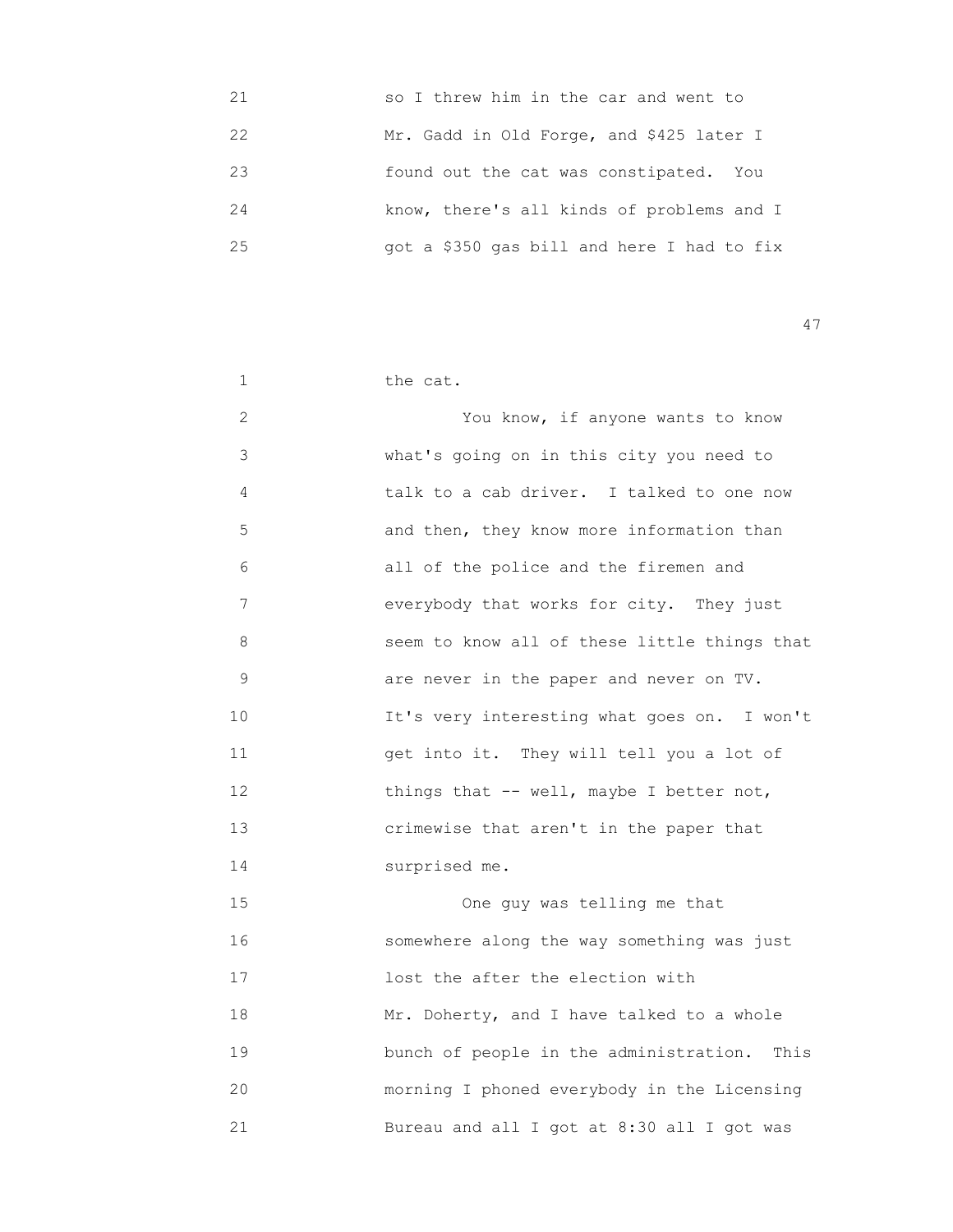| 21 | so I threw him in the car and went to      |
|----|--------------------------------------------|
| 22 | Mr. Gadd in Old Forge, and \$425 later I   |
| 23 | found out the cat was constipated. You     |
| 24 | know, there's all kinds of problems and I  |
| 25 | got a \$350 gas bill and here I had to fix |

| 1            | the cat.                                     |
|--------------|----------------------------------------------|
| $\mathbf{2}$ | You know, if anyone wants to know            |
| 3            | what's going on in this city you need to     |
| 4            | talk to a cab driver. I talked to one now    |
| 5            | and then, they know more information than    |
| 6            | all of the police and the firemen and        |
| 7            | everybody that works for city. They just     |
| 8            | seem to know all of these little things that |
| $\mathsf 9$  | are never in the paper and never on TV.      |
| 10           | It's very interesting what goes on. I won't  |
| 11           | get into it. They will tell you a lot of     |
| 12           | things that -- well, maybe I better not,     |
| 13           | crimewise that aren't in the paper that      |
| 14           | surprised me.                                |
| 15           | One guy was telling me that                  |
| 16           | somewhere along the way something was just   |
| 17           | lost the after the election with             |
| 18           | Mr. Doherty, and I have talked to a whole    |
| 19           | bunch of people in the administration. This  |
| 20           | morning I phoned everybody in the Licensing  |
| 21           | Bureau and all I got at 8:30 all I got was   |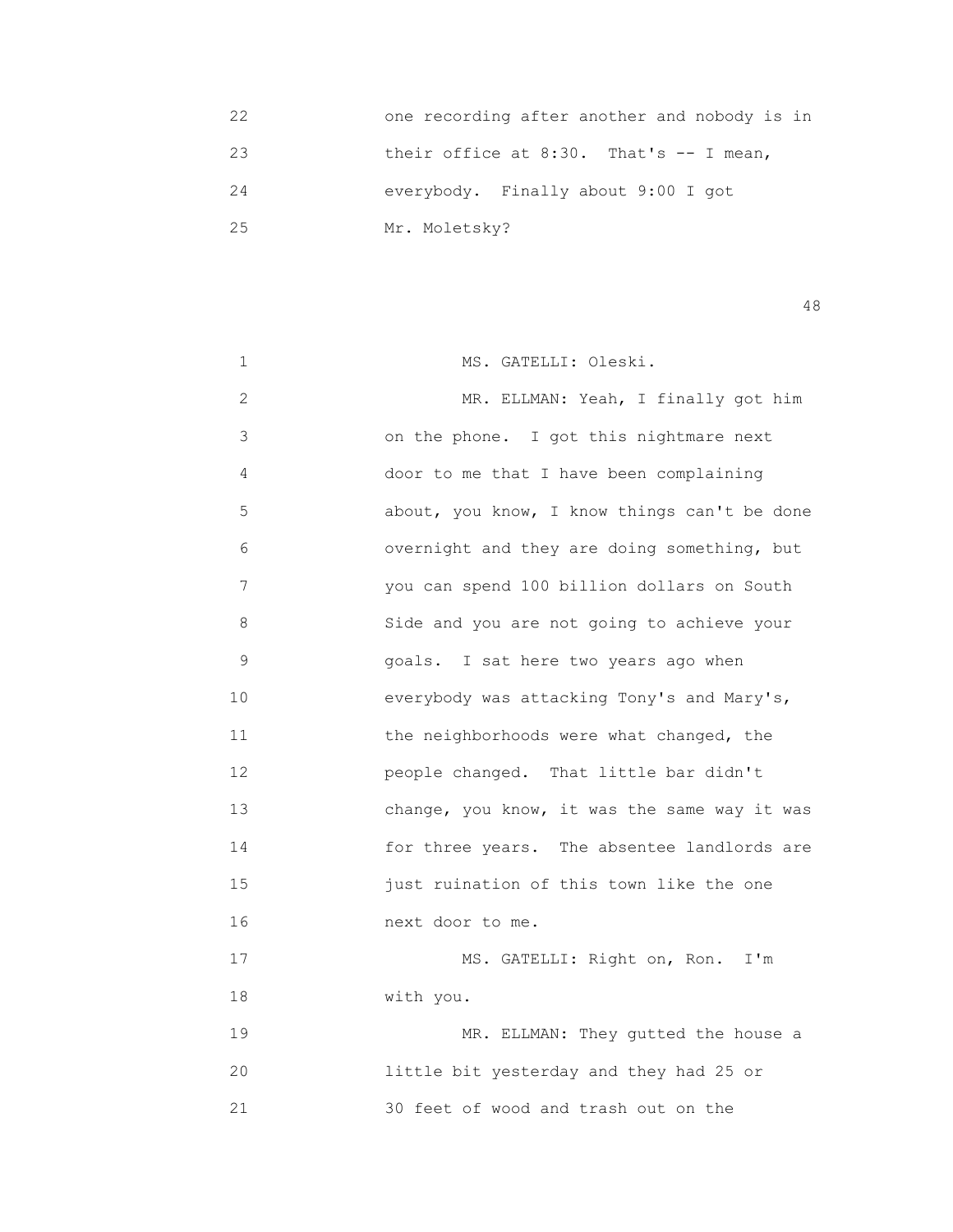| 22 | one recording after another and nobody is in |
|----|----------------------------------------------|
| 23 | their office at $8:30$ . That's $-$ I mean,  |
| 24 | everybody. Finally about 9:00 I got          |
| 25 | Mr. Moletsky?                                |

| 1              | MS. GATELLI: Oleski.                         |
|----------------|----------------------------------------------|
| $\overline{2}$ | MR. ELLMAN: Yeah, I finally got him          |
| 3              | on the phone. I got this nightmare next      |
| 4              | door to me that I have been complaining      |
| 5              | about, you know, I know things can't be done |
| 6              | overnight and they are doing something, but  |
| 7              | you can spend 100 billion dollars on South   |
| 8              | Side and you are not going to achieve your   |
| $\mathsf 9$    | goals. I sat here two years ago when         |
| 10             | everybody was attacking Tony's and Mary's,   |
| 11             | the neighborhoods were what changed, the     |
| 12             | people changed. That little bar didn't       |
| 13             | change, you know, it was the same way it was |
| 14             | for three years. The absentee landlords are  |
| 15             | just ruination of this town like the one     |
| 16             | next door to me.                             |
| 17             | MS. GATELLI: Right on, Ron. I'm              |
| 18             | with you.                                    |
| 19             | MR. ELLMAN: They gutted the house a          |
| 20             | little bit yesterday and they had 25 or      |
| 21             | 30 feet of wood and trash out on the         |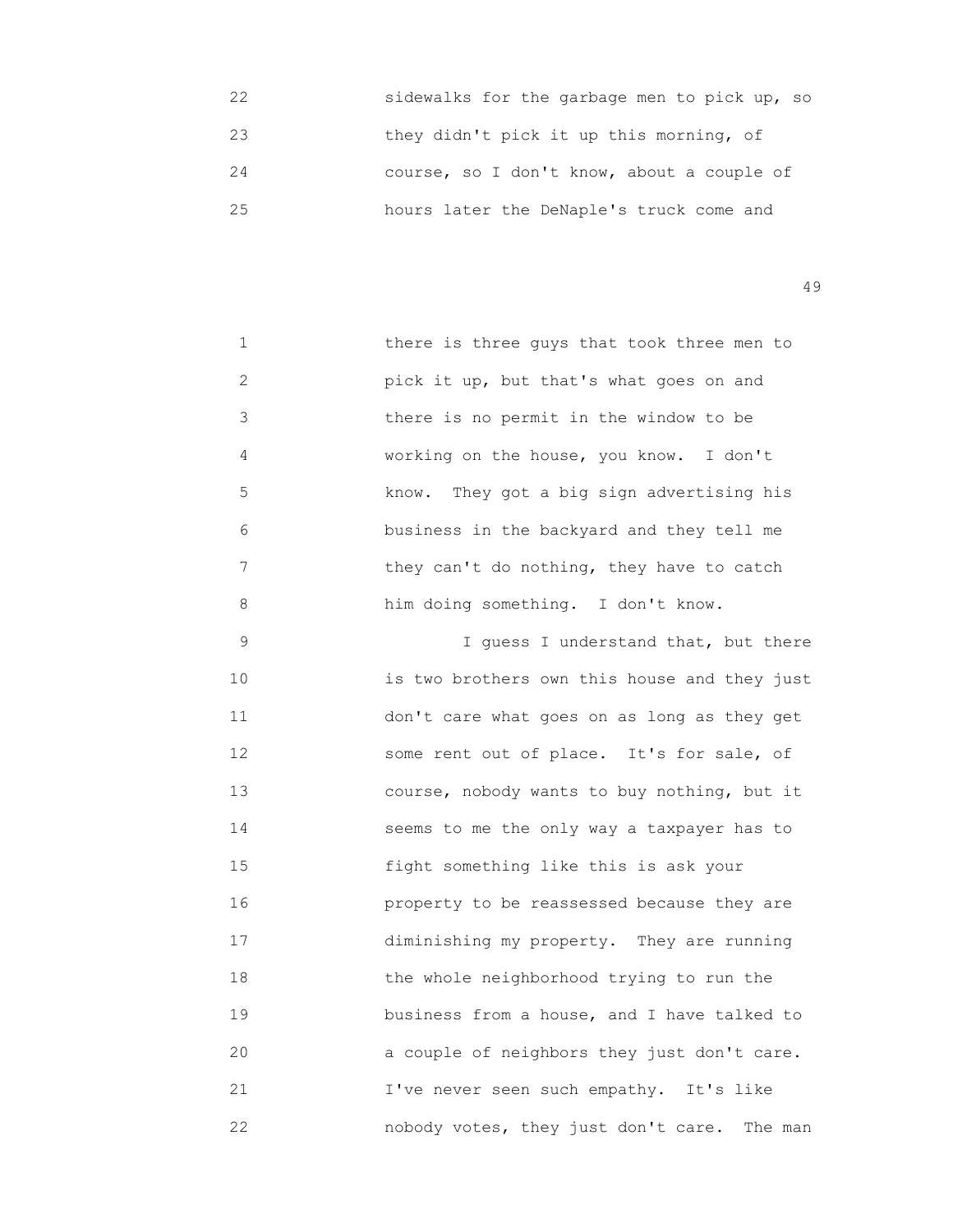22 sidewalks for the garbage men to pick up, so 23 they didn't pick it up this morning, of 24 course, so I don't know, about a couple of 25 hours later the DeNaple's truck come and

49

 1 there is three guys that took three men to 2 pick it up, but that's what goes on and 3 there is no permit in the window to be 4 working on the house, you know. I don't 5 know. They got a big sign advertising his 6 business in the backyard and they tell me 7 they can't do nothing, they have to catch 8 him doing something. I don't know.

 9 I guess I understand that, but there 10 is two brothers own this house and they just 11 don't care what goes on as long as they get 12 some rent out of place. It's for sale, of 13 course, nobody wants to buy nothing, but it 14 **Seems to me the only way a taxpayer has to**  15 fight something like this is ask your 16 property to be reassessed because they are 17 diminishing my property. They are running 18 the whole neighborhood trying to run the 19 business from a house, and I have talked to 20 **a** couple of neighbors they just don't care. 21 I've never seen such empathy. It's like 22 nobody votes, they just don't care. The man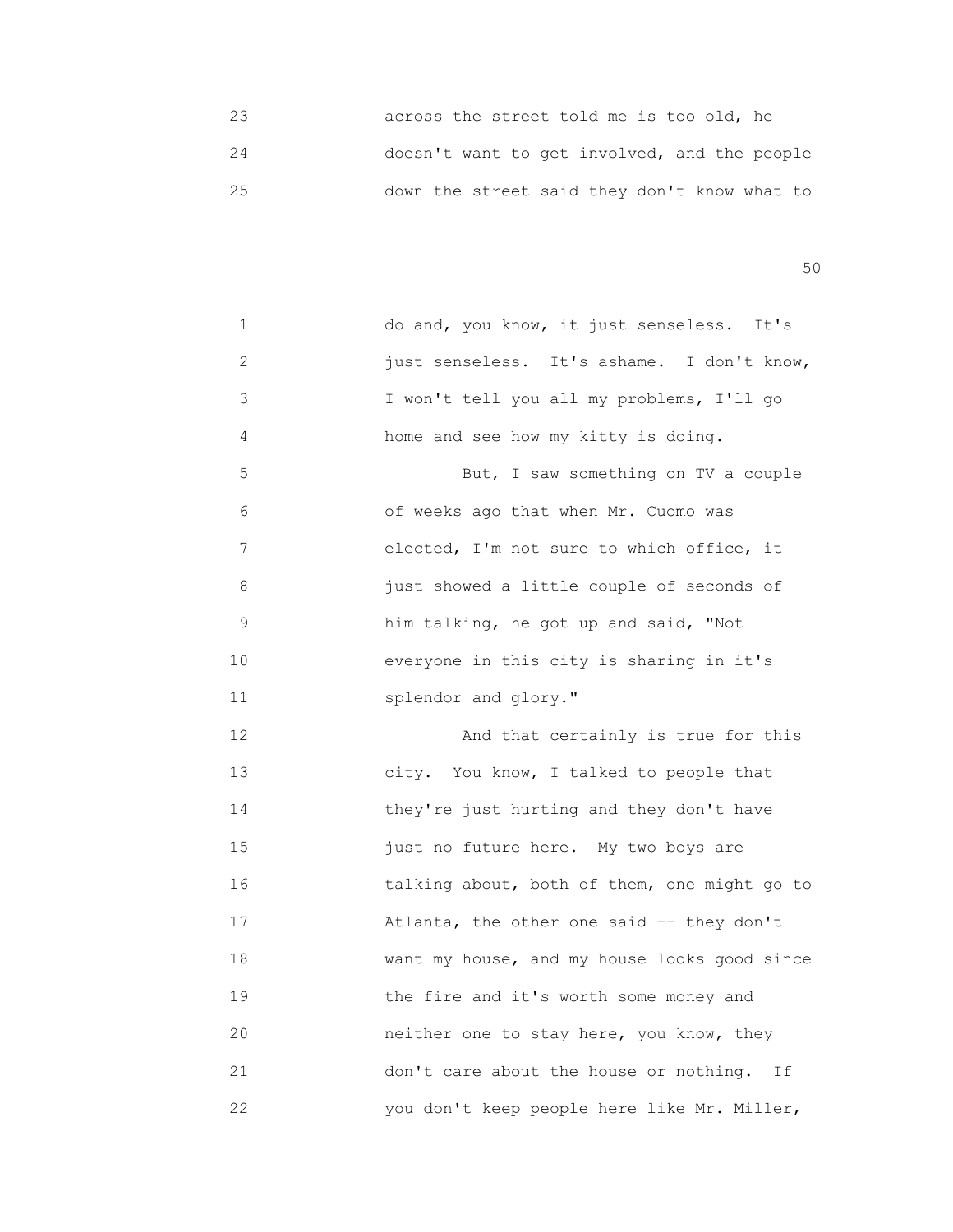23 across the street told me is too old, he 24 doesn't want to get involved, and the people 25 down the street said they don't know what to

 $50<sub>50</sub>$ 

| 1  | do and, you know, it just senseless. It's    |
|----|----------------------------------------------|
| 2  | just senseless. It's ashame. I don't know,   |
| 3  | I won't tell you all my problems, I'll go    |
| 4  | home and see how my kitty is doing.          |
| 5  | But, I saw something on TV a couple          |
| 6  | of weeks ago that when Mr. Cuomo was         |
| 7  | elected, I'm not sure to which office, it    |
| 8  | just showed a little couple of seconds of    |
| 9  | him talking, he got up and said, "Not        |
| 10 | everyone in this city is sharing in it's     |
| 11 | splendor and glory."                         |
| 12 | And that certainly is true for this          |
| 13 | city. You know, I talked to people that      |
| 14 | they're just hurting and they don't have     |
| 15 | just no future here. My two boys are         |
| 16 | talking about, both of them, one might go to |
| 17 | Atlanta, the other one said -- they don't    |
| 18 | want my house, and my house looks good since |
| 19 | the fire and it's worth some money and       |
| 20 | neither one to stay here, you know, they     |
| 21 | don't care about the house or nothing. If    |
| 22 | you don't keep people here like Mr. Miller,  |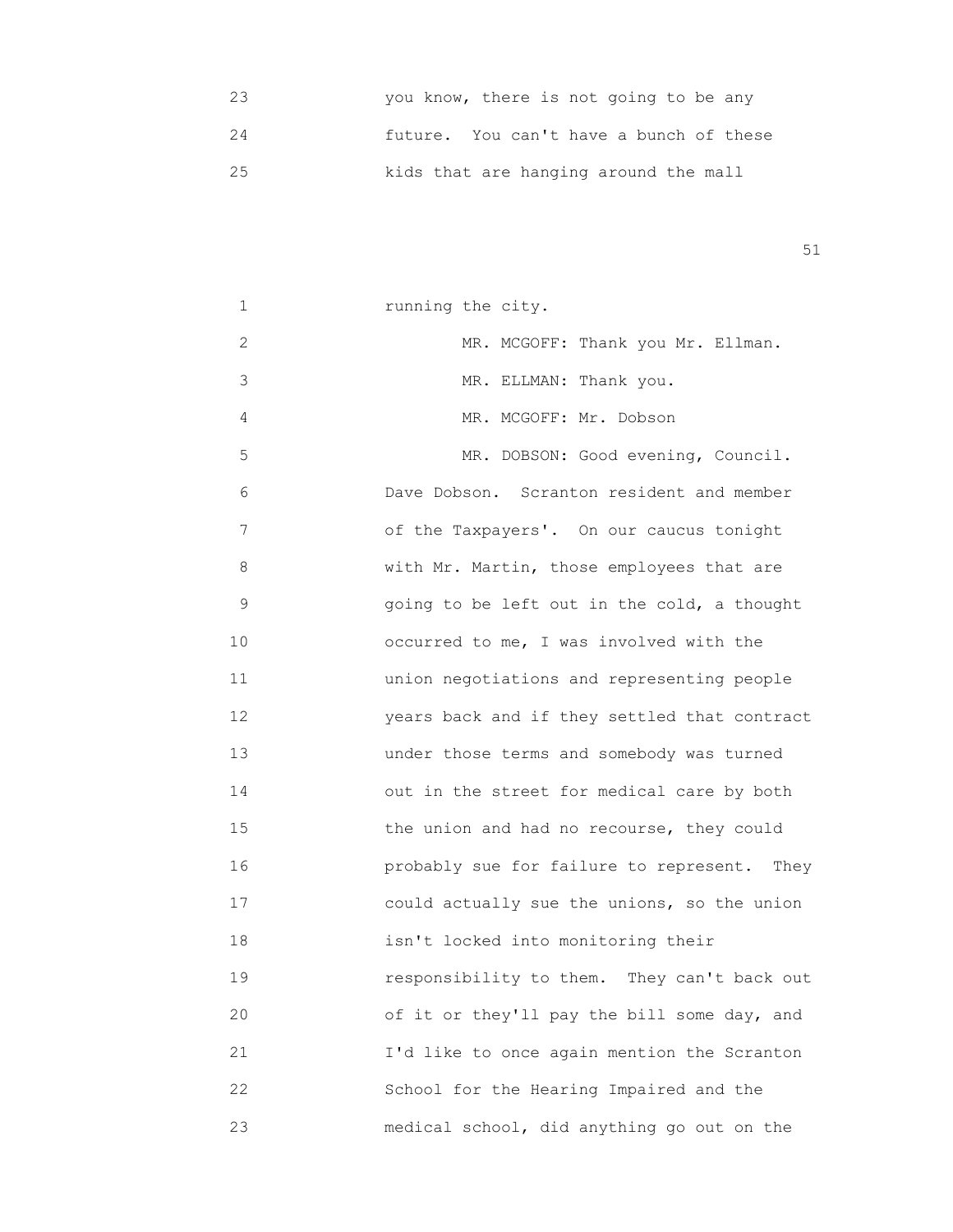23 you know, there is not going to be any 24 future. You can't have a bunch of these 25 kids that are hanging around the mall

| 1  | running the city.                            |
|----|----------------------------------------------|
| 2  | MR. MCGOFF: Thank you Mr. Ellman.            |
| 3  | MR. ELLMAN: Thank you.                       |
| 4  | MR. MCGOFF: Mr. Dobson                       |
| 5  | MR. DOBSON: Good evening, Council.           |
| 6  | Dave Dobson. Scranton resident and member    |
| 7  | of the Taxpayers'. On our caucus tonight     |
| 8  | with Mr. Martin, those employees that are    |
| 9  | going to be left out in the cold, a thought  |
| 10 | occurred to me, I was involved with the      |
| 11 | union negotiations and representing people   |
| 12 | years back and if they settled that contract |
| 13 | under those terms and somebody was turned    |
| 14 | out in the street for medical care by both   |
| 15 | the union and had no recourse, they could    |
| 16 | probably sue for failure to represent. They  |
| 17 | could actually sue the unions, so the union  |
| 18 | isn't locked into monitoring their           |
| 19 | responsibility to them. They can't back out  |
| 20 | of it or they'll pay the bill some day, and  |
| 21 | I'd like to once again mention the Scranton  |
| 22 | School for the Hearing Impaired and the      |
| 23 | medical school, did anything go out on the   |
|    |                                              |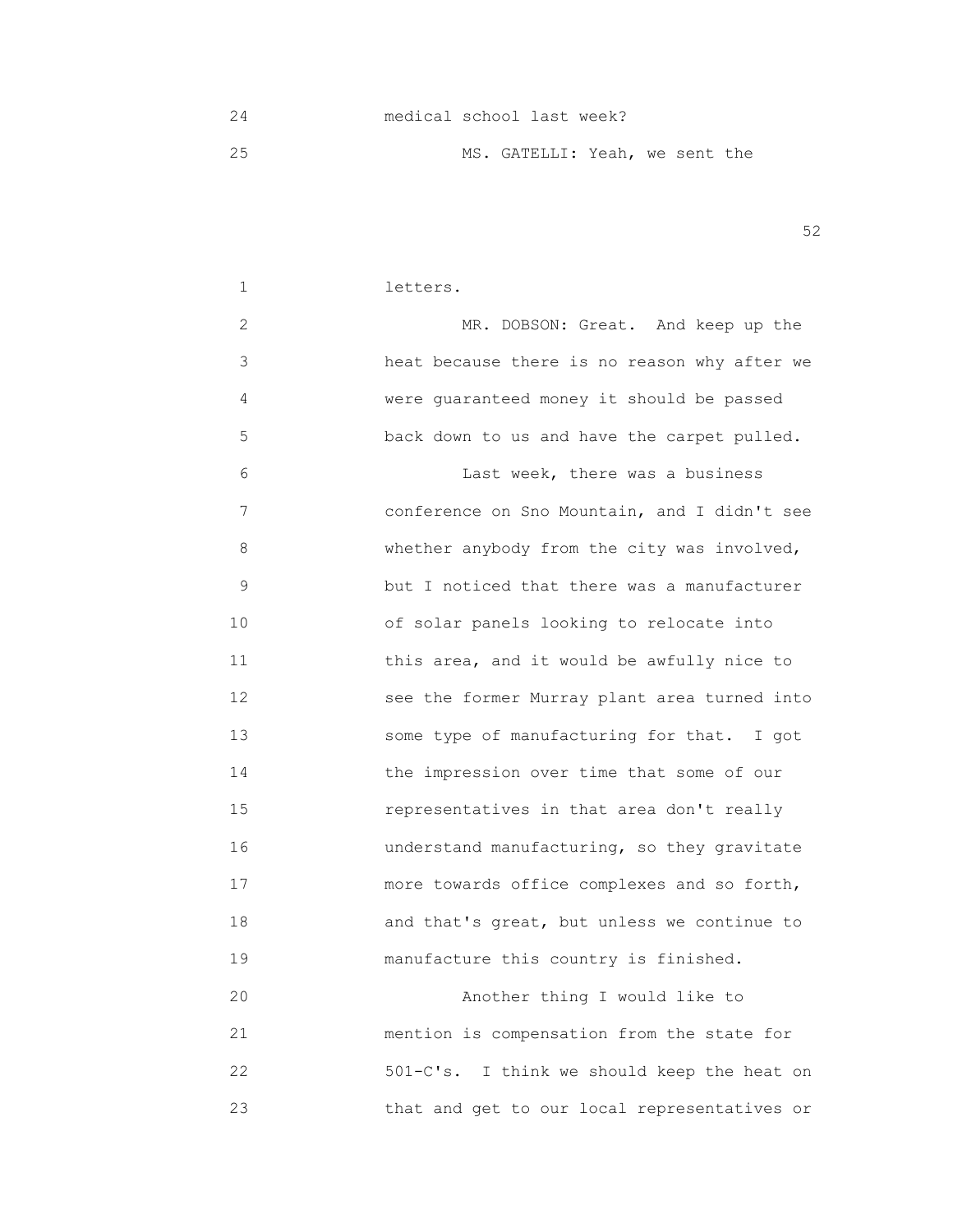24 medical school last week? 25 MS. GATELLI: Yeah, we sent the

 $52$ 

## 1 letters. 2 MR. DOBSON: Great. And keep up the 3 heat because there is no reason why after we 4 were guaranteed money it should be passed 5 back down to us and have the carpet pulled. 6 Last week, there was a business 7 conference on Sno Mountain, and I didn't see 8 whether anybody from the city was involved, 9 but I noticed that there was a manufacturer 10 of solar panels looking to relocate into 11 **11 11 this area, and it would be awfully nice to**  12 see the former Murray plant area turned into 13 some type of manufacturing for that. I got 14 the impression over time that some of our 15 representatives in that area don't really 16 understand manufacturing, so they gravitate 17 more towards office complexes and so forth, 18 and that's great, but unless we continue to 19 **manufacture this country is finished.** 20 Another thing I would like to

 21 mention is compensation from the state for 22 501-C's. I think we should keep the heat on 23 that and get to our local representatives or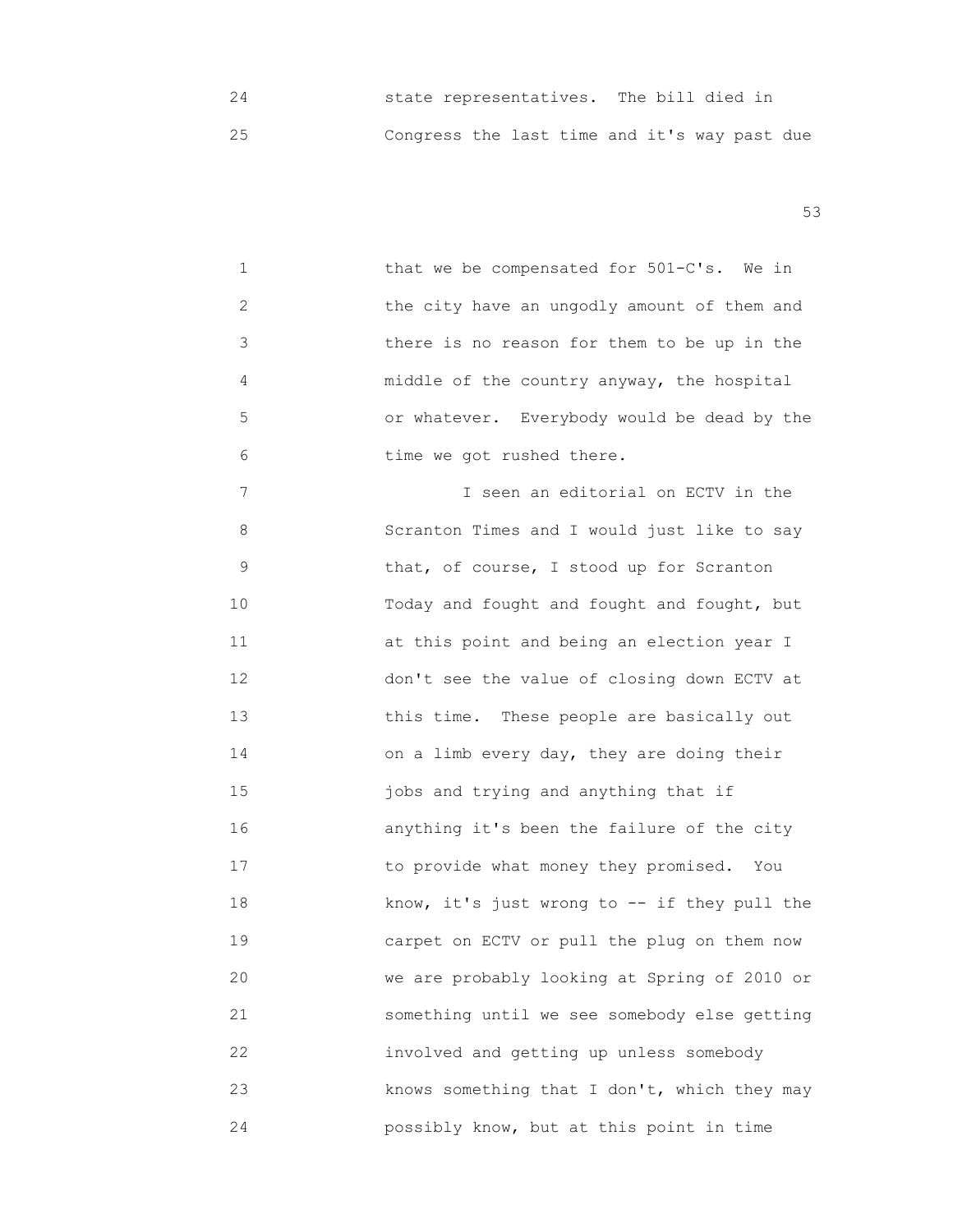24 state representatives. The bill died in 25 Congress the last time and it's way past due

 $53$ 

 1 that we be compensated for 501-C's. We in 2 the city have an ungodly amount of them and 3 there is no reason for them to be up in the 4 middle of the country anyway, the hospital 5 or whatever. Everybody would be dead by the 6 **b** time we got rushed there.

 7 I seen an editorial on ECTV in the 8 Scranton Times and I would just like to say 9 **Example 12 I** that, of course, I stood up for Scranton 10 Today and fought and fought and fought, but 11 **at this point and being an election year I**  12 don't see the value of closing down ECTV at 13 **13 this time.** These people are basically out 14 on a limb every day, they are doing their 15 jobs and trying and anything that if 16 anything it's been the failure of the city 17 to provide what money they promised. You 18 know, it's just wrong to -- if they pull the 19 carpet on ECTV or pull the plug on them now 20 we are probably looking at Spring of 2010 or 21 something until we see somebody else getting 22 involved and getting up unless somebody 23 knows something that I don't, which they may 24 possibly know, but at this point in time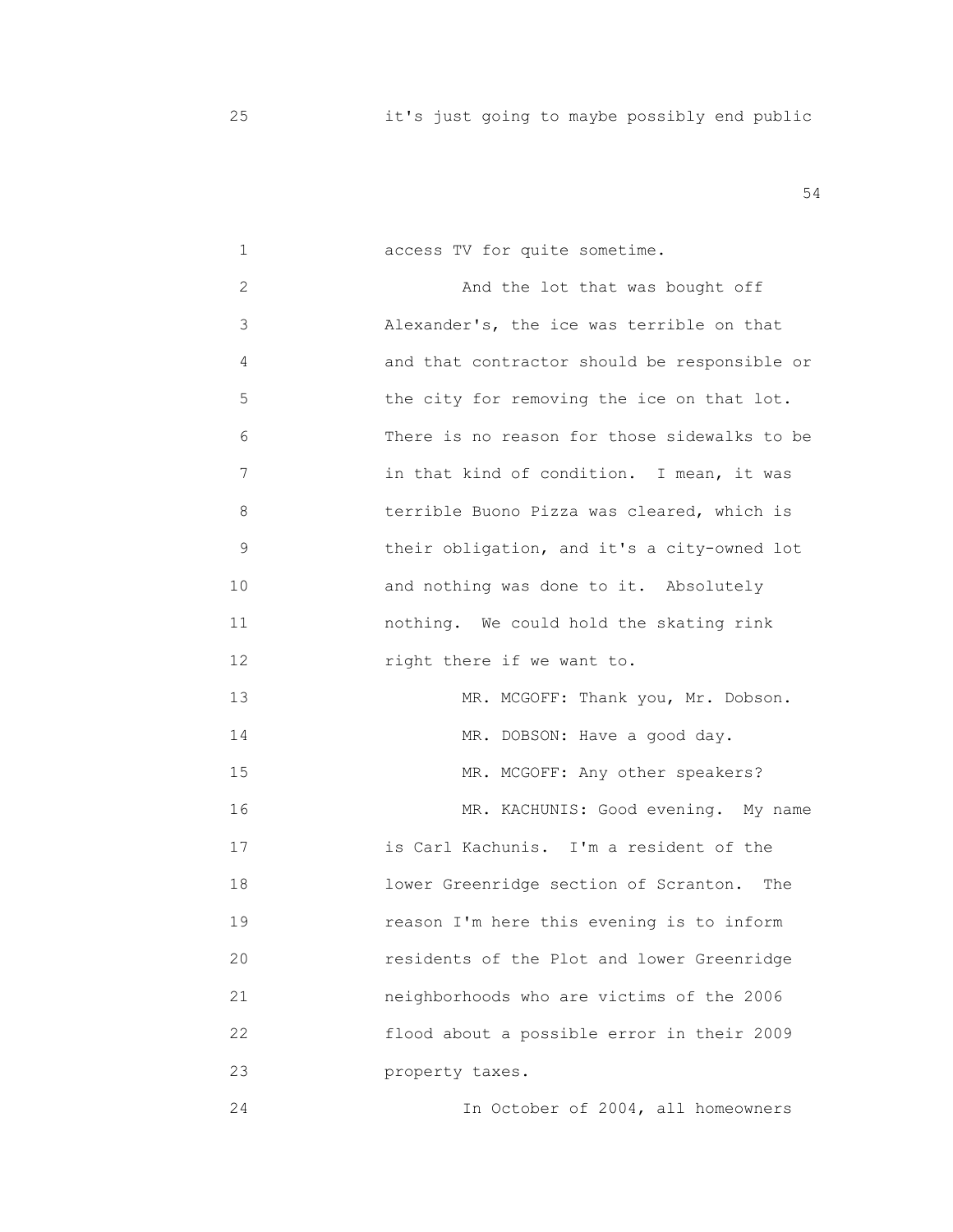| 1  | access TV for quite sometime.                |
|----|----------------------------------------------|
| 2  | And the lot that was bought off              |
| 3  | Alexander's, the ice was terrible on that    |
| 4  | and that contractor should be responsible or |
| 5  | the city for removing the ice on that lot.   |
| 6  | There is no reason for those sidewalks to be |
| 7  | in that kind of condition. I mean, it was    |
| 8  | terrible Buono Pizza was cleared, which is   |
| 9  | their obligation, and it's a city-owned lot  |
| 10 | and nothing was done to it. Absolutely       |
| 11 | nothing. We could hold the skating rink      |
| 12 | right there if we want to.                   |
| 13 | MR. MCGOFF: Thank you, Mr. Dobson.           |
| 14 | MR. DOBSON: Have a good day.                 |
| 15 | MR. MCGOFF: Any other speakers?              |
| 16 | MR. KACHUNIS: Good evening. My name          |
| 17 | is Carl Kachunis. I'm a resident of the      |
| 18 | lower Greenridge section of Scranton.<br>The |
| 19 | reason I'm here this evening is to inform    |
| 20 | residents of the Plot and lower Greenridge   |
| 21 | neighborhoods who are victims of the 2006    |
| 22 | flood about a possible error in their 2009   |
| 23 | property taxes.                              |
| 24 | In October of 2004, all homeowners           |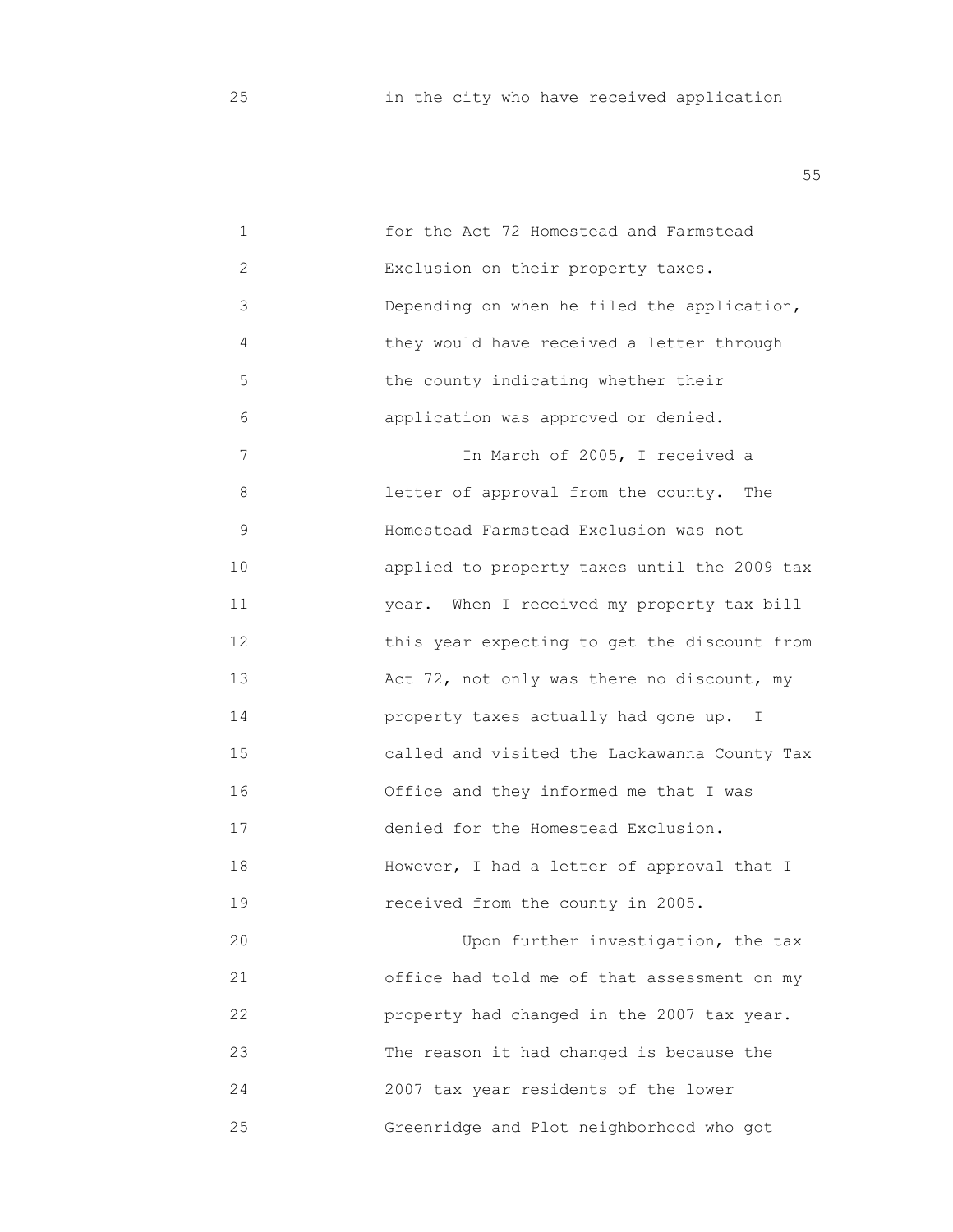| 1            | for the Act 72 Homestead and Farmstead       |
|--------------|----------------------------------------------|
| $\mathbf{2}$ | Exclusion on their property taxes.           |
| 3            | Depending on when he filed the application,  |
| 4            | they would have received a letter through    |
| 5            | the county indicating whether their          |
| 6            | application was approved or denied.          |
| 7            | In March of 2005, I received a               |
| 8            | letter of approval from the county. The      |
| 9            | Homestead Farmstead Exclusion was not        |
| 10           | applied to property taxes until the 2009 tax |
| 11           | year. When I received my property tax bill   |
| 12           | this year expecting to get the discount from |
| 13           | Act 72, not only was there no discount, my   |
| 14           | property taxes actually had gone up. I       |
| 15           | called and visited the Lackawanna County Tax |
| 16           | Office and they informed me that I was       |
| 17           | denied for the Homestead Exclusion.          |
| 18           | However, I had a letter of approval that I   |
| 19           | received from the county in 2005.            |
| 20           | Upon further investigation, the tax          |
| 21           | office had told me of that assessment on my  |
| 22           | property had changed in the 2007 tax year.   |
| 23           | The reason it had changed is because the     |
| 24           | 2007 tax year residents of the lower         |
| 25           | Greenridge and Plot neighborhood who got     |
|              |                                              |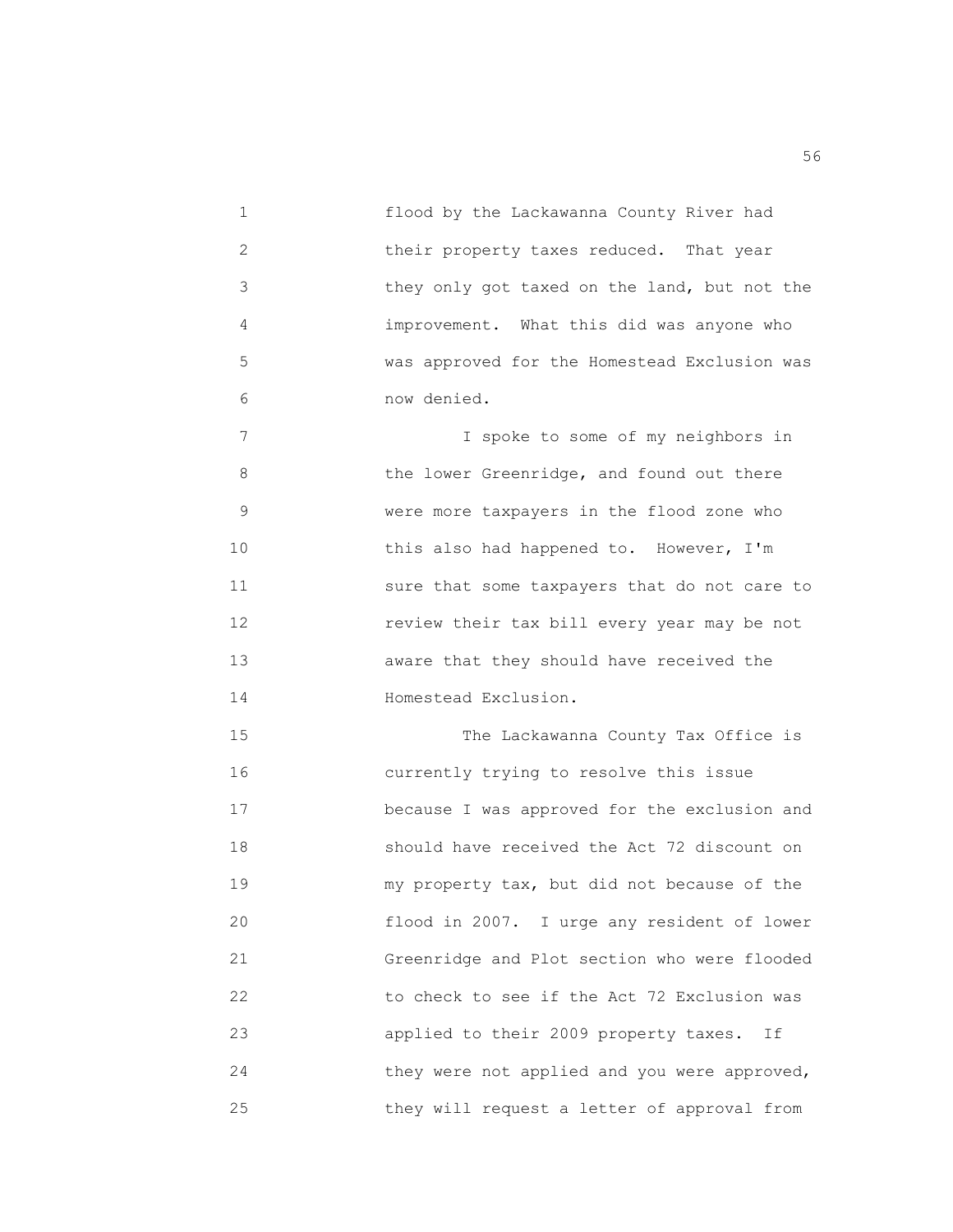1 flood by the Lackawanna County River had 2 their property taxes reduced. That year 3 they only got taxed on the land, but not the 4 improvement. What this did was anyone who 5 was approved for the Homestead Exclusion was 6 now denied. 7 I spoke to some of my neighbors in 8 the lower Greenridge, and found out there 9 were more taxpayers in the flood zone who 10 **this also had happened to. However, I'm**  11 sure that some taxpayers that do not care to 12 review their tax bill every year may be not 13 aware that they should have received the 14 **Homestead Exclusion.** 15 The Lackawanna County Tax Office is

 16 currently trying to resolve this issue 17 because I was approved for the exclusion and 18 should have received the Act 72 discount on 19 my property tax, but did not because of the 20 flood in 2007. I urge any resident of lower 21 Greenridge and Plot section who were flooded 22 to check to see if the Act 72 Exclusion was 23 applied to their 2009 property taxes. If 24 **they were not applied and you were approved,** 25 they will request a letter of approval from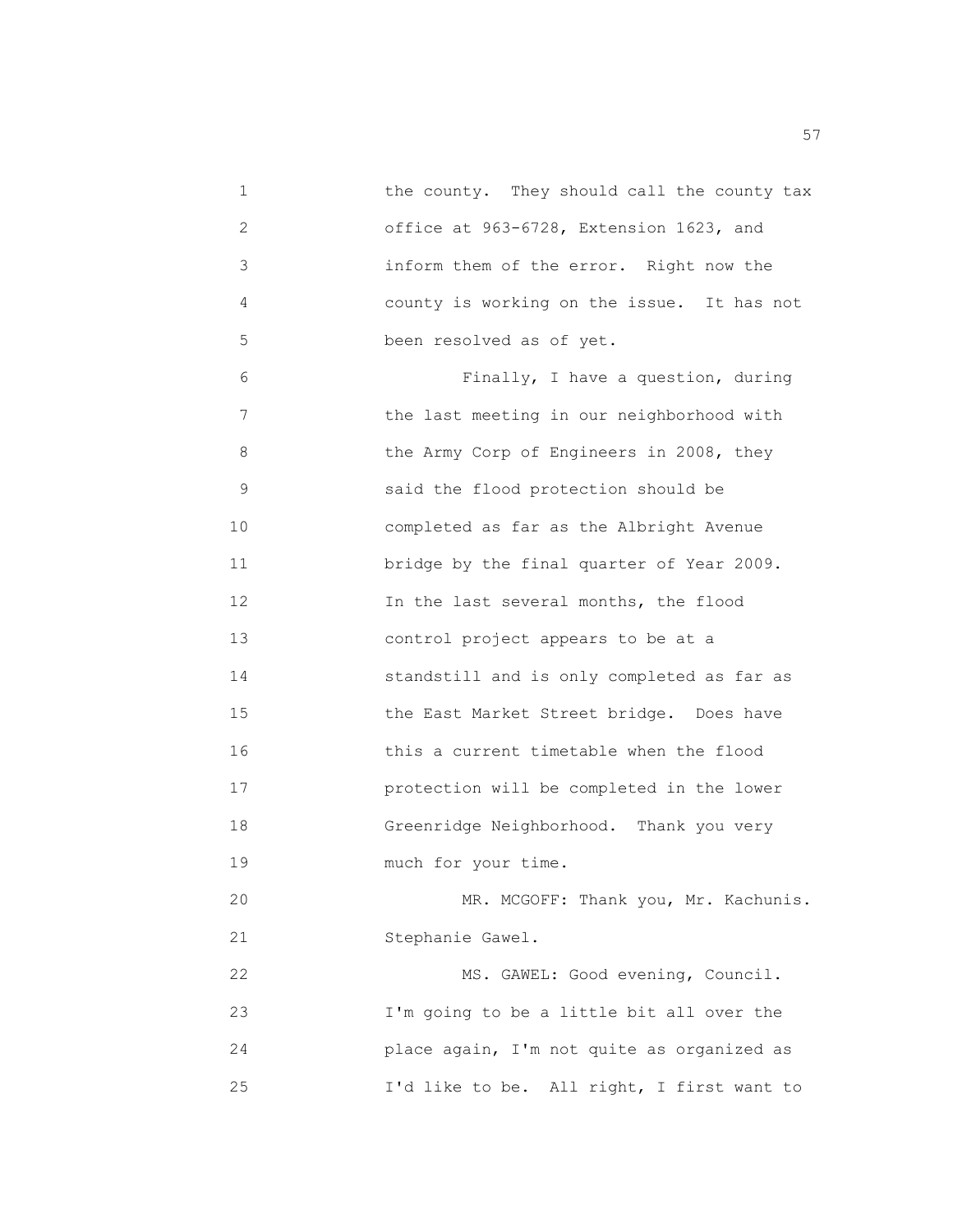1 the county. They should call the county tax 2 office at 963-6728, Extension 1623, and 3 inform them of the error. Right now the 4 county is working on the issue. It has not 5 been resolved as of yet. 6 Finally, I have a question, during 7 the last meeting in our neighborhood with 8 the Army Corp of Engineers in 2008, they 9 said the flood protection should be 10 completed as far as the Albright Avenue 11 **bridge by the final quarter of Year 2009.**  12 In the last several months, the flood 13 control project appears to be at a 14 standstill and is only completed as far as 15 the East Market Street bridge. Does have 16 this a current timetable when the flood 17 protection will be completed in the lower 18 Greenridge Neighborhood. Thank you very 19 much for your time. 20 MR. MCGOFF: Thank you, Mr. Kachunis. 21 Stephanie Gawel. 22 MS. GAWEL: Good evening, Council. 23 I'm going to be a little bit all over the 24 place again, I'm not quite as organized as 25 I'd like to be. All right, I first want to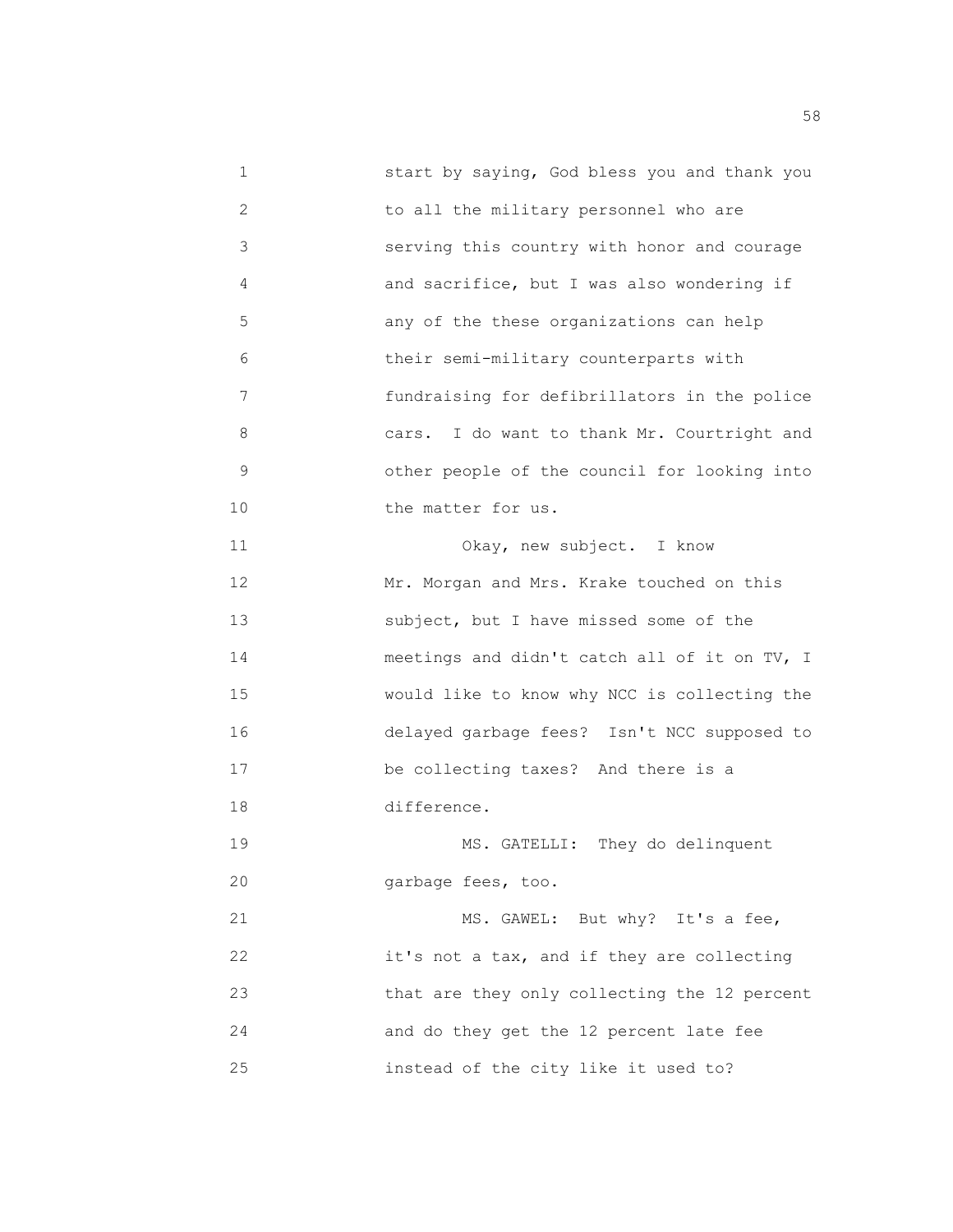1 start by saying, God bless you and thank you 2 to all the military personnel who are 3 serving this country with honor and courage 4 and sacrifice, but I was also wondering if 5 any of the these organizations can help 6 their semi-military counterparts with 7 fundraising for defibrillators in the police 8 cars. I do want to thank Mr. Courtright and 9 other people of the council for looking into 10 **the matter for us.**  11 Okay, new subject. I know 12 Mr. Morgan and Mrs. Krake touched on this 13 subject, but I have missed some of the 14 meetings and didn't catch all of it on TV, I 15 would like to know why NCC is collecting the 16 delayed garbage fees? Isn't NCC supposed to 17 be collecting taxes? And there is a 18 difference. 19 MS. GATELLI: They do delinquent 20 garbage fees, too. 21 MS. GAWEL: But why? It's a fee, 22 it's not a tax, and if they are collecting 23 that are they only collecting the 12 percent 24 and do they get the 12 percent late fee 25 instead of the city like it used to?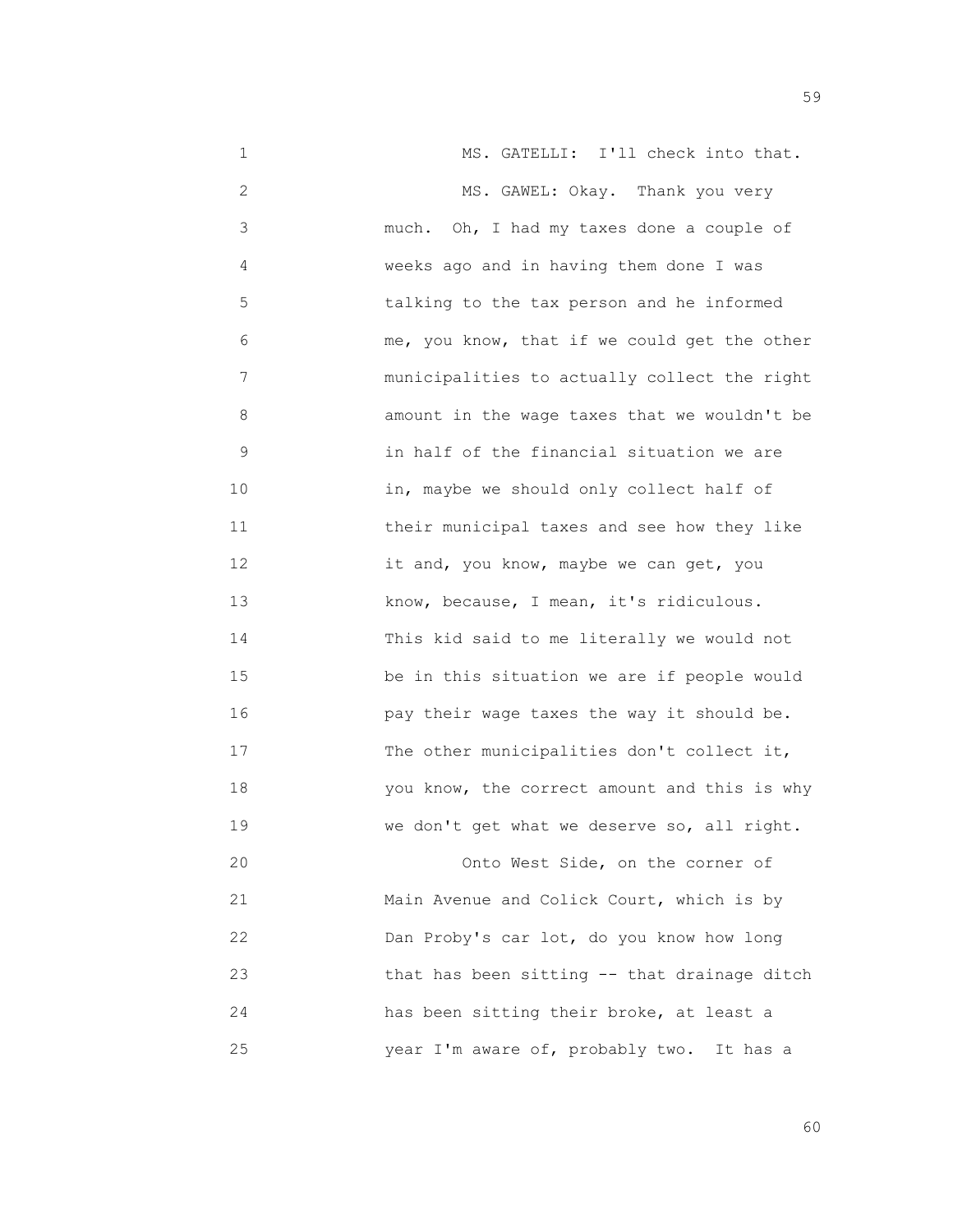1 MS. GATELLI: I'll check into that. 2 MS. GAWEL: Okay. Thank you very 3 much. Oh, I had my taxes done a couple of 4 weeks ago and in having them done I was 5 talking to the tax person and he informed 6 me, you know, that if we could get the other 7 municipalities to actually collect the right 8 amount in the wage taxes that we wouldn't be 9 in half of the financial situation we are 10 in, maybe we should only collect half of 11 their municipal taxes and see how they like 12 it and, you know, maybe we can get, you 13 know, because, I mean, it's ridiculous. 14 This kid said to me literally we would not 15 be in this situation we are if people would 16 pay their wage taxes the way it should be. 17 The other municipalities don't collect it, 18 you know, the correct amount and this is why 19 We don't get what we deserve so, all right. 20 Onto West Side, on the corner of

 21 Main Avenue and Colick Court, which is by 22 Dan Proby's car lot, do you know how long 23 that has been sitting -- that drainage ditch 24 has been sitting their broke, at least a 25 year I'm aware of, probably two. It has a

 $59$ 

 $\sim$  60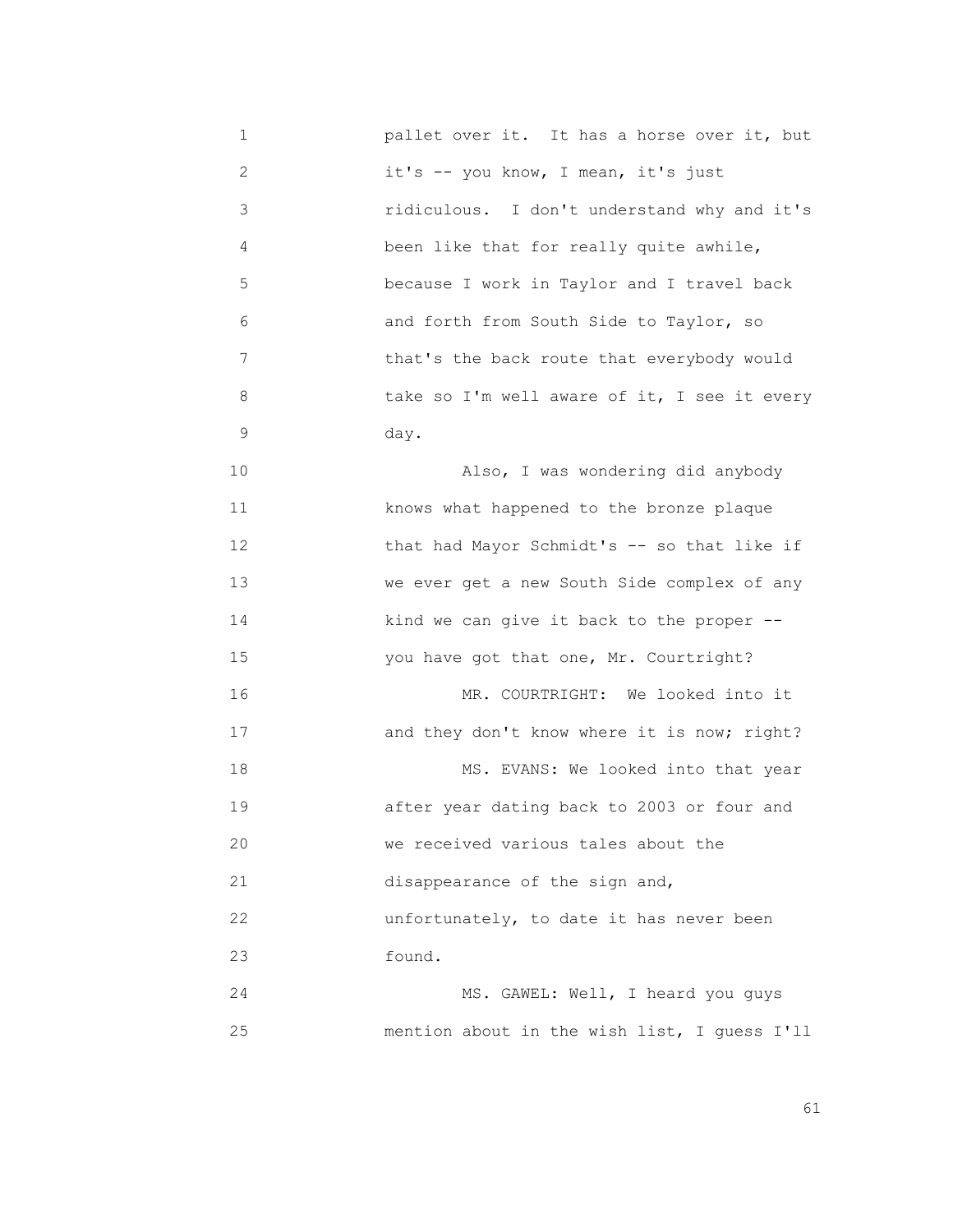1 pallet over it. It has a horse over it, but 2 it's -- you know, I mean, it's just 3 ridiculous. I don't understand why and it's 4 been like that for really quite awhile, 5 because I work in Taylor and I travel back 6 and forth from South Side to Taylor, so 7 that's the back route that everybody would 8 take so I'm well aware of it, I see it every 9 day. 10 Also, I was wondering did anybody 11 knows what happened to the bronze plaque 12 that had Mayor Schmidt's -- so that like if 13 we ever get a new South Side complex of any 14 kind we can give it back to the proper -- 15 you have got that one, Mr. Courtright? 16 MR. COURTRIGHT: We looked into it 17 and they don't know where it is now; right? 18 MS. EVANS: We looked into that year 19 after year dating back to 2003 or four and 20 we received various tales about the 21 disappearance of the sign and, 22 **a a unfortunately**, to date it has never been 23 found. 24 MS. GAWEL: Well, I heard you guys 25 mention about in the wish list, I guess I'll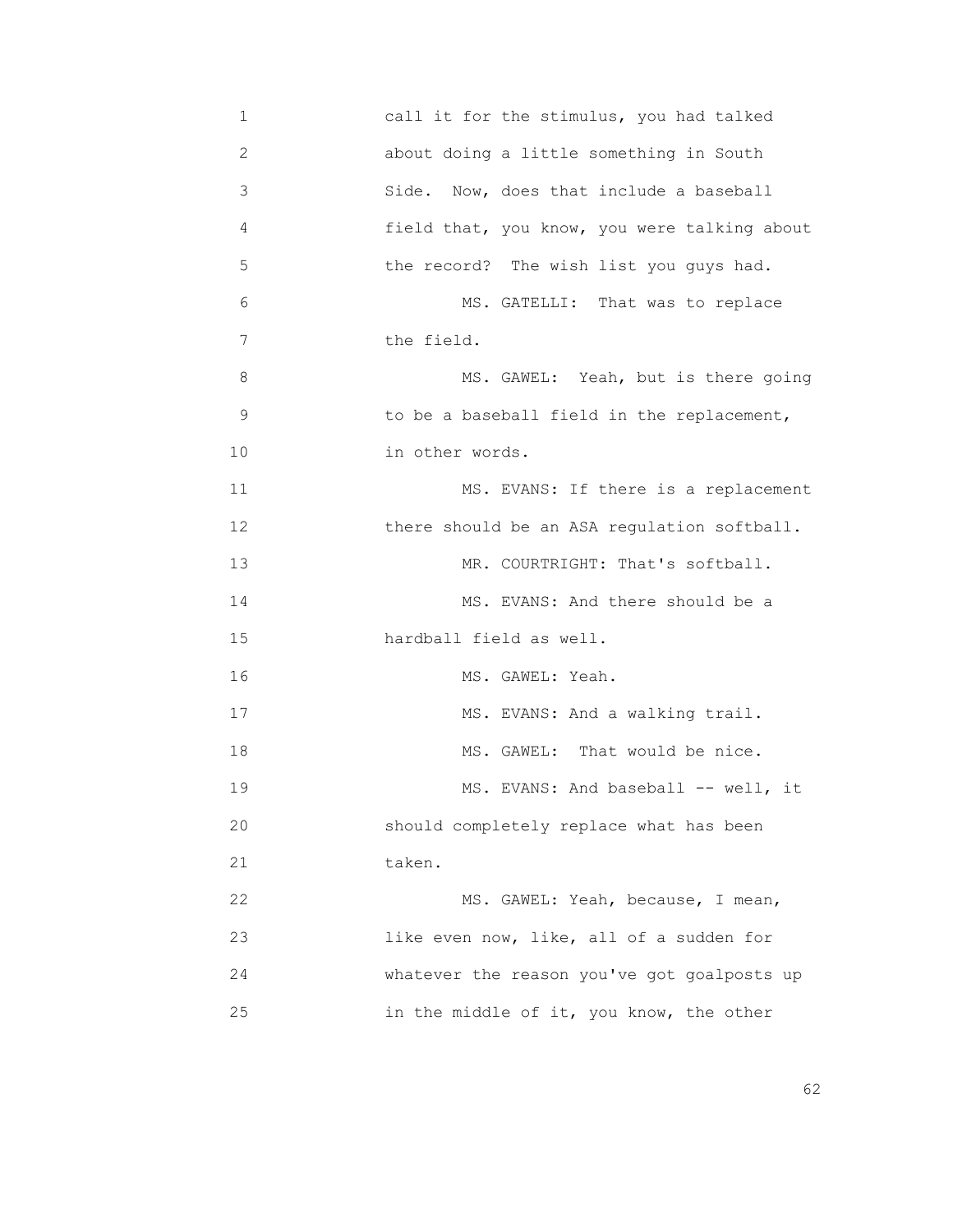1 call it for the stimulus, you had talked 2 about doing a little something in South 3 Side. Now, does that include a baseball 4 field that, you know, you were talking about 5 the record? The wish list you guys had. 6 MS. GATELLI: That was to replace 7 the field. 8 MS. GAWEL: Yeah, but is there going 9 to be a baseball field in the replacement, 10 in other words. 11 MS. EVANS: If there is a replacement 12 **there should be an ASA regulation softball.** 13 MR. COURTRIGHT: That's softball. 14 MS. EVANS: And there should be a 15 hardball field as well. 16 MS. GAWEL: Yeah. 17 MS. EVANS: And a walking trail. 18 MS. GAWEL: That would be nice. 19 MS. EVANS: And baseball -- well, it 20 should completely replace what has been 21 taken. 22 MS. GAWEL: Yeah, because, I mean, 23 like even now, like, all of a sudden for 24 whatever the reason you've got goalposts up 25 in the middle of it, you know, the other

 $\sim$  62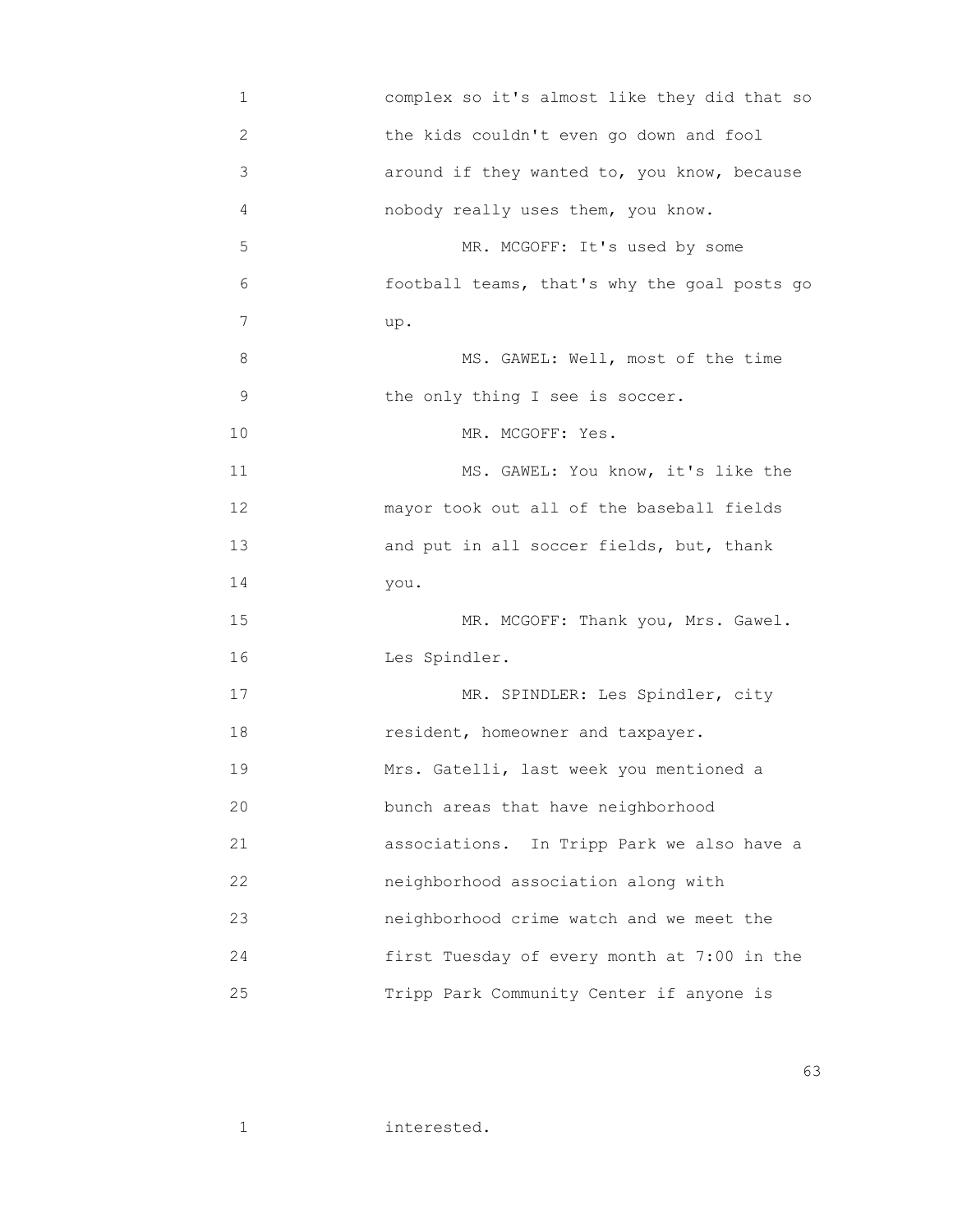| 1  | complex so it's almost like they did that so  |
|----|-----------------------------------------------|
| 2  | the kids couldn't even go down and fool       |
| 3  | around if they wanted to, you know, because   |
| 4  | nobody really uses them, you know.            |
| 5  | MR. MCGOFF: It's used by some                 |
| 6  | football teams, that's why the goal posts go  |
| 7  | up.                                           |
| 8  | MS. GAWEL: Well, most of the time             |
| 9  | the only thing I see is soccer.               |
| 10 | MR. MCGOFF: Yes.                              |
| 11 | MS. GAWEL: You know, it's like the            |
| 12 | mayor took out all of the baseball fields     |
| 13 | and put in all soccer fields, but, thank      |
| 14 | you.                                          |
| 15 | MR. MCGOFF: Thank you, Mrs. Gawel.            |
| 16 | Les Spindler.                                 |
| 17 | MR. SPINDLER: Les Spindler, city              |
| 18 | resident, homeowner and taxpayer.             |
| 19 | Mrs. Gatelli, last week you mentioned a       |
| 20 | bunch areas that have neighborhood            |
| 21 | associations.<br>In Tripp Park we also have a |
| 22 | neighborhood association along with           |
| 23 | neighborhood crime watch and we meet the      |
| 24 | first Tuesday of every month at 7:00 in the   |
| 25 | Tripp Park Community Center if anyone is      |

 $\sim$  63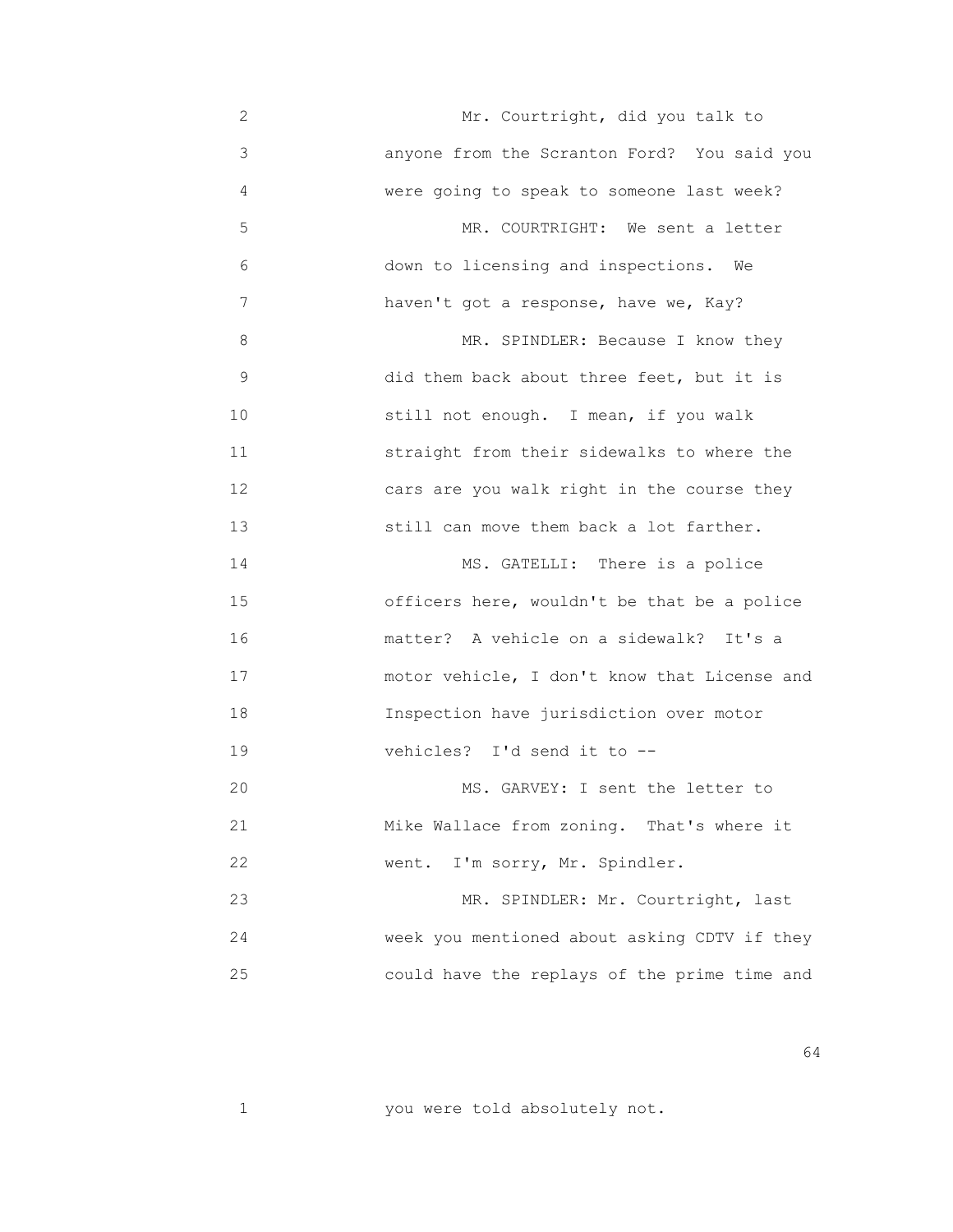2 Mr. Courtright, did you talk to 3 anyone from the Scranton Ford? You said you 4 were going to speak to someone last week? 5 MR. COURTRIGHT: We sent a letter 6 down to licensing and inspections. We 7 haven't got a response, have we, Kay? 8 MR. SPINDLER: Because I know they 9 did them back about three feet, but it is 10 still not enough. I mean, if you walk 11 straight from their sidewalks to where the 12 cars are you walk right in the course they 13 still can move them back a lot farther. 14 MS. GATELLI: There is a police 15 officers here, wouldn't be that be a police 16 matter? A vehicle on a sidewalk? It's a 17 motor vehicle, I don't know that License and 18 Inspection have jurisdiction over motor 19 vehicles? I'd send it to -- 20 MS. GARVEY: I sent the letter to 21 Mike Wallace from zoning. That's where it 22 **WERE.** I'm sorry, Mr. Spindler. 23 MR. SPINDLER: Mr. Courtright, last 24 week you mentioned about asking CDTV if they 25 could have the replays of the prime time and

1 you were told absolutely not.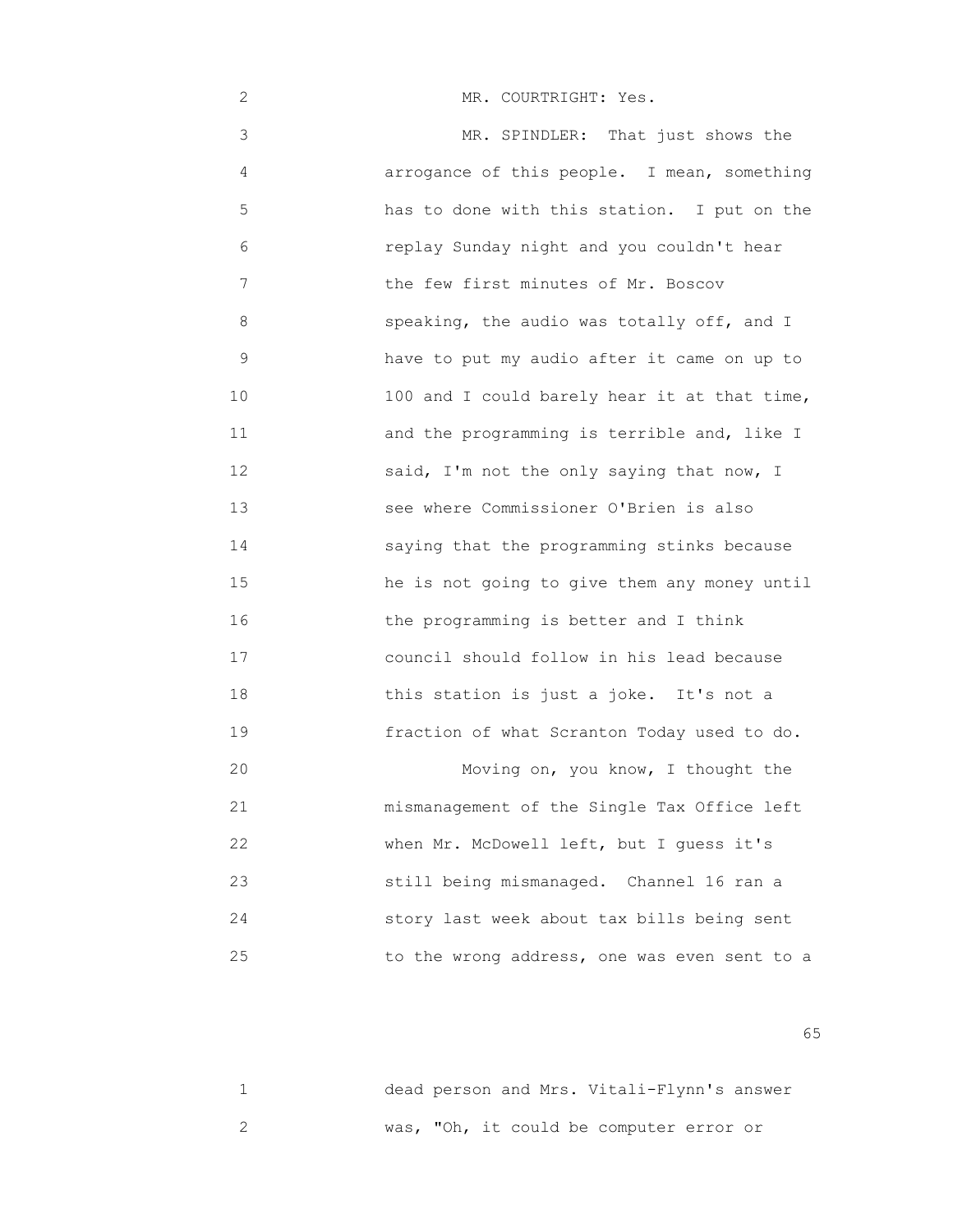2 MR. COURTRIGHT: Yes.

 3 MR. SPINDLER: That just shows the 4 arrogance of this people. I mean, something 5 has to done with this station. I put on the 6 replay Sunday night and you couldn't hear 7 **The few first minutes of Mr. Boscov**  8 speaking, the audio was totally off, and I 9 have to put my audio after it came on up to 10 100 and I could barely hear it at that time, 11 and the programming is terrible and, like I 12 said, I'm not the only saying that now, I 13 see where Commissioner O'Brien is also 14 saying that the programming stinks because 15 he is not going to give them any money until 16 the programming is better and I think 17 council should follow in his lead because 18 this station is just a joke. It's not a 19 fraction of what Scranton Today used to do. 20 Moving on, you know, I thought the 21 mismanagement of the Single Tax Office left 22 when Mr. McDowell left, but I guess it's 23 still being mismanaged. Channel 16 ran a 24 story last week about tax bills being sent 25 to the wrong address, one was even sent to a

 $\sim$  65

|  |  |  | dead person and Mrs. Vitali-Flynn's answer |  |
|--|--|--|--------------------------------------------|--|
|  |  |  | was, "Oh, it could be computer error or    |  |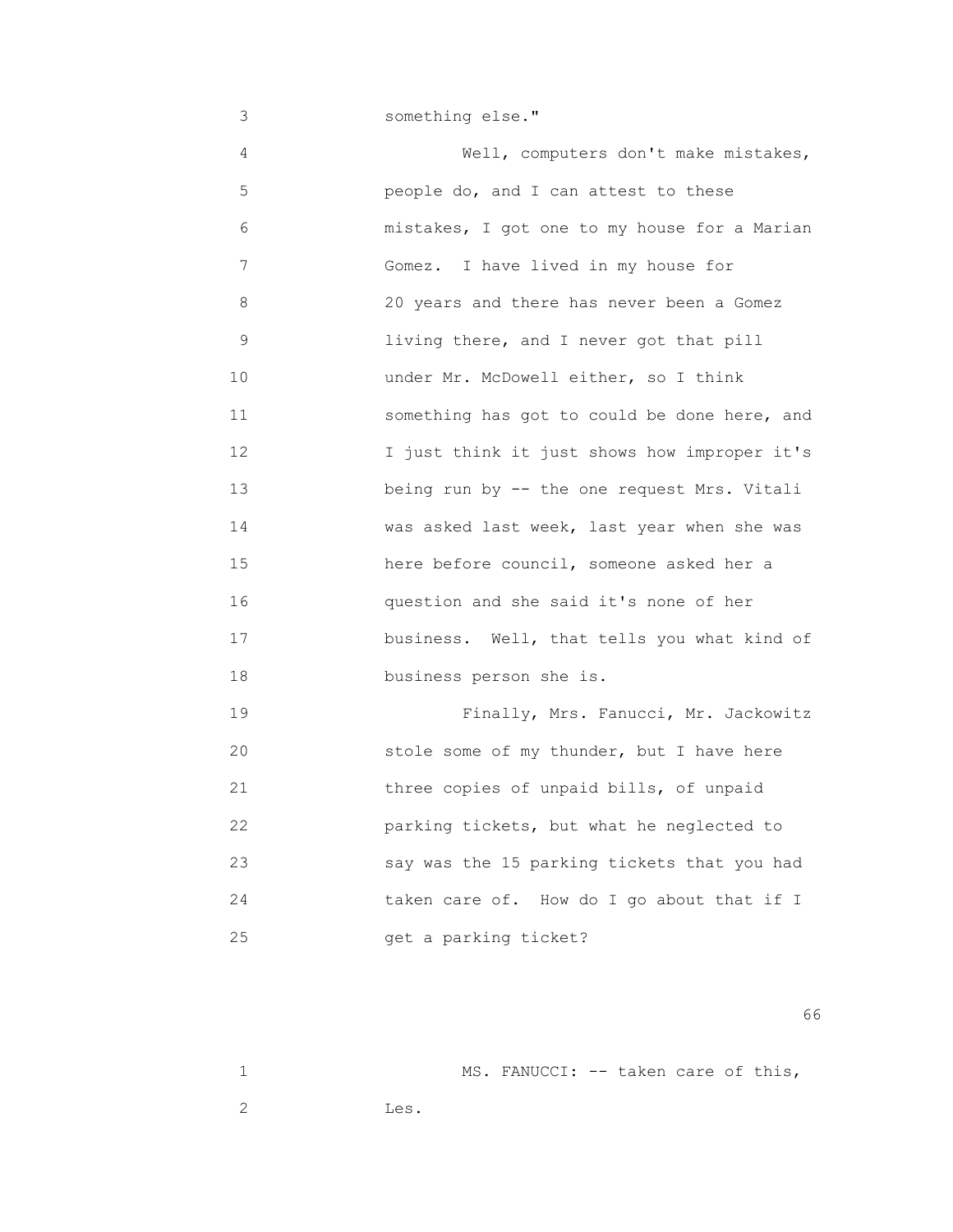3 something else."

 4 Well, computers don't make mistakes, 5 people do, and I can attest to these 6 mistakes, I got one to my house for a Marian 7 Gomez. I have lived in my house for 8 20 years and there has never been a Gomez 9 living there, and I never got that pill 10 under Mr. McDowell either, so I think 11 something has got to could be done here, and 12 I just think it just shows how improper it's 13 being run by -- the one request Mrs. Vitali 14 **Was asked last week, last year when she was** 15 here before council, someone asked her a 16 question and she said it's none of her 17 **business.** Well, that tells you what kind of 18 business person she is. 19 Finally, Mrs. Fanucci, Mr. Jackowitz

 20 stole some of my thunder, but I have here 21 three copies of unpaid bills, of unpaid 22 parking tickets, but what he neglected to 23 say was the 15 parking tickets that you had 24 taken care of. How do I go about that if I 25 get a parking ticket?

 $\sim$  66

1 MS. FANUCCI: -- taken care of this, 2 Les.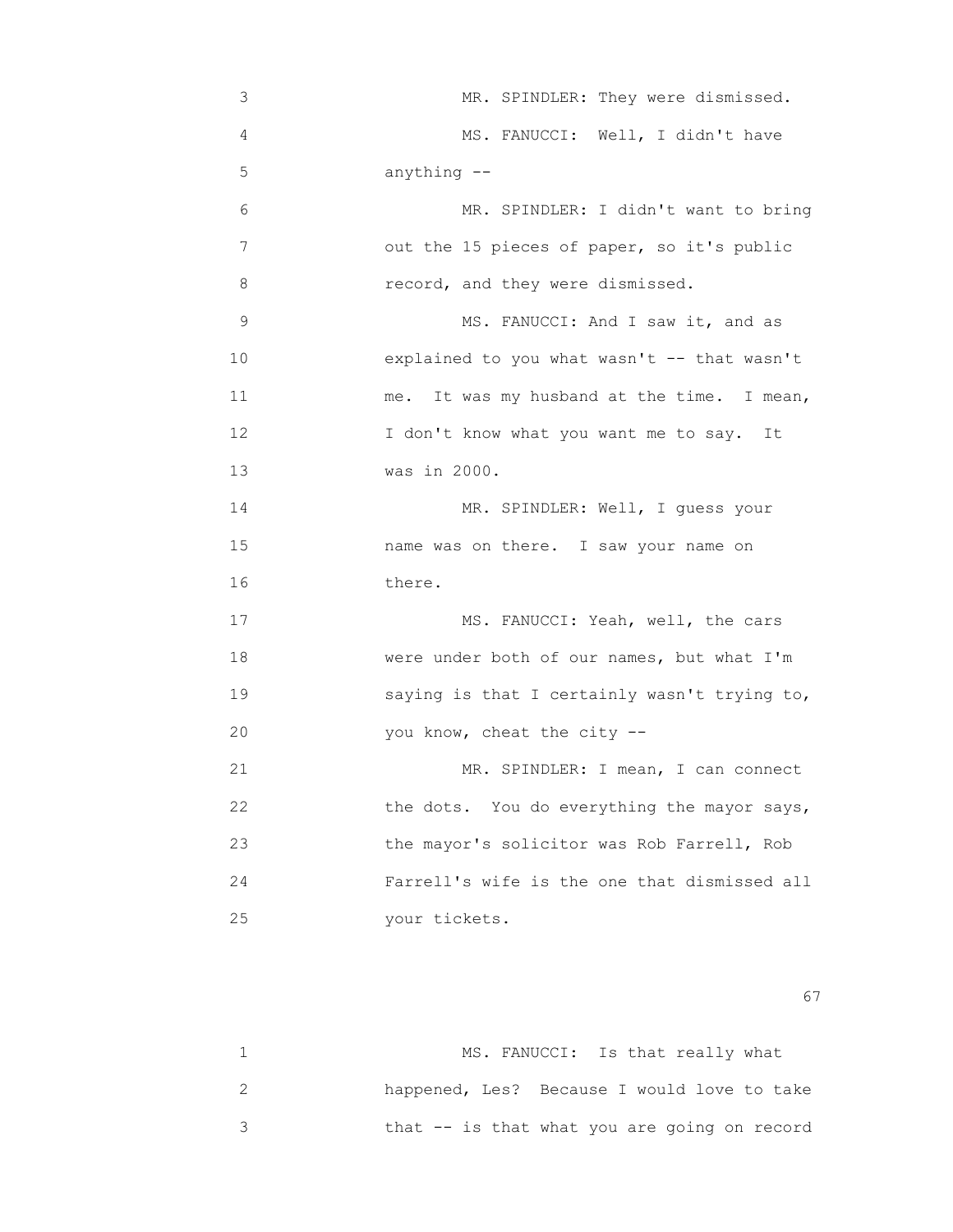3 MR. SPINDLER: They were dismissed. 4 MS. FANUCCI: Well, I didn't have 5 anything -- 6 MR. SPINDLER: I didn't want to bring 7 out the 15 pieces of paper, so it's public 8 record, and they were dismissed. 9 MS. FANUCCI: And I saw it, and as 10 explained to you what wasn't -- that wasn't 11 me. It was my husband at the time. I mean, 12 I don't know what you want me to say. It 13 was in 2000. 14 MR. SPINDLER: Well, I guess your 15 name was on there. I saw your name on 16 there. 17 MS. FANUCCI: Yeah, well, the cars 18 were under both of our names, but what I'm 19 saying is that I certainly wasn't trying to, 20 you know, cheat the city -- 21 MR. SPINDLER: I mean, I can connect 22 the dots. You do everything the mayor says, 23 the mayor's solicitor was Rob Farrell, Rob 24 Farrell's wife is the one that dismissed all 25 your tickets.

experience of the contract of the contract of the contract of the contract of the contract of the contract of the contract of the contract of the contract of the contract of the contract of the contract of the contract of

| MS. FANUCCI: Is that really what              |
|-----------------------------------------------|
| happened, Les? Because I would love to take   |
| that $-$ is that what you are going on record |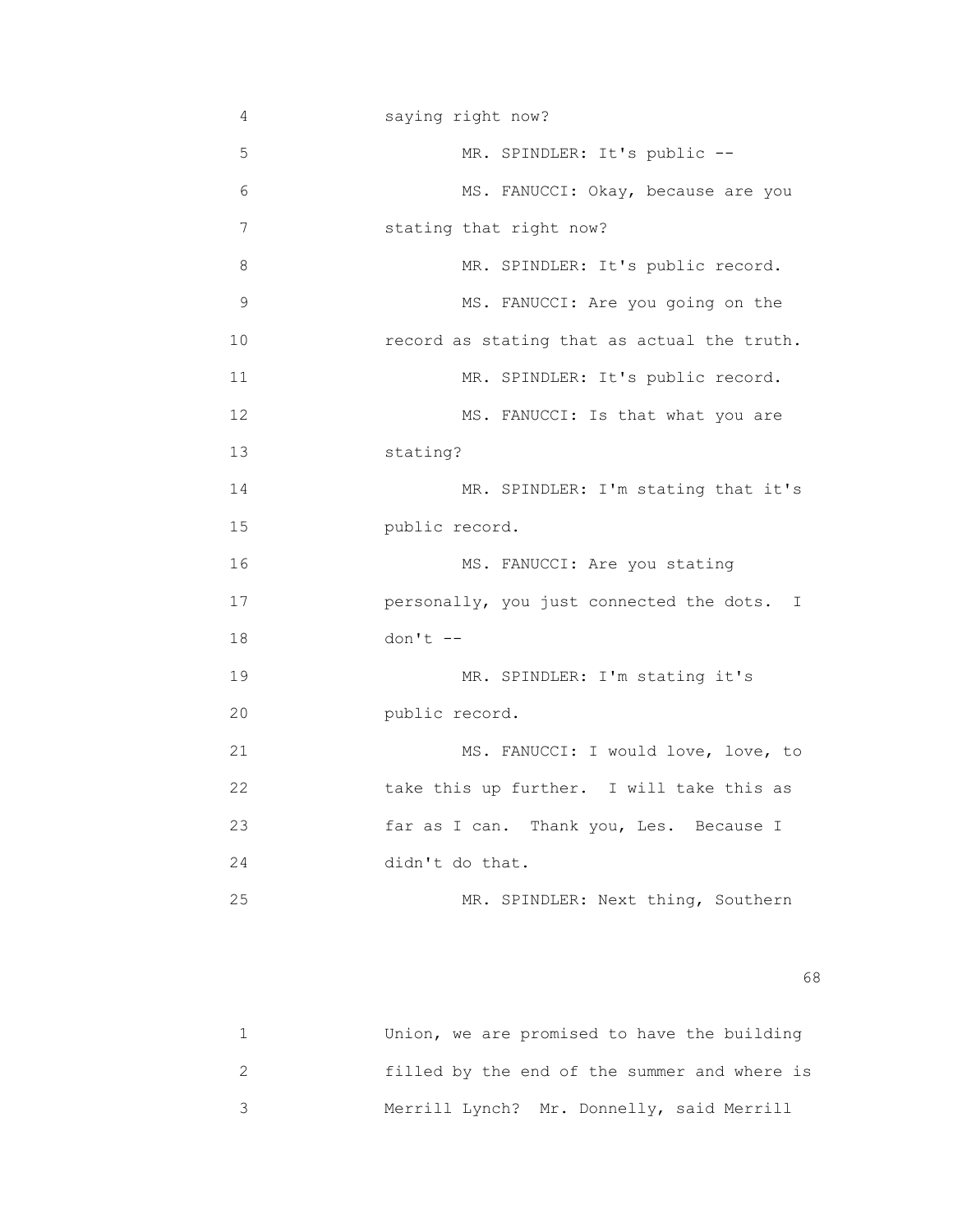| 4           | saying right now?                           |
|-------------|---------------------------------------------|
| 5           | MR. SPINDLER: It's public --                |
| 6           | MS. FANUCCI: Okay, because are you          |
| 7           | stating that right now?                     |
| 8           | MR. SPINDLER: It's public record.           |
| $\mathsf 9$ | MS. FANUCCI: Are you going on the           |
| 10          | record as stating that as actual the truth. |
| 11          | MR. SPINDLER: It's public record.           |
| 12          | MS. FANUCCI: Is that what you are           |
| 13          | stating?                                    |
| 14          | MR. SPINDLER: I'm stating that it's         |
| 15          | public record.                              |
| 16          | MS. FANUCCI: Are you stating                |
| 17          | personally, you just connected the dots. I  |
| 18          | $don't --$                                  |
| 19          | MR. SPINDLER: I'm stating it's              |
| 20          | public record.                              |
| 21          | MS. FANUCCI: I would love, love, to         |
| 22          | take this up further. I will take this as   |
| 23          | far as I can. Thank you, Les. Because I     |
| 24          | didn't do that.                             |
| 25          | MR. SPINDLER: Next thing, Southern          |
|             |                                             |

 $\sim$  68

| Union, we are promised to have the building  |
|----------------------------------------------|
| filled by the end of the summer and where is |
| Merrill Lynch? Mr. Donnelly, said Merrill    |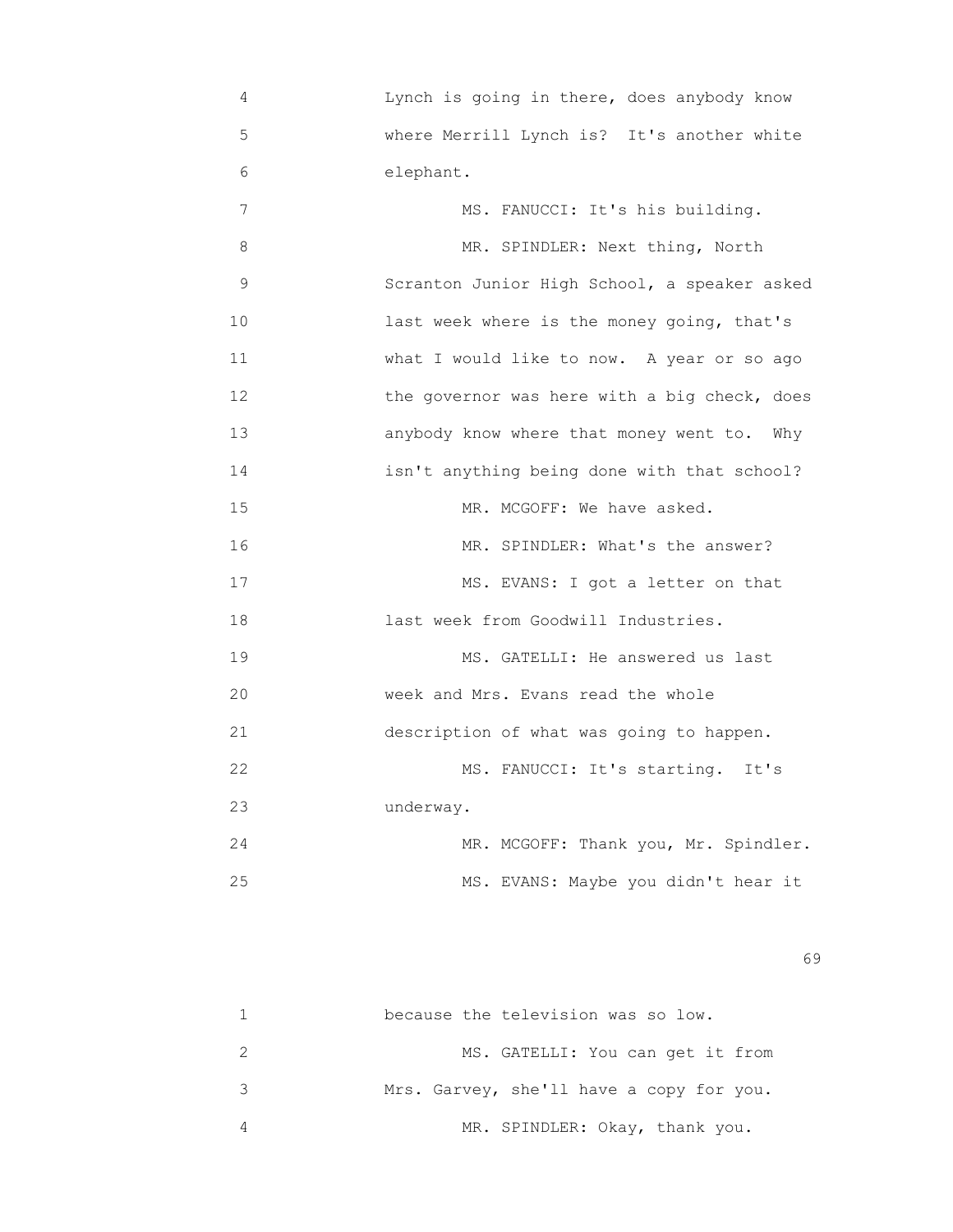4 Lynch is going in there, does anybody know 5 where Merrill Lynch is? It's another white 6 elephant. 7 MS. FANUCCI: It's his building. 8 MR. SPINDLER: Next thing, North 9 Scranton Junior High School, a speaker asked 10 **10** last week where is the money going, that's 11 What I would like to now. A year or so ago 12 the governor was here with a big check, does 13 anybody know where that money went to. Why 14 isn't anything being done with that school? 15 MR. MCGOFF: We have asked. 16 MR. SPINDLER: What's the answer? 17 MS. EVANS: I got a letter on that 18 last week from Goodwill Industries. 19 MS. GATELLI: He answered us last 20 week and Mrs. Evans read the whole 21 description of what was going to happen. 22 MS. FANUCCI: It's starting. It's 23 underway. 24 MR. MCGOFF: Thank you, Mr. Spindler. 25 MS. EVANS: Maybe you didn't hear it

 $\sim$  69

|   | because the television was so low.       |
|---|------------------------------------------|
|   | MS. GATELLI: You can get it from         |
| २ | Mrs. Garvey, she'll have a copy for you. |
|   | MR. SPINDLER: Okay, thank you.           |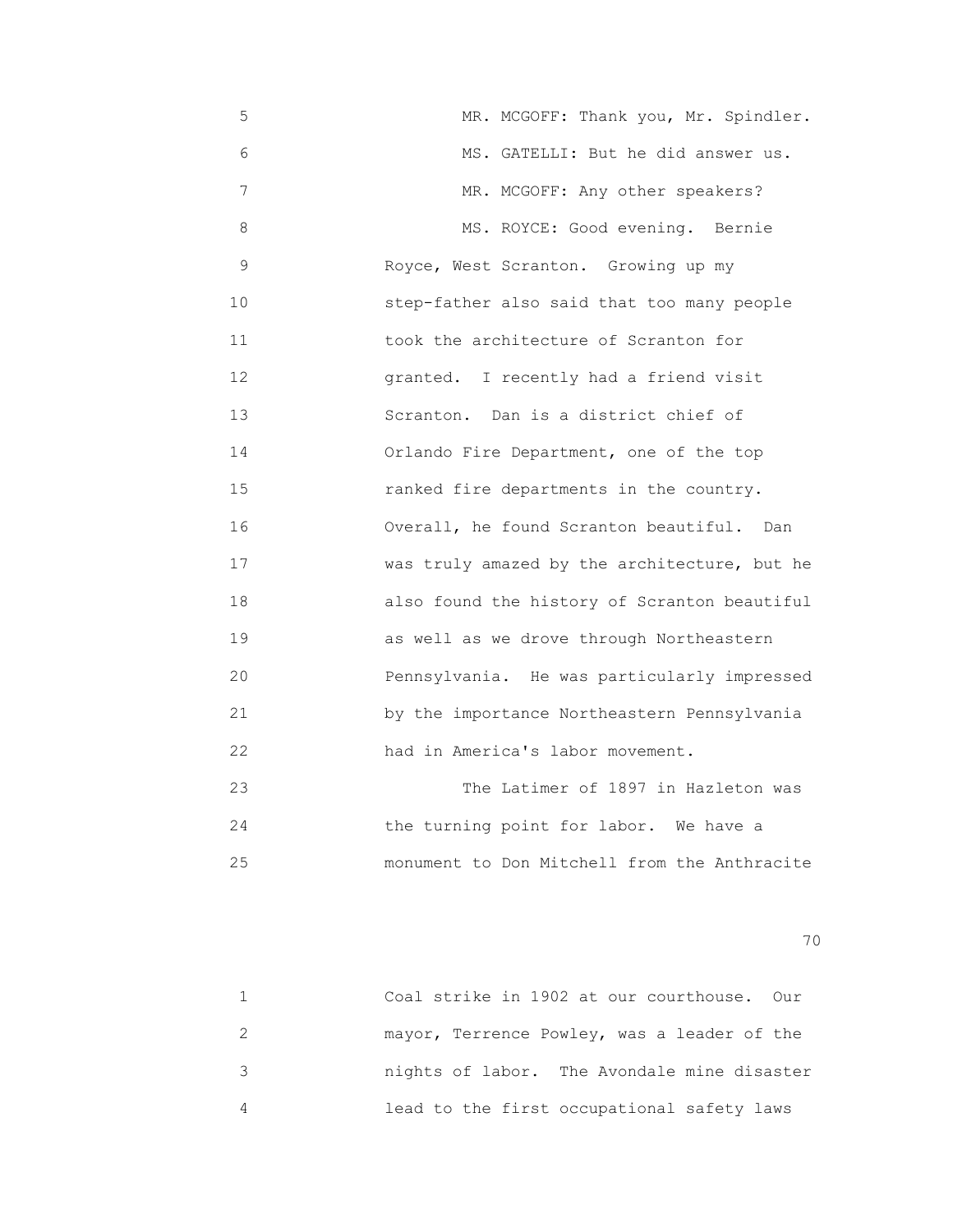5 MR. MCGOFF: Thank you, Mr. Spindler. 6 MS. GATELLI: But he did answer us. 7 MR. MCGOFF: Any other speakers? 8 MS. ROYCE: Good evening. Bernie 9 Royce, West Scranton. Growing up my 10 step-father also said that too many people 11 took the architecture of Scranton for 12 granted. I recently had a friend visit 13 Scranton. Dan is a district chief of 14 Orlando Fire Department, one of the top 15 ranked fire departments in the country. 16 Overall, he found Scranton beautiful. Dan 17 **WAREN** was truly amazed by the architecture, but he 18 also found the history of Scranton beautiful 19 as well as we drove through Northeastern 20 Pennsylvania. He was particularly impressed 21 by the importance Northeastern Pennsylvania 22 had in America's labor movement. 23 The Latimer of 1897 in Hazleton was

 24 the turning point for labor. We have a 25 monument to Don Mitchell from the Anthracite

| Coal strike in 1902 at our courthouse. Our  |
|---------------------------------------------|
| mayor, Terrence Powley, was a leader of the |
| nights of labor. The Avondale mine disaster |
| lead to the first occupational safety laws  |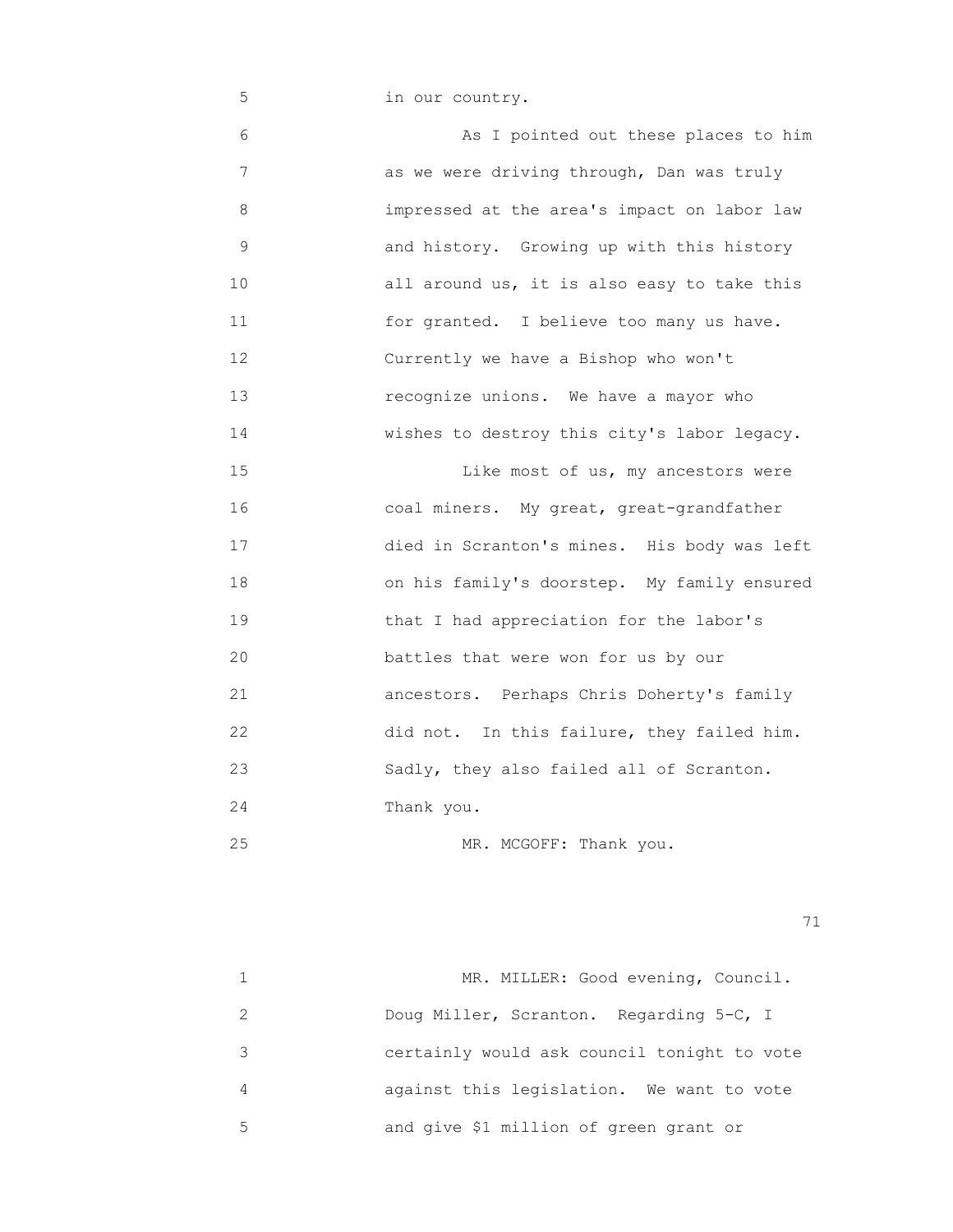5 in our country. 6 As I pointed out these places to him 7 as we were driving through, Dan was truly 8 impressed at the area's impact on labor law 9 and history. Growing up with this history 10 all around us, it is also easy to take this 11 for granted. I believe too many us have. 12 Currently we have a Bishop who won't 13 recognize unions. We have a mayor who 14 **wishes to destroy this city's labor legacy.** 15 **15 Like most of us, my ancestors were**  16 coal miners. My great, great-grandfather 17 died in Scranton's mines. His body was left 18 on his family's doorstep. My family ensured 19 **19** that I had appreciation for the labor's 20 battles that were won for us by our 21 ancestors. Perhaps Chris Doherty's family 22 did not. In this failure, they failed him. 23 Sadly, they also failed all of Scranton. 24 Thank you.

25 MR. MCGOFF: Thank you.

|               | MR. MILLER: Good evening, Council.          |
|---------------|---------------------------------------------|
| $\mathcal{P}$ | Doug Miller, Scranton. Regarding 5-C, I     |
| 3             | certainly would ask council tonight to vote |
| 4             | against this legislation. We want to vote   |
| 5.            | and give \$1 million of green grant or      |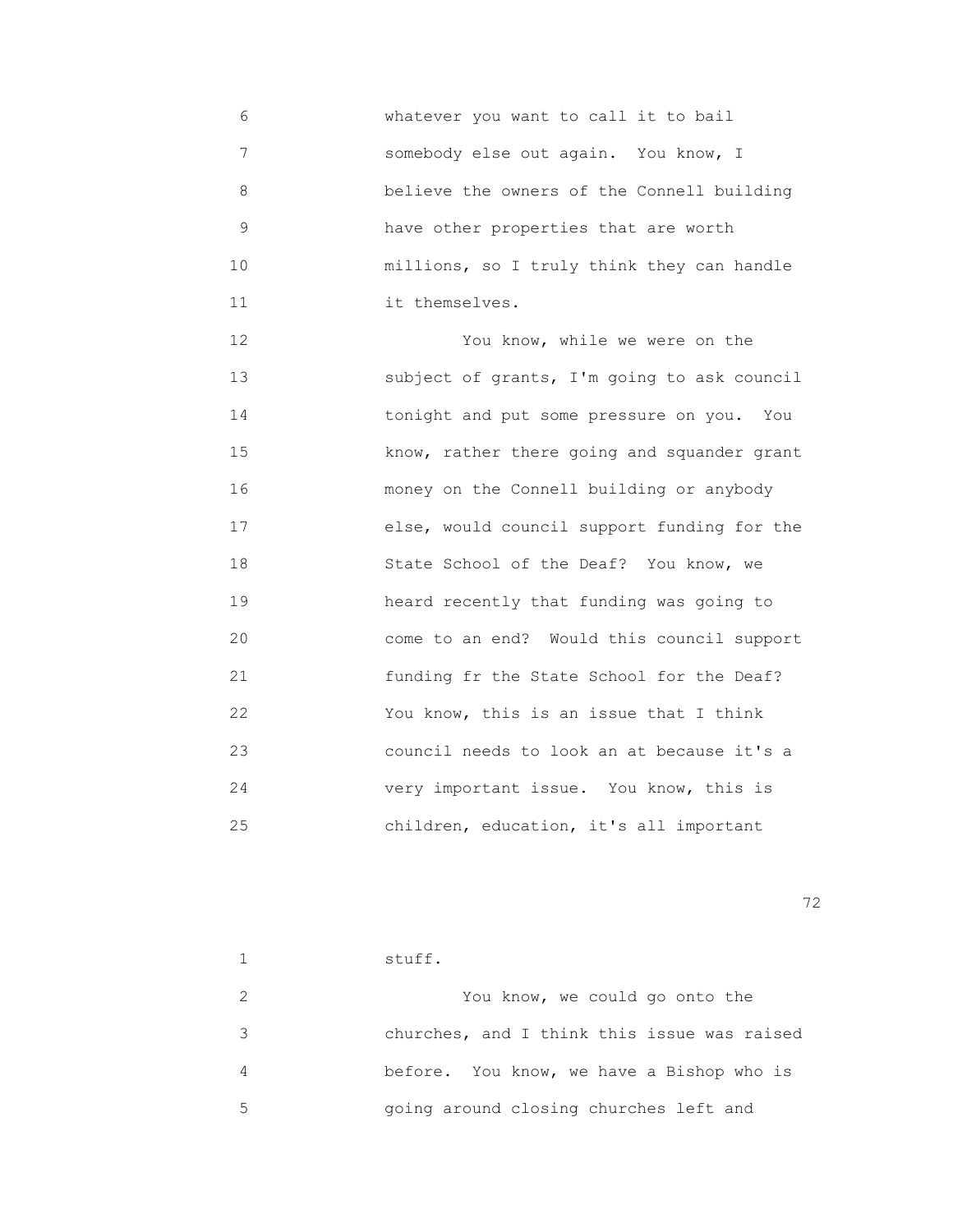6 whatever you want to call it to bail 7 somebody else out again. You know, I 8 believe the owners of the Connell building 9 have other properties that are worth 10 **millions, so I truly think they can handle** 11 it themselves.

 12 You know, while we were on the 13 subject of grants, I'm going to ask council 14 tonight and put some pressure on you. You 15 **15 Reserve Know, rather there going and squander grant**  16 money on the Connell building or anybody 17 else, would council support funding for the 18 State School of the Deaf? You know, we 19 heard recently that funding was going to 20 come to an end? Would this council support 21 funding fr the State School for the Deaf? 22 You know, this is an issue that I think 23 council needs to look an at because it's a 24 very important issue. You know, this is 25 children, education, it's all important

<u>72</u> — Политика и Станиција и Станиција и Станиција и Станиција и Станиција и Станиција и Станиција и Станиција<br>Во селото се постаниција и Станиција и Станиција и Станиција и Станиција и Станиција и Станиција и Станиција

|   | stuff.                                      |
|---|---------------------------------------------|
|   | You know, we could go onto the              |
| 3 | churches, and I think this issue was raised |
| 4 | before. You know, we have a Bishop who is   |
| 5 | going around closing churches left and      |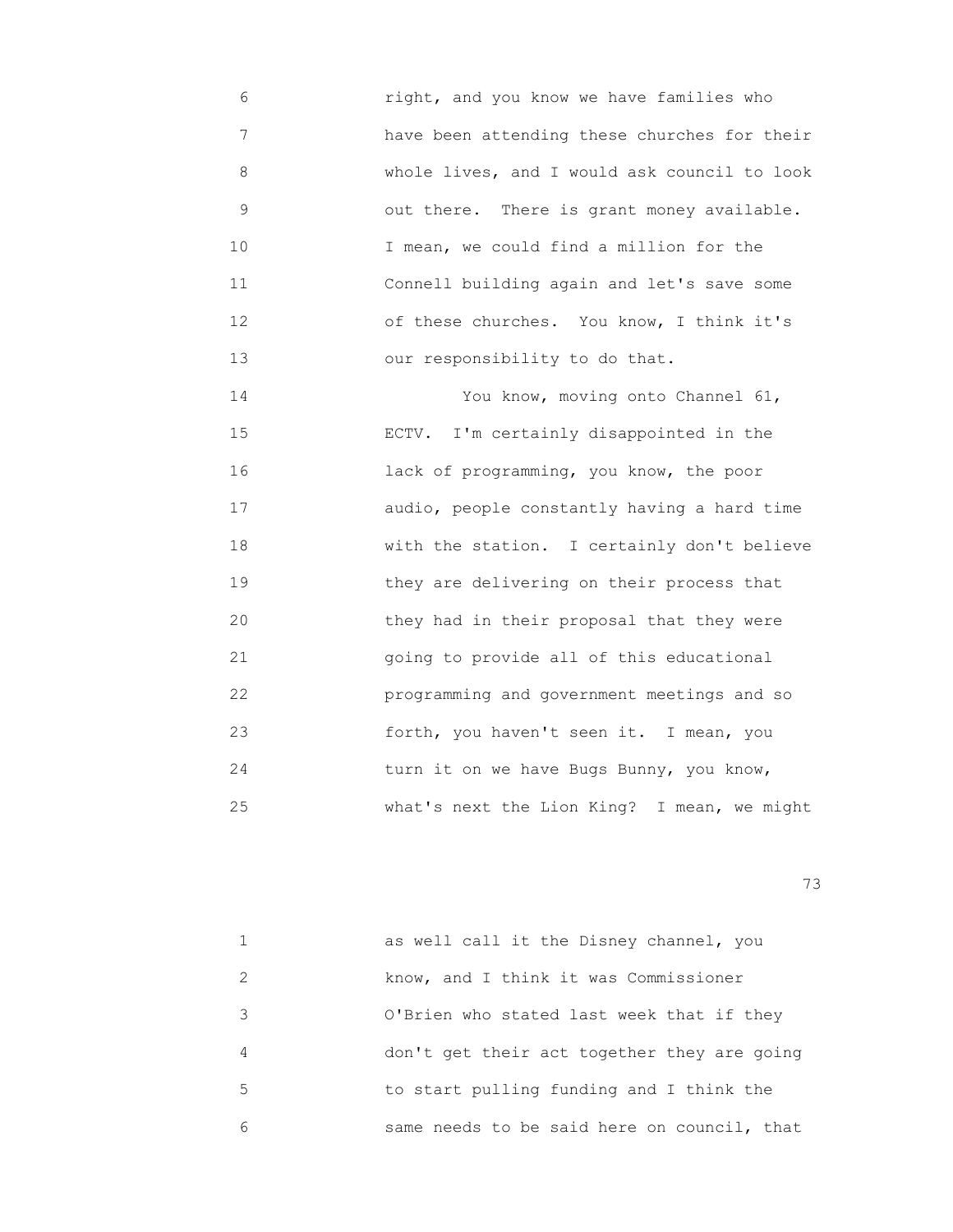6 right, and you know we have families who 7 have been attending these churches for their 8 whole lives, and I would ask council to look 9 out there. There is grant money available. 10 I mean, we could find a million for the 11 Connell building again and let's save some 12 of these churches. You know, I think it's 13 our responsibility to do that.

 14 You know, moving onto Channel 61, 15 ECTV. I'm certainly disappointed in the 16 lack of programming, you know, the poor 17 audio, people constantly having a hard time 18 with the station. I certainly don't believe 19 they are delivering on their process that 20 they had in their proposal that they were 21 going to provide all of this educational 22 programming and government meetings and so 23 forth, you haven't seen it. I mean, you 24 turn it on we have Bugs Bunny, you know, 25 what's next the Lion King? I mean, we might

|                             | as well call it the Disney channel, you     |
|-----------------------------|---------------------------------------------|
| $\mathcal{D}_{\mathcal{A}}$ | know, and I think it was Commissioner       |
| 3                           | O'Brien who stated last week that if they   |
| 4                           | don't get their act together they are going |
| 5                           | to start pulling funding and I think the    |
| 6                           | same needs to be said here on council, that |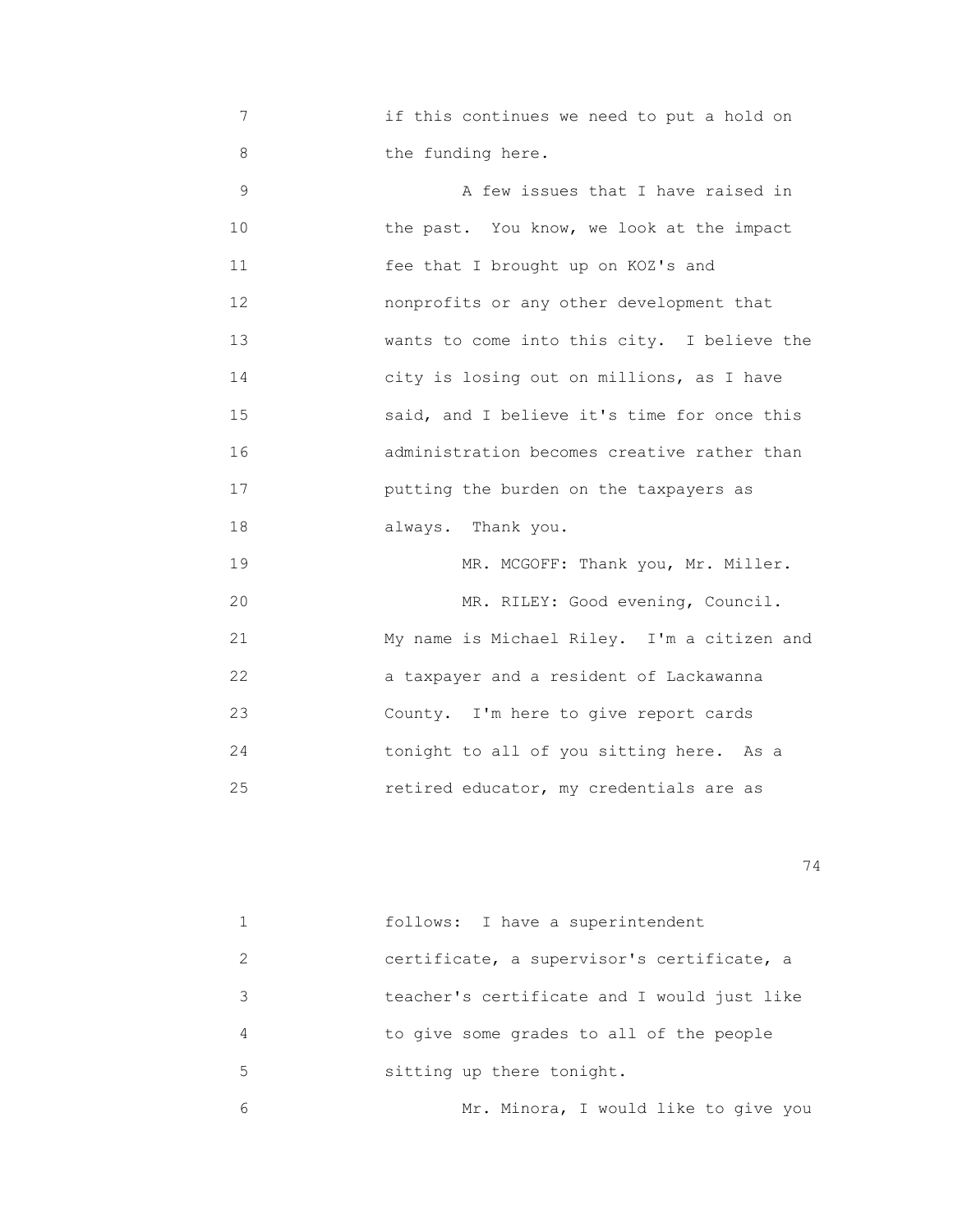7 if this continues we need to put a hold on 8 the funding here.

 9 A few issues that I have raised in 10 **the past.** You know, we look at the impact 11 fee that I brought up on KOZ's and 12 nonprofits or any other development that 13 **Wants to come into this city.** I believe the 14 city is losing out on millions, as I have 15 said, and I believe it's time for once this 16 administration becomes creative rather than 17 putting the burden on the taxpayers as 18 always. Thank you. 19 MR. MCGOFF: Thank you, Mr. Miller.

20 MR. RILEY: Good evening, Council. 21 My name is Michael Riley. I'm a citizen and 22 a taxpayer and a resident of Lackawanna 23 County. I'm here to give report cards 24 tonight to all of you sitting here. As a 25 retired educator, my credentials are as

|               | follows: I have a superintendent            |
|---------------|---------------------------------------------|
| $\mathcal{L}$ | certificate, a supervisor's certificate, a  |
| 3             | teacher's certificate and I would just like |
| 4             | to give some grades to all of the people    |
| 5             | sitting up there tonight.                   |
| 6             | Mr. Minora, I would like to give you        |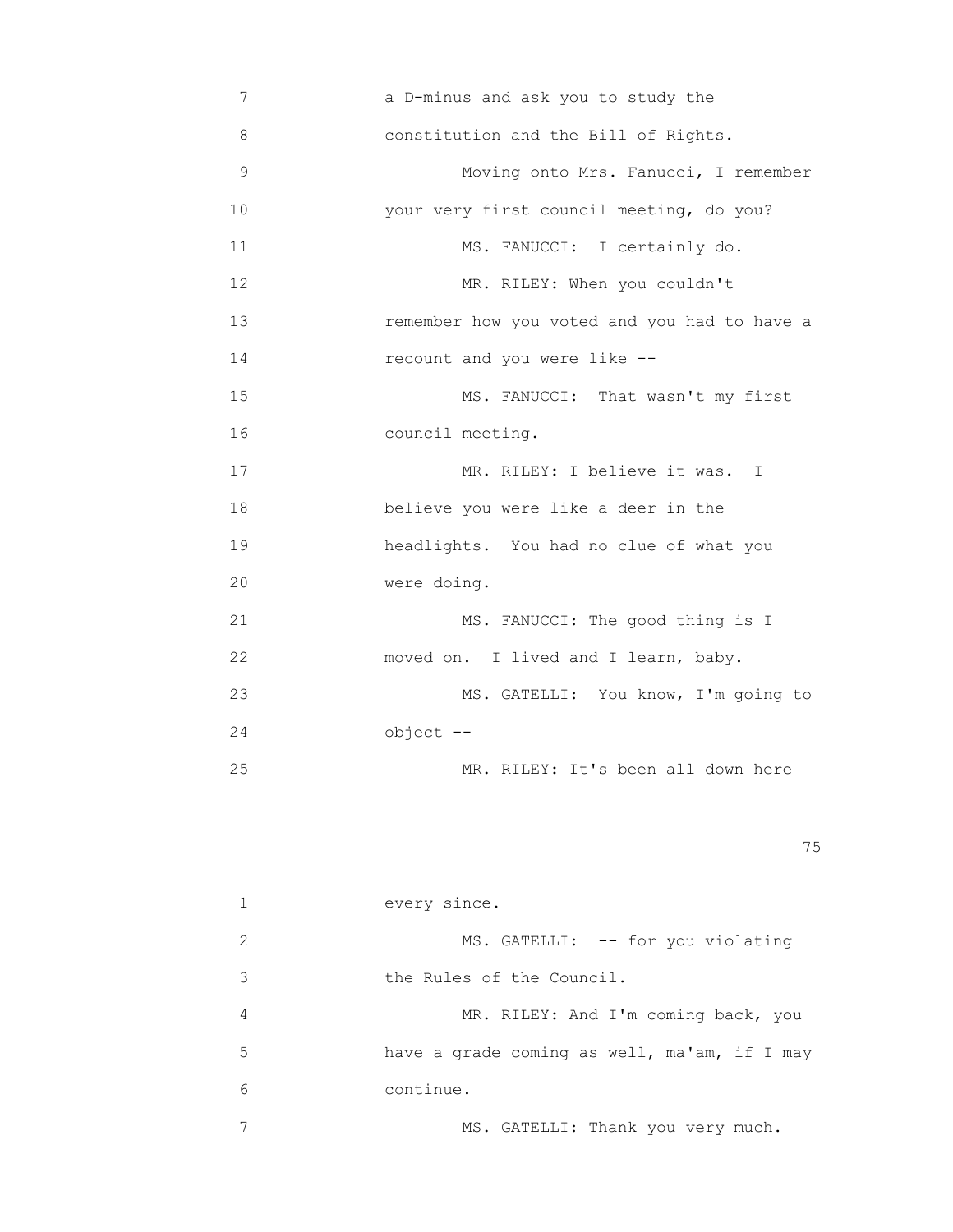7 **a** D-minus and ask you to study the 8 constitution and the Bill of Rights. 9 Moving onto Mrs. Fanucci, I remember 10 your very first council meeting, do you? 11 MS. FANUCCI: I certainly do. 12 MR. RILEY: When you couldn't 13 remember how you voted and you had to have a 14 recount and you were like -- 15 MS. FANUCCI: That wasn't my first 16 council meeting. 17 MR. RILEY: I believe it was. I 18 believe you were like a deer in the 19 headlights. You had no clue of what you 20 were doing. 21 MS. FANUCCI: The good thing is I 22 moved on. I lived and I learn, baby. 23 MS. GATELLI: You know, I'm going to 24 object -- 25 MR. RILEY: It's been all down here

na matsay na katalog as na katalog as na katalog as na katalog as na katalog as na katalog as na katalog as na<br>Tagairta

|               | every since.                                 |
|---------------|----------------------------------------------|
| $\mathcal{L}$ | MS. GATELLI: -- for you violating            |
| 3             | the Rules of the Council.                    |
| 4             | MR. RILEY: And I'm coming back, you          |
| 5             | have a grade coming as well, ma'am, if I may |
| 6             | continue.                                    |
|               | MS. GATELLI: Thank you very much.            |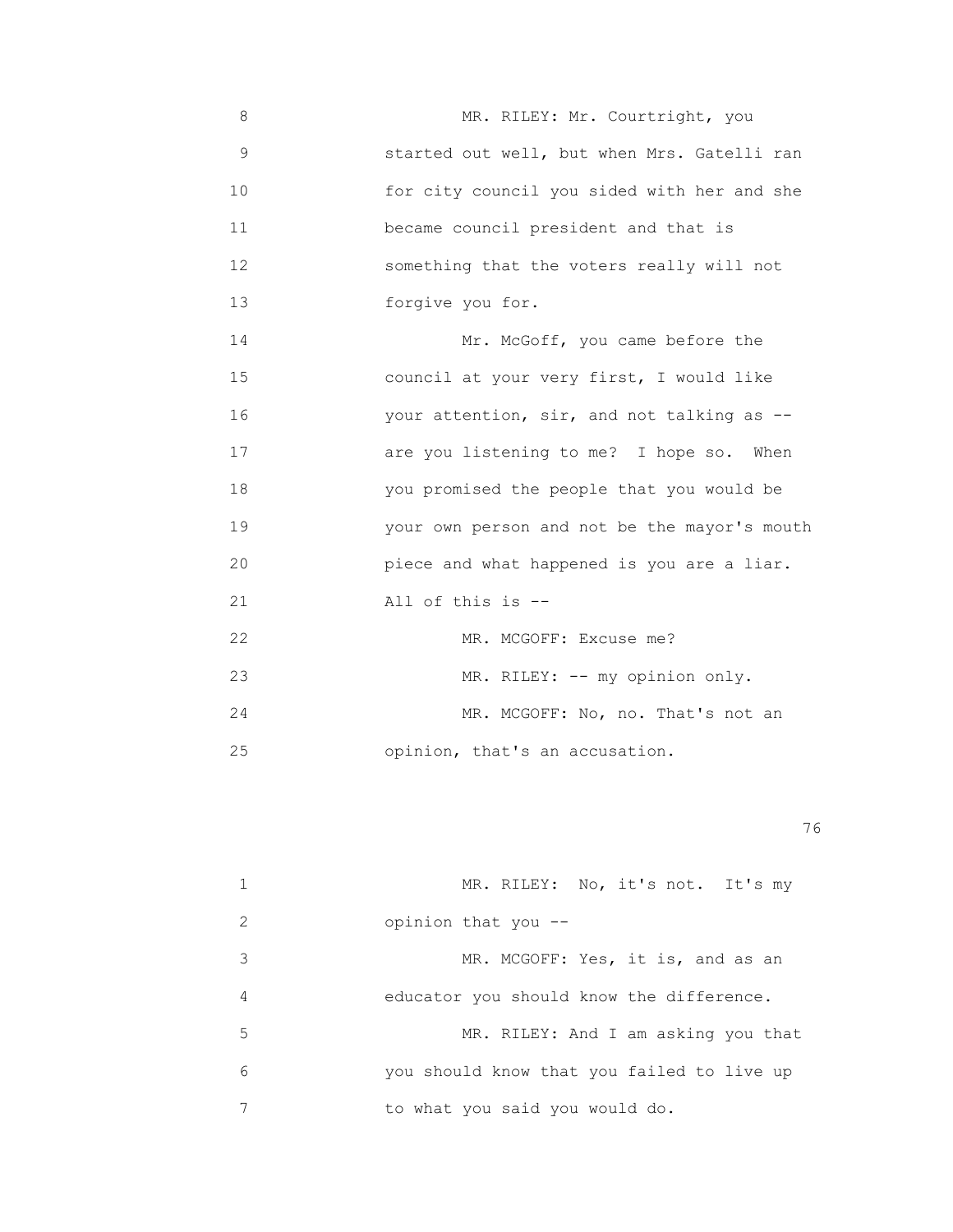8 MR. RILEY: Mr. Courtright, you 9 started out well, but when Mrs. Gatelli ran 10 for city council you sided with her and she 11 became council president and that is 12 something that the voters really will not 13 forgive you for.

14 Mr. McGoff, you came before the 15 council at your very first, I would like 16 your attention, sir, and not talking as -- 17 are you listening to me? I hope so. When 18 you promised the people that you would be 19 your own person and not be the mayor's mouth 20 piece and what happened is you are a liar. 21 All of this is --

| クク | MR. MCGOFF: Excuse me?            |
|----|-----------------------------------|
| 23 | MR. RILEY: -- my opinion only.    |
| 24 | MR. MCGOFF: No, no. That's not an |
| 25 | opinion, that's an accusation.    |

<u>76 and 2001 and 2002 and 2003 and 2003 and 2003 and 2003 and 2003 and 2003 and 2003 and 2003 and 2003 and 200</u>

|               | MR. RILEY: No, it's not. It's my           |
|---------------|--------------------------------------------|
| $\mathcal{L}$ | opinion that you --                        |
| 3             | MR. MCGOFF: Yes, it is, and as an          |
| 4             | educator you should know the difference.   |
| 5             | MR. RILEY: And I am asking you that        |
| 6             | you should know that you failed to live up |
|               | to what you said you would do.             |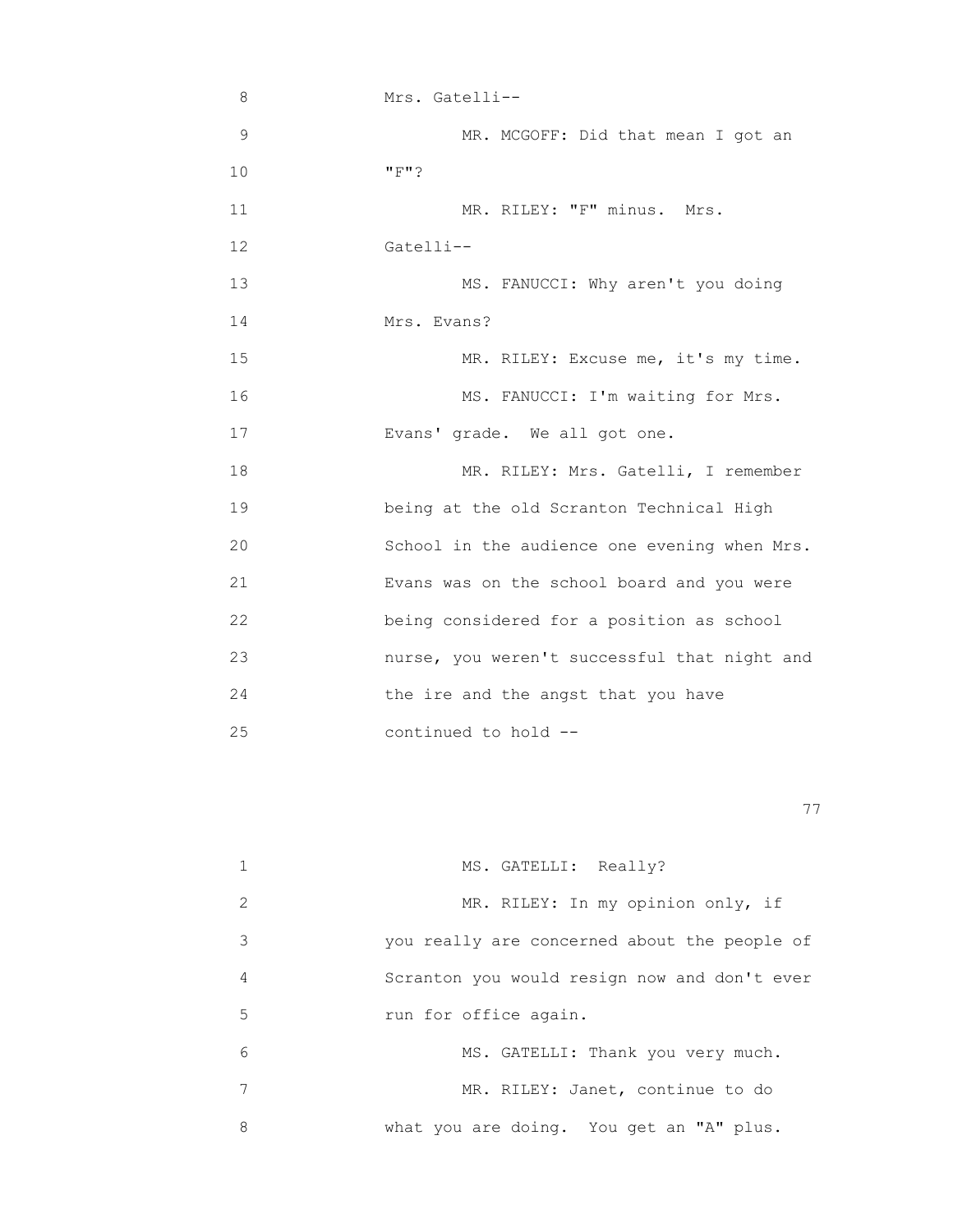| 8             | Mrs. Gatelli--                               |
|---------------|----------------------------------------------|
| $\mathcal{G}$ | MR. MCGOFF: Did that mean I got an           |
| 10            | "F"?                                         |
| 11            | MR. RILEY: "F" minus. Mrs.                   |
| 12            | Gatelli--                                    |
| 13            | MS. FANUCCI: Why aren't you doing            |
| 14            | Mrs. Evans?                                  |
| 15            | MR. RILEY: Excuse me, it's my time.          |
| 16            | MS. FANUCCI: I'm waiting for Mrs.            |
| 17            | Evans' grade. We all got one.                |
| 18            | MR. RILEY: Mrs. Gatelli, I remember          |
| 19            | being at the old Scranton Technical High     |
| 20            | School in the audience one evening when Mrs. |
| 21            | Evans was on the school board and you were   |
| 22            | being considered for a position as school    |
| 23            | nurse, you weren't successful that night and |
| 24            | the ire and the angst that you have          |
| 25            | continued to hold --                         |

последници производите в последници по село в 1979 године. В 1979 године по село в 1979 године по село в 1979<br>В 1979 године по село в 1979 године по село в 1979 године по село в 1979 године по село в 1979 године по село

|               | MS. GATELLI: Really?                         |
|---------------|----------------------------------------------|
| $\mathcal{L}$ | MR. RILEY: In my opinion only, if            |
| 3             | you really are concerned about the people of |
| 4             | Scranton you would resign now and don't ever |
| 5             | run for office again.                        |
| 6             | MS. GATELLI: Thank you very much.            |
|               | MR. RILEY: Janet, continue to do             |
| 8             | what you are doing. You get an "A" plus.     |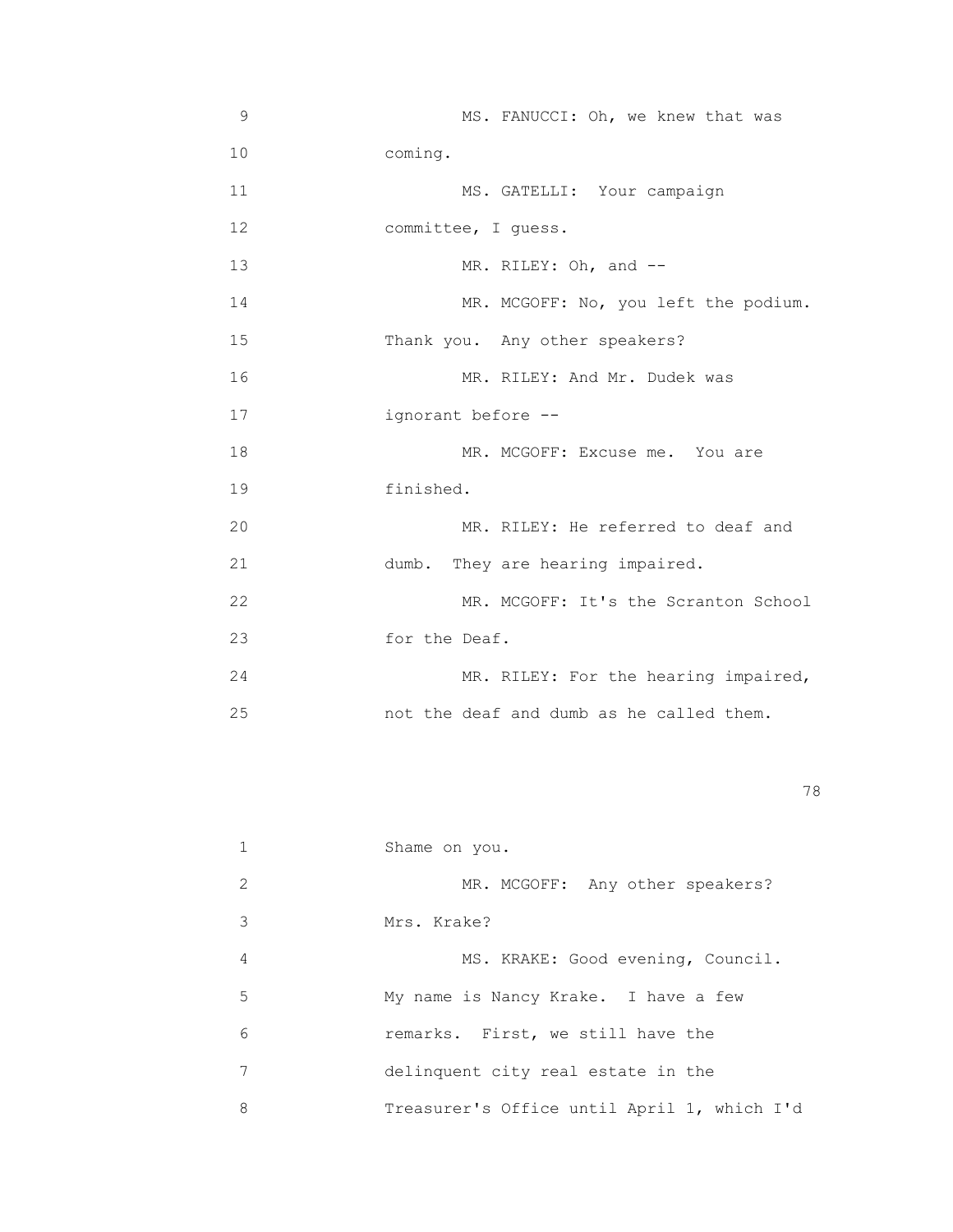| 9     | MS. FANUCCI: Oh, we knew that was        |
|-------|------------------------------------------|
| 10    | coming.                                  |
| 11    | MS. GATELLI: Your campaign               |
| 12    | committee, I quess.                      |
| 13    | MR. RILEY: Oh, and --                    |
| 14    | MR. MCGOFF: No, you left the podium.     |
| 15    | Thank you. Any other speakers?           |
| 16    | MR. RILEY: And Mr. Dudek was             |
| 17    | ignorant before --                       |
| 18    | MR. MCGOFF: Excuse me. You are           |
| 19    | finished.                                |
| 20    | MR. RILEY: He referred to deaf and       |
| 21    | dumb. They are hearing impaired.         |
| 22    | MR. MCGOFF: It's the Scranton School     |
| 23    | for the Deaf.                            |
| 24    | MR. RILEY: For the hearing impaired,     |
| 25    | not the deaf and dumb as he called them. |
|       |                                          |
|       | 78                                       |
|       |                                          |
| $1\,$ | Shame on you.                            |

|               | Shame on you.                               |
|---------------|---------------------------------------------|
| $\mathcal{L}$ | MR. MCGOFF: Any other speakers?             |
| 3             | Mrs. Krake?                                 |
| 4             | MS. KRAKE: Good evening, Council.           |
| 5             | My name is Nancy Krake. I have a few        |
| 6             | remarks. First, we still have the           |
|               | delinquent city real estate in the          |
| 8             | Treasurer's Office until April 1, which I'd |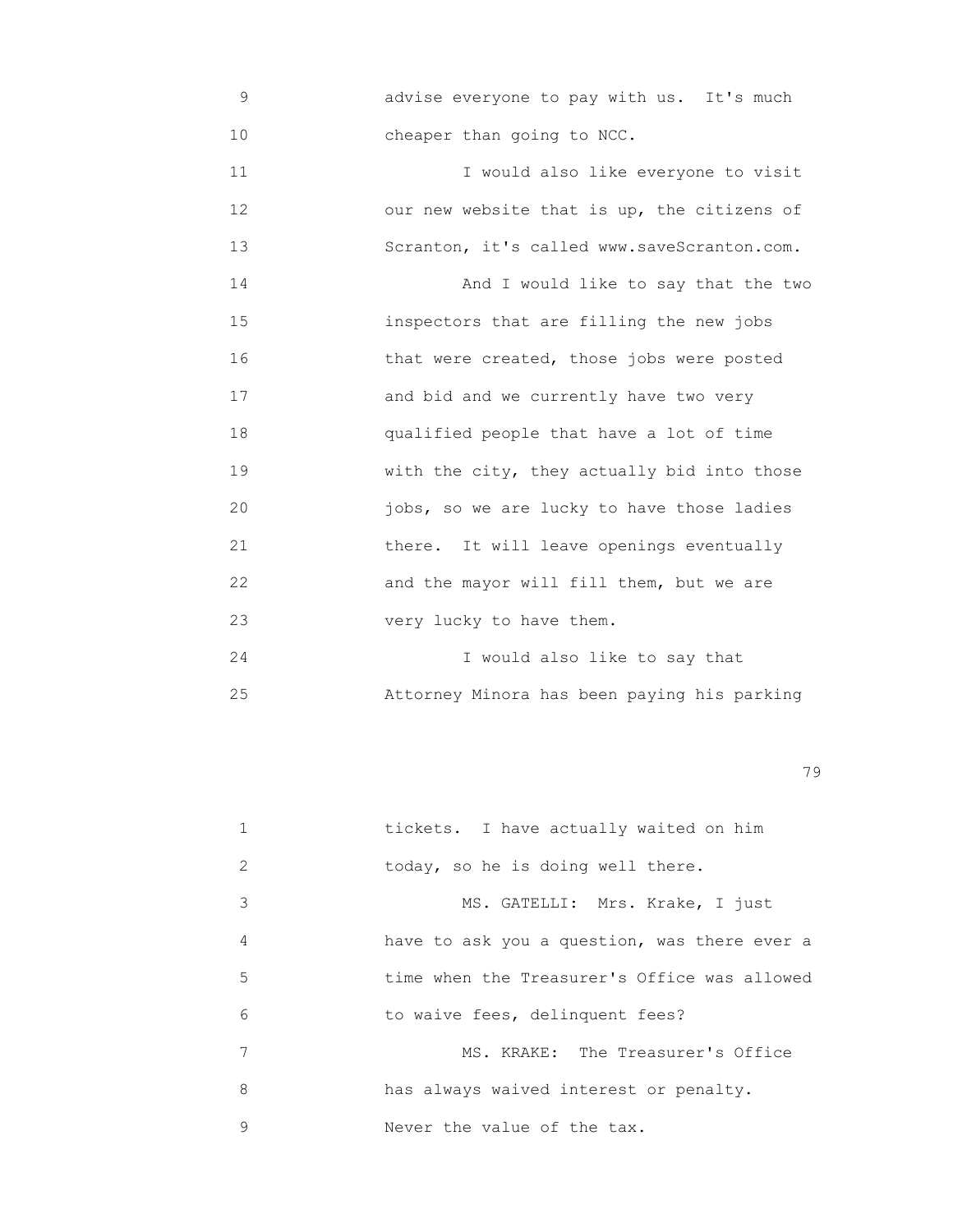9 advise everyone to pay with us. It's much 10 **cheaper than going to NCC.** 

 11 I would also like everyone to visit 12 our new website that is up, the citizens of 13 Scranton, it's called www.saveScranton.com. 14 And I would like to say that the two 15 inspectors that are filling the new jobs 16 that were created, those jobs were posted 17 and bid and we currently have two very 18 qualified people that have a lot of time 19 **with the city, they actually bid into those**  20 jobs, so we are lucky to have those ladies 21 there. It will leave openings eventually 22 and the mayor will fill them, but we are 23 very lucky to have them.

 24 I would also like to say that 25 Attorney Minora has been paying his parking

|   | tickets. I have actually waited on him       |
|---|----------------------------------------------|
| 2 | today, so he is doing well there.            |
| 3 | MS. GATELLI: Mrs. Krake, I just              |
| 4 | have to ask you a question, was there ever a |
| 5 | time when the Treasurer's Office was allowed |
| 6 | to waive fees, delinquent fees?              |
| 7 | MS. KRAKE: The Treasurer's Office            |
| 8 | has always waived interest or penalty.       |
| 9 | Never the value of the tax.                  |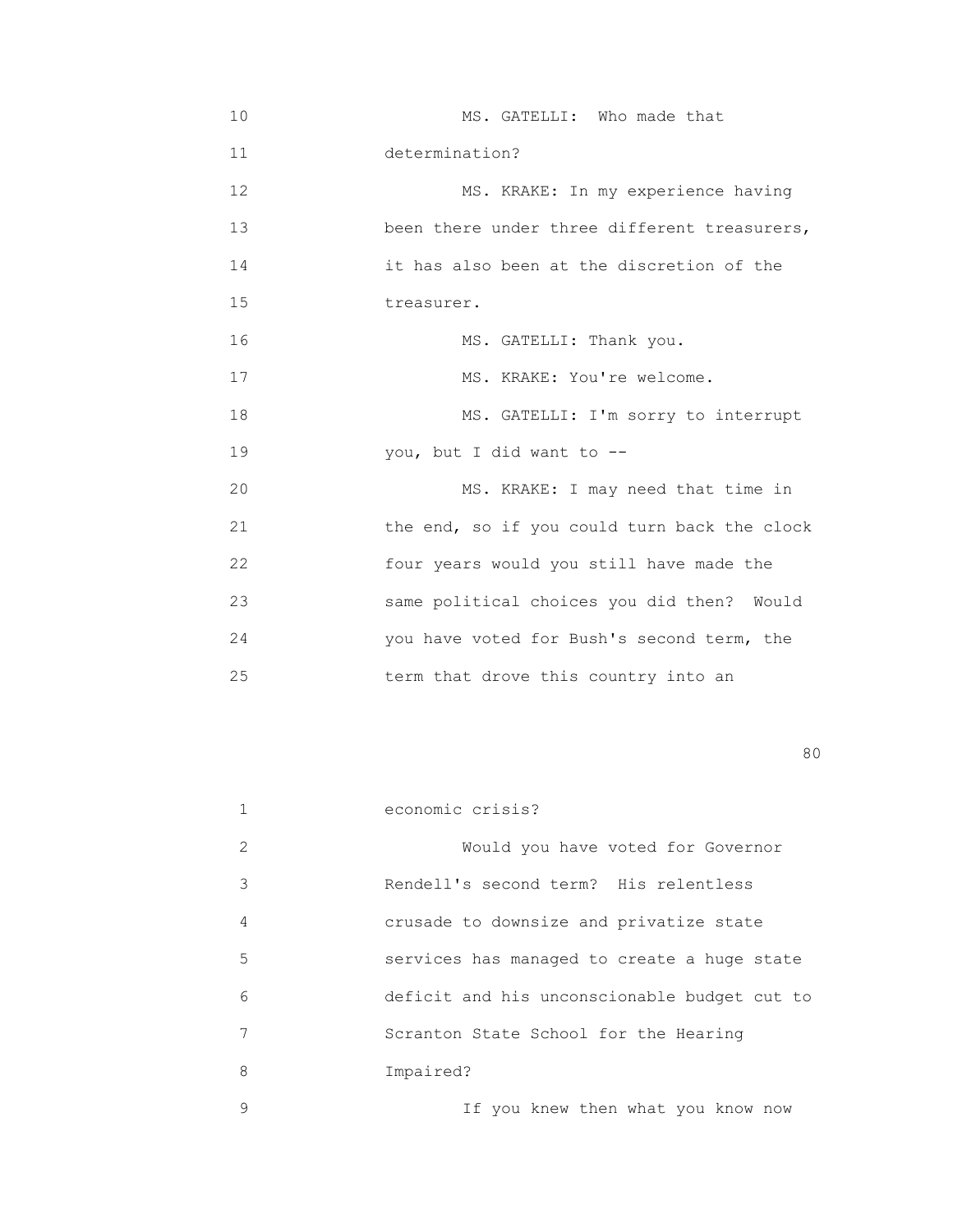10 MS. GATELLI: Who made that 11 determination? 12 MS. KRAKE: In my experience having 13 been there under three different treasurers, 14 it has also been at the discretion of the 15 **treasurer.**  16 MS. GATELLI: Thank you. 17 MS. KRAKE: You're welcome. 18 MS. GATELLI: I'm sorry to interrupt 19 you, but I did want to -- 20 MS. KRAKE: I may need that time in 21 the end, so if you could turn back the clock 22 four years would you still have made the 23 same political choices you did then? Would 24 you have voted for Bush's second term, the 25 term that drove this country into an

experience of the state of the state of the state of the state of the state of the state of the state of the s

|   | economic crisis?                             |
|---|----------------------------------------------|
| 2 | Would you have voted for Governor            |
| 3 | Rendell's second term? His relentless        |
| 4 | crusade to downsize and privatize state      |
| 5 | services has managed to create a huge state  |
| 6 | deficit and his unconscionable budget cut to |
| 7 | Scranton State School for the Hearing        |
| 8 | Impaired?                                    |
| 9 | If you knew then what you know now           |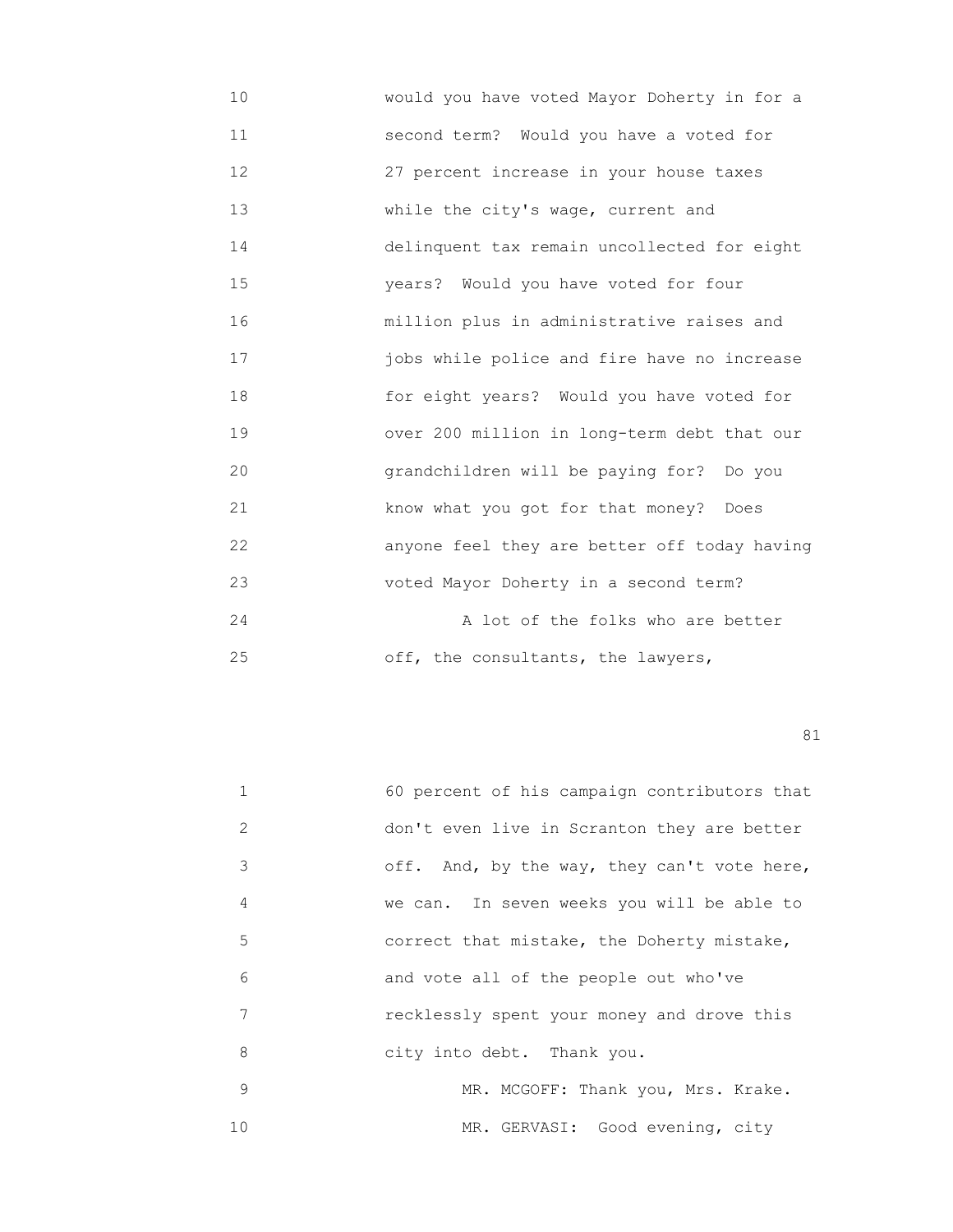10 would you have voted Mayor Doherty in for a 11 second term? Would you have a voted for 12 27 percent increase in your house taxes 13 While the city's wage, current and 14 delinquent tax remain uncollected for eight 15 years? Would you have voted for four 16 million plus in administrative raises and 17 jobs while police and fire have no increase 18 for eight years? Would you have voted for 19 over 200 million in long-term debt that our 20 grandchildren will be paying for? Do you 21 know what you got for that money? Does 22 anyone feel they are better off today having 23 voted Mayor Doherty in a second term? 24 **a a** lot of the folks who are better 25 off, the consultants, the lawyers,

|    | 60 percent of his campaign contributors that |
|----|----------------------------------------------|
| 2  | don't even live in Scranton they are better  |
| 3  | off. And, by the way, they can't vote here,  |
| 4  | we can. In seven weeks you will be able to   |
| 5  | correct that mistake, the Doherty mistake,   |
| 6  | and vote all of the people out who've        |
| 7  | recklessly spent your money and drove this   |
| 8  | city into debt. Thank you.                   |
| 9  | MR. MCGOFF: Thank you, Mrs. Krake.           |
| 10 | MR. GERVASI: Good evening, city              |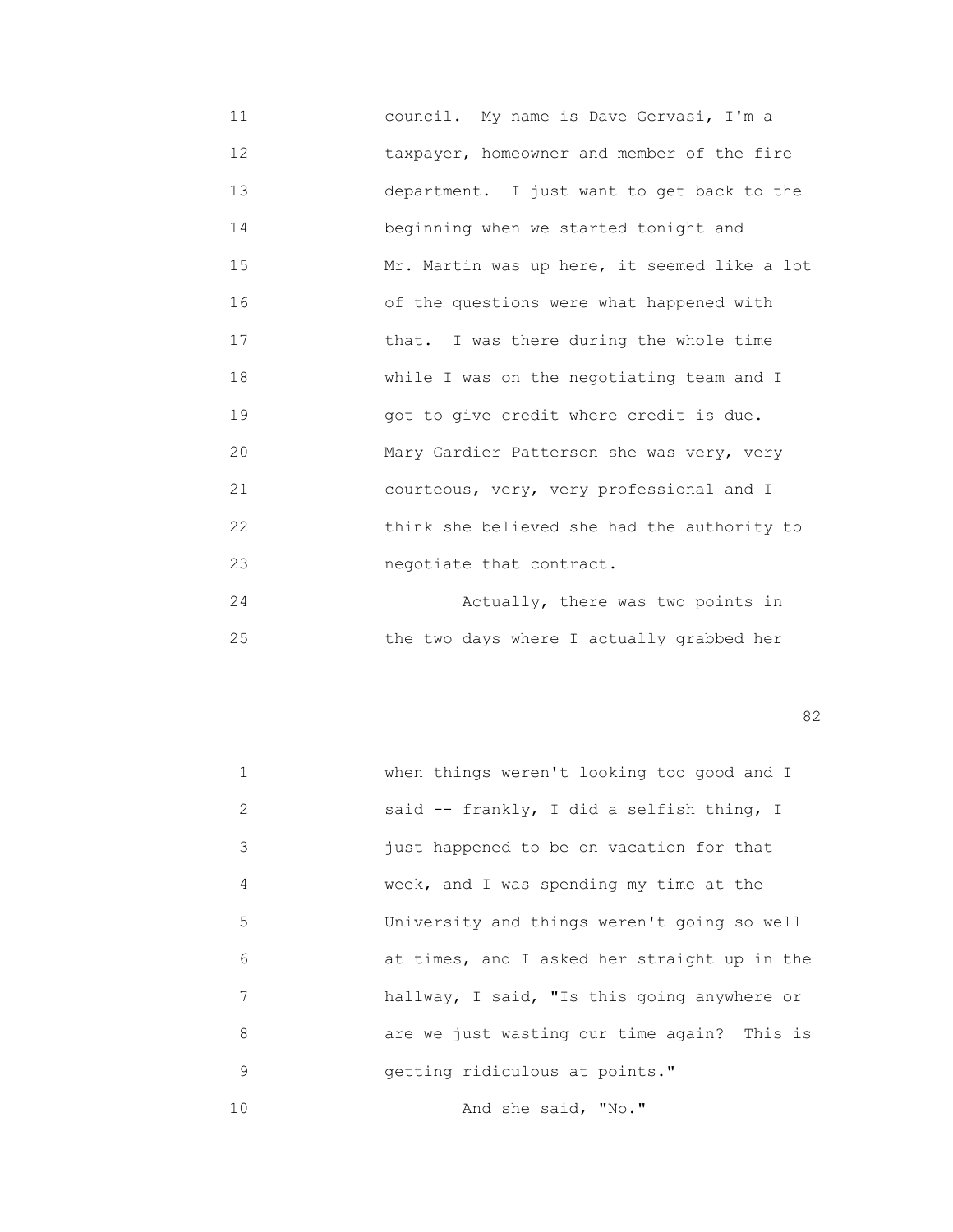11 council. My name is Dave Gervasi, I'm a 12 **taxpayer, homeowner and member of the fire**  13 department. I just want to get back to the 14 **beginning when we started tonight and** 15 Mr. Martin was up here, it seemed like a lot 16 of the questions were what happened with 17 **that.** I was there during the whole time 18 while I was on the negotiating team and I 19 got to give credit where credit is due. 20 Mary Gardier Patterson she was very, very 21 courteous, very, very professional and I 22 think she believed she had the authority to 23 negotiate that contract. 24 Actually, there was two points in

25 the two days where I actually grabbed her

experience of the state of the state of the state of the state of the state of the state of the state of the s

| $\mathbf{1}$ | when things weren't looking too good and I   |
|--------------|----------------------------------------------|
| 2            | said -- frankly, I did a selfish thing, I    |
| 3            | just happened to be on vacation for that     |
| 4            | week, and I was spending my time at the      |
| 5            | University and things weren't going so well  |
| 6            | at times, and I asked her straight up in the |
| 7            | hallway, I said, "Is this going anywhere or  |
| 8            | are we just wasting our time again? This is  |
| 9            | getting ridiculous at points."               |
| 10           | And she said, "No."                          |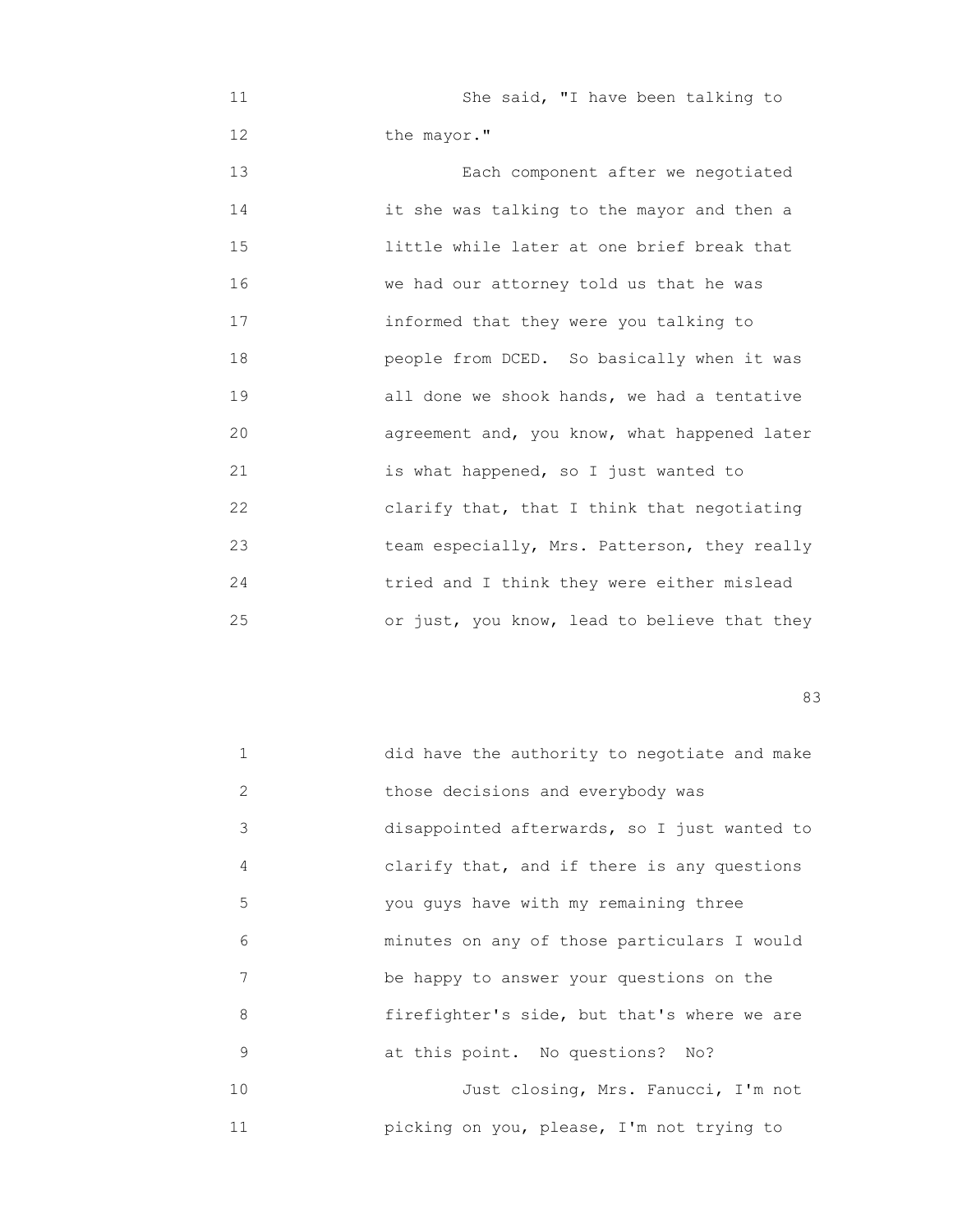11 She said, "I have been talking to 12 the mayor." 13 Each component after we negotiated 14 it she was talking to the mayor and then a 15 little while later at one brief break that 16 we had our attorney told us that he was 17 informed that they were you talking to 18 people from DCED. So basically when it was 19 all done we shook hands, we had a tentative 20 agreement and, you know, what happened later 21 is what happened, so I just wanted to 22 clarify that, that I think that negotiating 23 team especially, Mrs. Patterson, they really 24 tried and I think they were either mislead 25 or just, you know, lead to believe that they

experience of the contract of the contract of the contract of the contract of the contract of the contract of the contract of the contract of the contract of the contract of the contract of the contract of the contract of

| $\mathbf{1}$ | did have the authority to negotiate and make |
|--------------|----------------------------------------------|
| 2            | those decisions and everybody was            |
| 3            | disappointed afterwards, so I just wanted to |
| 4            | clarify that, and if there is any questions  |
| 5            | you guys have with my remaining three        |
| 6            | minutes on any of those particulars I would  |
| 7            | be happy to answer your questions on the     |
| 8            | firefighter's side, but that's where we are  |
| 9            | at this point. No questions? No?             |
| 10           | Just closing, Mrs. Fanucci, I'm not          |
| 11           | picking on you, please, I'm not trying to    |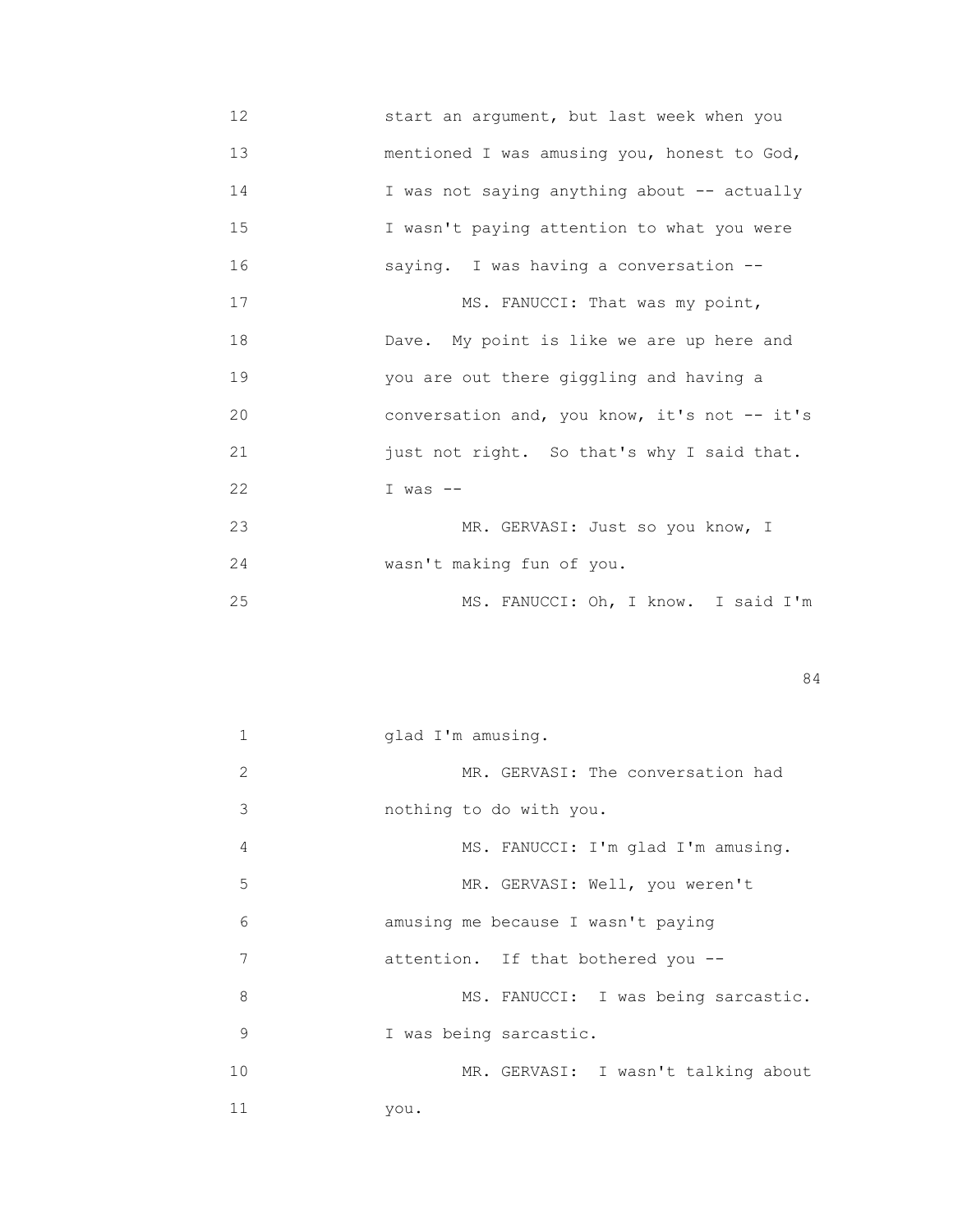- 12 start an argument, but last week when you 13 mentioned I was amusing you, honest to God, 14 I was not saying anything about -- actually 15 I wasn't paying attention to what you were 16 saying. I was having a conversation -- 17 MS. FANUCCI: That was my point, 18 Dave. My point is like we are up here and 19 you are out there giggling and having a 20 conversation and, you know, it's not -- it's 21 just not right. So that's why I said that. 22 I was -- 23 MR. GERVASI: Just so you know, I 24 wasn't making fun of you. 25 MS. FANUCCI: Oh, I know. I said I'm
- 84

| 1  | glad I'm amusing.                   |
|----|-------------------------------------|
| 2  | MR. GERVASI: The conversation had   |
| 3  | nothing to do with you.             |
| 4  | MS. FANUCCI: I'm glad I'm amusing.  |
| 5  | MR. GERVASI: Well, you weren't      |
| 6  | amusing me because I wasn't paying  |
| 7  | attention. If that bothered you --  |
| 8  | MS. FANUCCI: I was being sarcastic. |
| 9  | I was being sarcastic.              |
| 10 | MR. GERVASI: I wasn't talking about |
| 11 | you.                                |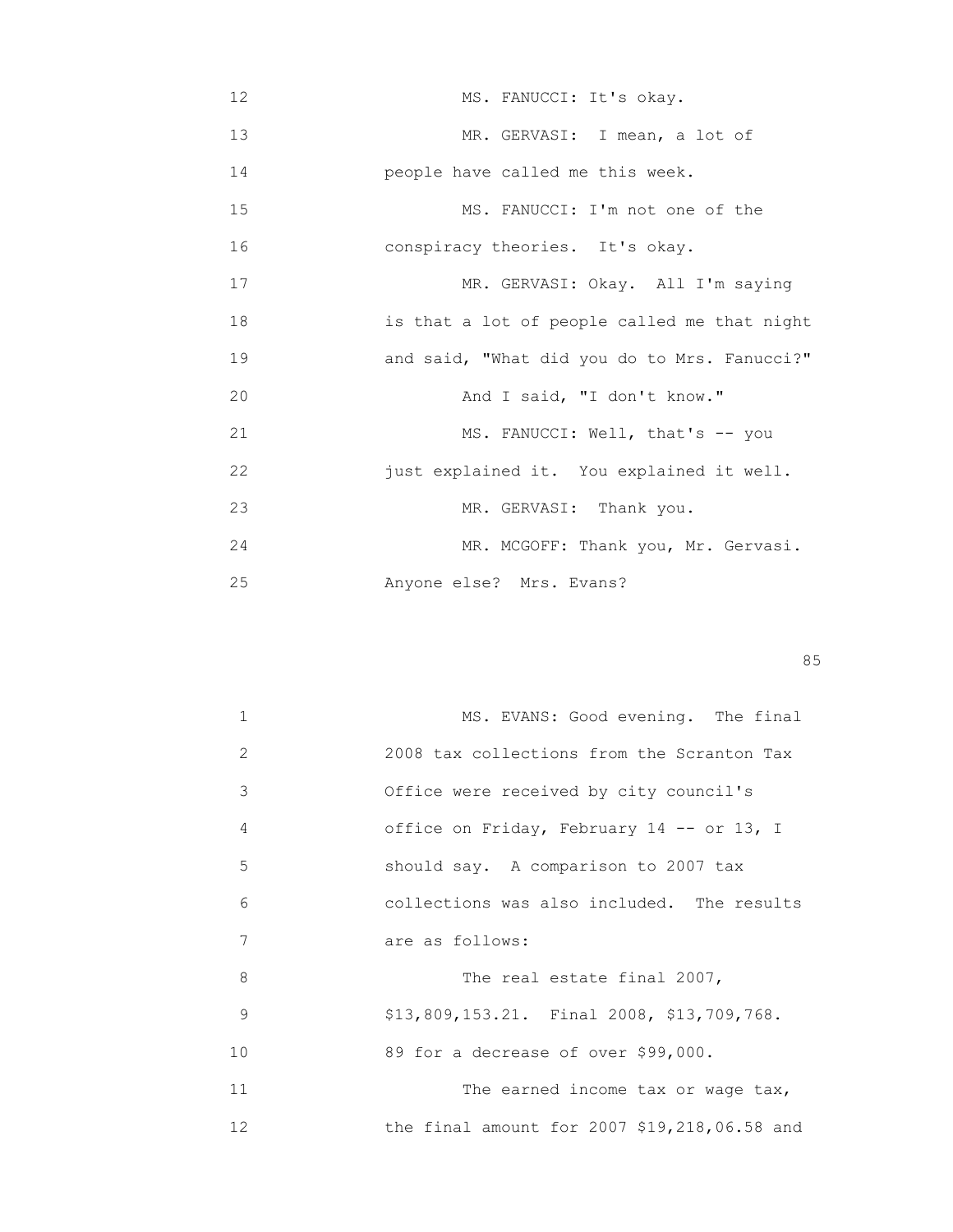12 MS. FANUCCI: It's okay. 13 MR. GERVASI: I mean, a lot of 14 people have called me this week. 15 MS. FANUCCI: I'm not one of the 16 conspiracy theories. It's okay. 17 MR. GERVASI: Okay. All I'm saying 18 is that a lot of people called me that night 19 and said, "What did you do to Mrs. Fanucci?" 20 **And I said, "I don't know."** 21 MS. FANUCCI: Well, that's -- you 22 just explained it. You explained it well. 23 MR. GERVASI: Thank you. 24 MR. MCGOFF: Thank you, Mr. Gervasi. 25 Anyone else? Mrs. Evans?

<u>85 September 2006 September 2006 September 2006 September 2006 September 2006 September 2006 September 2006 S</u>

| 1                 | MS. EVANS: Good evening. The final           |
|-------------------|----------------------------------------------|
| 2                 | 2008 tax collections from the Scranton Tax   |
| 3                 | Office were received by city council's       |
| 4                 | office on Friday, February 14 -- or 13, I    |
| 5                 | should say. A comparison to 2007 tax         |
| 6                 | collections was also included. The results   |
| 7                 | are as follows:                              |
| 8                 | The real estate final 2007,                  |
| 9                 | \$13,809,153.21. Final 2008, \$13,709,768.   |
| 10                | 89 for a decrease of over \$99,000.          |
| 11                | The earned income tax or wage tax,           |
| $12 \overline{ }$ | the final amount for 2007 \$19,218,06.58 and |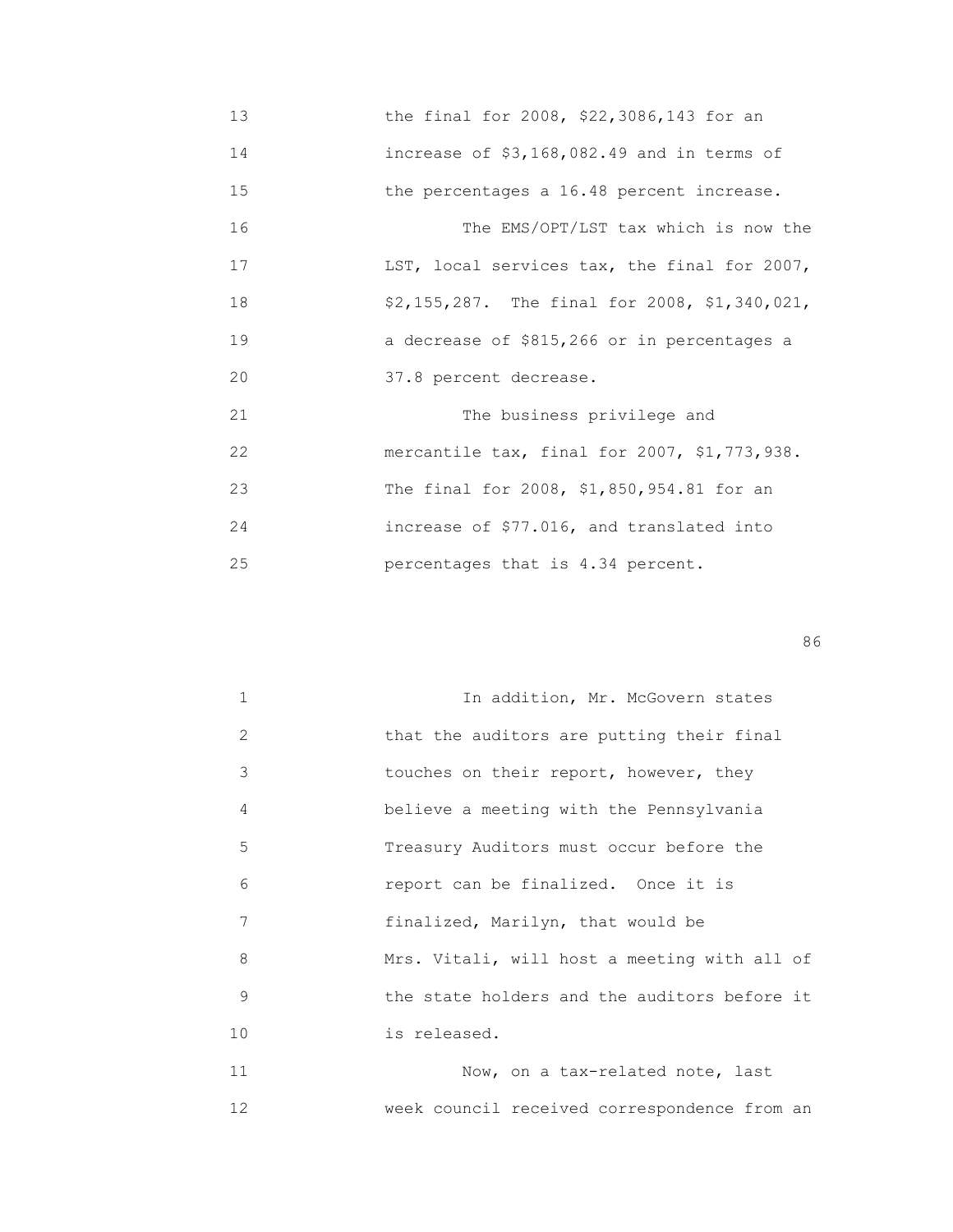13 the final for 2008, \$22,3086,143 for an 14 increase of \$3,168,082.49 and in terms of 15 the percentages a 16.48 percent increase. 16 The EMS/OPT/LST tax which is now the 17 **LST, local services tax, the final for 2007,**  18 \$2,155,287. The final for 2008, \$1,340,021, 19 a decrease of \$815,266 or in percentages a 20 37.8 percent decrease. 21 The business privilege and 22 mercantile tax, final for 2007, \$1,773,938. 23 The final for 2008, \$1,850,954.81 for an 24 increase of \$77.016, and translated into 25 percentages that is 4.34 percent.

en de la construction de la construction de la construction de la construction de la construction de la construction de la construction de la construction de la construction de la construction de la construction de la cons

|    | In addition, Mr. McGovern states             |
|----|----------------------------------------------|
| 2  | that the auditors are putting their final    |
| 3  | touches on their report, however, they       |
| 4  | believe a meeting with the Pennsylvania      |
| 5  | Treasury Auditors must occur before the      |
| 6  | report can be finalized. Once it is          |
| 7  | finalized, Marilyn, that would be            |
| 8  | Mrs. Vitali, will host a meeting with all of |
| 9  | the state holders and the auditors before it |
| 10 | is released.                                 |
| 11 | Now, on a tax-related note, last             |

12 week council received correspondence from an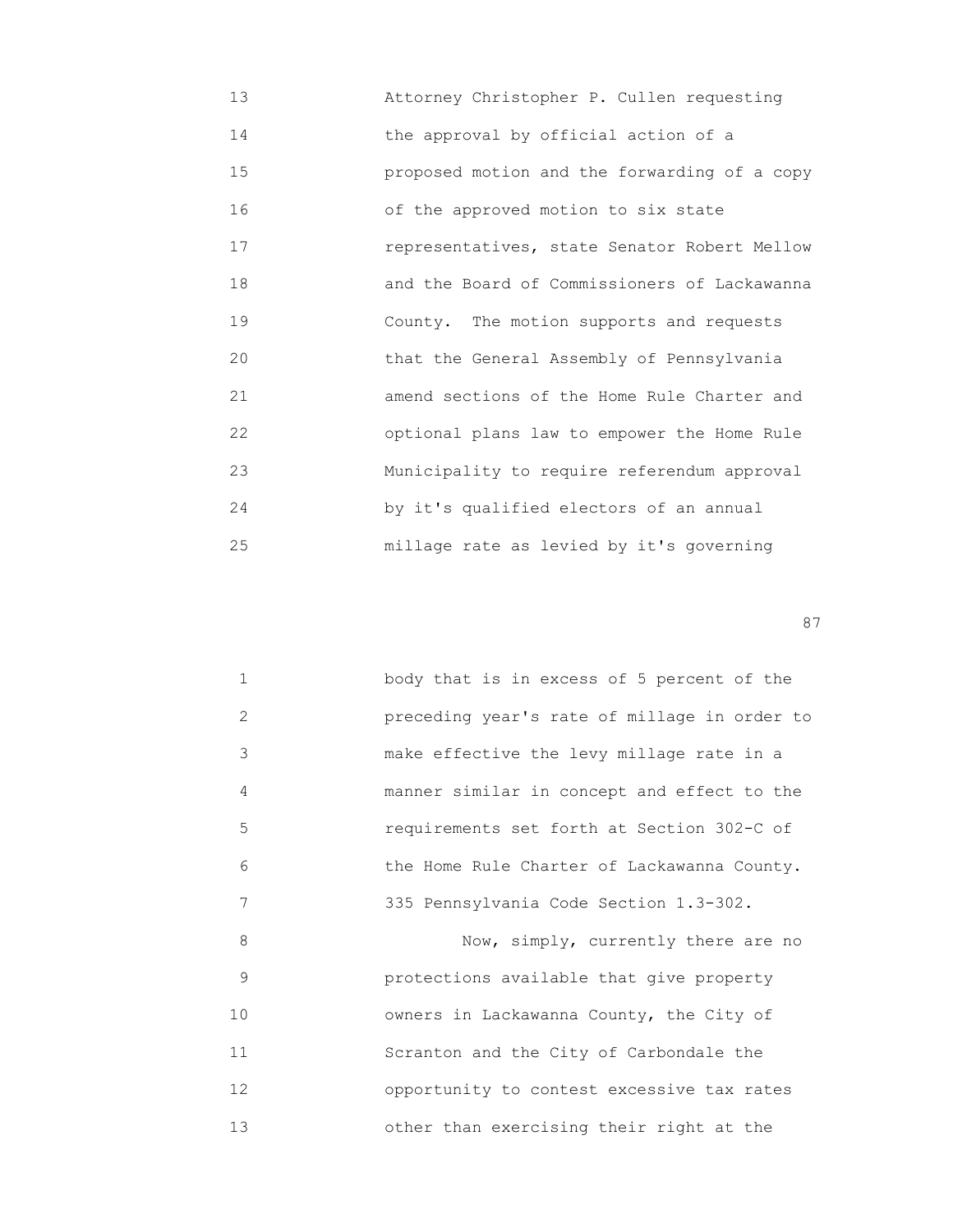13 Attorney Christopher P. Cullen requesting 14 the approval by official action of a 15 proposed motion and the forwarding of a copy 16 of the approved motion to six state 17 representatives, state Senator Robert Mellow 18 and the Board of Commissioners of Lackawanna 19 County. The motion supports and requests 20 that the General Assembly of Pennsylvania 21 amend sections of the Home Rule Charter and 22 optional plans law to empower the Home Rule 23 Municipality to require referendum approval 24 by it's qualified electors of an annual 25 millage rate as levied by it's governing

entration of the contract of the contract of the contract of the contract of the contract of the contract of the contract of the contract of the contract of the contract of the contract of the contract of the contract of t

|   | body that is in excess of 5 percent of the   |
|---|----------------------------------------------|
| 2 | preceding year's rate of millage in order to |
| 3 | make effective the levy millage rate in a    |
| 4 | manner similar in concept and effect to the  |
| 5 | requirements set forth at Section 302-C of   |
| 6 | the Home Rule Charter of Lackawanna County.  |
| 7 | 335 Pennsylvania Code Section 1.3-302.       |
| 8 | Now, simply, currently there are no          |

 9 protections available that give property 10 owners in Lackawanna County, the City of 11 Scranton and the City of Carbondale the 12 opportunity to contest excessive tax rates 13 other than exercising their right at the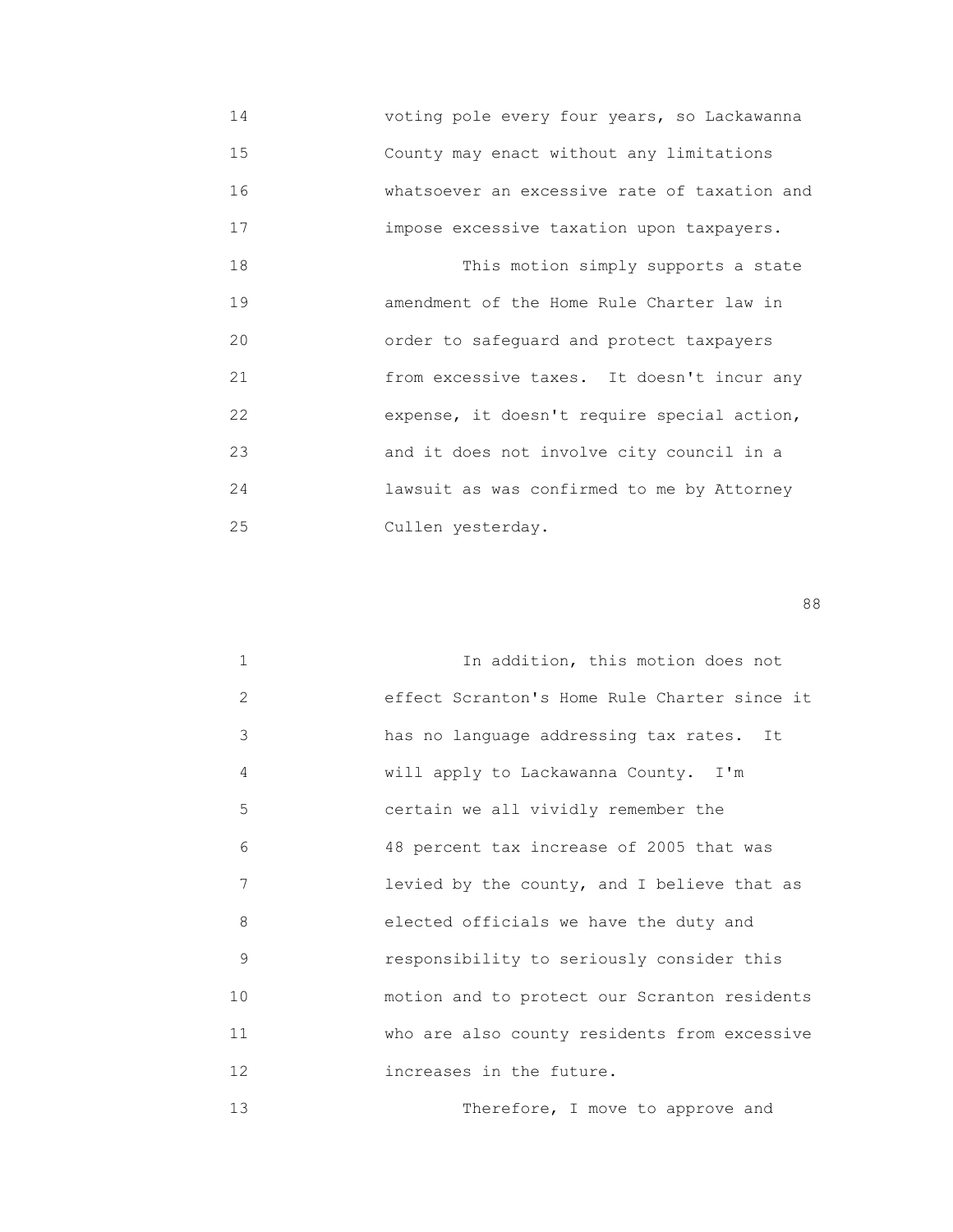14 voting pole every four years, so Lackawanna 15 County may enact without any limitations 16 whatsoever an excessive rate of taxation and 17 impose excessive taxation upon taxpayers. 18 This motion simply supports a state 19 amendment of the Home Rule Charter law in 20 order to safeguard and protect taxpayers 21 from excessive taxes. It doesn't incur any 22 expense, it doesn't require special action, 23 and it does not involve city council in a 24 lawsuit as was confirmed to me by Attorney 25 Cullen yesterday.

en de la construction de la construction de la construction de la construction de la construction de la constr<br>1888 : le construction de la construction de la construction de la construction de la construction de la const

| $\mathbf{1}$ | In addition, this motion does not            |
|--------------|----------------------------------------------|
| 2            | effect Scranton's Home Rule Charter since it |
| 3            | has no language addressing tax rates. It     |
| 4            | will apply to Lackawanna County. I'm         |
| 5            | certain we all vividly remember the          |
| 6            | 48 percent tax increase of 2005 that was     |
| 7            | levied by the county, and I believe that as  |
| 8            | elected officials we have the duty and       |
| 9            | responsibility to seriously consider this    |
| 10           | motion and to protect our Scranton residents |
| 11           | who are also county residents from excessive |
| 12           | increases in the future.                     |
| 13           | Therefore, I move to approve and             |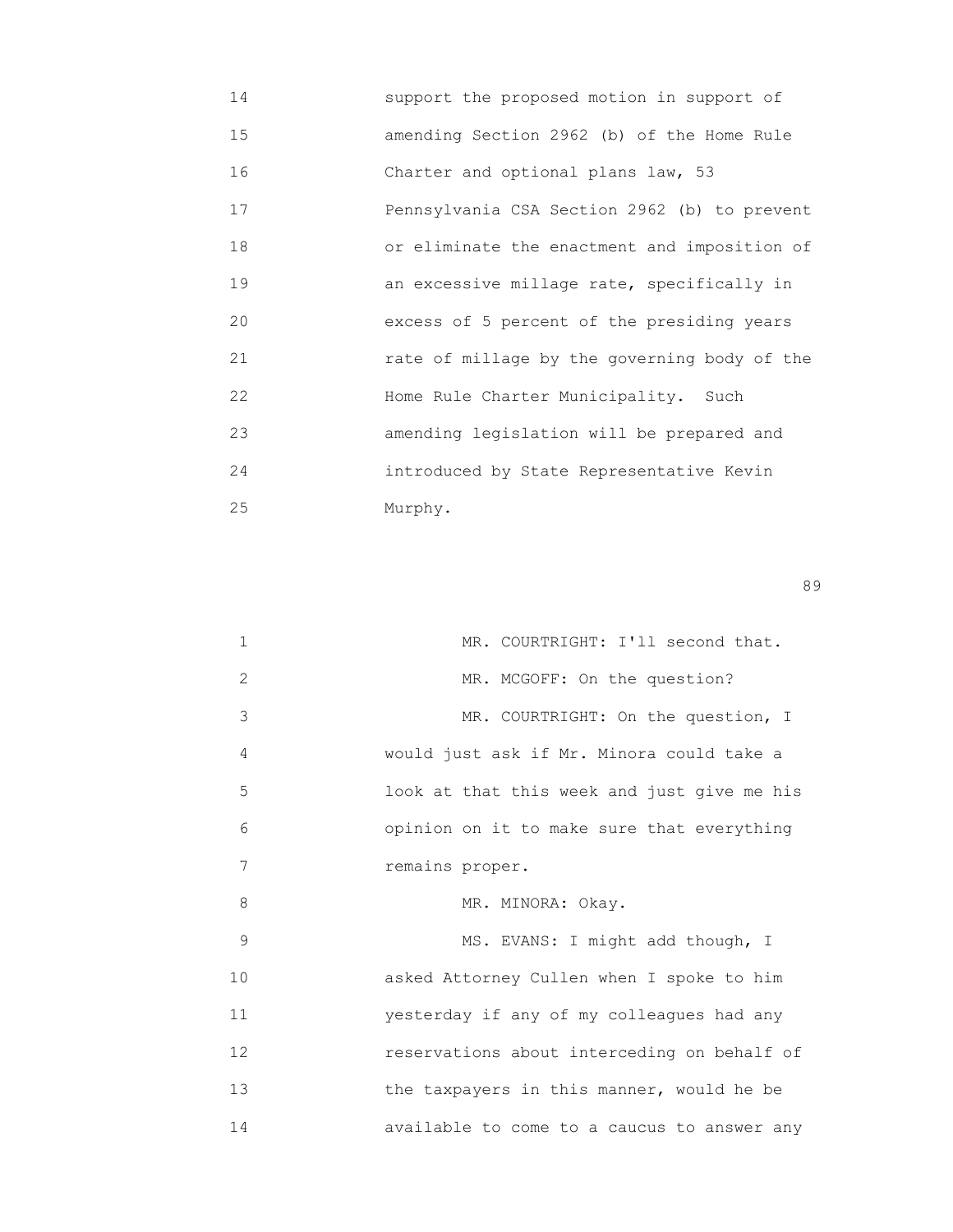| 14 | support the proposed motion in support of    |
|----|----------------------------------------------|
| 15 | amending Section 2962 (b) of the Home Rule   |
| 16 | Charter and optional plans law, 53           |
| 17 | Pennsylvania CSA Section 2962 (b) to prevent |
| 18 | or eliminate the enactment and imposition of |
| 19 | an excessive millage rate, specifically in   |
| 20 | excess of 5 percent of the presiding years   |
| 21 | rate of millage by the governing body of the |
| 22 | Home Rule Charter Municipality. Such         |
| 23 | amending legislation will be prepared and    |
| 24 | introduced by State Representative Kevin     |
| 25 | Murphy.                                      |

en de la construction de la construction de la construction de la construction de la construction de la constr<br>1990 : la construction de la construction de la construction de la construction de la construction de la const

| 1  | MR. COURTRIGHT: I'll second that.           |
|----|---------------------------------------------|
| 2  | MR. MCGOFF: On the question?                |
| 3  | MR. COURTRIGHT: On the question, I          |
| 4  | would just ask if Mr. Minora could take a   |
| 5  | look at that this week and just give me his |
| 6  | opinion on it to make sure that everything  |
| 7  | remains proper.                             |
| 8  | MR. MINORA: Okay.                           |
| 9  | MS. EVANS: I might add though, I            |
| 10 | asked Attorney Cullen when I spoke to him   |
| 11 | yesterday if any of my colleagues had any   |
| 12 | reservations about interceding on behalf of |
| 13 | the taxpayers in this manner, would he be   |
| 14 | available to come to a caucus to answer any |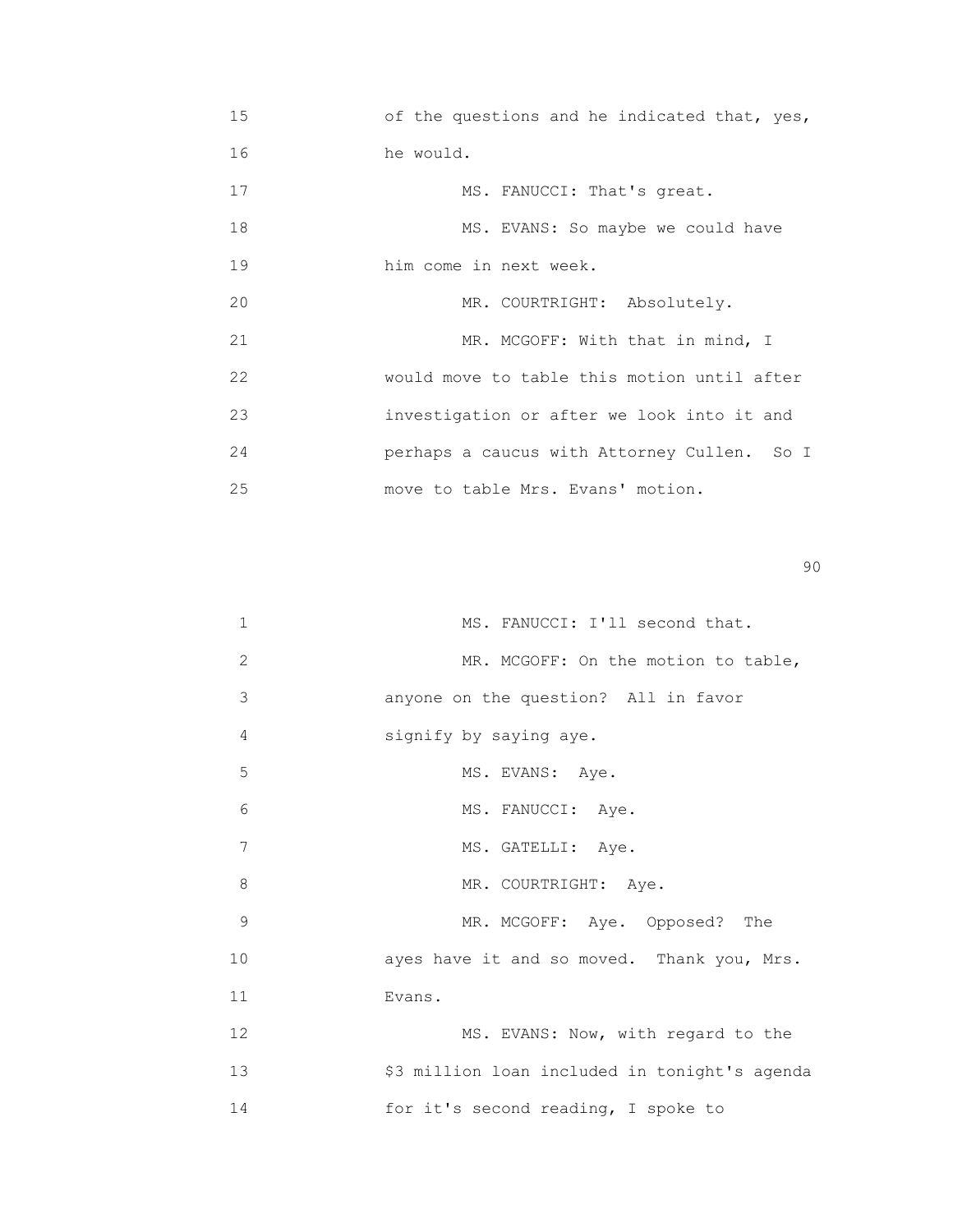| 15 | of the questions and he indicated that, yes, |
|----|----------------------------------------------|
| 16 | he would.                                    |
| 17 | MS. FANUCCI: That's great.                   |
| 18 | MS. EVANS: So maybe we could have            |
| 19 | him come in next week.                       |
| 20 | MR. COURTRIGHT: Absolutely.                  |
| 21 | MR. MCGOFF: With that in mind, I             |
| 22 | would move to table this motion until after  |
| 23 | investigation or after we look into it and   |
| 24 | perhaps a caucus with Attorney Cullen. So I  |
| 25 | move to table Mrs. Evans' motion.            |

en de la construction de la construction de la construction de la construction de la construction de la constr<br>1900 : la construction de la construction de la construction de la construction de la construction de la const

| 1  | MS. FANUCCI: I'll second that.                |
|----|-----------------------------------------------|
| 2  | MR. MCGOFF: On the motion to table,           |
| 3  | anyone on the question? All in favor          |
| 4  | signify by saying aye.                        |
| 5  | MS. EVANS: Aye.                               |
| 6  | MS. FANUCCI: Aye.                             |
| 7  | MS. GATELLI: Aye.                             |
| 8  | MR. COURTRIGHT: Aye.                          |
| 9  | MR. MCGOFF: Aye. Opposed? The                 |
| 10 | ayes have it and so moved. Thank you, Mrs.    |
| 11 | Evans.                                        |
| 12 | MS. EVANS: Now, with regard to the            |
| 13 | \$3 million loan included in tonight's agenda |
| 14 | for it's second reading, I spoke to           |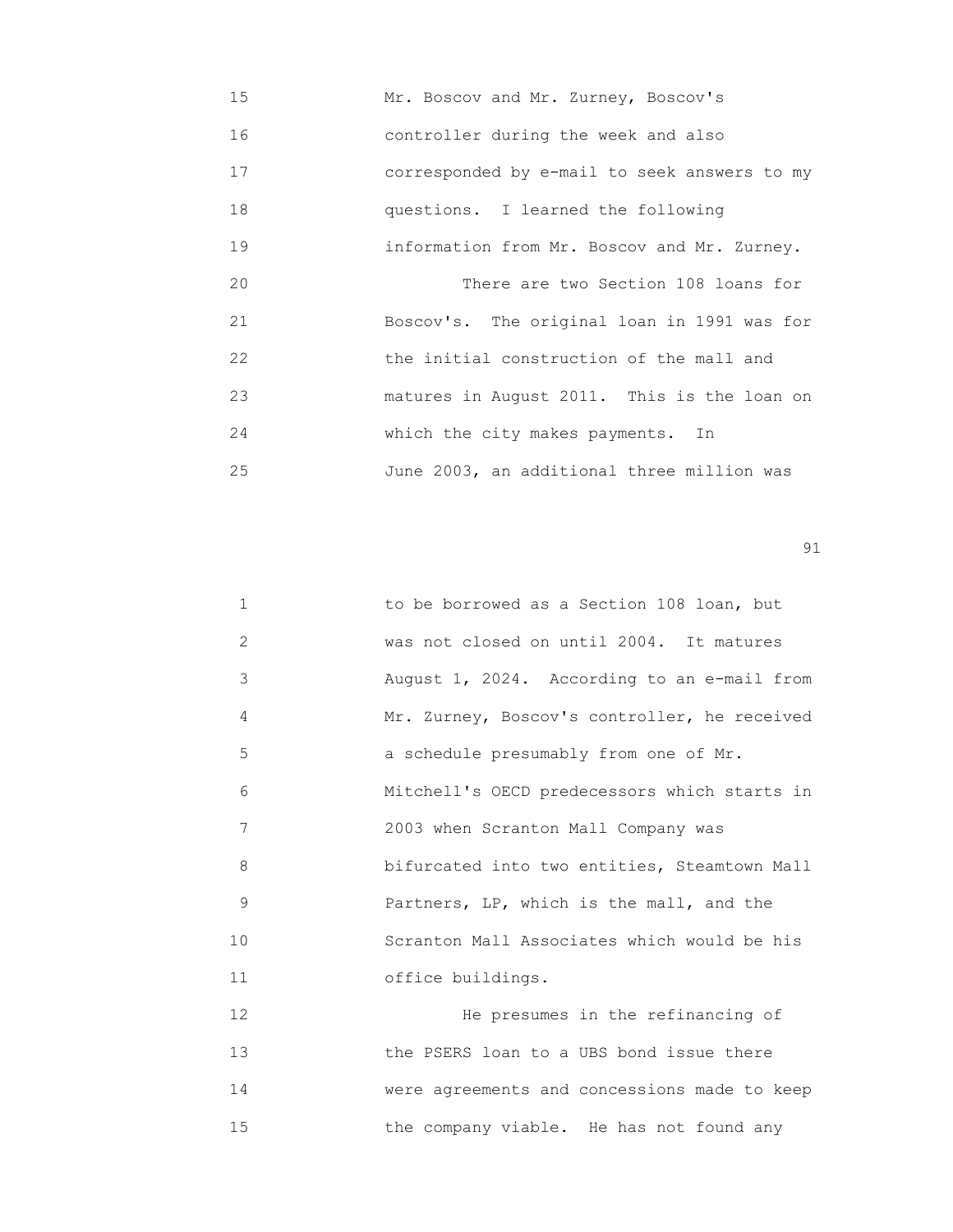| 15 | Mr. Boscov and Mr. Zurney, Boscov's          |
|----|----------------------------------------------|
| 16 | controller during the week and also          |
| 17 | corresponded by e-mail to seek answers to my |
| 18 | questions. I learned the following           |
| 19 | information from Mr. Boscov and Mr. Zurney.  |
| 20 | There are two Section 108 loans for          |
| 21 | Boscov's. The original loan in 1991 was for  |
| 22 | the initial construction of the mall and     |
| 23 | matures in August 2011. This is the loan on  |
| 24 | which the city makes payments. In            |
| 25 | June 2003, an additional three million was   |

| $\mathbf 1$       | to be borrowed as a Section 108 loan, but    |
|-------------------|----------------------------------------------|
| $\overline{2}$    | was not closed on until 2004. It matures     |
| 3                 | August 1, 2024. According to an e-mail from  |
| 4                 | Mr. Zurney, Boscov's controller, he received |
| 5                 | a schedule presumably from one of Mr.        |
| 6                 | Mitchell's OECD predecessors which starts in |
| 7                 | 2003 when Scranton Mall Company was          |
| 8                 | bifurcated into two entities, Steamtown Mall |
| 9                 | Partners, LP, which is the mall, and the     |
| 10                | Scranton Mall Associates which would be his  |
| 11                | office buildings.                            |
| $12 \overline{ }$ | He presumes in the refinancing of            |
| 13                | the PSERS loan to a UBS bond issue there     |
| 14                | were agreements and concessions made to keep |

15 the company viable. He has not found any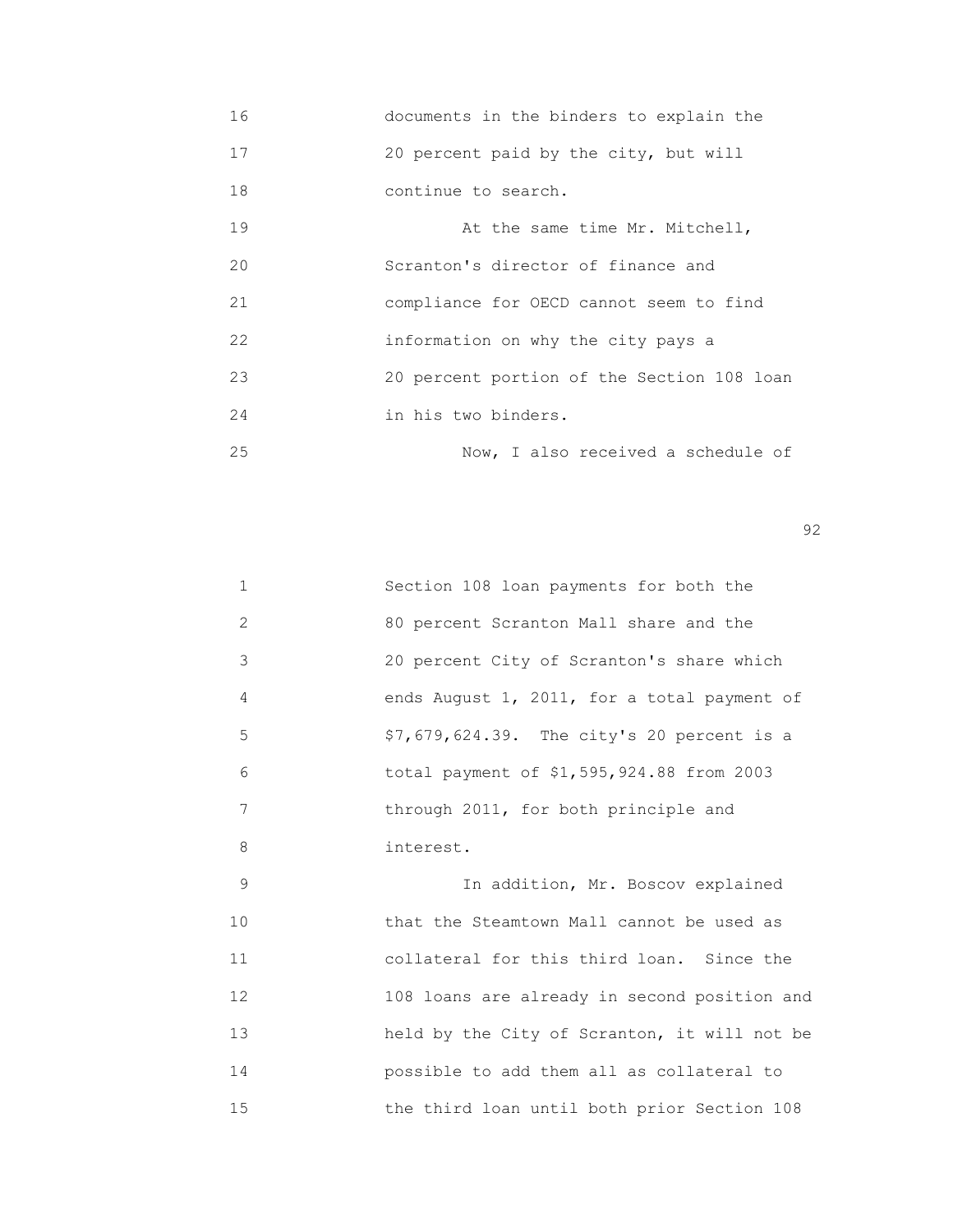- 16 documents in the binders to explain the 17 20 percent paid by the city, but will 18 continue to search. 19 At the same time Mr. Mitchell, 20 Scranton's director of finance and 21 compliance for OECD cannot seem to find 22 information on why the city pays a 23 20 percent portion of the Section 108 loan 24 in his two binders.
- 25 Now, I also received a schedule of

 $\sim$  92

|                | Section 108 loan payments for both the        |
|----------------|-----------------------------------------------|
| $\overline{2}$ | 80 percent Scranton Mall share and the        |
| 3              | 20 percent City of Scranton's share which     |
| 4              | ends August $1, 2011,$ for a total payment of |
| 5              | \$7,679,624.39. The city's 20 percent is a    |
| 6              | total payment of \$1,595,924.88 from 2003     |
| 7              | through 2011, for both principle and          |
| 8              | interest.                                     |

 9 In addition, Mr. Boscov explained 10 that the Steamtown Mall cannot be used as 11 collateral for this third loan. Since the 12 108 loans are already in second position and 13 held by the City of Scranton, it will not be 14 possible to add them all as collateral to 15 the third loan until both prior Section 108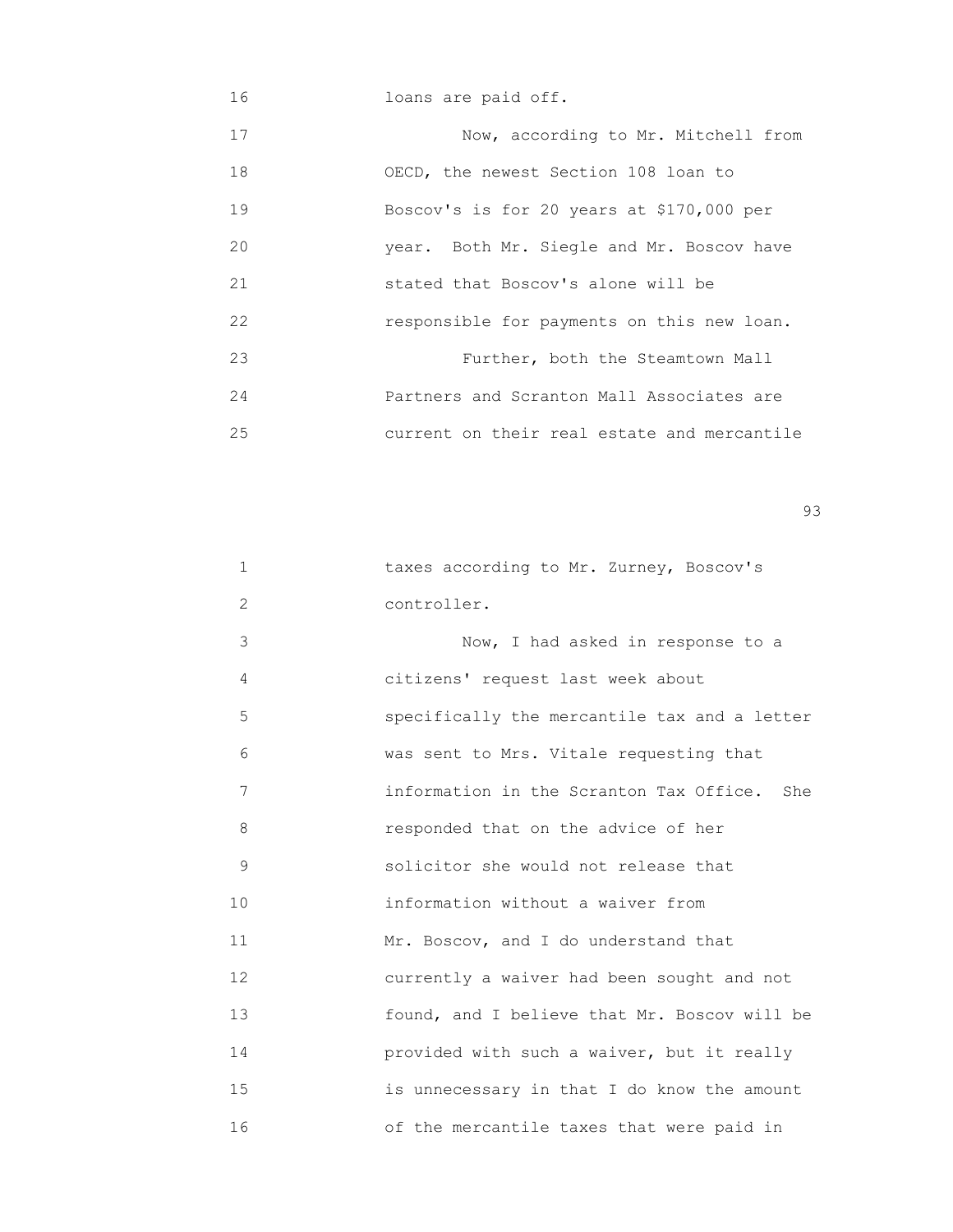16 loans are paid off.

17 Now, according to Mr. Mitchell from 18 OECD, the newest Section 108 loan to 19 Boscov's is for 20 years at \$170,000 per 20 year. Both Mr. Siegle and Mr. Boscov have 21 stated that Boscov's alone will be 22 responsible for payments on this new loan. 23 Further, both the Steamtown Mall 24 Partners and Scranton Mall Associates are 25 current on their real estate and mercantile

experience of the contract of the contract of the contract of the contract of the contract of the contract of the contract of the contract of the contract of the contract of the contract of the contract of the contract of

| $\mathbf 1$ | taxes according to Mr. Zurney, Boscov's        |
|-------------|------------------------------------------------|
| 2           | controller.                                    |
| 3           | Now, I had asked in response to a              |
| 4           | citizens' request last week about              |
| 5           | specifically the mercantile tax and a letter   |
| 6           | was sent to Mrs. Vitale requesting that        |
| 7           | information in the Scranton Tax Office.<br>She |
| 8           | responded that on the advice of her            |
| 9           | solicitor she would not release that           |
| 10          | information without a waiver from              |
| 11          | Mr. Boscov, and I do understand that           |
| 12          | currently a waiver had been sought and not     |
| 13          | found, and I believe that Mr. Boscov will be   |
| 14          | provided with such a waiver, but it really     |
| 15          | is unnecessary in that I do know the amount    |
| 16          | of the mercantile taxes that were paid in      |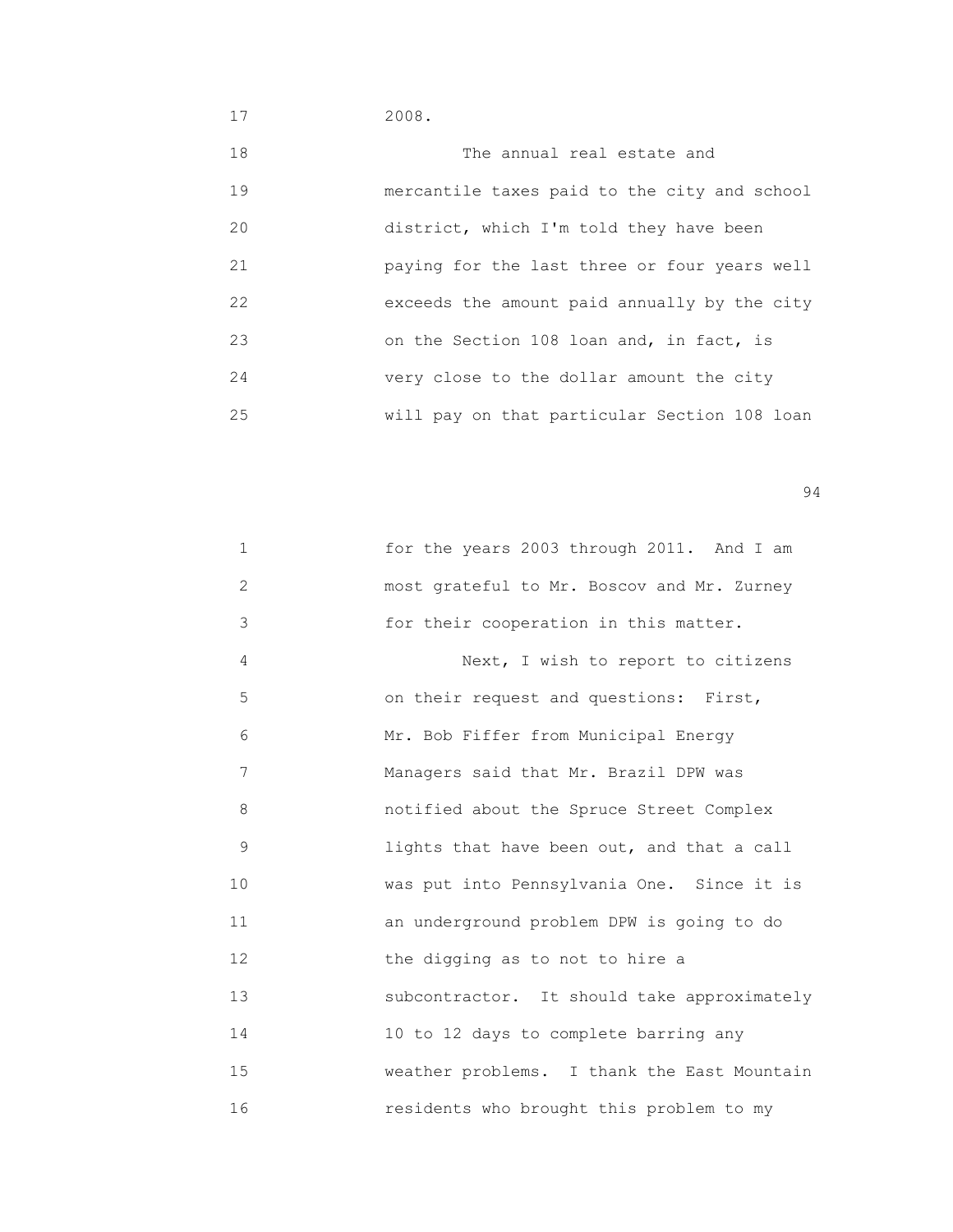17 2008.

| 18 | The annual real estate and                   |
|----|----------------------------------------------|
| 19 | mercantile taxes paid to the city and school |
| 20 | district, which I'm told they have been      |
| 21 | paying for the last three or four years well |
| 22 | exceeds the amount paid annually by the city |
| 23 | on the Section 108 loan and, in fact, is     |
| 24 | very close to the dollar amount the city     |
| 25 | will pay on that particular Section 108 loan |

| $\mathbf 1$ | for the years 2003 through 2011. And I am   |
|-------------|---------------------------------------------|
| 2           | most grateful to Mr. Boscov and Mr. Zurney  |
| 3           | for their cooperation in this matter.       |
| 4           | Next, I wish to report to citizens          |
| 5           | on their request and questions: First,      |
| 6           | Mr. Bob Fiffer from Municipal Energy        |
| 7           | Managers said that Mr. Brazil DPW was       |
| 8           | notified about the Spruce Street Complex    |
| 9           | lights that have been out, and that a call  |
| 10          | was put into Pennsylvania One. Since it is  |
| 11          | an underground problem DPW is going to do   |
| 12          | the digging as to not to hire a             |
| 13          | subcontractor. It should take approximately |
| 14          | 10 to 12 days to complete barring any       |
| 15          | weather problems. I thank the East Mountain |
| 16          | residents who brought this problem to my    |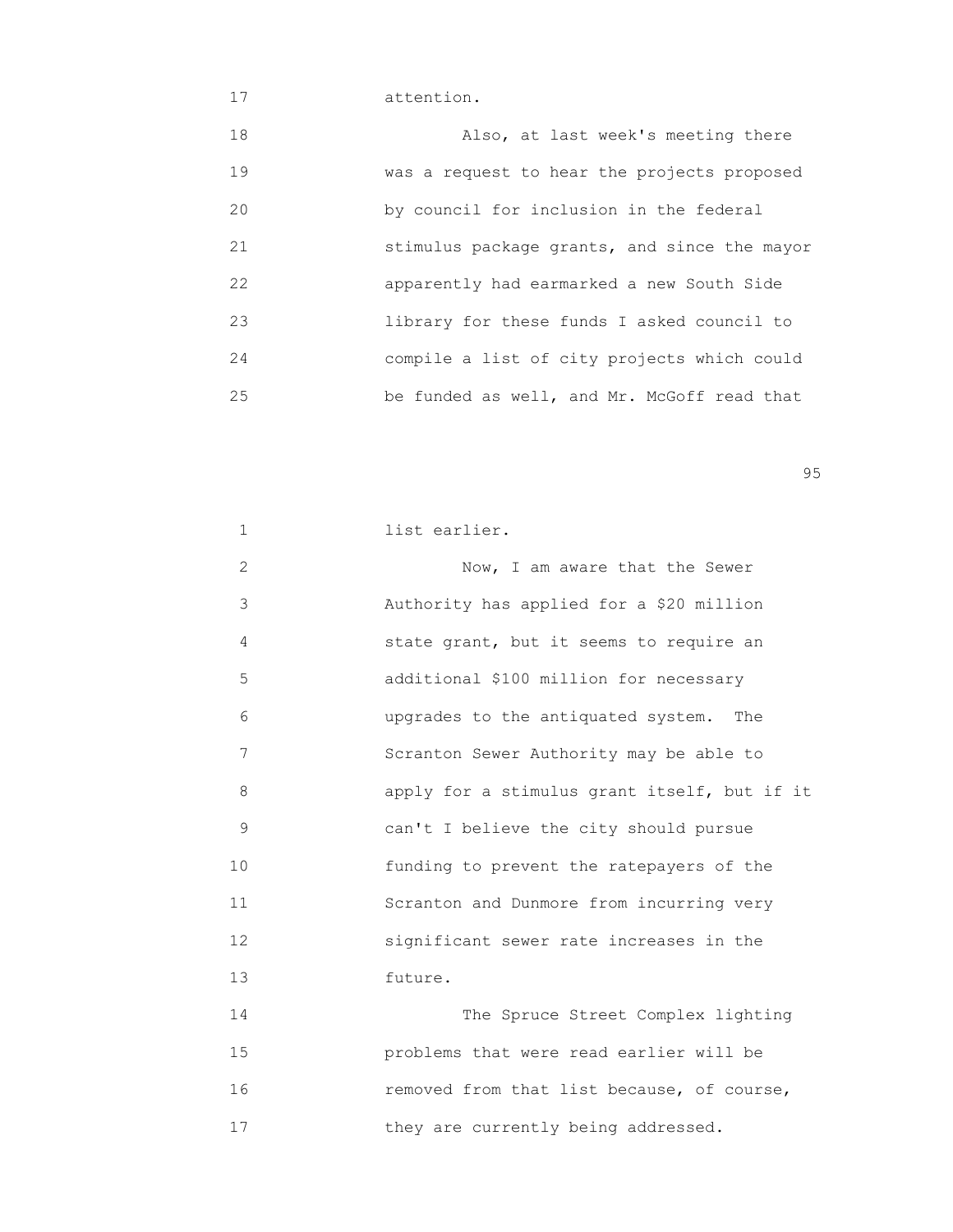## 17 attention.

| 18 | Also, at last week's meeting there           |
|----|----------------------------------------------|
| 19 | was a request to hear the projects proposed  |
| 20 | by council for inclusion in the federal      |
| 21 | stimulus package grants, and since the mayor |
| 22 | apparently had earmarked a new South Side    |
| 23 | library for these funds I asked council to   |
| 24 | compile a list of city projects which could  |
| 25 | be funded as well, and Mr. McGoff read that  |

en 1995 en 1996 en 1996 en 1997 en 1998 en 1998 en 1999 en 1999 en 1999 en 1999 en 1999 en 1999 en 1999 en 19<br>De grote en 1999 en 1999 en 1999 en 1999 en 1999 en 1999 en 1999 en 1999 en 1999 en 1999 en 1999 en 1999 en 19

| 1  | list earlier.                                |
|----|----------------------------------------------|
| 2  | Now, I am aware that the Sewer               |
| 3  | Authority has applied for a \$20 million     |
| 4  | state grant, but it seems to require an      |
| 5  | additional \$100 million for necessary       |
| 6  | upgrades to the antiquated system.<br>The    |
| 7  | Scranton Sewer Authority may be able to      |
| 8  | apply for a stimulus grant itself, but if it |
| 9  | can't I believe the city should pursue       |
| 10 | funding to prevent the ratepayers of the     |
| 11 | Scranton and Dunmore from incurring very     |
| 12 | significant sewer rate increases in the      |
| 13 | future.                                      |
| 14 | The Spruce Street Complex lighting           |
| 15 | problems that were read earlier will be      |
| 16 | removed from that list because, of course,   |
| 17 | they are currently being addressed.          |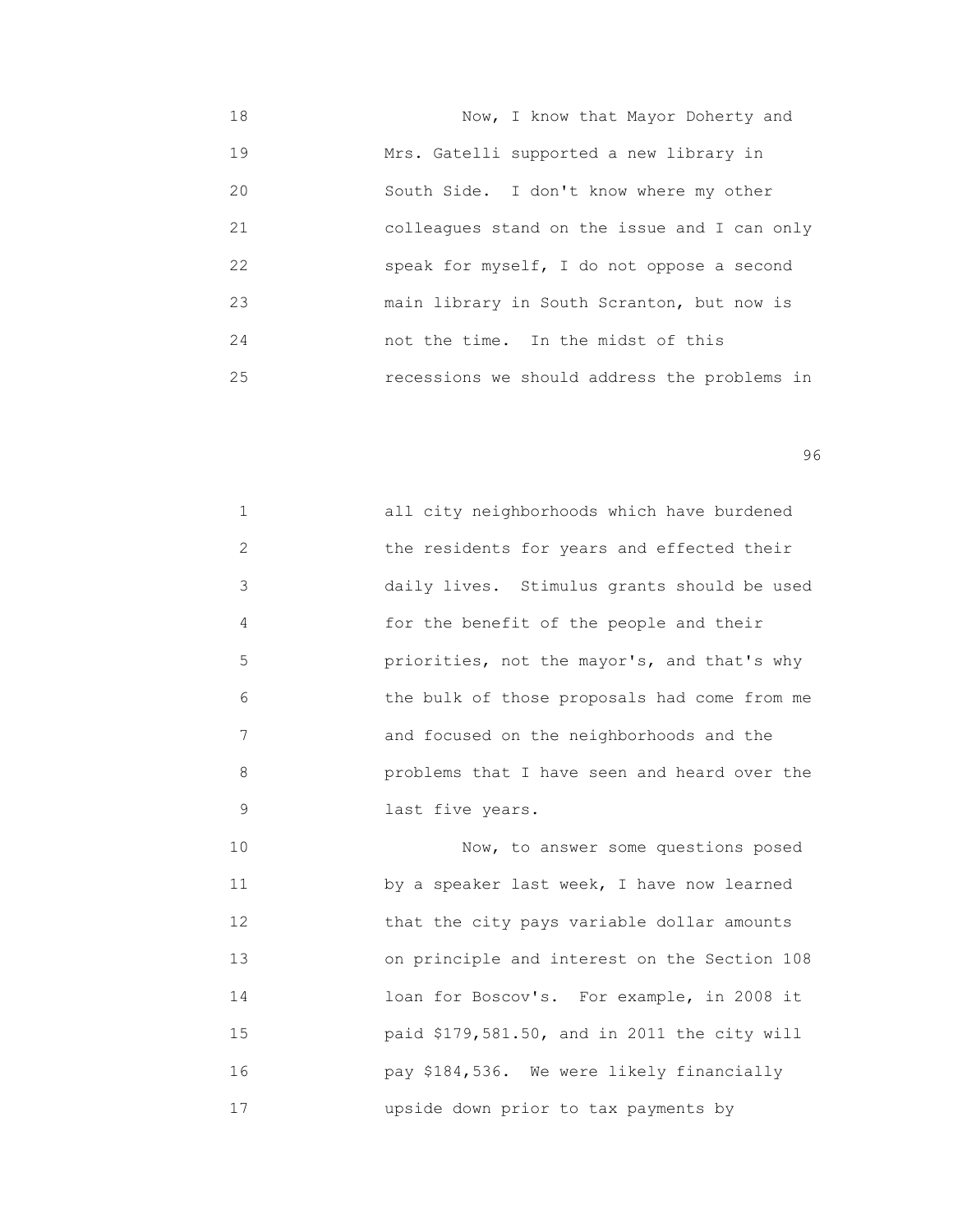18 Now, I know that Mayor Doherty and 19 Mrs. Gatelli supported a new library in 20 South Side. I don't know where my other 21 colleagues stand on the issue and I can only 22 speak for myself, I do not oppose a second 23 main library in South Scranton, but now is 24 not the time. In the midst of this 25 recessions we should address the problems in

en 1996 en 1996 en 1996 en 1996 en 1996 en 1996 en 1996 en 1996 en 1996 en 1996 en 1996 en 1996 en 1996 en 19<br>De grote en 1996 en 1996 en 1999 en 1999 en 1999 en 1999 en 1999 en 1999 en 1999 en 1999 en 1999 en 1999 en 19

|               | all city neighborhoods which have burdened   |
|---------------|----------------------------------------------|
| $\mathcal{L}$ | the residents for years and effected their   |
| 3             | daily lives. Stimulus grants should be used  |
| 4             | for the benefit of the people and their      |
| 5             | priorities, not the mayor's, and that's why  |
| 6             | the bulk of those proposals had come from me |
| 7             | and focused on the neighborhoods and the     |
| 8             | problems that I have seen and heard over the |
| 9             | last five years.                             |

10 Now, to answer some questions posed 11 by a speaker last week, I have now learned 12 that the city pays variable dollar amounts 13 **13** on principle and interest on the Section 108 14 loan for Boscov's. For example, in 2008 it 15 paid \$179,581.50, and in 2011 the city will 16 pay \$184,536. We were likely financially 17 upside down prior to tax payments by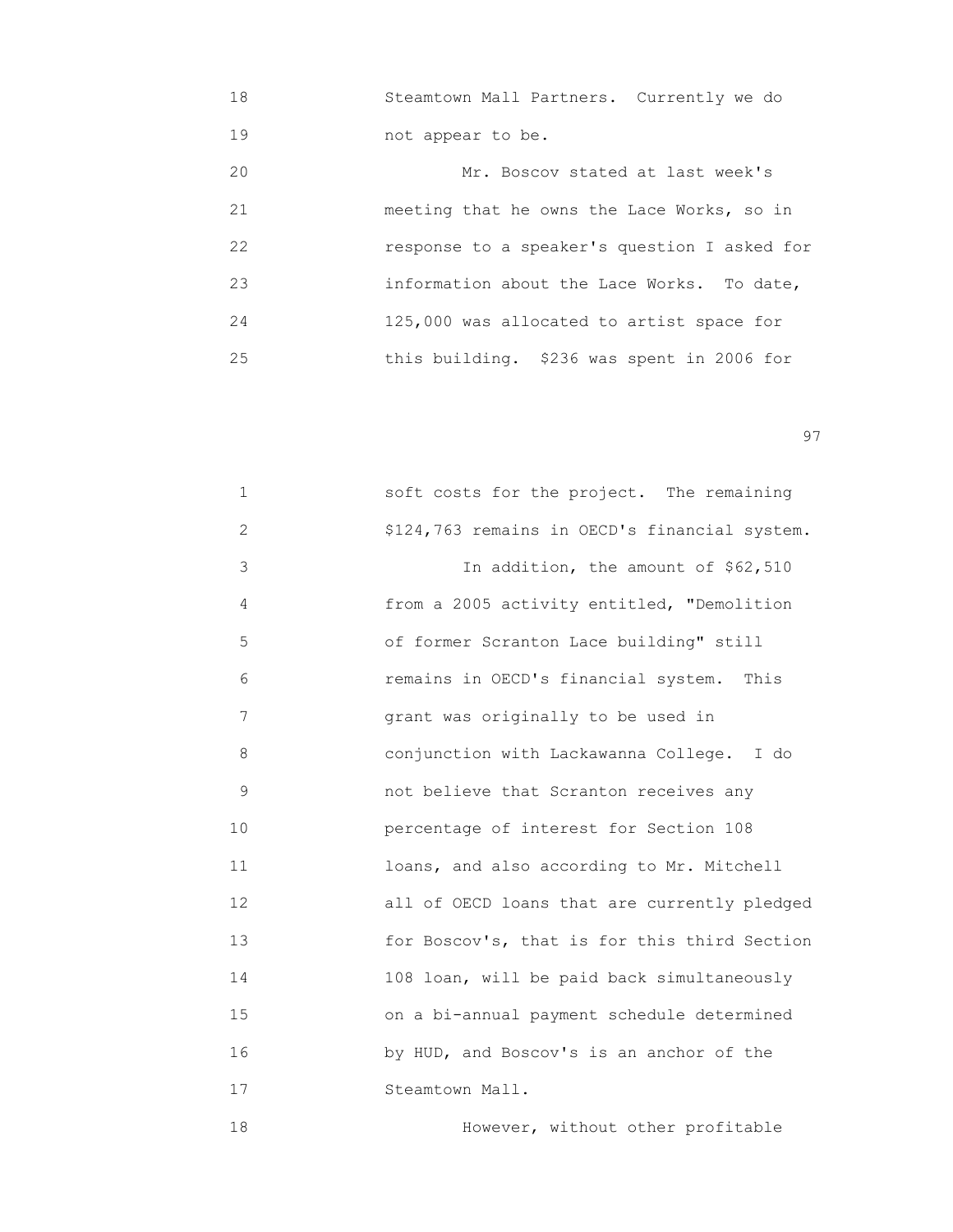18 Steamtown Mall Partners. Currently we do 19 not appear to be.

| 20 | Mr. Boscov stated at last week's             |
|----|----------------------------------------------|
| 21 | meeting that he owns the Lace Works, so in   |
| 22 | response to a speaker's question I asked for |
| 23 | information about the Lace Works. To date,   |
| 24 | 125,000 was allocated to artist space for    |
| 25 | this building. \$236 was spent in 2006 for   |

experience of the contract of the contract of the contract of the contract of the contract of the contract of the contract of the contract of the contract of the contract of the contract of the contract of the contract of

| $\mathbf 1$ | soft costs for the project. The remaining     |
|-------------|-----------------------------------------------|
| 2           | \$124,763 remains in OECD's financial system. |
| 3           | In addition, the amount of \$62,510           |
| 4           | from a 2005 activity entitled, "Demolition    |
| 5           | of former Scranton Lace building" still       |
| 6           | remains in OECD's financial system. This      |
| 7           | grant was originally to be used in            |
| 8           | conjunction with Lackawanna College. I do     |
| 9           | not believe that Scranton receives any        |
| 10          | percentage of interest for Section 108        |
| 11          | loans, and also according to Mr. Mitchell     |
| 12          | all of OECD loans that are currently pledged  |
| 13          | for Boscov's, that is for this third Section  |
| 14          | 108 loan, will be paid back simultaneously    |
| 15          | on a bi-annual payment schedule determined    |
| 16          | by HUD, and Boscov's is an anchor of the      |
| 17          | Steamtown Mall.                               |
| 18          | However, without other profitable             |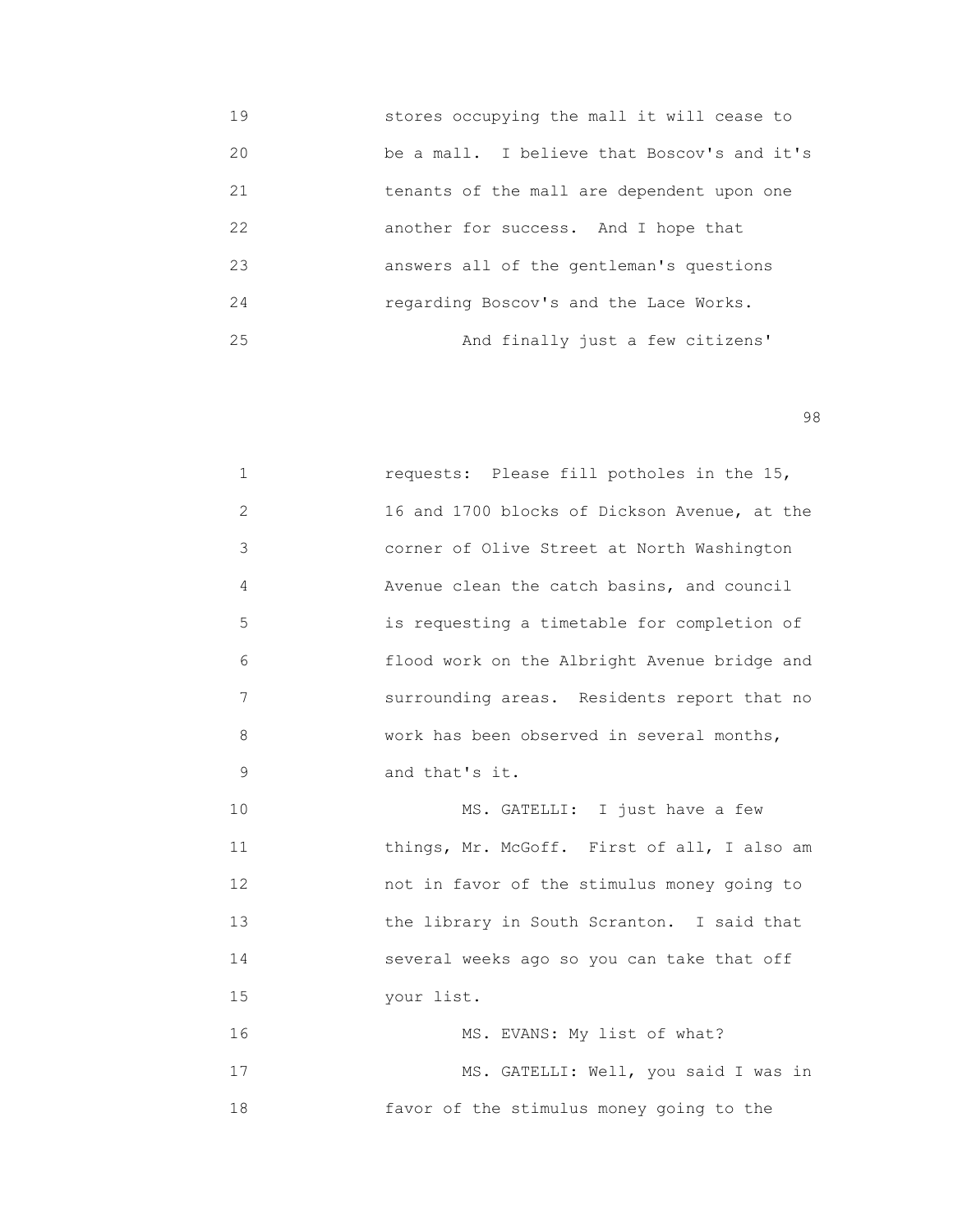- 19 stores occupying the mall it will cease to 20 be a mall. I believe that Boscov's and it's 21 tenants of the mall are dependent upon one 22 another for success. And I hope that 23 answers all of the gentleman's questions 24 regarding Boscov's and the Lace Works. 25 And finally just a few citizens'
- en 1980 en 1980 en 1980 en 1980 en 1980 en 1980 en 1980 en 1980 en 1980 en 1980 en 1980 en 1980 en 1980 en 19<br>De grote en 1980 en 1980 en 1980 en 1980 en 1980 en 1980 en 1980 en 1980 en 1980 en 1980 en 1980 en 1980 en 19

| $\mathbf{1}$   | requests: Please fill potholes in the 15,    |
|----------------|----------------------------------------------|
| $\overline{2}$ | 16 and 1700 blocks of Dickson Avenue, at the |
| 3              | corner of Olive Street at North Washington   |
| 4              | Avenue clean the catch basins, and council   |
| 5              | is requesting a timetable for completion of  |
| 6              | flood work on the Albright Avenue bridge and |
| 7              | surrounding areas. Residents report that no  |
| 8              | work has been observed in several months,    |
| 9              | and that's it.                               |
| 10             | MS. GATELLI: I just have a few               |
| 11             | things, Mr. McGoff. First of all, I also am  |
| 12             | not in favor of the stimulus money going to  |
| 13             | the library in South Scranton. I said that   |
| 14             | several weeks ago so you can take that off   |
| 15             | your list.                                   |
| 16             | MS. EVANS: My list of what?                  |
| 17             | MS. GATELLI: Well, you said I was in         |
| 18             | favor of the stimulus money going to the     |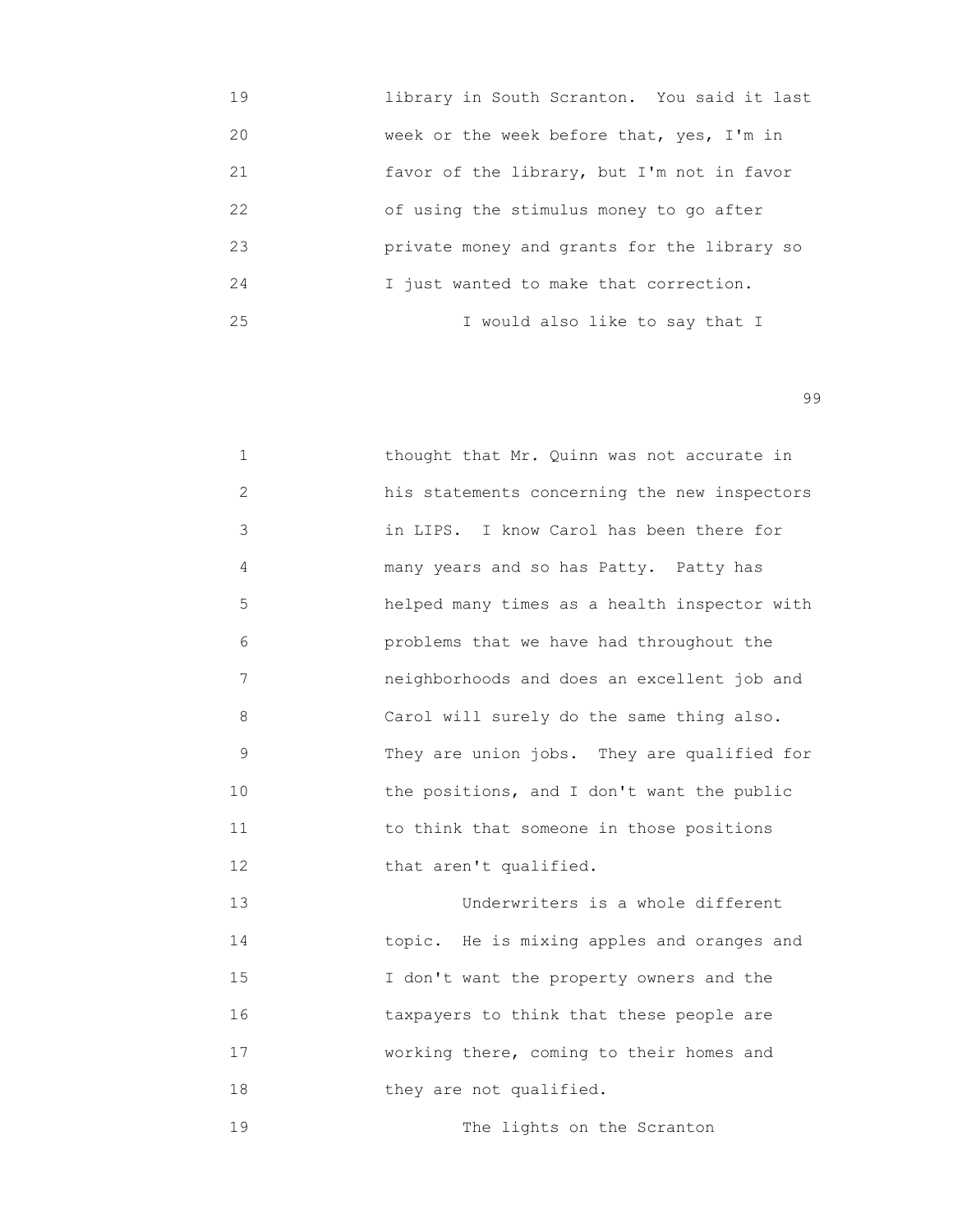| 19 | library in South Scranton. You said it last |
|----|---------------------------------------------|
| 20 | week or the week before that, yes, I'm in   |
| 21 | favor of the library, but I'm not in favor  |
| 22 | of using the stimulus money to go after     |
| 23 | private money and grants for the library so |
| 24 | I just wanted to make that correction.      |
| 25 | I would also like to say that I             |

| $\mathbf{1}$ | thought that Mr. Quinn was not accurate in   |
|--------------|----------------------------------------------|
| 2            | his statements concerning the new inspectors |
| 3            | in LIPS. I know Carol has been there for     |
| 4            | many years and so has Patty. Patty has       |
| 5            | helped many times as a health inspector with |
| 6            | problems that we have had throughout the     |
| 7            | neighborhoods and does an excellent job and  |
| 8            | Carol will surely do the same thing also.    |
| 9            | They are union jobs. They are qualified for  |
| 10           | the positions, and I don't want the public   |
| 11           | to think that someone in those positions     |
| 12           | that aren't qualified.                       |
|              |                                              |

 13 Underwriters is a whole different 14 topic. He is mixing apples and oranges and 15 I don't want the property owners and the 16 taxpayers to think that these people are 17 working there, coming to their homes and 18 they are not qualified.

19 The lights on the Scranton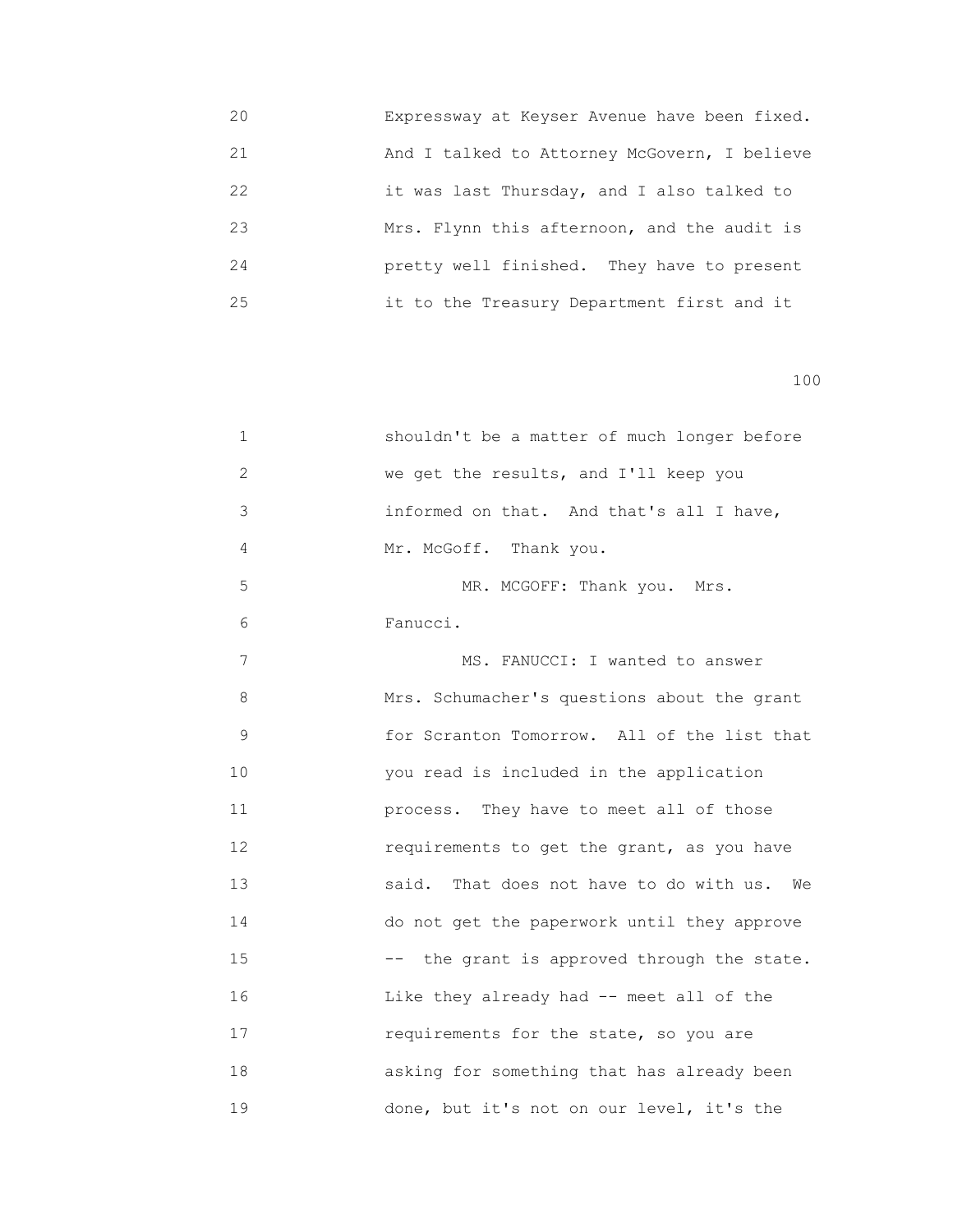20 Expressway at Keyser Avenue have been fixed. 21 And I talked to Attorney McGovern, I believe 22 it was last Thursday, and I also talked to 23 Mrs. Flynn this afternoon, and the audit is 24 pretty well finished. They have to present 25 it to the Treasury Department first and it

| $\mathbf 1$ | shouldn't be a matter of much longer before       |
|-------------|---------------------------------------------------|
| 2           | we get the results, and I'll keep you             |
| 3           | informed on that. And that's all I have,          |
| 4           | Mr. McGoff. Thank you.                            |
| 5           | MR. MCGOFF: Thank you. Mrs.                       |
| 6           | Fanucci.                                          |
| 7           | MS. FANUCCI: I wanted to answer                   |
| 8           | Mrs. Schumacher's questions about the grant       |
| $\mathsf 9$ | for Scranton Tomorrow. All of the list that       |
| 10          | you read is included in the application           |
| 11          | process. They have to meet all of those           |
| 12          | requirements to get the grant, as you have        |
| 13          | said.<br>That does not have to do with us.<br>We  |
| 14          | do not get the paperwork until they approve       |
| 15          | the grant is approved through the state.<br>$---$ |
| 16          | Like they already had -- meet all of the          |
| 17          | requirements for the state, so you are            |
| 18          | asking for something that has already been        |
| 19          | done, but it's not on our level, it's the         |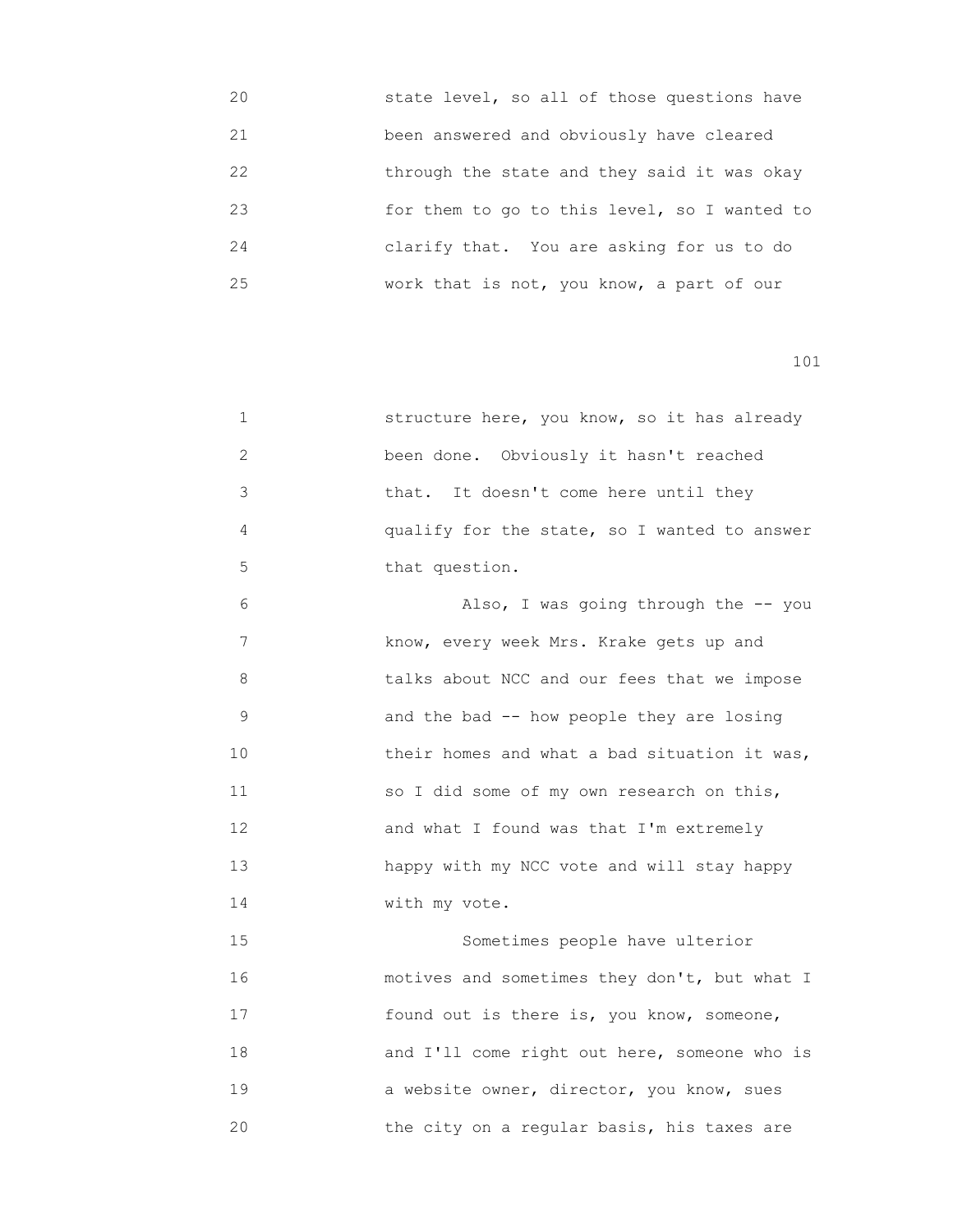| 20 | state level, so all of those questions have  |
|----|----------------------------------------------|
| 21 | been answered and obviously have cleared     |
| 22 | through the state and they said it was okay  |
| 23 | for them to go to this level, so I wanted to |
| 24 | clarify that. You are asking for us to do    |
| 25 | work that is not, you know, a part of our    |

| 1  | structure here, you know, so it has already  |
|----|----------------------------------------------|
| 2  | been done. Obviously it hasn't reached       |
| 3  | that. It doesn't come here until they        |
| 4  | qualify for the state, so I wanted to answer |
| 5  | that question.                               |
| 6  | Also, I was going through the -- you         |
| 7  | know, every week Mrs. Krake gets up and      |
| 8  | talks about NCC and our fees that we impose  |
| 9  | and the bad -- how people they are losing    |
| 10 | their homes and what a bad situation it was, |
| 11 | so I did some of my own research on this,    |
| 12 | and what I found was that I'm extremely      |
| 13 | happy with my NCC vote and will stay happy   |
| 14 | with my vote.                                |
| 15 | Sometimes people have ulterior               |
| 16 | motives and sometimes they don't, but what I |
| 17 | found out is there is, you know, someone,    |
| 18 | and I'll come right out here, someone who is |
| 19 | a website owner, director, you know, sues    |
| 20 | the city on a regular basis, his taxes are   |
|    |                                              |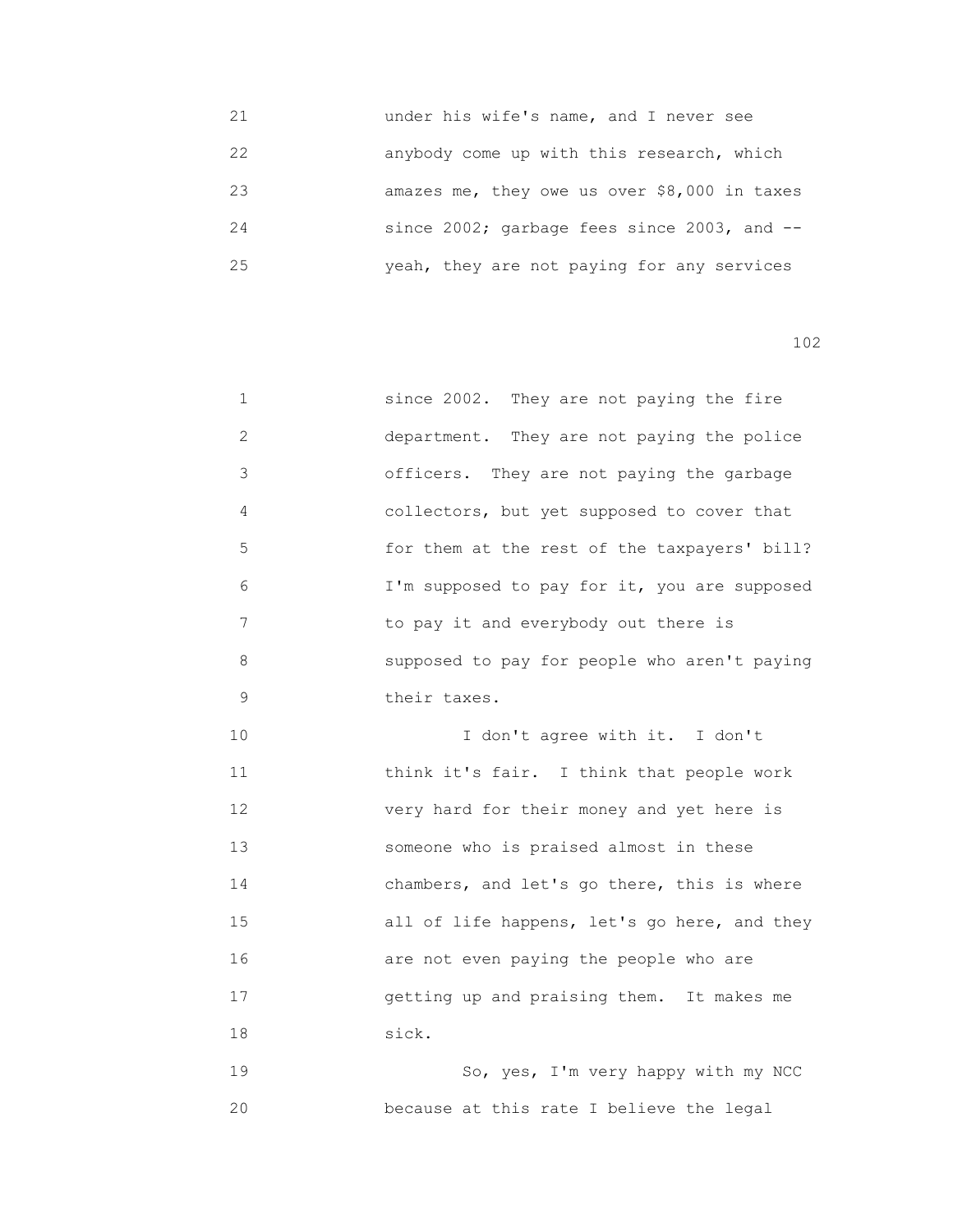| 21 | under his wife's name, and I never see       |
|----|----------------------------------------------|
| 22 | anybody come up with this research, which    |
| 23 | amazes me, they owe us over \$8,000 in taxes |
| 24 | since 2002; garbage fees since 2003, and --  |
| 25 | yeah, they are not paying for any services   |

| 1              | since 2002. They are not paying the fire     |
|----------------|----------------------------------------------|
| $\overline{2}$ | department. They are not paying the police   |
| 3              | officers. They are not paying the garbage    |
| 4              | collectors, but yet supposed to cover that   |
| 5              | for them at the rest of the taxpayers' bill? |
| 6              | I'm supposed to pay for it, you are supposed |
| 7              | to pay it and everybody out there is         |
| 8              | supposed to pay for people who aren't paying |
| 9              | their taxes.                                 |
| 10             | I don't agree with it. I don't               |
| 11             | think it's fair. I think that people work    |
| 12             | very hard for their money and yet here is    |
| 13             | someone who is praised almost in these       |
| 14             | chambers, and let's go there, this is where  |
| 15             | all of life happens, let's go here, and they |
| 16             | are not even paying the people who are       |
| 17             | getting up and praising them. It makes me    |
| 18             | sick.                                        |
| 19             | So, yes, I'm very happy with my NCC          |
| 20             | because at this rate I believe the legal     |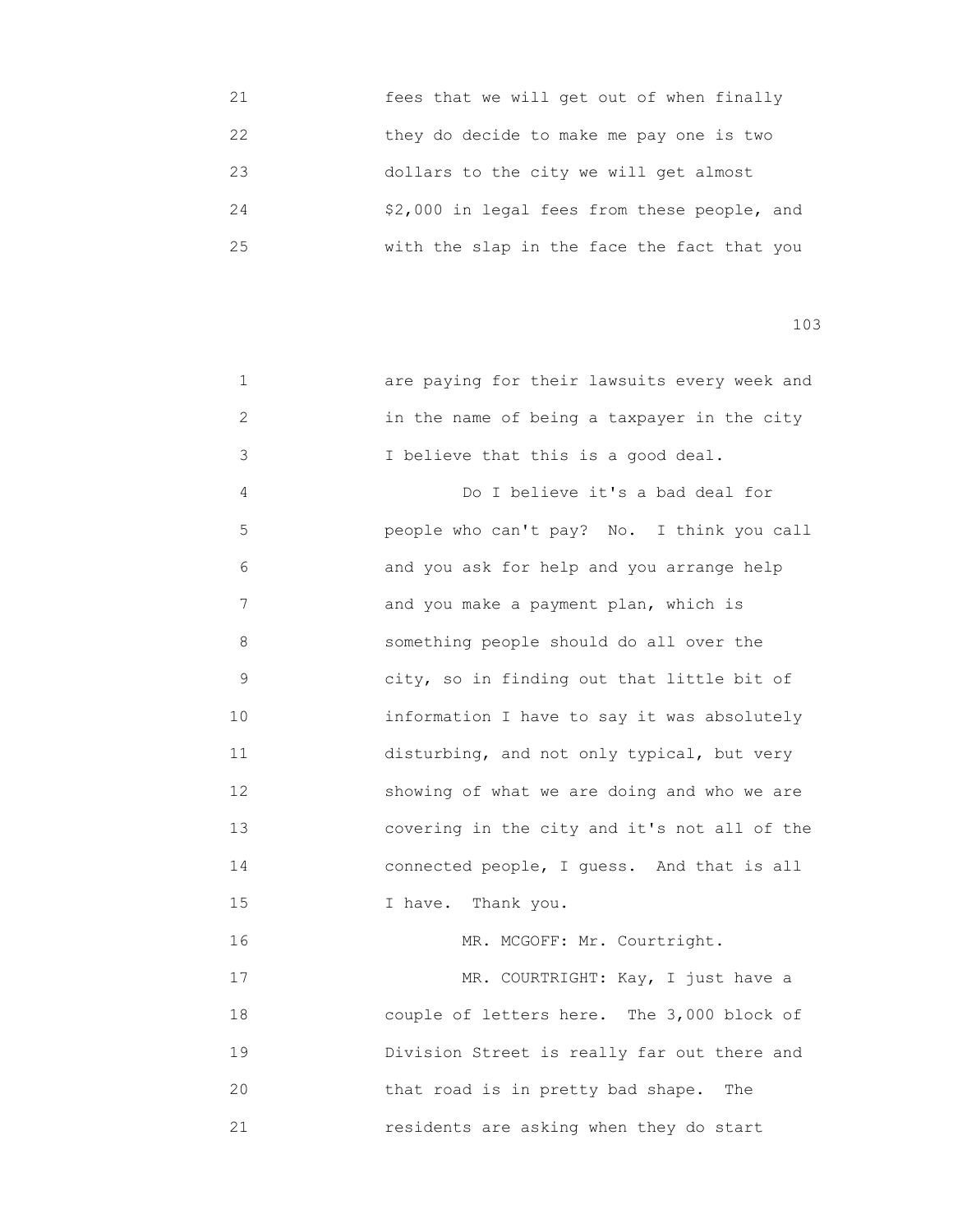| 21 | fees that we will get out of when finally    |
|----|----------------------------------------------|
| 22 | they do decide to make me pay one is two     |
| 23 | dollars to the city we will get almost       |
| 24 | \$2,000 in legal fees from these people, and |
| 25 | with the slap in the face the fact that you  |

| 1  | are paying for their lawsuits every week and |
|----|----------------------------------------------|
| 2  | in the name of being a taxpayer in the city  |
| 3  | I believe that this is a good deal.          |
| 4  | Do I believe it's a bad deal for             |
| 5  | people who can't pay? No. I think you call   |
| 6  | and you ask for help and you arrange help    |
| 7  | and you make a payment plan, which is        |
| 8  | something people should do all over the      |
| 9  | city, so in finding out that little bit of   |
| 10 | information I have to say it was absolutely  |
| 11 | disturbing, and not only typical, but very   |
| 12 | showing of what we are doing and who we are  |
| 13 | covering in the city and it's not all of the |
| 14 | connected people, I guess. And that is all   |
| 15 | I have. Thank you.                           |
| 16 | MR. MCGOFF: Mr. Courtright.                  |
| 17 | MR. COURTRIGHT: Kay, I just have a           |
| 18 | couple of letters here. The 3,000 block of   |
| 19 | Division Street is really far out there and  |
| 20 | that road is in pretty bad shape.<br>The     |
| 21 | residents are asking when they do start      |
|    |                                              |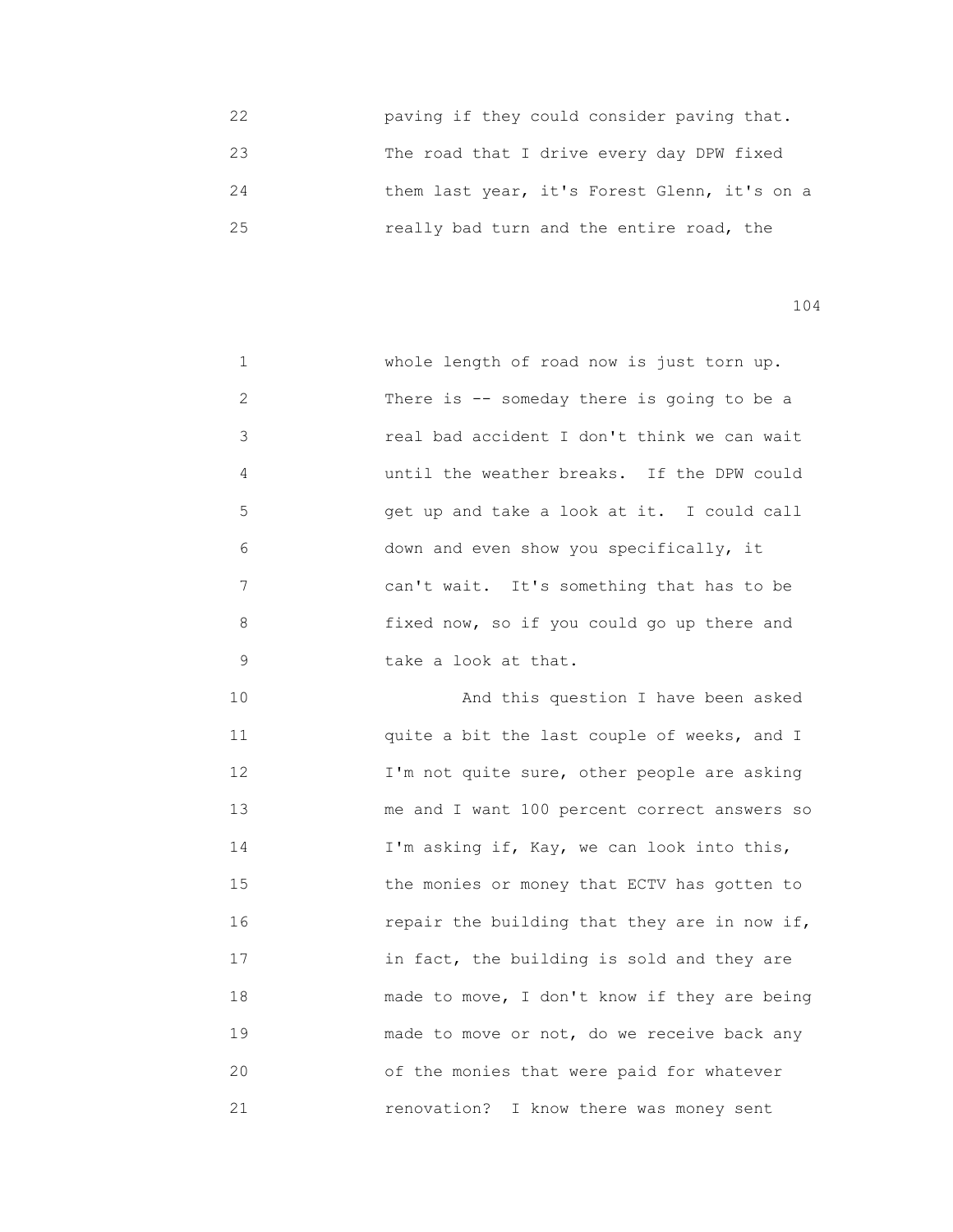22 paving if they could consider paving that. 23 The road that I drive every day DPW fixed 24 them last year, it's Forest Glenn, it's on a 25 really bad turn and the entire road, the

104

 1 whole length of road now is just torn up. 2 There is -- someday there is going to be a 3 real bad accident I don't think we can wait 4 until the weather breaks. If the DPW could 5 get up and take a look at it. I could call 6 down and even show you specifically, it 7 can't wait. It's something that has to be 8 fixed now, so if you could go up there and 9 take a look at that.

 10 And this question I have been asked 11 quite a bit the last couple of weeks, and I 12 **I'm not quite sure, other people are asking**  13 me and I want 100 percent correct answers so 14 I'm asking if, Kay, we can look into this, 15 the monies or money that ECTV has gotten to 16 repair the building that they are in now if, 17 **17 11** in fact, the building is sold and they are 18 made to move, I don't know if they are being 19 **made to move or not, do we receive back any**  20 of the monies that were paid for whatever 21 renovation? I know there was money sent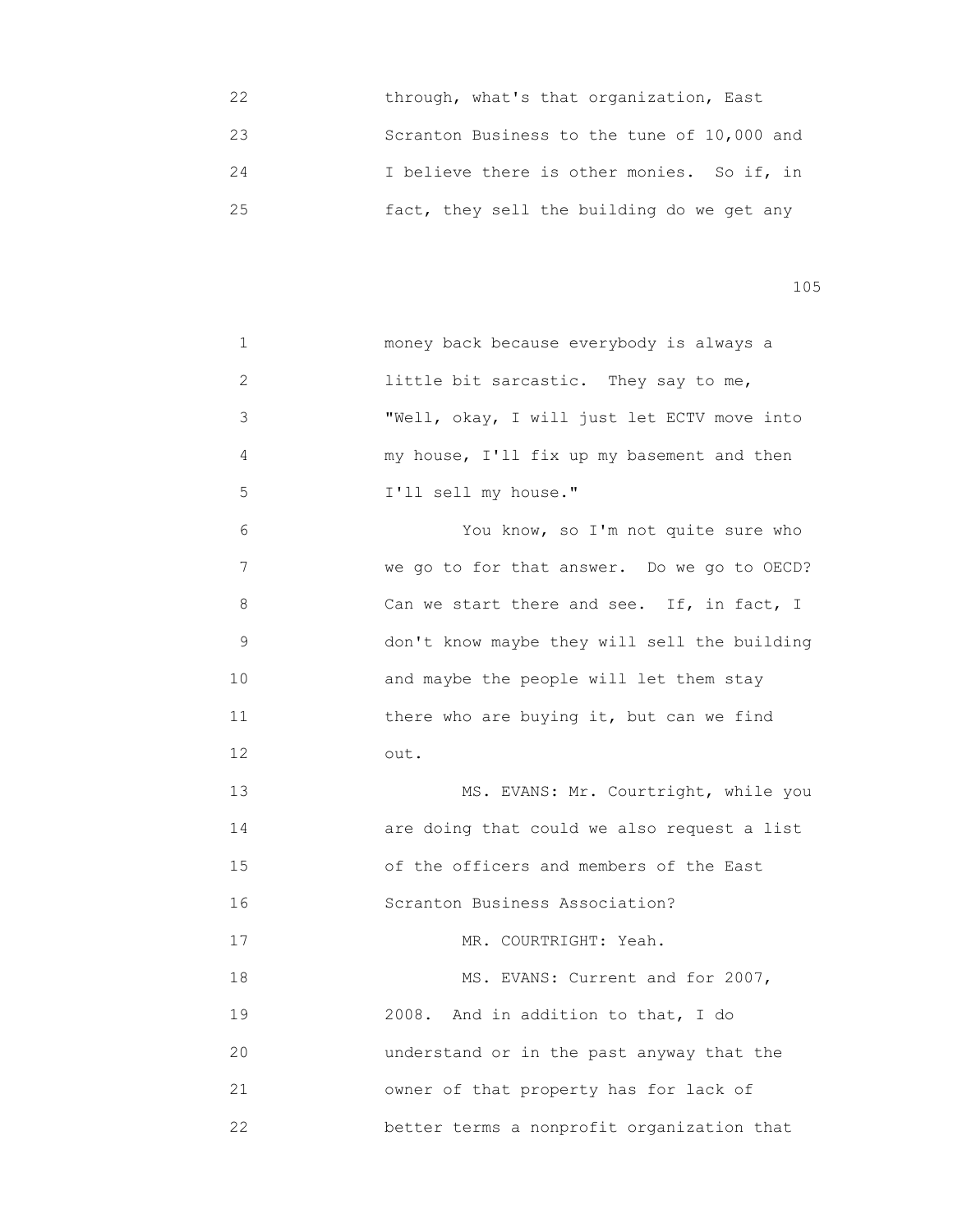22 through, what's that organization, East 23 Scranton Business to the tune of 10,000 and 24 I believe there is other monies. So if, in 25 fact, they sell the building do we get any

105

 1 money back because everybody is always a 2 little bit sarcastic. They say to me, 3 "Well, okay, I will just let ECTV move into 4 my house, I'll fix up my basement and then 5 I'll sell my house." 6 You know, so I'm not quite sure who 7 We go to for that answer. Do we go to OECD? 8 Can we start there and see. If, in fact, I 9 don't know maybe they will sell the building 10 **and maybe the people will let them stay** 11 **11** there who are buying it, but can we find 12 out. 13 MS. EVANS: Mr. Courtright, while you 14 are doing that could we also request a list 15 of the officers and members of the East 16 Scranton Business Association? 17 MR. COURTRIGHT: Yeah. 18 MS. EVANS: Current and for 2007, 19 2008. And in addition to that, I do 20 understand or in the past anyway that the 21 owner of that property has for lack of 22 better terms a nonprofit organization that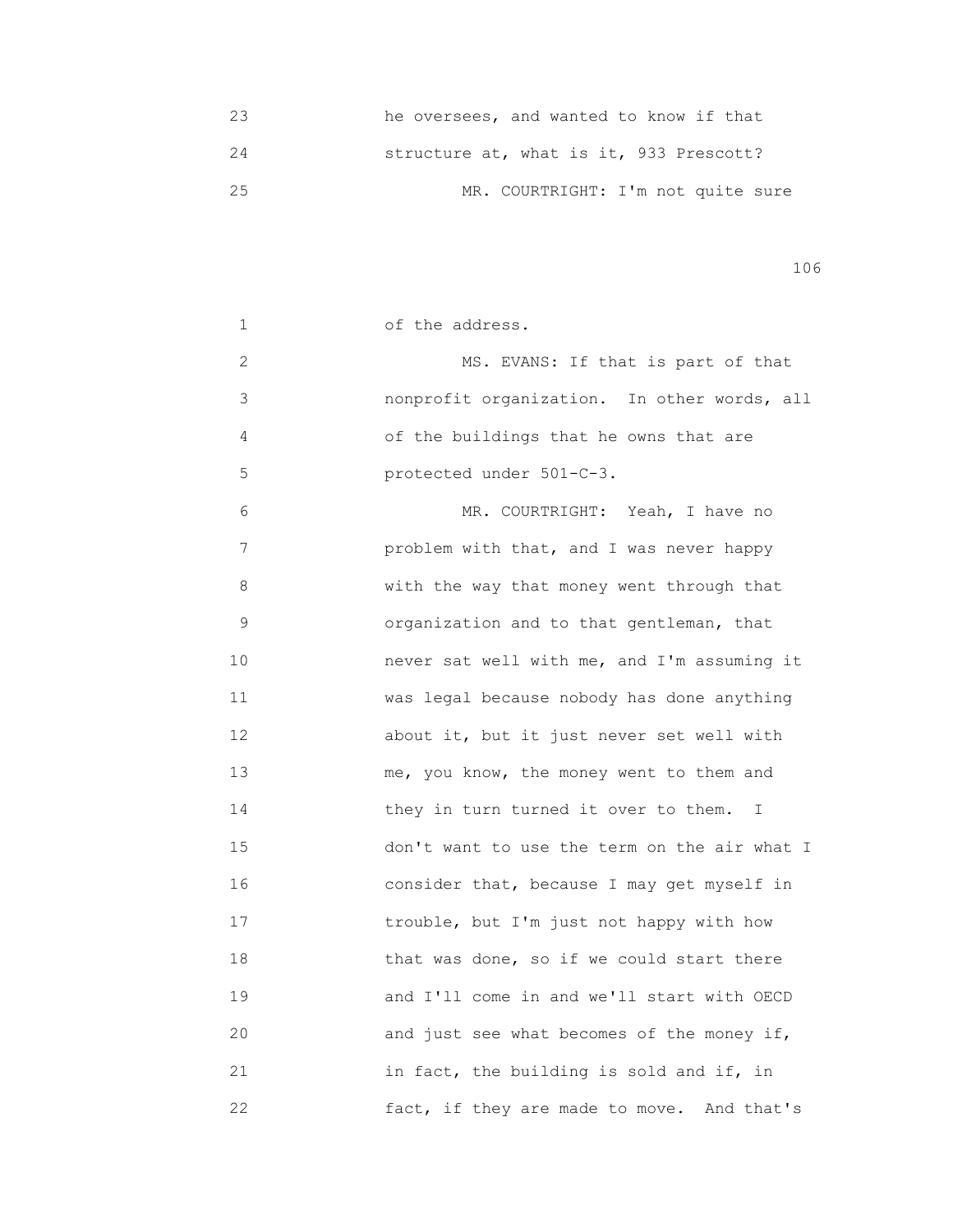|    | he oversees, and wanted to know if that |
|----|-----------------------------------------|
| 24 | structure at, what is it, 933 Prescott? |
| 25 | MR. COURTRIGHT: I'm not quite sure      |

| 1              | of the address.                              |
|----------------|----------------------------------------------|
| $\mathbf{2}$   | MS. EVANS: If that is part of that           |
| $\mathfrak{Z}$ | nonprofit organization. In other words, all  |
| 4              | of the buildings that he owns that are       |
| 5              | protected under 501-C-3.                     |
| 6              | MR. COURTRIGHT: Yeah, I have no              |
| 7              | problem with that, and I was never happy     |
| 8              | with the way that money went through that    |
| 9              | organization and to that gentleman, that     |
| 10             | never sat well with me, and I'm assuming it  |
| 11             | was legal because nobody has done anything   |
| 12             | about it, but it just never set well with    |
| 13             | me, you know, the money went to them and     |
| 14             | they in turn turned it over to them. I       |
| 15             | don't want to use the term on the air what I |
| 16             | consider that, because I may get myself in   |
| 17             | trouble, but I'm just not happy with how     |
| 18             | that was done, so if we could start there    |
| 19             | and I'll come in and we'll start with OECD   |
| 20             | and just see what becomes of the money if,   |
| 21             | in fact, the building is sold and if, in     |
| 22             | fact, if they are made to move. And that's   |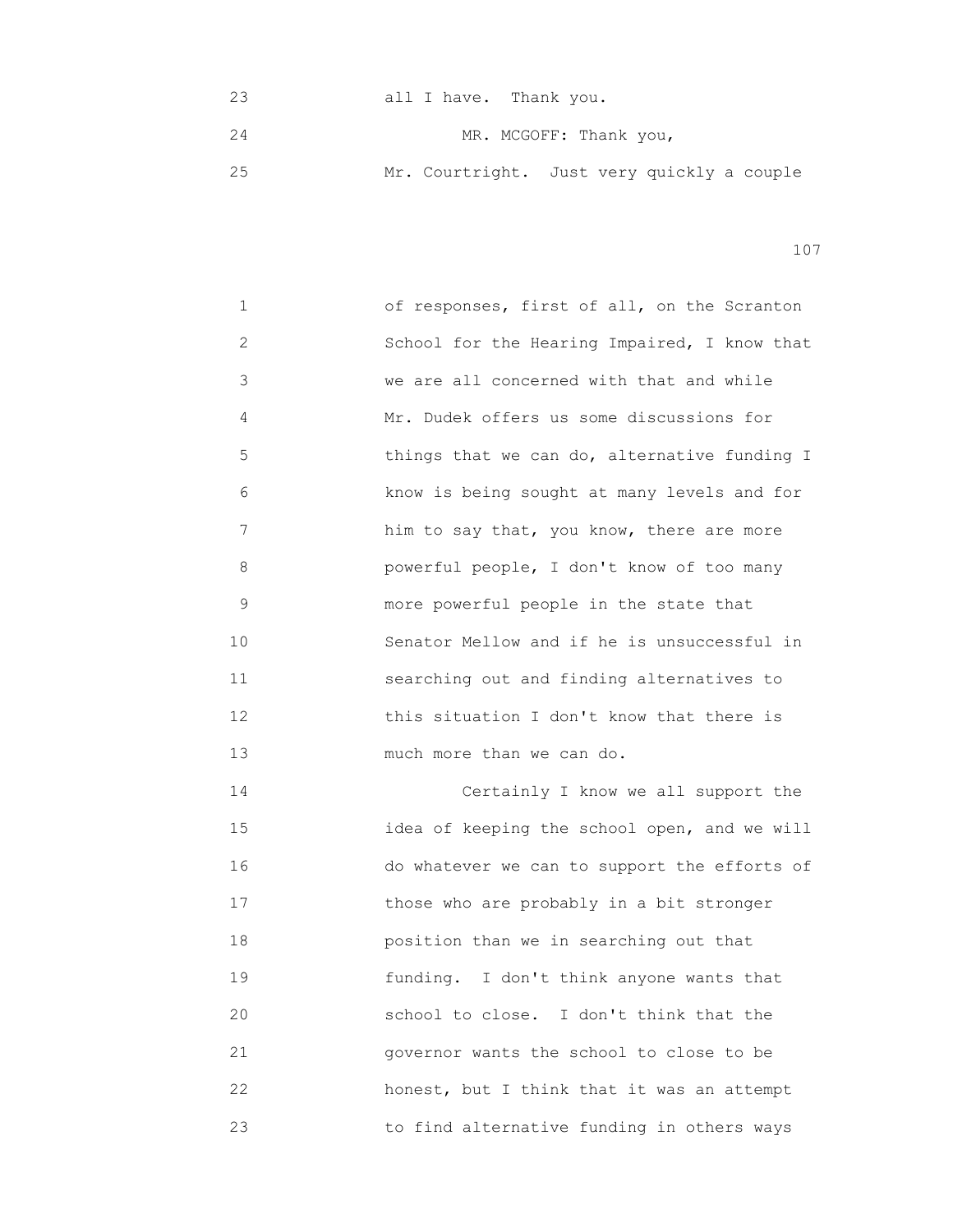23 all I have. Thank you. 24 MR. MCGOFF: Thank you, 25 Mr. Courtright. Just very quickly a couple

107

1 of responses, first of all, on the Scranton 2 School for the Hearing Impaired, I know that 3 we are all concerned with that and while 4 Mr. Dudek offers us some discussions for 5 **things that we can do, alternative funding I**  6 know is being sought at many levels and for 7 him to say that, you know, there are more 8 powerful people, I don't know of too many 9 more powerful people in the state that 10 Senator Mellow and if he is unsuccessful in 11 searching out and finding alternatives to 12 this situation I don't know that there is 13 much more than we can do. 14 Certainly I know we all support the 15 idea of keeping the school open, and we will 16 do whatever we can to support the efforts of 17 those who are probably in a bit stronger 18 position than we in searching out that 19 funding. I don't think anyone wants that 20 school to close. I don't think that the

 21 governor wants the school to close to be 22 honest, but I think that it was an attempt 23 to find alternative funding in others ways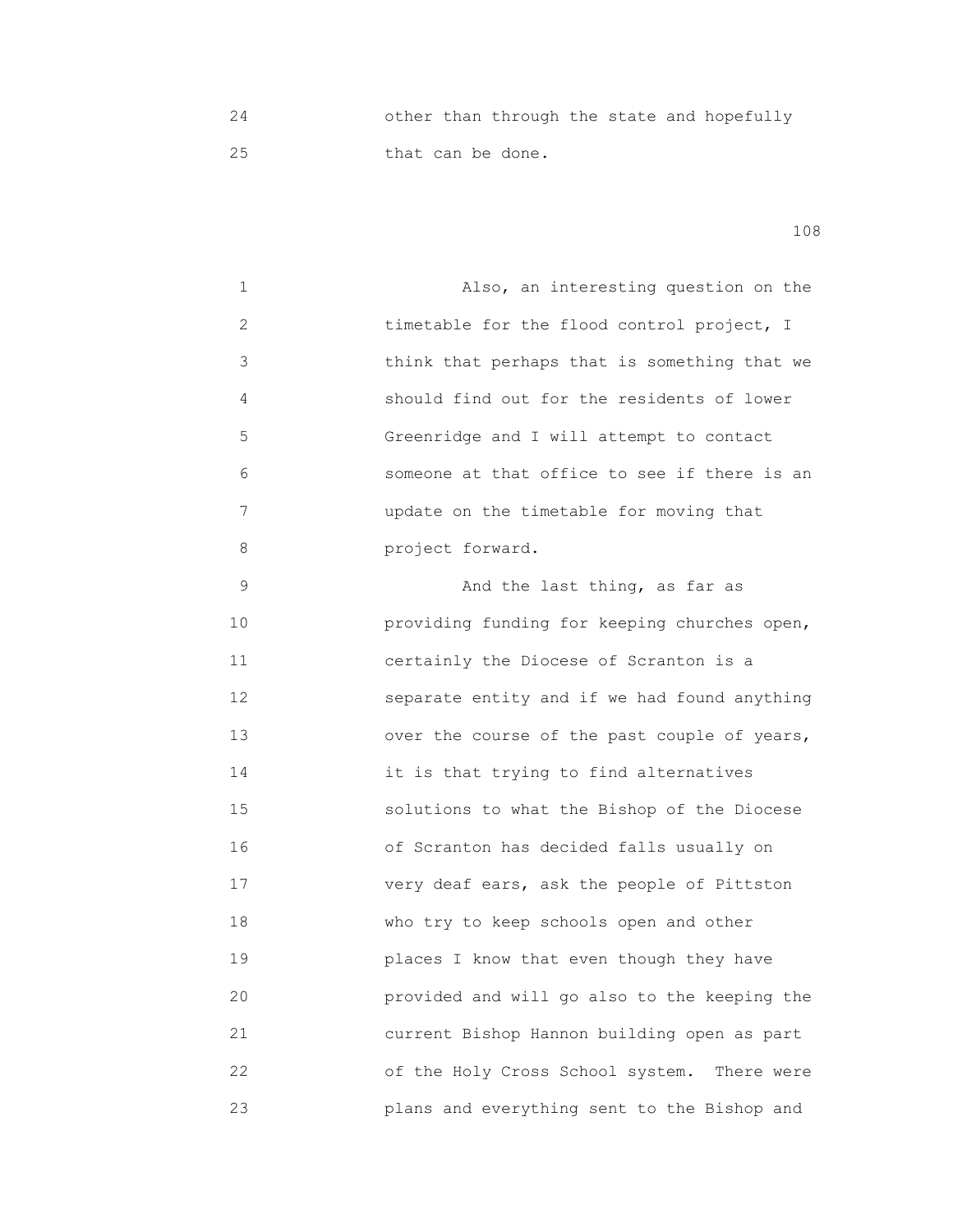24 other than through the state and hopefully 25 **that can be done.** 

108

 1 Also, an interesting question on the 2 timetable for the flood control project, I 3 think that perhaps that is something that we 4 should find out for the residents of lower 5 Greenridge and I will attempt to contact 6 someone at that office to see if there is an 7 update on the timetable for moving that 8 project forward. 9 And the last thing, as far as 10 providing funding for keeping churches open, 11 **11 11 Certainly the Diocese of Scranton is a**  12 separate entity and if we had found anything 13 over the course of the past couple of years, 14 it is that trying to find alternatives 15 solutions to what the Bishop of the Diocese 16 of Scranton has decided falls usually on 17 **17** very deaf ears, ask the people of Pittston 18 **Who try to keep schools open and other**  19 places I know that even though they have 20 provided and will go also to the keeping the 21 current Bishop Hannon building open as part 22 of the Holy Cross School system. There were 23 plans and everything sent to the Bishop and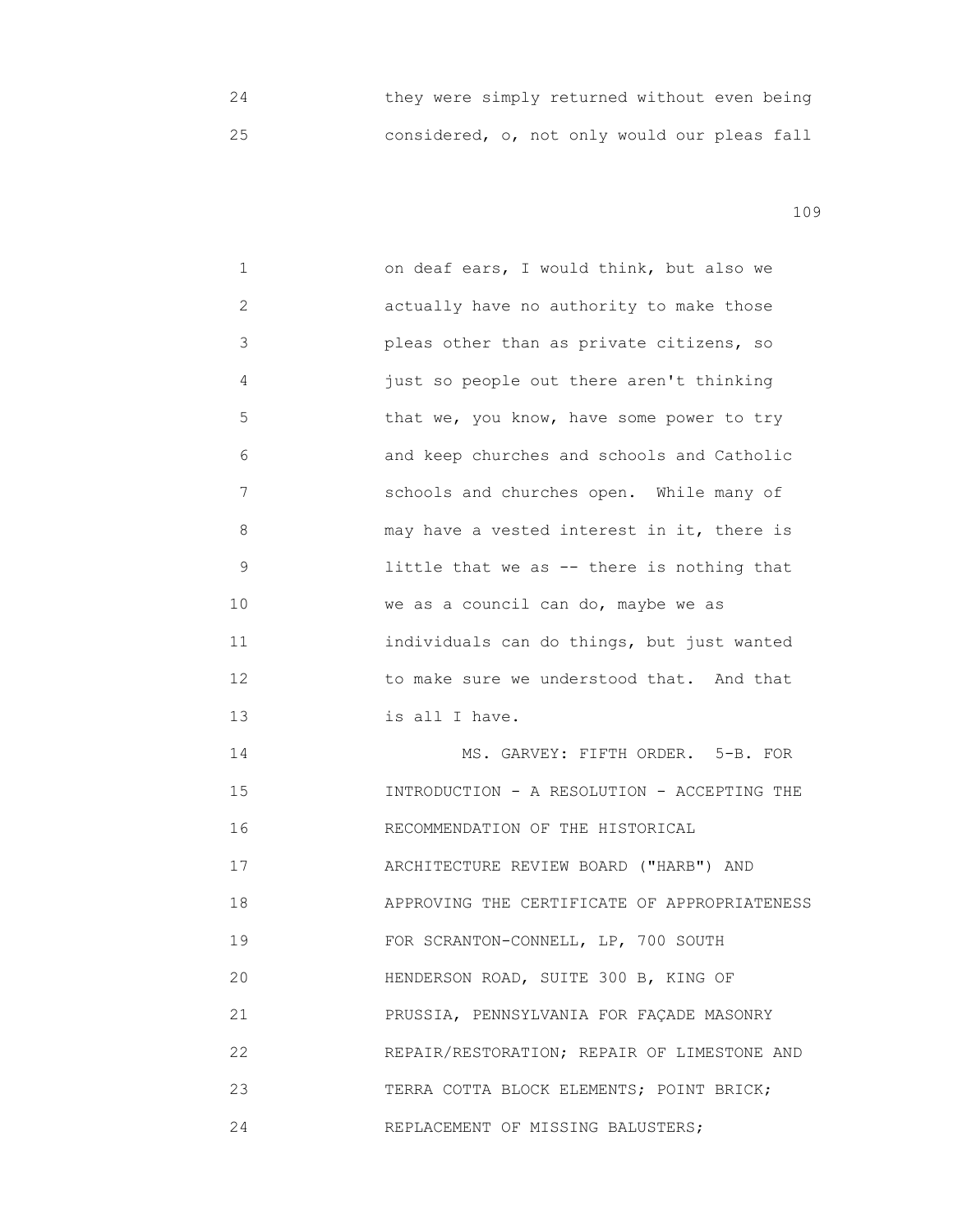| they were simply returned without even being |  |  |  |  |
|----------------------------------------------|--|--|--|--|
| considered, o, not only would our pleas fall |  |  |  |  |

 1 on deaf ears, I would think, but also we 2 actually have no authority to make those 3 pleas other than as private citizens, so 4 just so people out there aren't thinking 5 **1** that we, you know, have some power to try 6 and keep churches and schools and Catholic 7 schools and churches open. While many of 8 may have a vested interest in it, there is 9 1ittle that we as -- there is nothing that 10 We as a council can do, maybe we as 11 individuals can do things, but just wanted 12 **12** to make sure we understood that. And that 13 is all I have. 14 MS. GARVEY: FIFTH ORDER. 5-B. FOR 15 INTRODUCTION - A RESOLUTION - ACCEPTING THE 16 RECOMMENDATION OF THE HISTORICAL 17 ARCHITECTURE REVIEW BOARD ("HARB") AND 18 APPROVING THE CERTIFICATE OF APPROPRIATENESS 19 FOR SCRANTON-CONNELL, LP, 700 SOUTH 20 HENDERSON ROAD, SUITE 300 B, KING OF 21 PRUSSIA, PENNSYLVANIA FOR FAÇADE MASONRY 22 REPAIR/RESTORATION; REPAIR OF LIMESTONE AND 23 TERRA COTTA BLOCK ELEMENTS; POINT BRICK; 24 REPLACEMENT OF MISSING BALUSTERS;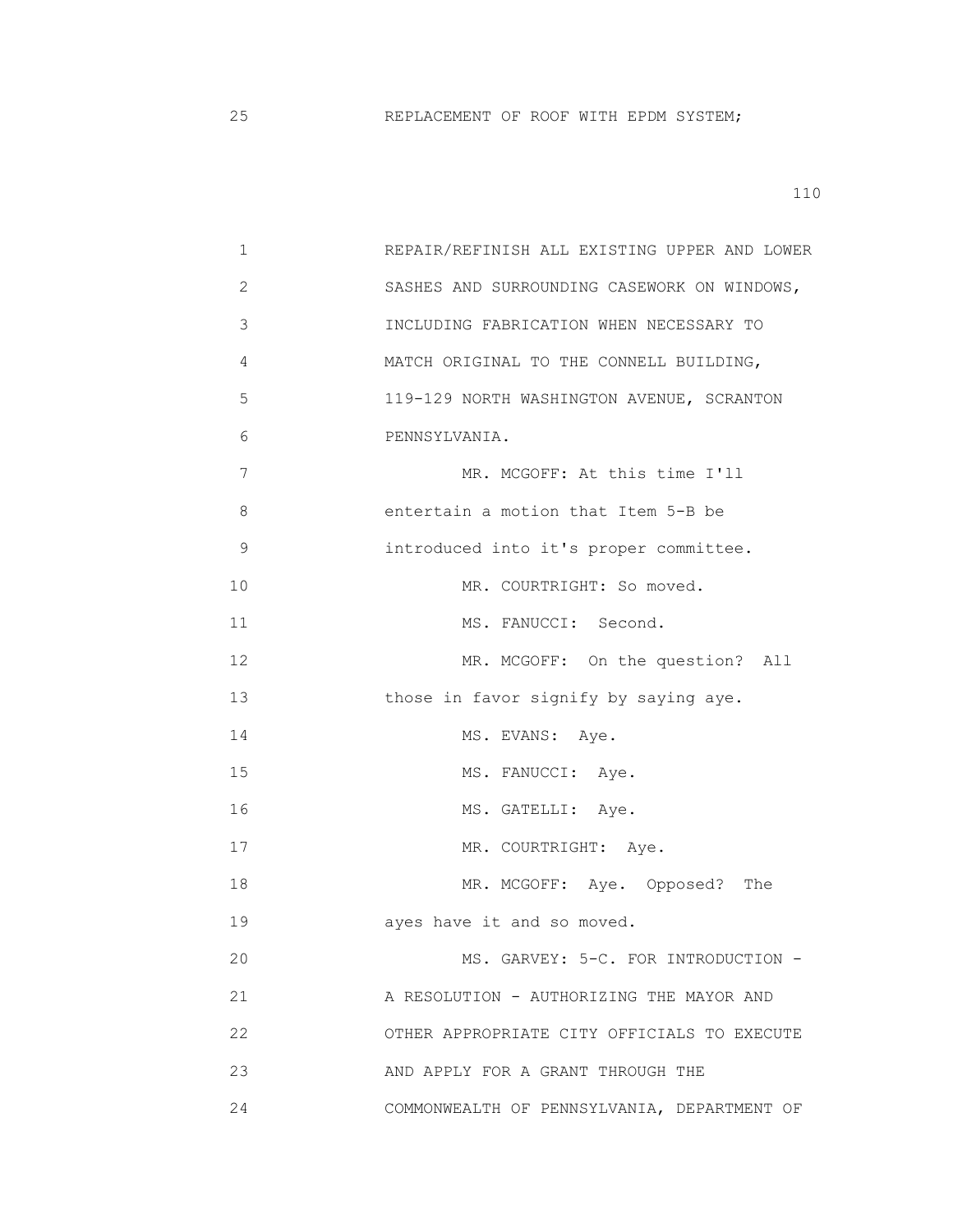| 1  | REPAIR/REFINISH ALL EXISTING UPPER AND LOWER |
|----|----------------------------------------------|
| 2  | SASHES AND SURROUNDING CASEWORK ON WINDOWS,  |
| 3  | INCLUDING FABRICATION WHEN NECESSARY TO      |
| 4  | MATCH ORIGINAL TO THE CONNELL BUILDING,      |
| 5  | 119-129 NORTH WASHINGTON AVENUE, SCRANTON    |
| 6  | PENNSYLVANIA.                                |
| 7  | MR. MCGOFF: At this time I'll                |
| 8  | entertain a motion that Item 5-B be          |
| 9  | introduced into it's proper committee.       |
| 10 | MR. COURTRIGHT: So moved.                    |
| 11 | MS. FANUCCI: Second.                         |
| 12 | MR. MCGOFF: On the question? All             |
| 13 | those in favor signify by saying aye.        |
| 14 | MS. EVANS: Aye.                              |
| 15 | MS. FANUCCI: Aye.                            |
| 16 | MS. GATELLI: Aye.                            |
| 17 | MR. COURTRIGHT: Aye.                         |
| 18 | MR. MCGOFF: Aye. Opposed?<br>The             |
| 19 | ayes have it and so moved.                   |
| 20 | MS. GARVEY: 5-C. FOR INTRODUCTION -          |
| 21 | A RESOLUTION - AUTHORIZING THE MAYOR AND     |
| 22 | OTHER APPROPRIATE CITY OFFICIALS TO EXECUTE  |
| 23 | AND APPLY FOR A GRANT THROUGH THE            |
| 24 | COMMONWEALTH OF PENNSYLVANIA, DEPARTMENT OF  |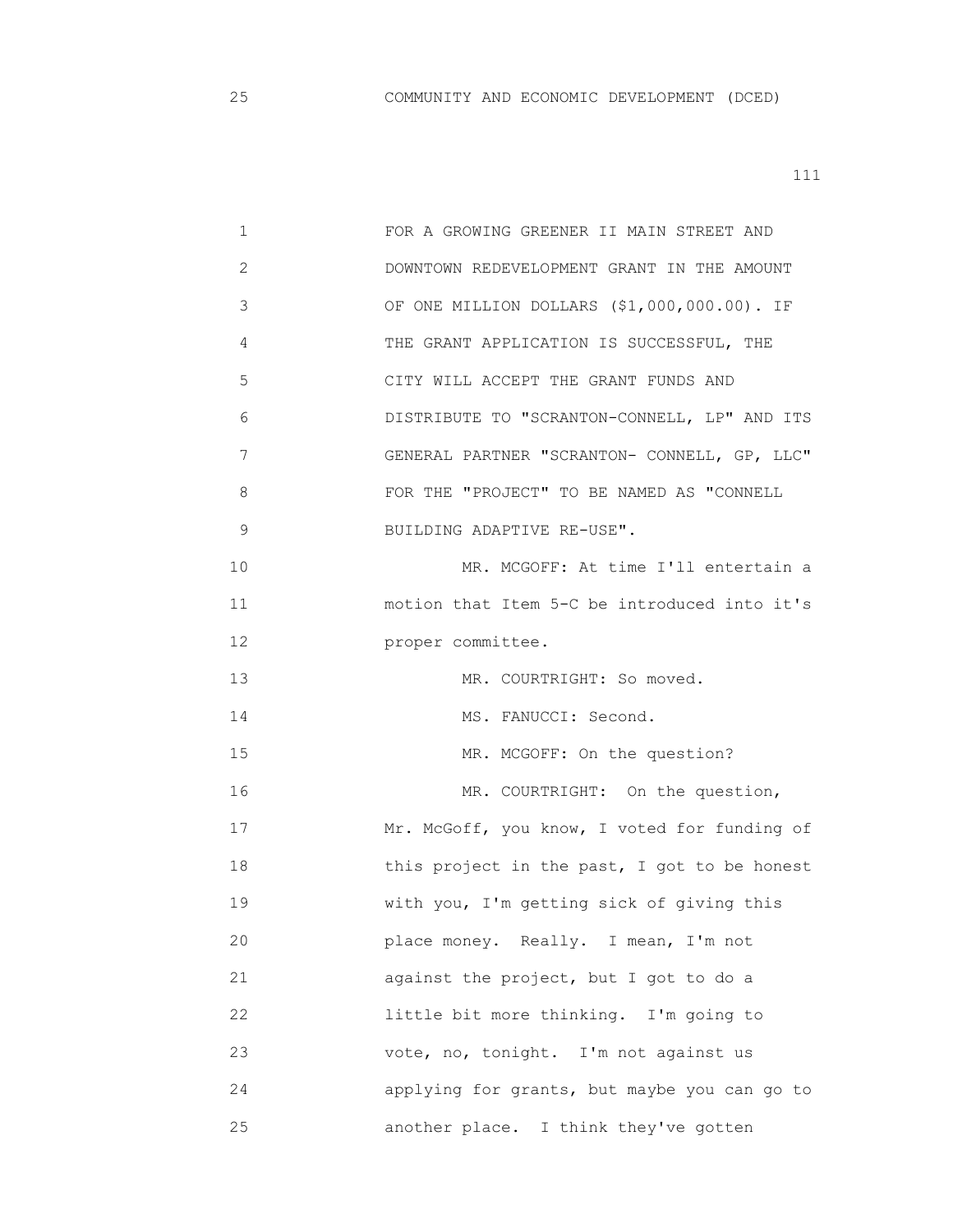| $\mathbf 1$  | FOR A GROWING GREENER II MAIN STREET AND     |
|--------------|----------------------------------------------|
| $\mathbf{2}$ | DOWNTOWN REDEVELOPMENT GRANT IN THE AMOUNT   |
| 3            | OF ONE MILLION DOLLARS (\$1,000,000.00). IF  |
| 4            | THE GRANT APPLICATION IS SUCCESSFUL, THE     |
| 5            | CITY WILL ACCEPT THE GRANT FUNDS AND         |
| 6            | DISTRIBUTE TO "SCRANTON-CONNELL, LP" AND ITS |
| 7            | GENERAL PARTNER "SCRANTON- CONNELL, GP, LLC" |
| 8            | FOR THE "PROJECT" TO BE NAMED AS "CONNELL    |
| 9            | BUILDING ADAPTIVE RE-USE".                   |
| 10           | MR. MCGOFF: At time I'll entertain a         |
| 11           | motion that Item 5-C be introduced into it's |
| 12           | proper committee.                            |
| 13           | MR. COURTRIGHT: So moved.                    |
| 14           | MS. FANUCCI: Second.                         |
| 15           | MR. MCGOFF: On the question?                 |
| 16           | MR. COURTRIGHT: On the question,             |
| 17           | Mr. McGoff, you know, I voted for funding of |
| 18           | this project in the past, I got to be honest |
| 19           | with you, I'm getting sick of giving this    |
| 20           | place money. Really. I mean, I'm not         |
| 21           | against the project, but I got to do a       |
| 22           | little bit more thinking. I'm going to       |
| 23           | vote, no, tonight. I'm not against us        |
| 24           | applying for grants, but maybe you can go to |
| 25           | another place. I think they've gotten        |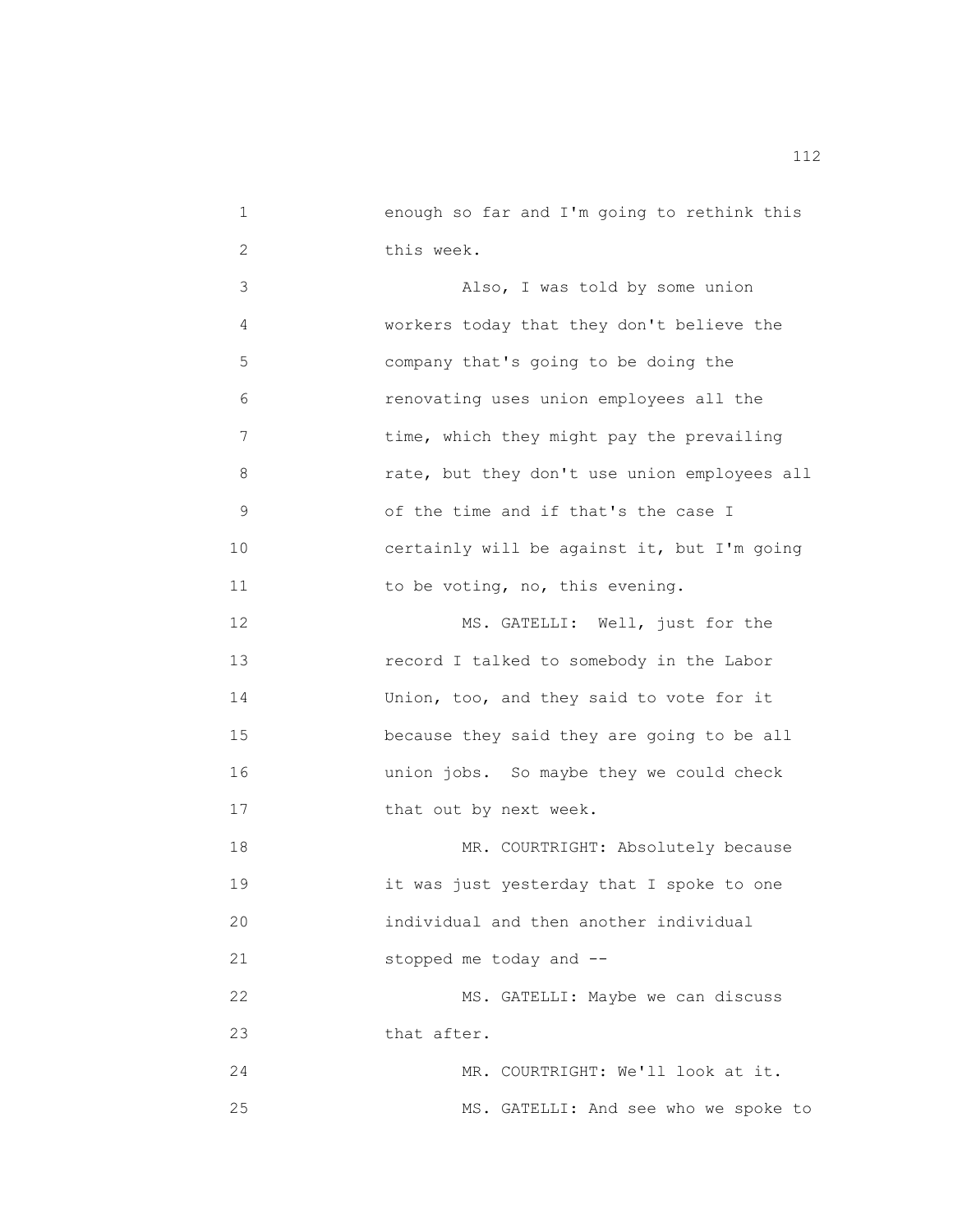| 1  | enough so far and I'm going to rethink this  |
|----|----------------------------------------------|
| 2  | this week.                                   |
| 3  | Also, I was told by some union               |
| 4  | workers today that they don't believe the    |
| 5  | company that's going to be doing the         |
| 6  | renovating uses union employees all the      |
| 7  | time, which they might pay the prevailing    |
| 8  | rate, but they don't use union employees all |
| 9  | of the time and if that's the case I         |
| 10 | certainly will be against it, but I'm going  |
| 11 | to be voting, no, this evening.              |
| 12 | MS. GATELLI: Well, just for the              |
| 13 | record I talked to somebody in the Labor     |
| 14 | Union, too, and they said to vote for it     |
| 15 | because they said they are going to be all   |
| 16 | union jobs. So maybe they we could check     |
| 17 | that out by next week.                       |
| 18 | MR. COURTRIGHT: Absolutely because           |
| 19 | it was just yesterday that I spoke to one    |
| 20 | individual and then another individual       |
| 21 | stopped me today and --                      |
| 22 | MS. GATELLI: Maybe we can discuss            |
| 23 | that after.                                  |
| 24 | MR. COURTRIGHT: We'll look at it.            |
| 25 | MS. GATELLI: And see who we spoke to         |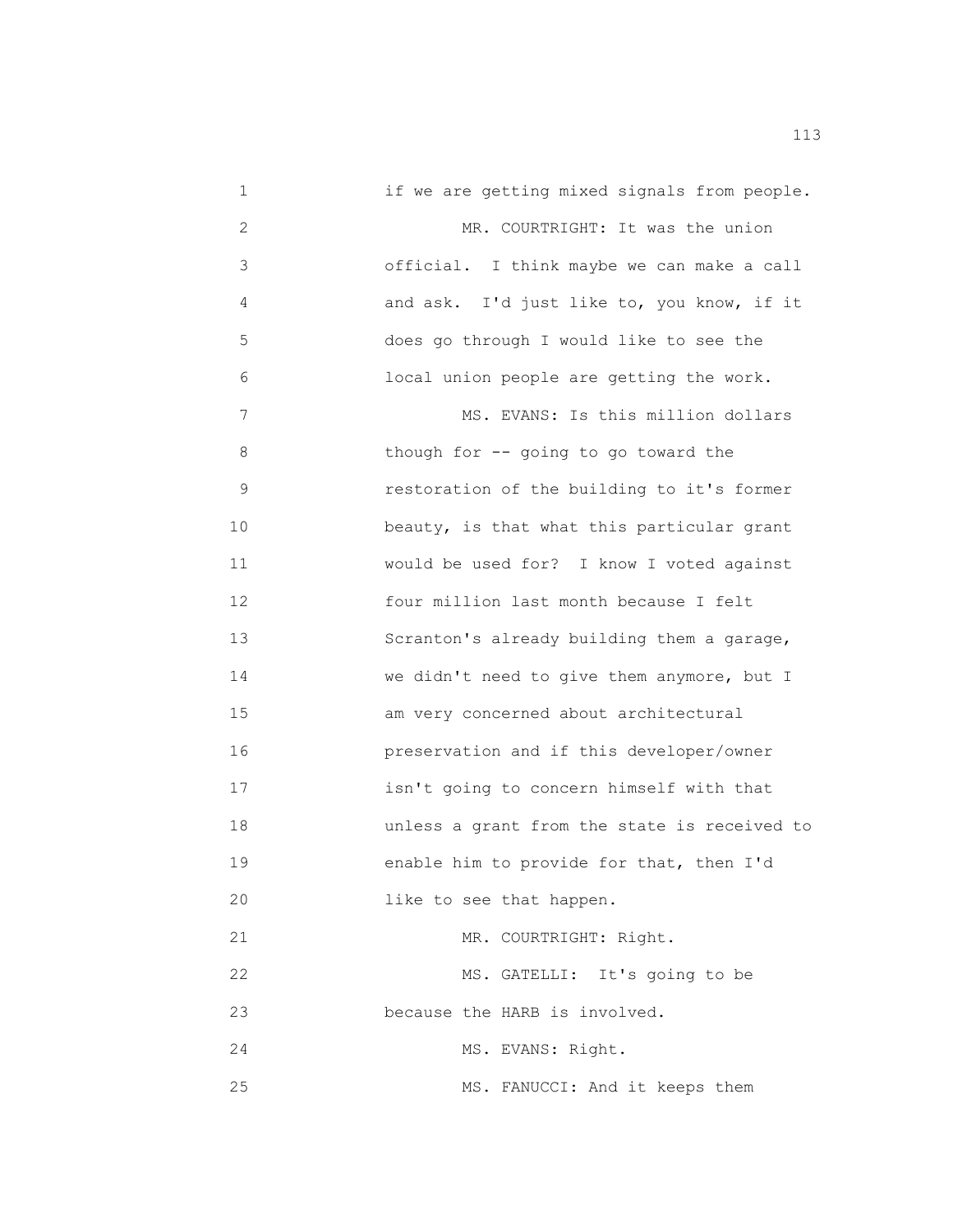1 if we are getting mixed signals from people. 2 MR. COURTRIGHT: It was the union 3 official. I think maybe we can make a call 4 and ask. I'd just like to, you know, if it 5 does go through I would like to see the 6 local union people are getting the work. 7 Section MS. EVANS: Is this million dollars 8 though for -- going to go toward the 9 restoration of the building to it's former 10 **beauty, is that what this particular grant**  11 would be used for? I know I voted against 12 four million last month because I felt 13 Scranton's already building them a garage, 14 we didn't need to give them anymore, but I 15 am very concerned about architectural 16 preservation and if this developer/owner 17 isn't going to concern himself with that 18 unless a grant from the state is received to 19 enable him to provide for that, then I'd 20 like to see that happen. 21 MR. COURTRIGHT: Right. 22 MS. GATELLI: It's going to be 23 because the HARB is involved. 24 MS. EVANS: Right. 25 MS. FANUCCI: And it keeps them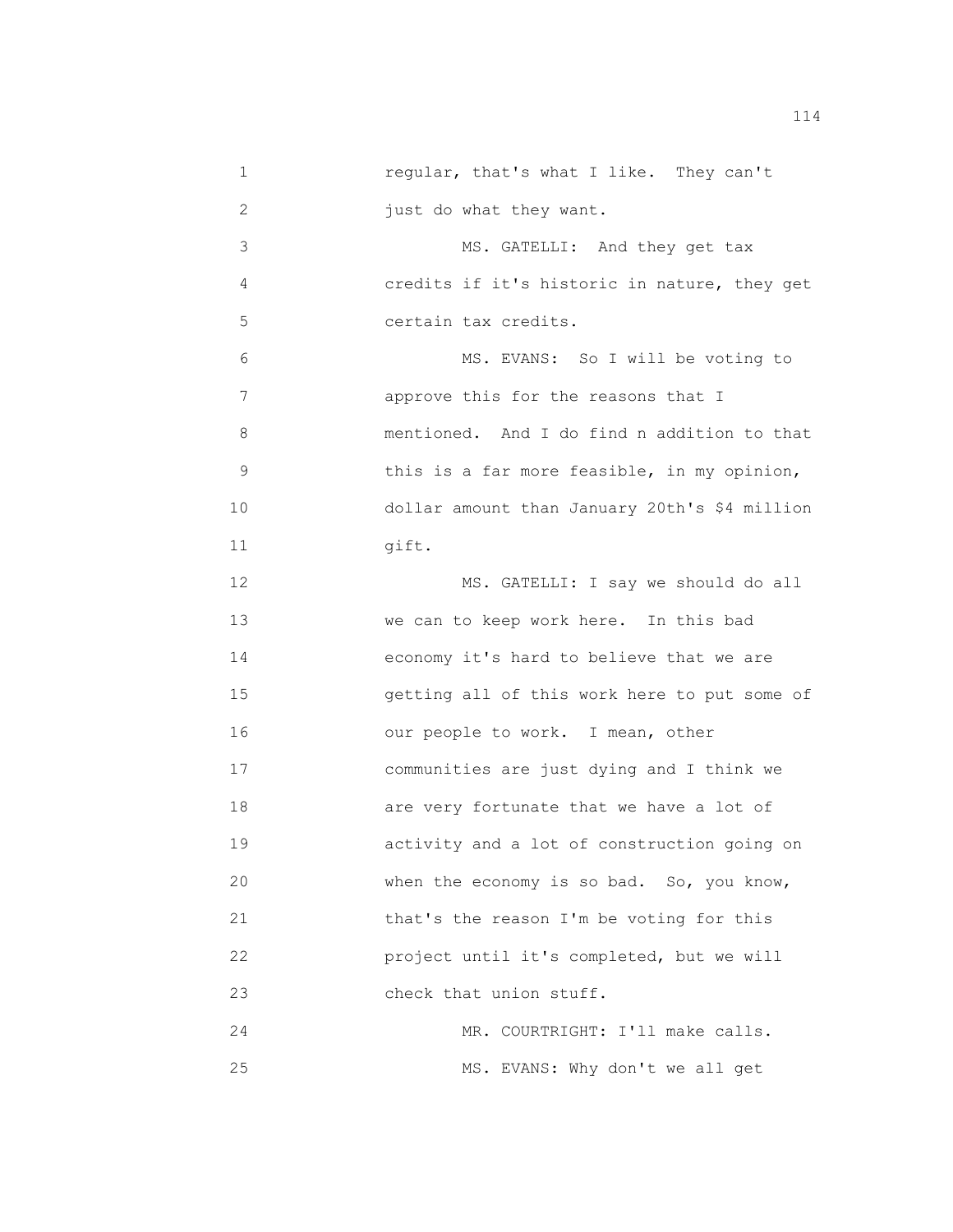1 regular, that's what I like. They can't 2 just do what they want. 3 MS. GATELLI: And they get tax 4 credits if it's historic in nature, they get 5 certain tax credits. 6 MS. EVANS: So I will be voting to 7 approve this for the reasons that I 8 mentioned. And I do find n addition to that 9 **18 12 12 13 this is a far more feasible, in my opinion,**  10 dollar amount than January 20th's \$4 million 11 qift. 12 MS. GATELLI: I say we should do all 13 We can to keep work here. In this bad 14 economy it's hard to believe that we are 15 getting all of this work here to put some of 16 our people to work. I mean, other 17 communities are just dying and I think we 18 are very fortunate that we have a lot of 19 activity and a lot of construction going on 20 when the economy is so bad. So, you know, 21 that's the reason I'm be voting for this 22 project until it's completed, but we will 23 check that union stuff. 24 MR. COURTRIGHT: I'll make calls. 25 MS. EVANS: Why don't we all get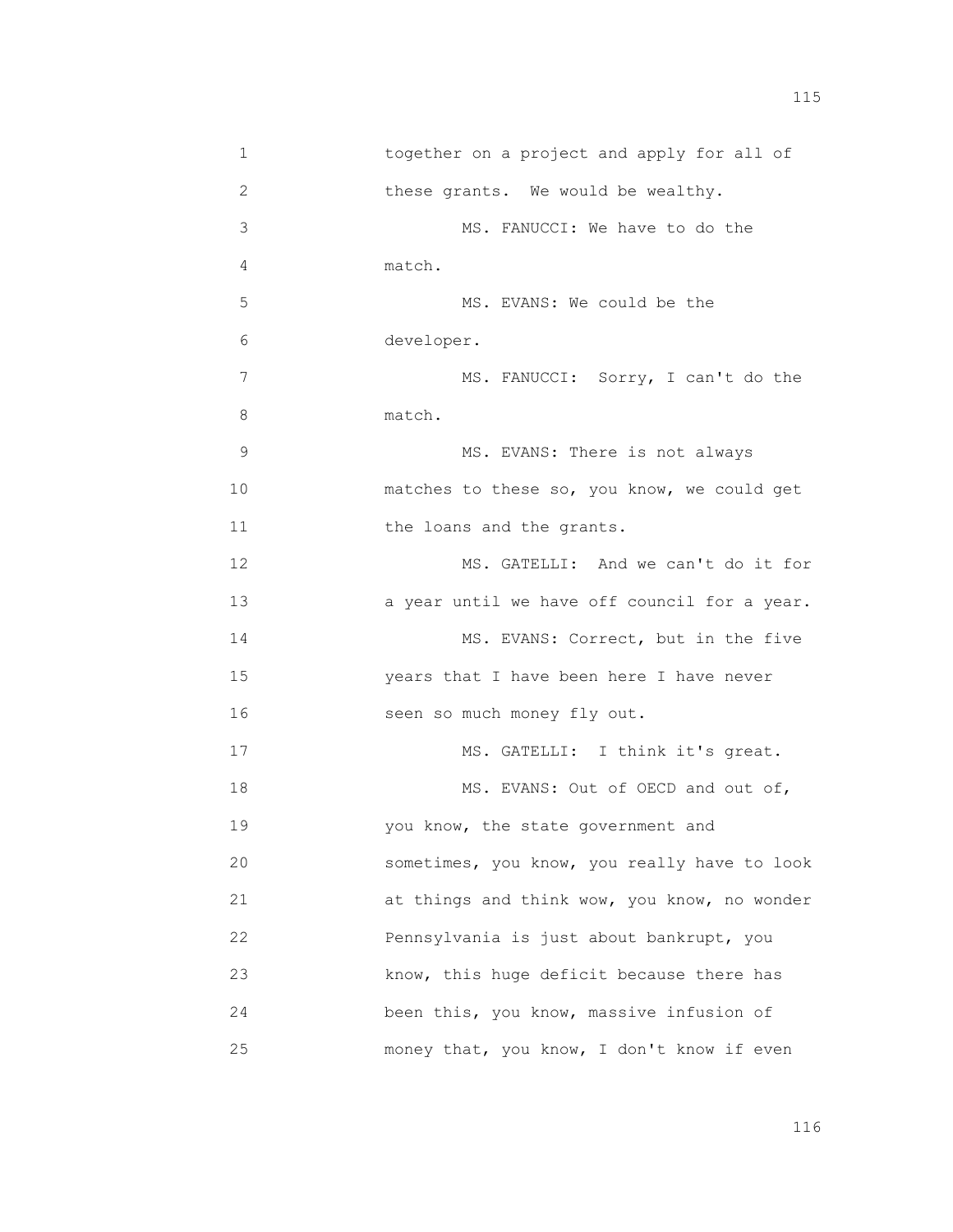| 1  | together on a project and apply for all of   |
|----|----------------------------------------------|
| 2  | these grants. We would be wealthy.           |
| 3  | MS. FANUCCI: We have to do the               |
| 4  | match.                                       |
| 5  | MS. EVANS: We could be the                   |
| 6  | developer.                                   |
| 7  | MS. FANUCCI: Sorry, I can't do the           |
| 8  | match.                                       |
| 9  | MS. EVANS: There is not always               |
| 10 | matches to these so, you know, we could get  |
| 11 | the loans and the grants.                    |
| 12 | MS. GATELLI: And we can't do it for          |
| 13 | a year until we have off council for a year. |
| 14 | MS. EVANS: Correct, but in the five          |
| 15 | years that I have been here I have never     |
| 16 | seen so much money fly out.                  |
| 17 | MS. GATELLI: I think it's great.             |
| 18 | MS. EVANS: Out of OECD and out of,           |
| 19 | you know, the state government and           |
| 20 | sometimes, you know, you really have to look |
| 21 | at things and think wow, you know, no wonder |
| 22 | Pennsylvania is just about bankrupt, you     |
| 23 | know, this huge deficit because there has    |
| 24 | been this, you know, massive infusion of     |
| 25 | money that, you know, I don't know if even   |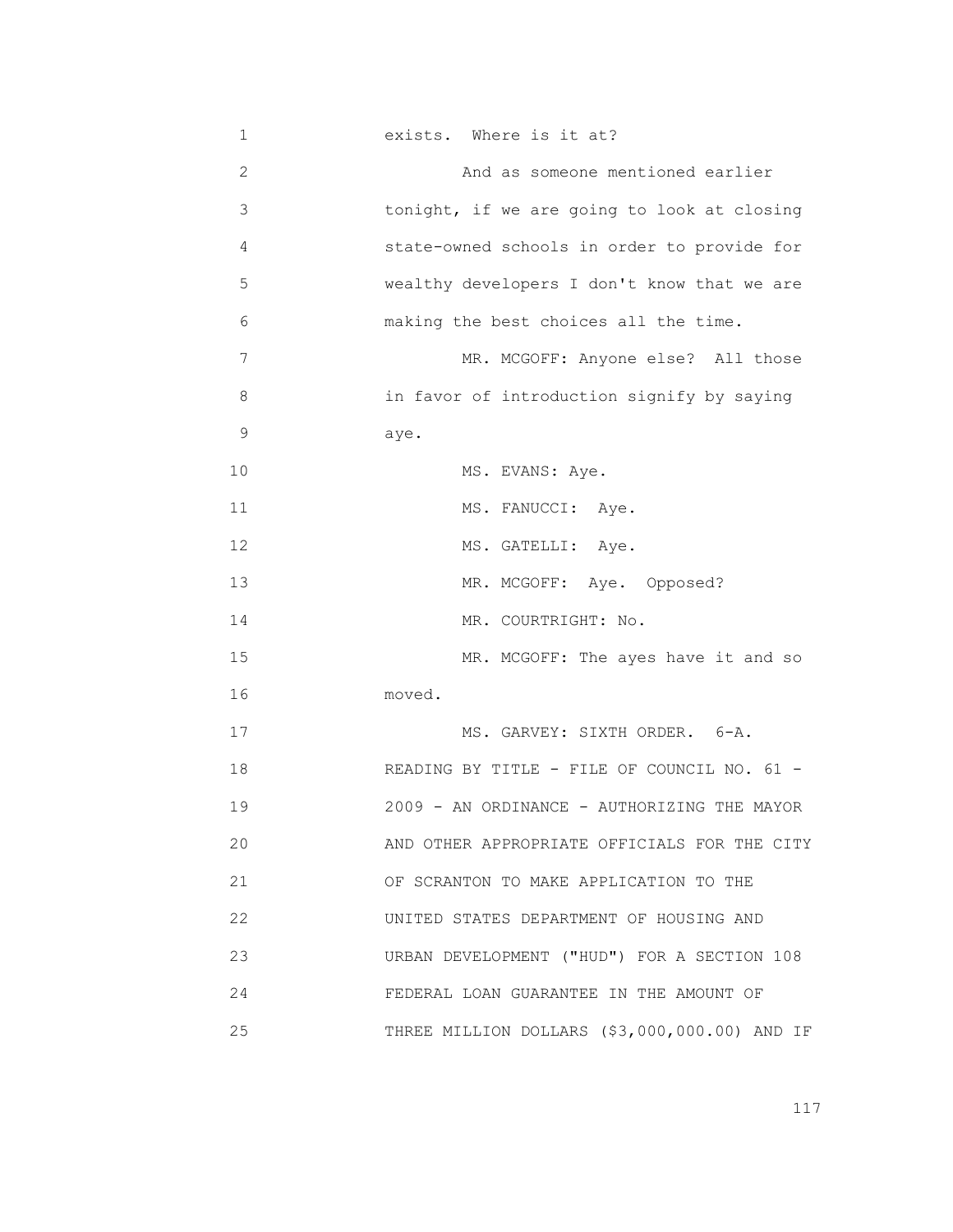| 1  | exists. Where is it at?                       |
|----|-----------------------------------------------|
| 2  | And as someone mentioned earlier              |
| 3  | tonight, if we are going to look at closing   |
| 4  | state-owned schools in order to provide for   |
| 5  | wealthy developers I don't know that we are   |
| 6  | making the best choices all the time.         |
| 7  | MR. MCGOFF: Anyone else? All those            |
| 8  | in favor of introduction signify by saying    |
| 9  | aye.                                          |
| 10 | MS. EVANS: Aye.                               |
| 11 | MS. FANUCCI: Aye.                             |
| 12 | MS. GATELLI: Aye.                             |
| 13 | MR. MCGOFF: Aye. Opposed?                     |
| 14 | MR. COURTRIGHT: No.                           |
| 15 | MR. MCGOFF: The ayes have it and so           |
| 16 | moved.                                        |
| 17 | MS. GARVEY: SIXTH ORDER. 6-A.                 |
| 18 | READING BY TITLE - FILE OF COUNCIL NO. 61 -   |
| 19 | 2009 - AN ORDINANCE - AUTHORIZING THE MAYOR   |
| 20 | AND OTHER APPROPRIATE OFFICIALS FOR THE CITY  |
| 21 | OF SCRANTON TO MAKE APPLICATION TO THE        |
| 22 | UNITED STATES DEPARTMENT OF HOUSING AND       |
| 23 | URBAN DEVELOPMENT ("HUD") FOR A SECTION 108   |
| 24 | FEDERAL LOAN GUARANTEE IN THE AMOUNT OF       |
| 25 | THREE MILLION DOLLARS (\$3,000,000.00) AND IF |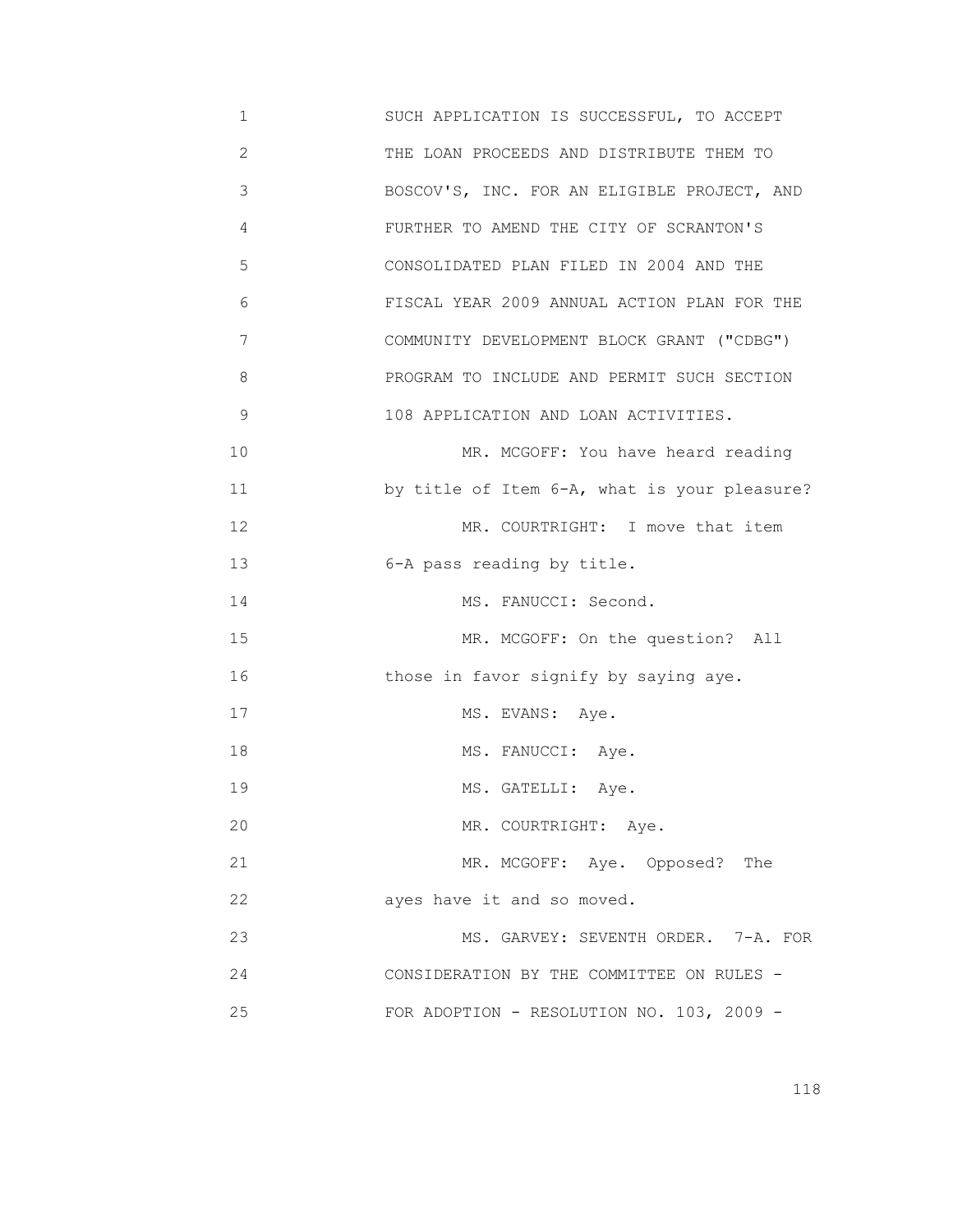1 SUCH APPLICATION IS SUCCESSFUL, TO ACCEPT 2 THE LOAN PROCEEDS AND DISTRIBUTE THEM TO 3 BOSCOV'S, INC. FOR AN ELIGIBLE PROJECT, AND 4 FURTHER TO AMEND THE CITY OF SCRANTON'S 5 CONSOLIDATED PLAN FILED IN 2004 AND THE 6 FISCAL YEAR 2009 ANNUAL ACTION PLAN FOR THE 7 COMMUNITY DEVELOPMENT BLOCK GRANT ("CDBG") 8 PROGRAM TO INCLUDE AND PERMIT SUCH SECTION 9 108 APPLICATION AND LOAN ACTIVITIES. 10 MR. MCGOFF: You have heard reading 11 by title of Item 6-A, what is your pleasure? 12 MR. COURTRIGHT: I move that item 13 6-A pass reading by title. 14 MS. FANUCCI: Second. 15 MR. MCGOFF: On the question? All 16 those in favor signify by saying aye. 17 MS. EVANS: Aye. 18 MS. FANUCCI: Aye. 19 MS. GATELLI: Aye. 20 MR. COURTRIGHT: Aye. 21 MR. MCGOFF: Aye. Opposed? The 22 **ayes have it and so moved.**  23 MS. GARVEY: SEVENTH ORDER. 7-A. FOR 24 CONSIDERATION BY THE COMMITTEE ON RULES - 25 FOR ADOPTION - RESOLUTION NO. 103, 2009 -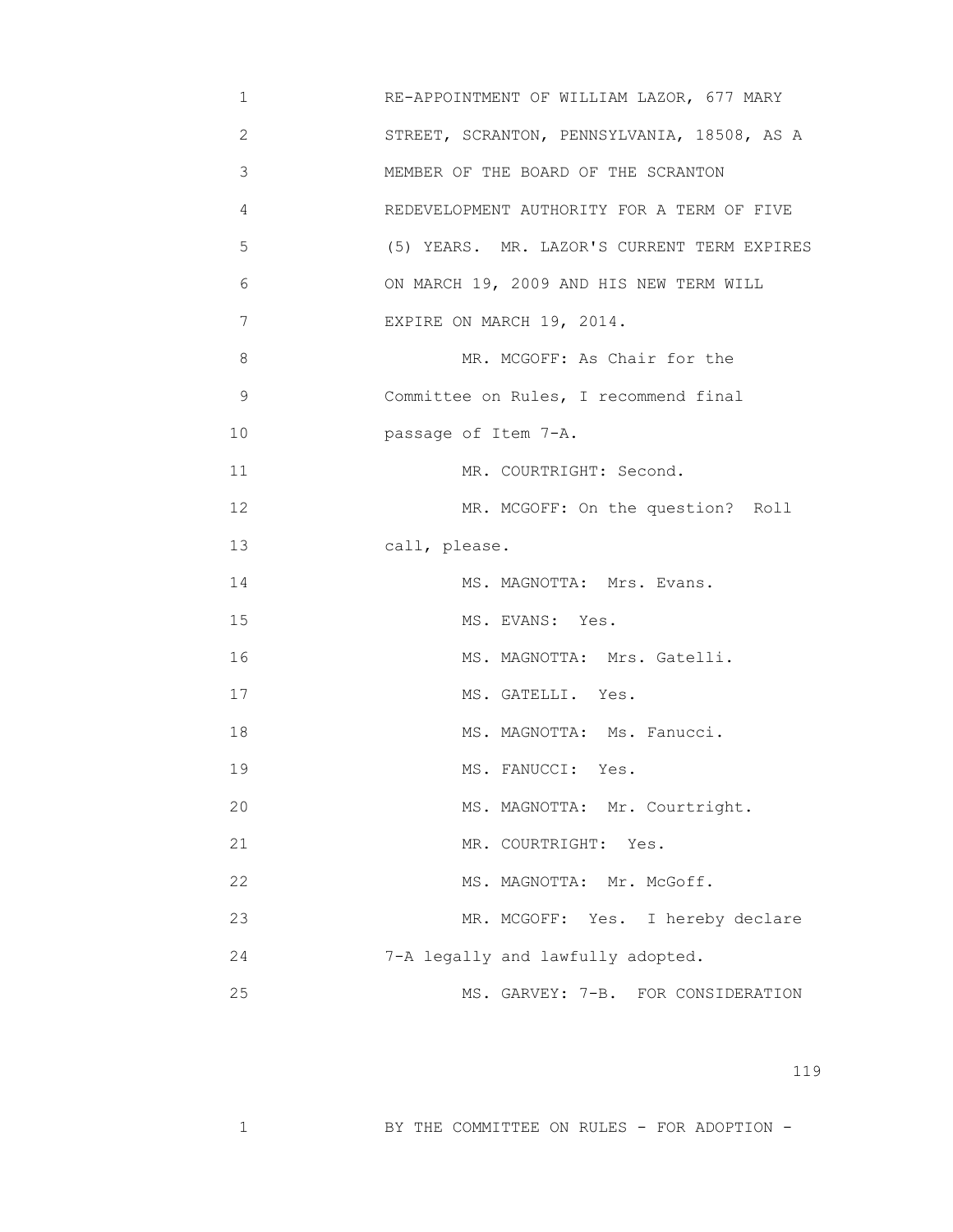- 1 RE-APPOINTMENT OF WILLIAM LAZOR, 677 MARY 2 STREET, SCRANTON, PENNSYLVANIA, 18508, AS A 3 MEMBER OF THE BOARD OF THE SCRANTON 4 REDEVELOPMENT AUTHORITY FOR A TERM OF FIVE 5 (5) YEARS. MR. LAZOR'S CURRENT TERM EXPIRES 6 ON MARCH 19, 2009 AND HIS NEW TERM WILL 7 EXPIRE ON MARCH 19, 2014. 8 MR. MCGOFF: As Chair for the 9 Committee on Rules, I recommend final 10 passage of Item 7-A. 11 MR. COURTRIGHT: Second. 12 MR. MCGOFF: On the question? Roll 13 call, please. 14 MS. MAGNOTTA: Mrs. Evans. 15 MS. EVANS: Yes. 16 MS. MAGNOTTA: Mrs. Gatelli. 17 MS. GATELLI. Yes. 18 MS. MAGNOTTA: Ms. Fanucci. 19 MS. FANUCCI: Yes. 20 MS. MAGNOTTA: Mr. Courtright. 21 MR. COURTRIGHT: Yes. 22 MS. MAGNOTTA: Mr. McGoff. 23 MR. MCGOFF: Yes. I hereby declare 24 7-A legally and lawfully adopted. 25 MS. GARVEY: 7-B. FOR CONSIDERATION
- 119

1 BY THE COMMITTEE ON RULES - FOR ADOPTION -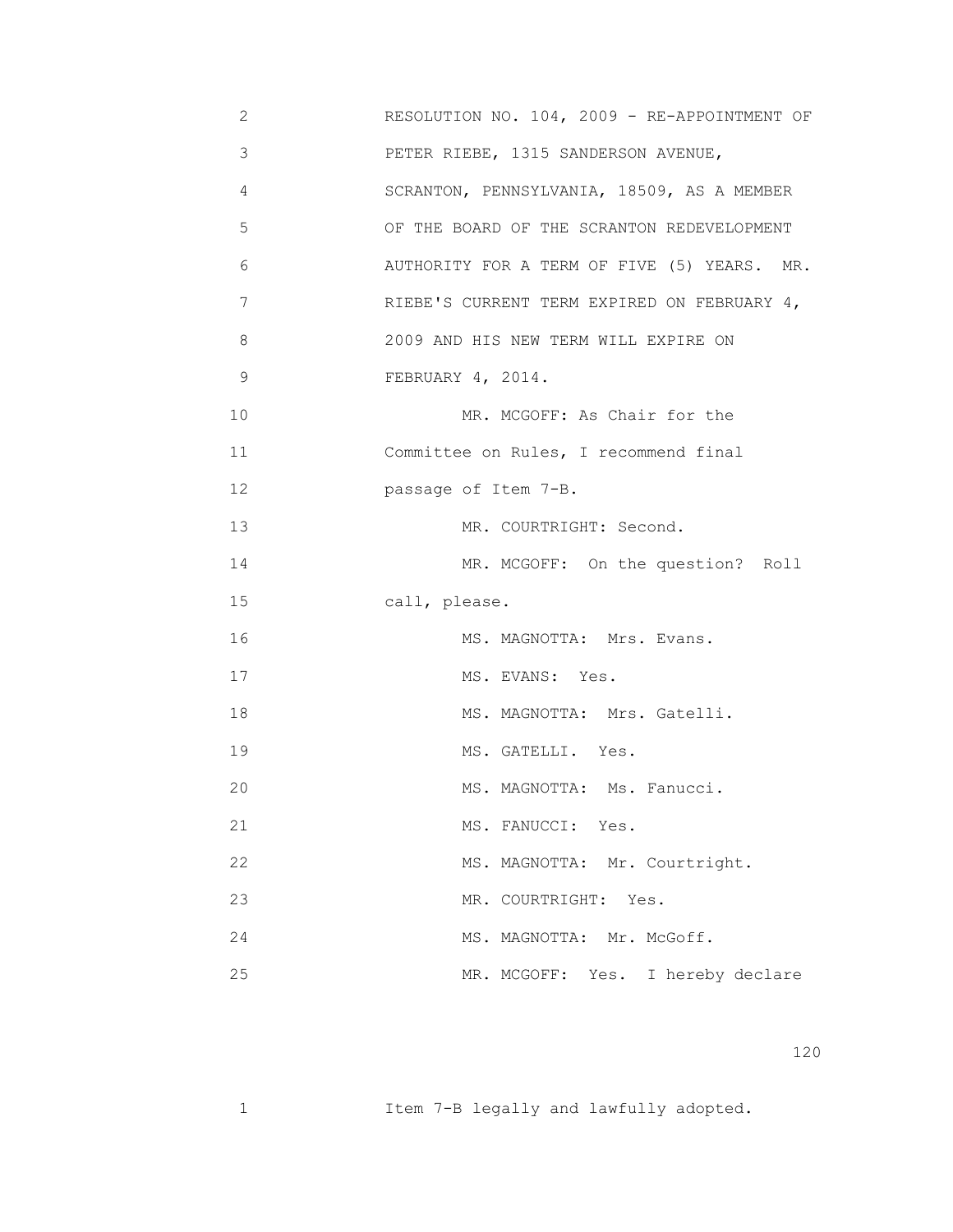| 2  | RESOLUTION NO. 104, 2009 - RE-APPOINTMENT OF |
|----|----------------------------------------------|
| 3  | PETER RIEBE, 1315 SANDERSON AVENUE,          |
| 4  | SCRANTON, PENNSYLVANIA, 18509, AS A MEMBER   |
| 5  | OF THE BOARD OF THE SCRANTON REDEVELOPMENT   |
| 6  | AUTHORITY FOR A TERM OF FIVE (5) YEARS. MR.  |
| 7  | RIEBE'S CURRENT TERM EXPIRED ON FEBRUARY 4,  |
| 8  | 2009 AND HIS NEW TERM WILL EXPIRE ON         |
| 9  | FEBRUARY 4, 2014.                            |
| 10 | MR. MCGOFF: As Chair for the                 |
| 11 | Committee on Rules, I recommend final        |
| 12 | passage of Item 7-B.                         |
| 13 | MR. COURTRIGHT: Second.                      |
| 14 | MR. MCGOFF: On the question? Roll            |
| 15 | call, please.                                |
| 16 | MS. MAGNOTTA: Mrs. Evans.                    |
| 17 | MS. EVANS: Yes.                              |
| 18 | MS. MAGNOTTA: Mrs. Gatelli.                  |
| 19 | MS. GATELLI. Yes.                            |
| 20 | MS. MAGNOTTA: Ms. Fanucci.                   |
| 21 | MS. FANUCCI: Yes.                            |
| 22 | MS. MAGNOTTA: Mr. Courtright.                |
| 23 | MR. COURTRIGHT:<br>Yes.                      |
| 24 | MS. MAGNOTTA: Mr. McGoff.                    |
| 25 | MR. MCGOFF: Yes. I hereby declare            |

1 Item 7-B legally and lawfully adopted.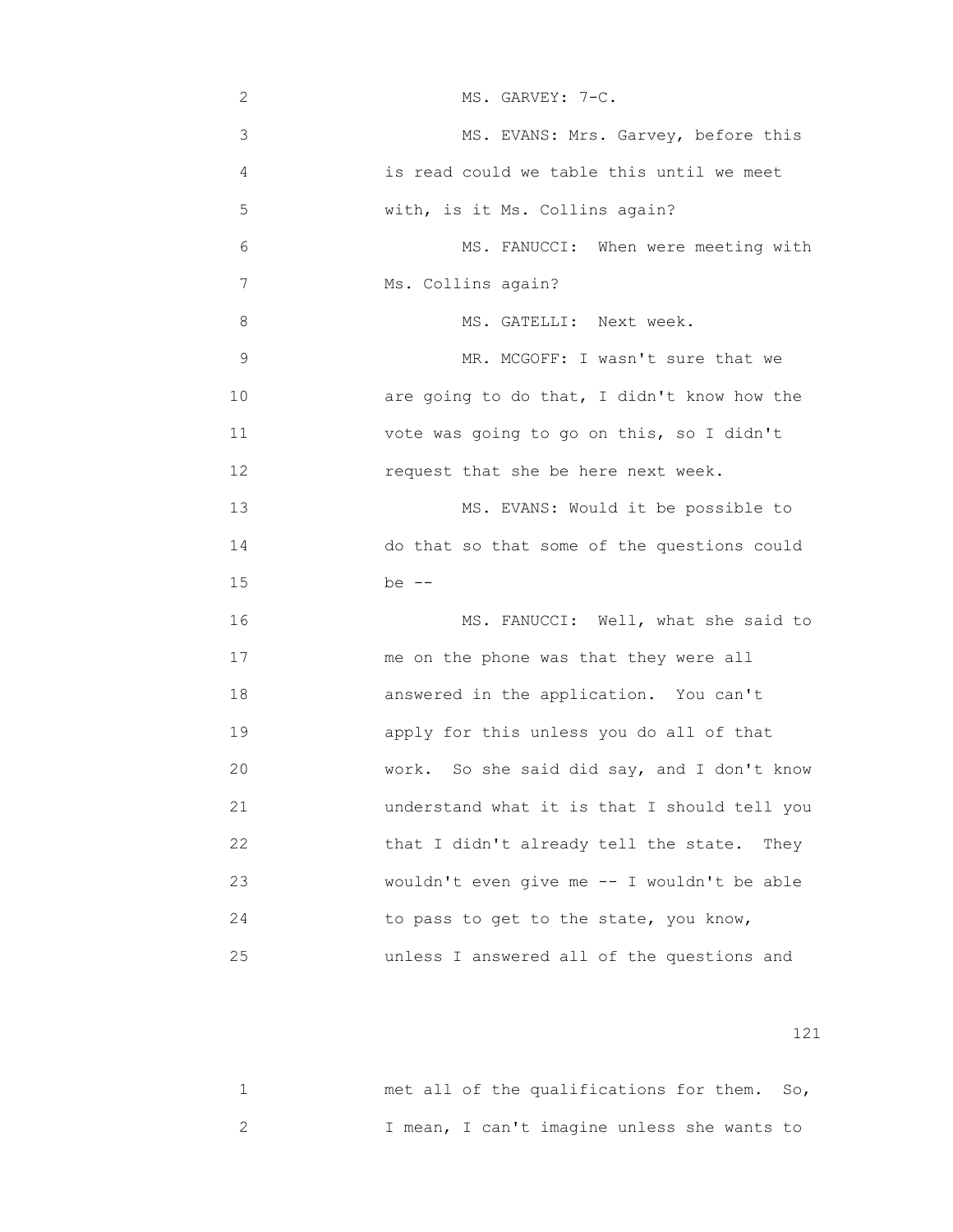| 2  | MS. GARVEY: 7-C.                               |
|----|------------------------------------------------|
| 3  | MS. EVANS: Mrs. Garvey, before this            |
| 4  | is read could we table this until we meet      |
| 5  | with, is it Ms. Collins again?                 |
| 6  | MS. FANUCCI: When were meeting with            |
| 7  | Ms. Collins again?                             |
| 8  | MS. GATELLI: Next week.                        |
| 9  | MR. MCGOFF: I wasn't sure that we              |
| 10 | are going to do that, I didn't know how the    |
| 11 | vote was going to go on this, so I didn't      |
| 12 | request that she be here next week.            |
| 13 | MS. EVANS: Would it be possible to             |
| 14 | do that so that some of the questions could    |
| 15 | be $--$                                        |
| 16 | MS. FANUCCI: Well, what she said to            |
| 17 | me on the phone was that they were all         |
| 18 | answered in the application. You can't         |
| 19 | apply for this unless you do all of that       |
| 20 | So she said did say, and I don't know<br>work. |
| 21 | understand what it is that I should tell you   |
| 22 | that I didn't already tell the state. They     |
| 23 | wouldn't even give me -- I wouldn't be able    |
| 24 | to pass to get to the state, you know,         |
| 25 | unless I answered all of the questions and     |

|  |  | met all of the qualifications for them. So, |  |  |
|--|--|---------------------------------------------|--|--|
|  |  | I mean, I can't imagine unless she wants to |  |  |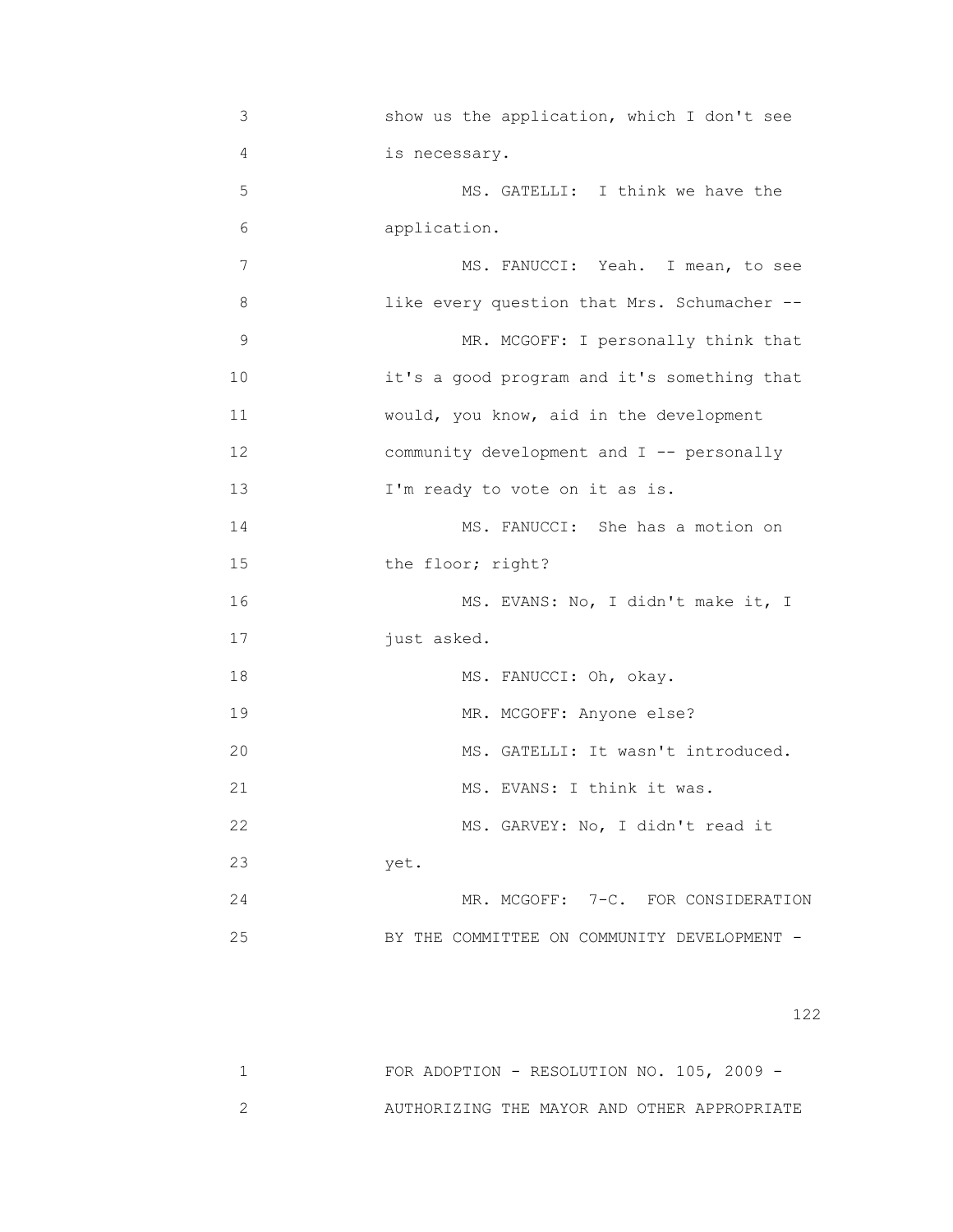| 4<br>5 | is necessary.<br>MS. GATELLI: I think we have the<br>application.<br>MS. FANUCCI: Yeah. I mean, to see |
|--------|--------------------------------------------------------------------------------------------------------|
|        |                                                                                                        |
|        |                                                                                                        |
| 6      |                                                                                                        |
| 7      |                                                                                                        |
| 8      | like every question that Mrs. Schumacher --                                                            |
| 9      | MR. MCGOFF: I personally think that                                                                    |
| 10     | it's a good program and it's something that                                                            |
| 11     | would, you know, aid in the development                                                                |
| 12     | community development and I -- personally                                                              |
| 13     | I'm ready to vote on it as is.                                                                         |
| 14     | MS. FANUCCI: She has a motion on                                                                       |
| 15     | the floor; right?                                                                                      |
| 16     | MS. EVANS: No, I didn't make it, I                                                                     |
| 17     | just asked.                                                                                            |
| 18     | MS. FANUCCI: Oh, okay.                                                                                 |
| 19     | MR. MCGOFF: Anyone else?                                                                               |
| 20     | MS. GATELLI: It wasn't introduced.                                                                     |
| 21     | MS. EVANS: I think it was.                                                                             |
| 22     | MS. GARVEY: No, I didn't read it                                                                       |
| 23     | yet.                                                                                                   |
| 24     | MR. MCGOFF: 7-C. FOR CONSIDERATION                                                                     |
| 25     | BY THE COMMITTEE ON COMMUNITY DEVELOPMENT -                                                            |

| FOR ADOPTION - RESOLUTION NO. $105$ , 2009 - |  |  |  |  |
|----------------------------------------------|--|--|--|--|
| AUTHORIZING THE MAYOR AND OTHER APPROPRIATE  |  |  |  |  |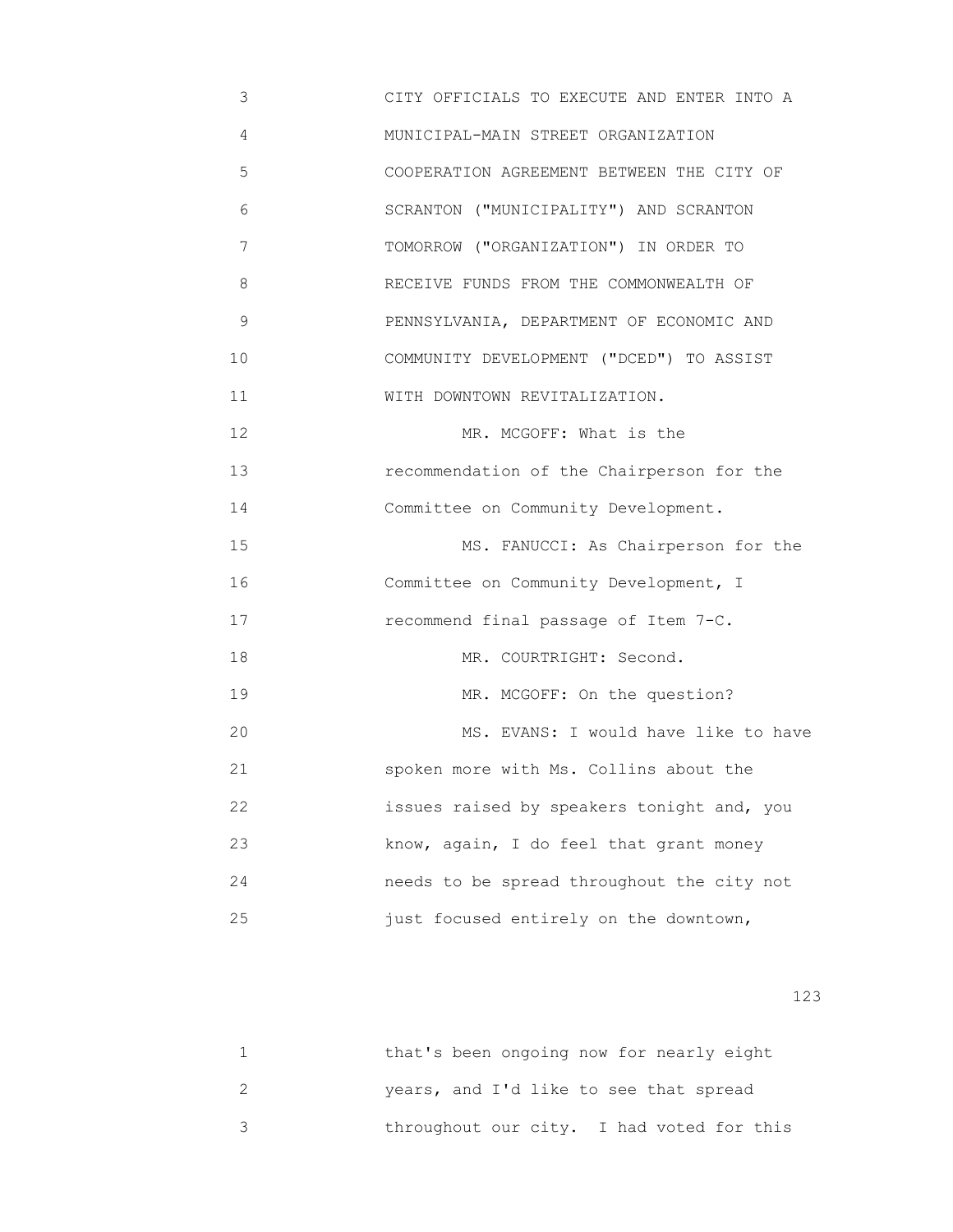3 CITY OFFICIALS TO EXECUTE AND ENTER INTO A 4 MUNICIPAL-MAIN STREET ORGANIZATION 5 COOPERATION AGREEMENT BETWEEN THE CITY OF 6 SCRANTON ("MUNICIPALITY") AND SCRANTON 7 TOMORROW ("ORGANIZATION") IN ORDER TO 8 RECEIVE FUNDS FROM THE COMMONWEALTH OF 9 PENNSYLVANIA, DEPARTMENT OF ECONOMIC AND 10 COMMUNITY DEVELOPMENT ("DCED") TO ASSIST 11 **WITH DOWNTOWN REVITALIZATION.** 12 MR. MCGOFF: What is the 13 recommendation of the Chairperson for the 14 Committee on Community Development. 15 MS. FANUCCI: As Chairperson for the 16 Committee on Community Development, I 17 recommend final passage of Item 7-C. 18 MR. COURTRIGHT: Second. 19 MR. MCGOFF: On the question? 20 MS. EVANS: I would have like to have 21 spoken more with Ms. Collins about the 22 issues raised by speakers tonight and, you 23 know, again, I do feel that grant money 24 needs to be spread throughout the city not 25 just focused entirely on the downtown,

| that's been ongoing now for nearly eight  |
|-------------------------------------------|
| years, and I'd like to see that spread    |
| throughout our city. I had voted for this |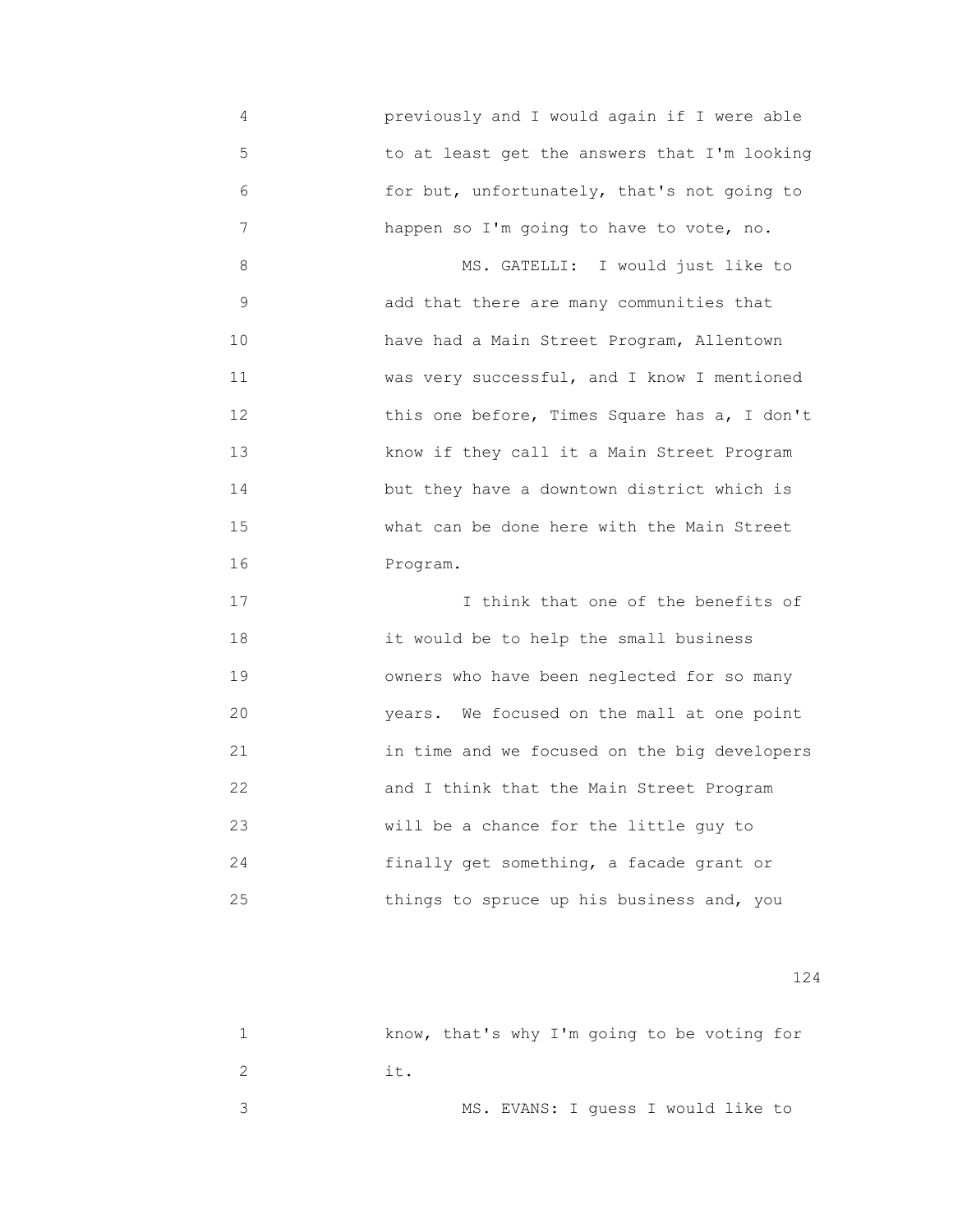4 previously and I would again if I were able 5 to at least get the answers that I'm looking 6 for but, unfortunately, that's not going to 7 happen so I'm going to have to vote, no.

 8 MS. GATELLI: I would just like to 9 add that there are many communities that 10 have had a Main Street Program, Allentown 11 **WAREN WARE WARES** WARE WARES VERY SUCCESSFUL, and I know I mentioned 12 **12 12 12 12 this one before, Times Square has a, I don't**  13 know if they call it a Main Street Program 14 but they have a downtown district which is 15 what can be done here with the Main Street 16 Program.

17 17 I think that one of the benefits of 18 it would be to help the small business 19 owners who have been neglected for so many 20 years. We focused on the mall at one point 21 in time and we focused on the big developers 22 and I think that the Main Street Program 23 will be a chance for the little guy to 24 finally get something, a facade grant or 25 things to spruce up his business and, you

|  |     |  |  |  | know, that's why I'm going to be voting for |  |
|--|-----|--|--|--|---------------------------------------------|--|
|  | it. |  |  |  |                                             |  |
|  |     |  |  |  | MS. EVANS: I quess I would like to          |  |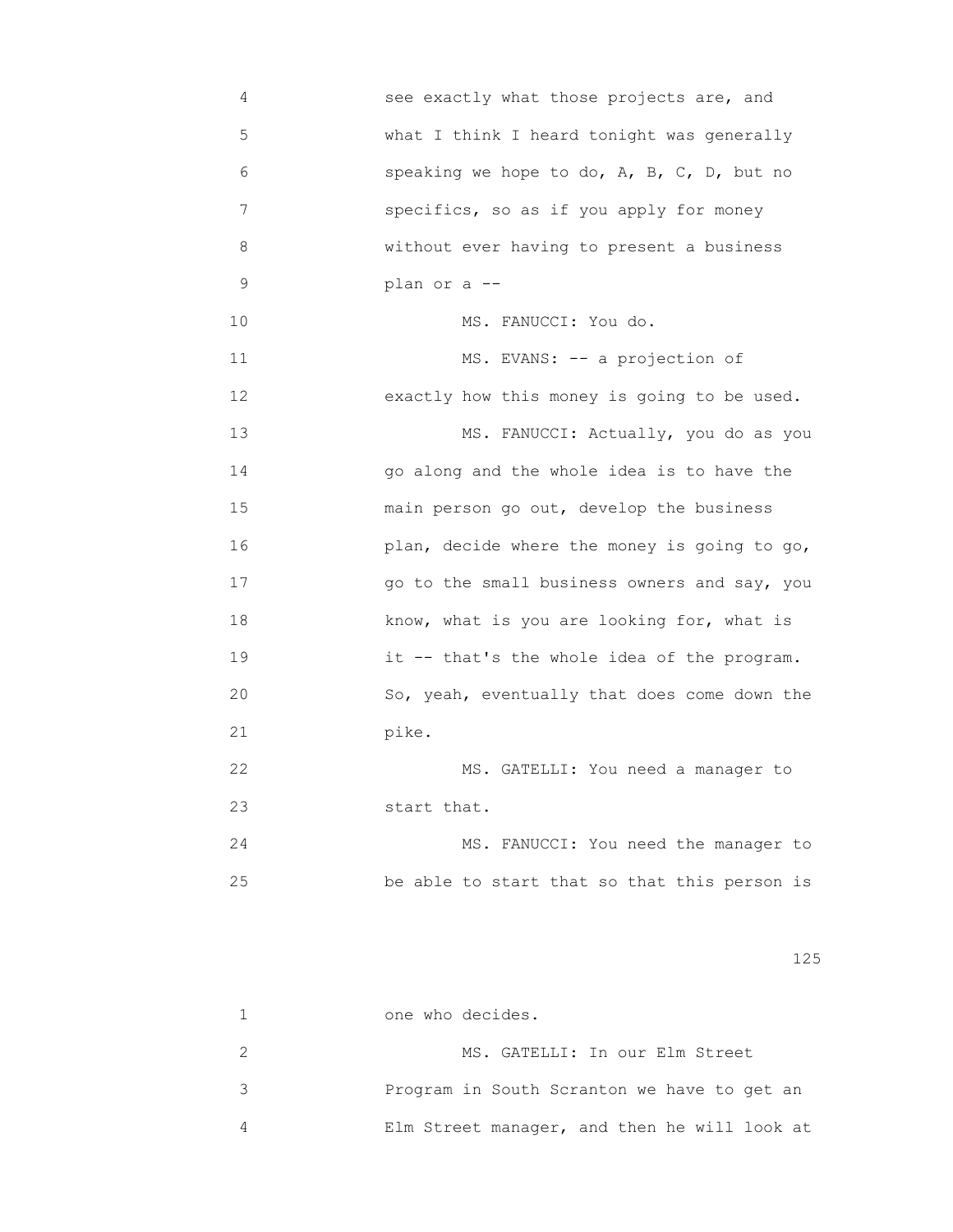4 see exactly what those projects are, and 5 what I think I heard tonight was generally 6 speaking we hope to do, A, B, C, D, but no 7 specifics, so as if you apply for money 8 without ever having to present a business 9 plan or a -- 10 MS. FANUCCI: You do. 11 MS. EVANS: -- a projection of 12 exactly how this money is going to be used. 13 MS. FANUCCI: Actually, you do as you 14 go along and the whole idea is to have the 15 main person go out, develop the business 16 plan, decide where the money is going to go, 17 go to the small business owners and say, you 18 know, what is you are looking for, what is 19 it -- that's the whole idea of the program. 20 So, yeah, eventually that does come down the 21 pike. 22 MS. GATELLI: You need a manager to 23 start that. 24 MS. FANUCCI: You need the manager to 25 be able to start that so that this person is

125

 1 one who decides. 2 MS. GATELLI: In our Elm Street 3 Program in South Scranton we have to get an 4 Elm Street manager, and then he will look at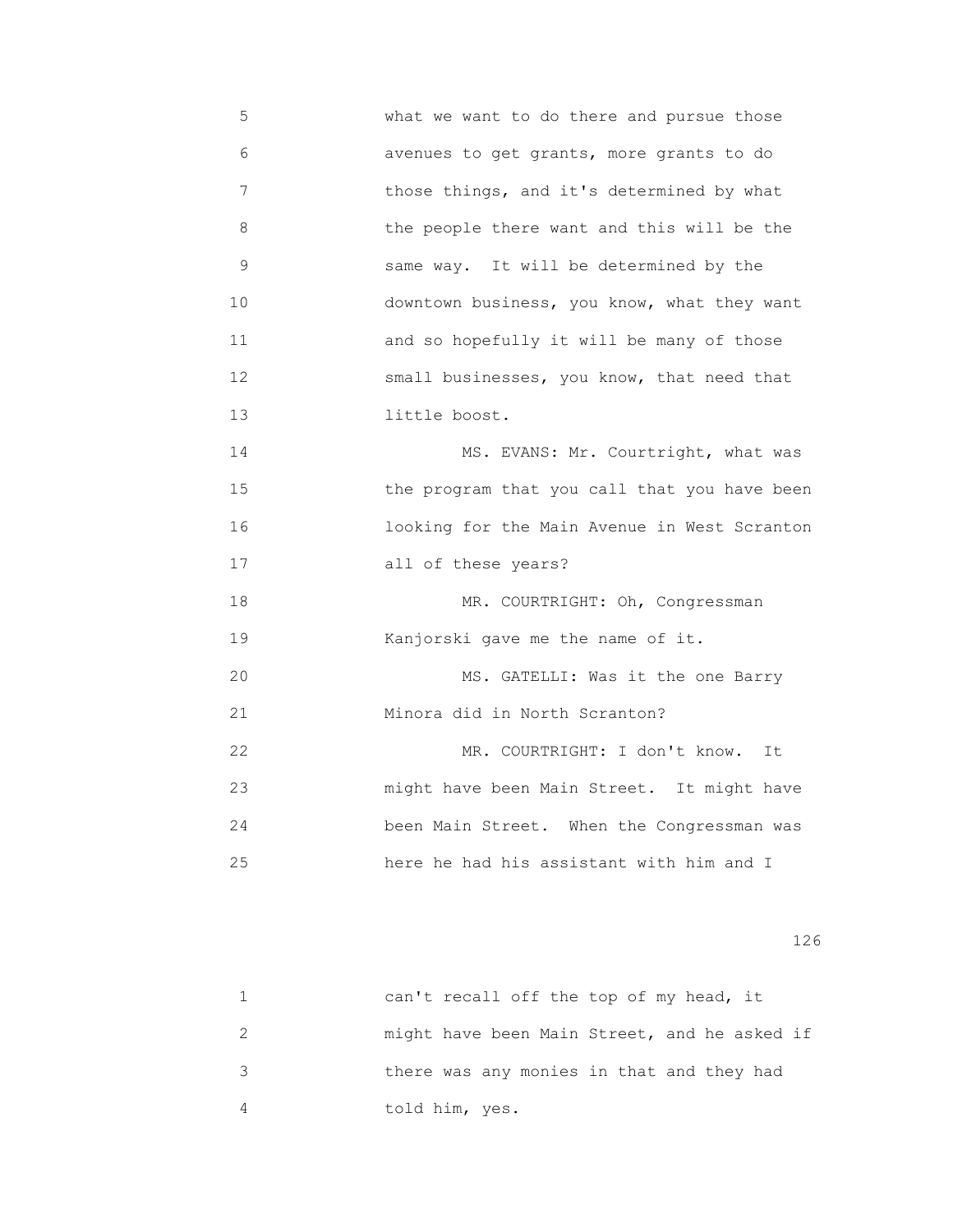5 what we want to do there and pursue those 6 avenues to get grants, more grants to do 7 those things, and it's determined by what 8 the people there want and this will be the 9 same way. It will be determined by the 10 downtown business, you know, what they want 11 and so hopefully it will be many of those 12 small businesses, you know, that need that 13 little boost. 14 MS. EVANS: Mr. Courtright, what was 15 the program that you call that you have been 16 looking for the Main Avenue in West Scranton 17 all of these years? 18 MR. COURTRIGHT: Oh, Congressman 19 **Kanjorski** gave me the name of it. 20 MS. GATELLI: Was it the one Barry 21 Minora did in North Scranton? 22 MR. COURTRIGHT: I don't know. It 23 might have been Main Street. It might have 24 been Main Street. When the Congressman was 25 here he had his assistant with him and I

| can't recall off the top of my head, it      |
|----------------------------------------------|
| might have been Main Street, and he asked if |
| there was any monies in that and they had    |
| told him, yes.                               |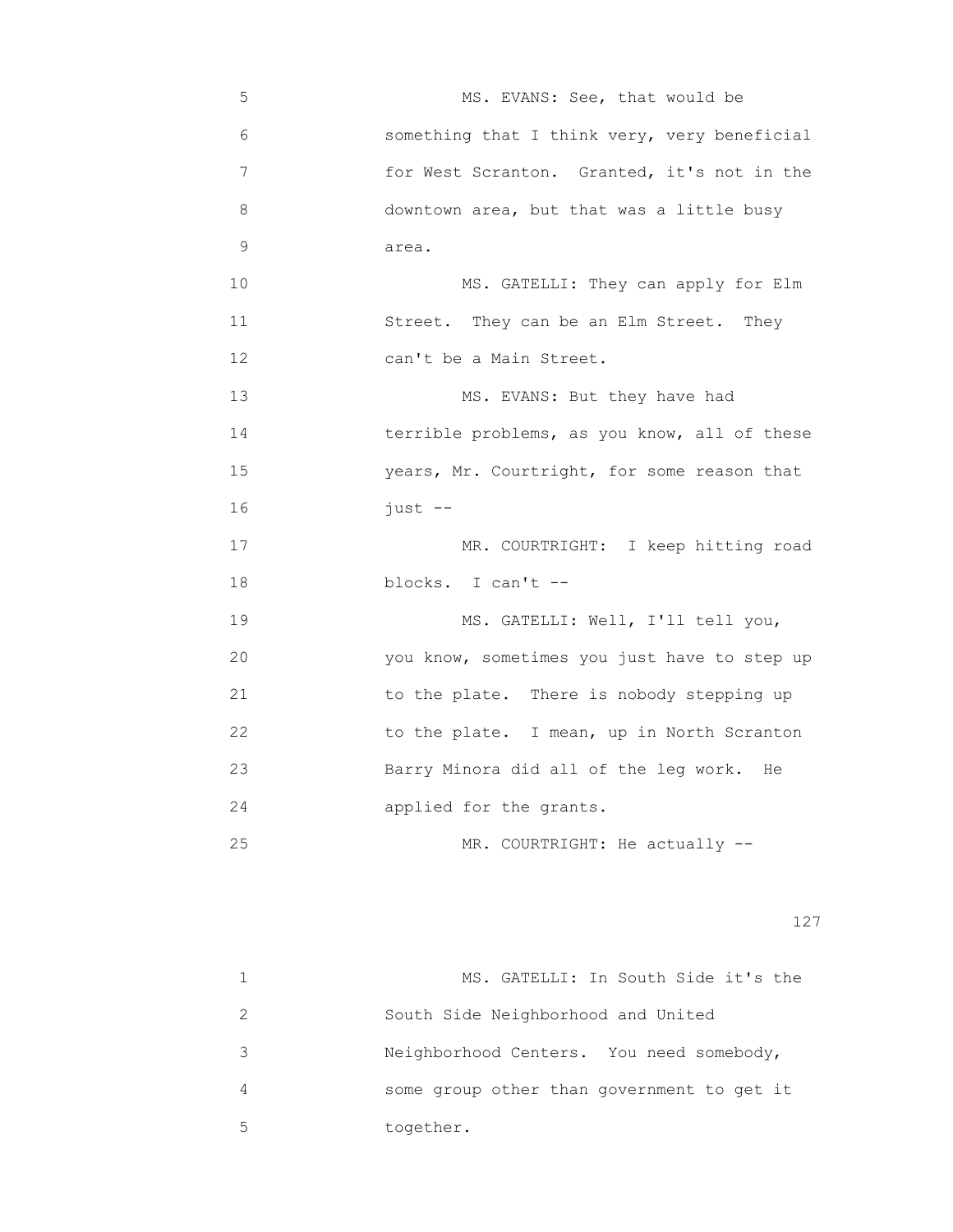5 MS. EVANS: See, that would be 6 something that I think very, very beneficial 7 for West Scranton. Granted, it's not in the 8 downtown area, but that was a little busy 9 area. 10 MS. GATELLI: They can apply for Elm 11 Street. They can be an Elm Street. They 12 can't be a Main Street. 13 MS. EVANS: But they have had 14 terrible problems, as you know, all of these 15 years, Mr. Courtright, for some reason that 16 just -- 17 MR. COURTRIGHT: I keep hitting road 18 blocks. I can't -- 19 MS. GATELLI: Well, I'll tell you, 20 you know, sometimes you just have to step up 21 to the plate. There is nobody stepping up 22 **12** to the plate. I mean, up in North Scranton 23 Barry Minora did all of the leg work. He 24 applied for the grants. 25 MR. COURTRIGHT: He actually --

|   | MS. GATELLI: In South Side it's the        |
|---|--------------------------------------------|
|   | South Side Neighborhood and United         |
| 3 | Neighborhood Centers. You need somebody,   |
| 4 | some group other than government to get it |
| 5 | together.                                  |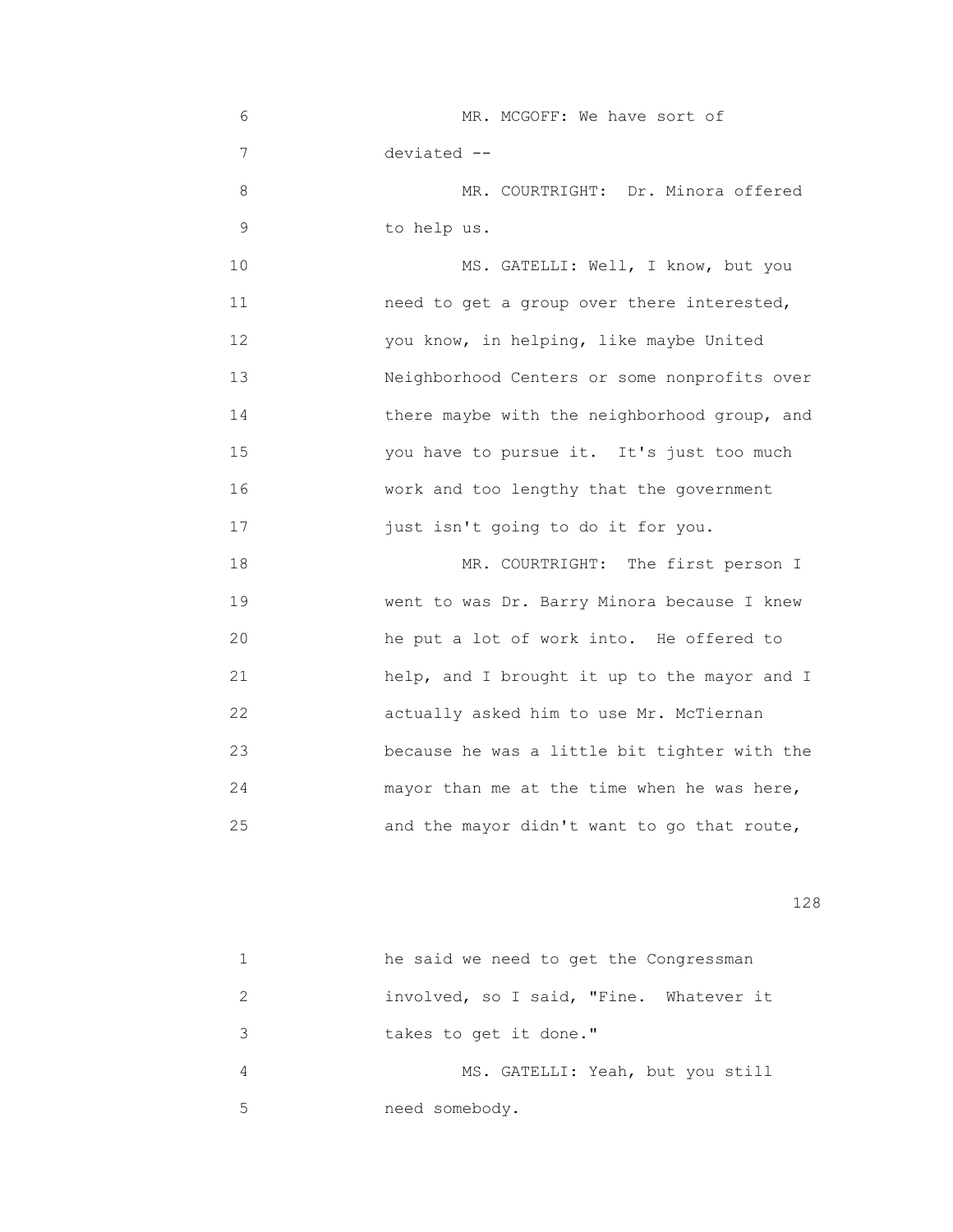6 MR. MCGOFF: We have sort of 7 deviated -- 8 MR. COURTRIGHT: Dr. Minora offered 9 to help us. 10 MS. GATELLI: Well, I know, but you 11 need to get a group over there interested, 12 you know, in helping, like maybe United 13 Neighborhood Centers or some nonprofits over 14 there maybe with the neighborhood group, and 15 you have to pursue it. It's just too much 16 work and too lengthy that the government 17 just isn't going to do it for you. 18 MR. COURTRIGHT: The first person I 19 went to was Dr. Barry Minora because I knew 20 he put a lot of work into. He offered to

21 help, and I brought it up to the mayor and I 22 actually asked him to use Mr. McTiernan 23 because he was a little bit tighter with the 24 mayor than me at the time when he was here, 25 and the mayor didn't want to go that route,

|               | he said we need to get the Congressman  |
|---------------|-----------------------------------------|
| $\mathcal{P}$ | involved, so I said, "Fine. Whatever it |
| 3             | takes to get it done."                  |
| 4             | MS. GATELLI: Yeah, but you still        |
| 5             | need somebody.                          |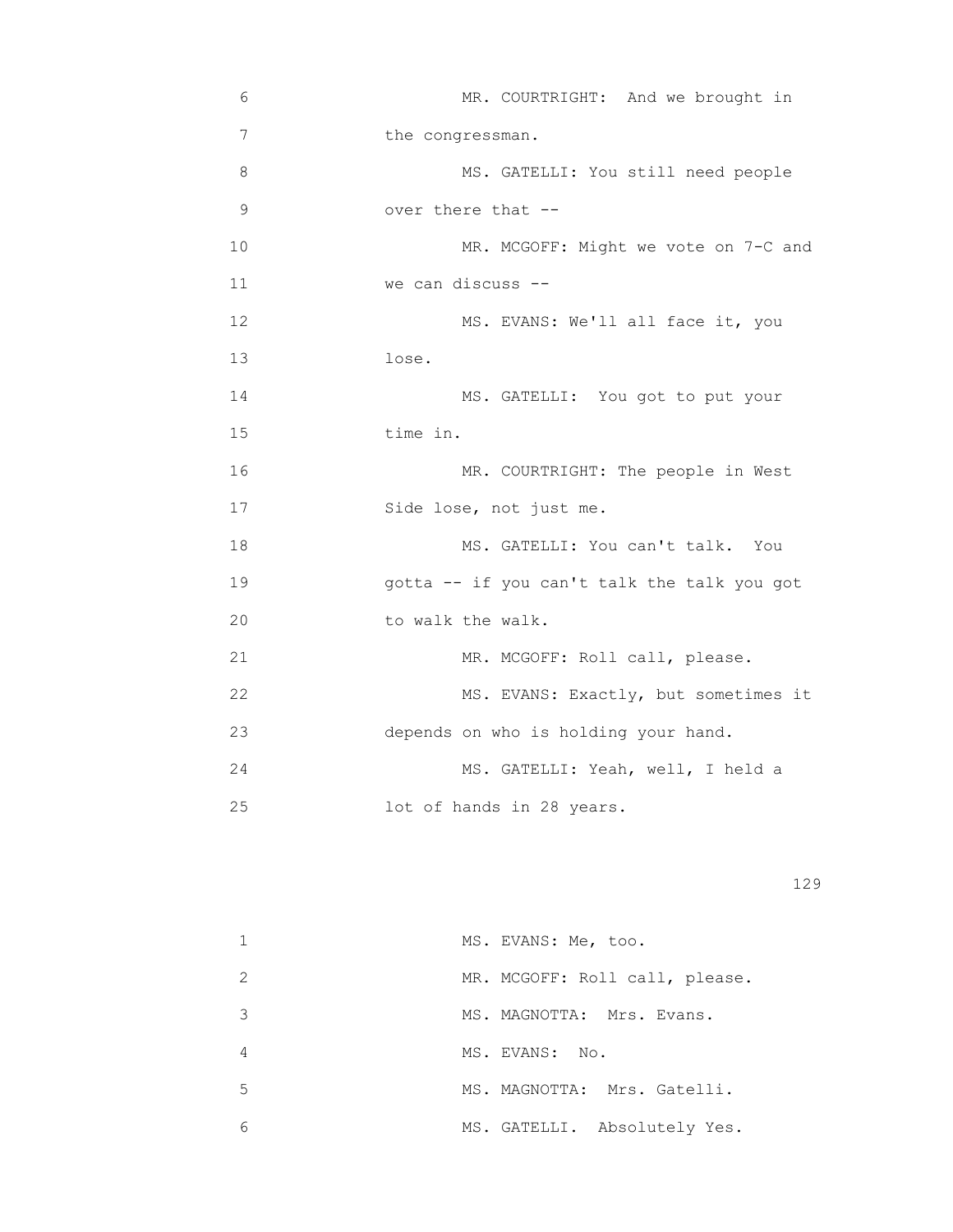| 6  | MR. COURTRIGHT: And we brought in           |
|----|---------------------------------------------|
| 7  | the congressman.                            |
| 8  | MS. GATELLI: You still need people          |
| 9  | over there that --                          |
| 10 | MR. MCGOFF: Might we vote on 7-C and        |
| 11 | we can discuss --                           |
| 12 | MS. EVANS: We'll all face it, you           |
| 13 | lose.                                       |
| 14 | MS. GATELLI: You got to put your            |
| 15 | time in.                                    |
| 16 | MR. COURTRIGHT: The people in West          |
| 17 | Side lose, not just me.                     |
| 18 | MS. GATELLI: You can't talk. You            |
| 19 | gotta -- if you can't talk the talk you got |
| 20 | to walk the walk.                           |
| 21 | MR. MCGOFF: Roll call, please.              |
| 22 | MS. EVANS: Exactly, but sometimes it        |
| 23 | depends on who is holding your hand.        |
| 24 | MS. GATELLI: Yeah, well, I held a           |
| 25 | lot of hands in 28 years.                   |
|    |                                             |

|    | MS. EVANS: Me, too.            |
|----|--------------------------------|
| 2  | MR. MCGOFF: Roll call, please. |
| 3  | MS. MAGNOTTA: Mrs. Evans.      |
| 4  | MS. EVANS: No.                 |
| .5 | MS. MAGNOTTA: Mrs. Gatelli.    |
| 6  | MS. GATELLI. Absolutely Yes.   |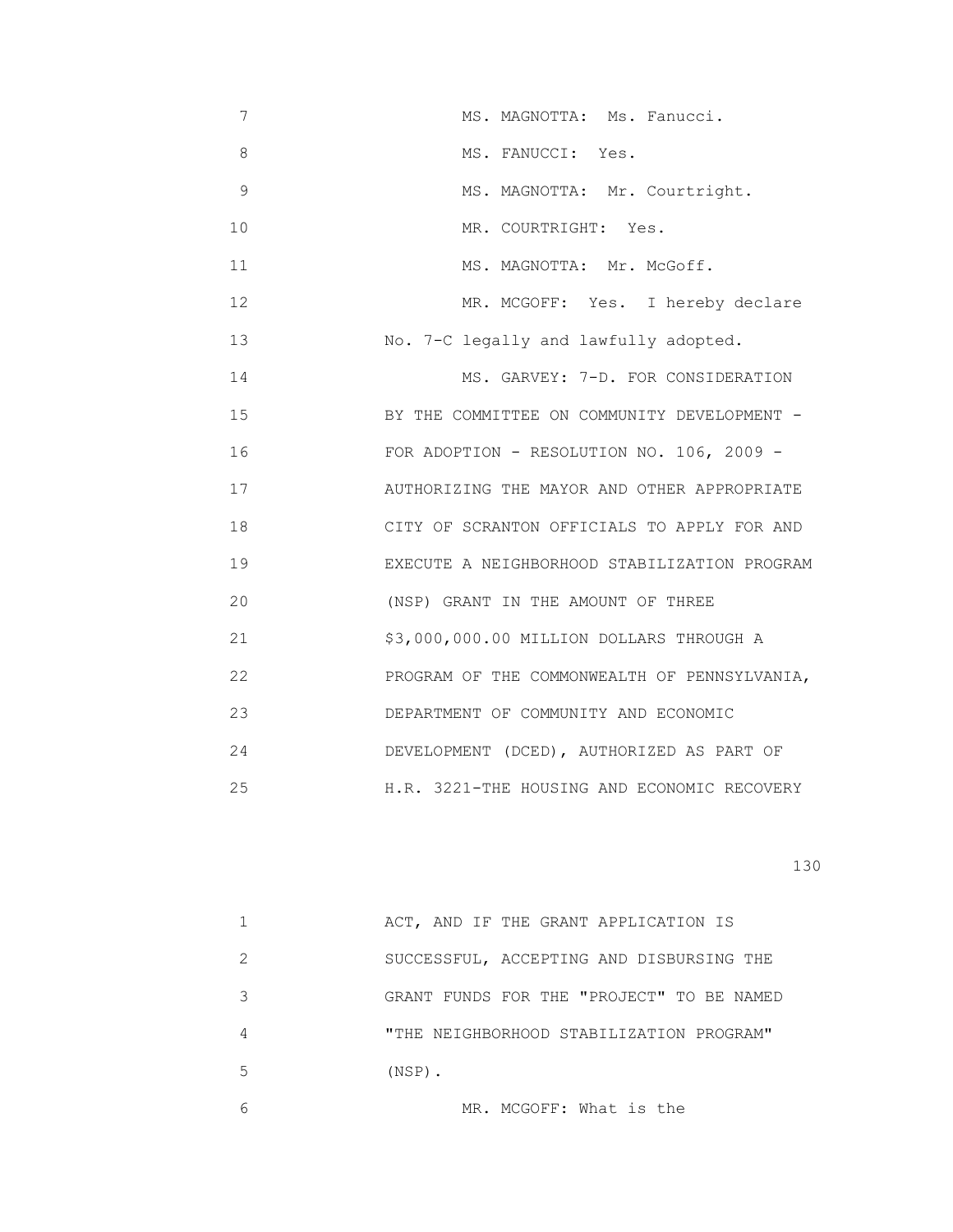| 7           | MS. MAGNOTTA: Ms. Fanucci.                   |
|-------------|----------------------------------------------|
| 8           | MS. FANUCCI: Yes.                            |
| $\mathsf 9$ | MS. MAGNOTTA: Mr. Courtright.                |
| 10          | MR. COURTRIGHT: Yes.                         |
| 11          | MS. MAGNOTTA: Mr. McGoff.                    |
| 12          | MR. MCGOFF: Yes. I hereby declare            |
| 13          | No. 7-C legally and lawfully adopted.        |
| 14          | MS. GARVEY: 7-D. FOR CONSIDERATION           |
| 15          | BY THE COMMITTEE ON COMMUNITY DEVELOPMENT -  |
| 16          | FOR ADOPTION - RESOLUTION NO. 106, 2009 -    |
| 17          | AUTHORIZING THE MAYOR AND OTHER APPROPRIATE  |
| 18          | CITY OF SCRANTON OFFICIALS TO APPLY FOR AND  |
| 19          | EXECUTE A NEIGHBORHOOD STABILIZATION PROGRAM |
| 20          | (NSP) GRANT IN THE AMOUNT OF THREE           |
| 21          | \$3,000,000.00 MILLION DOLLARS THROUGH A     |
| 22          | PROGRAM OF THE COMMONWEALTH OF PENNSYLVANIA, |
| 23          | DEPARTMENT OF COMMUNITY AND ECONOMIC         |
| 24          | DEVELOPMENT (DCED), AUTHORIZED AS PART OF    |
| 25          | H.R. 3221-THE HOUSING AND ECONOMIC RECOVERY  |

|   | ACT, AND IF THE GRANT APPLICATION IS      |
|---|-------------------------------------------|
| 2 | SUCCESSFUL, ACCEPTING AND DISBURSING THE  |
| 3 | GRANT FUNDS FOR THE "PROJECT" TO BE NAMED |
| 4 | "THE NEIGHBORHOOD STABILIZATION PROGRAM"  |
| 5 | $(NSP)$ .                                 |
|   |                                           |

6 MR. MCGOFF: What is the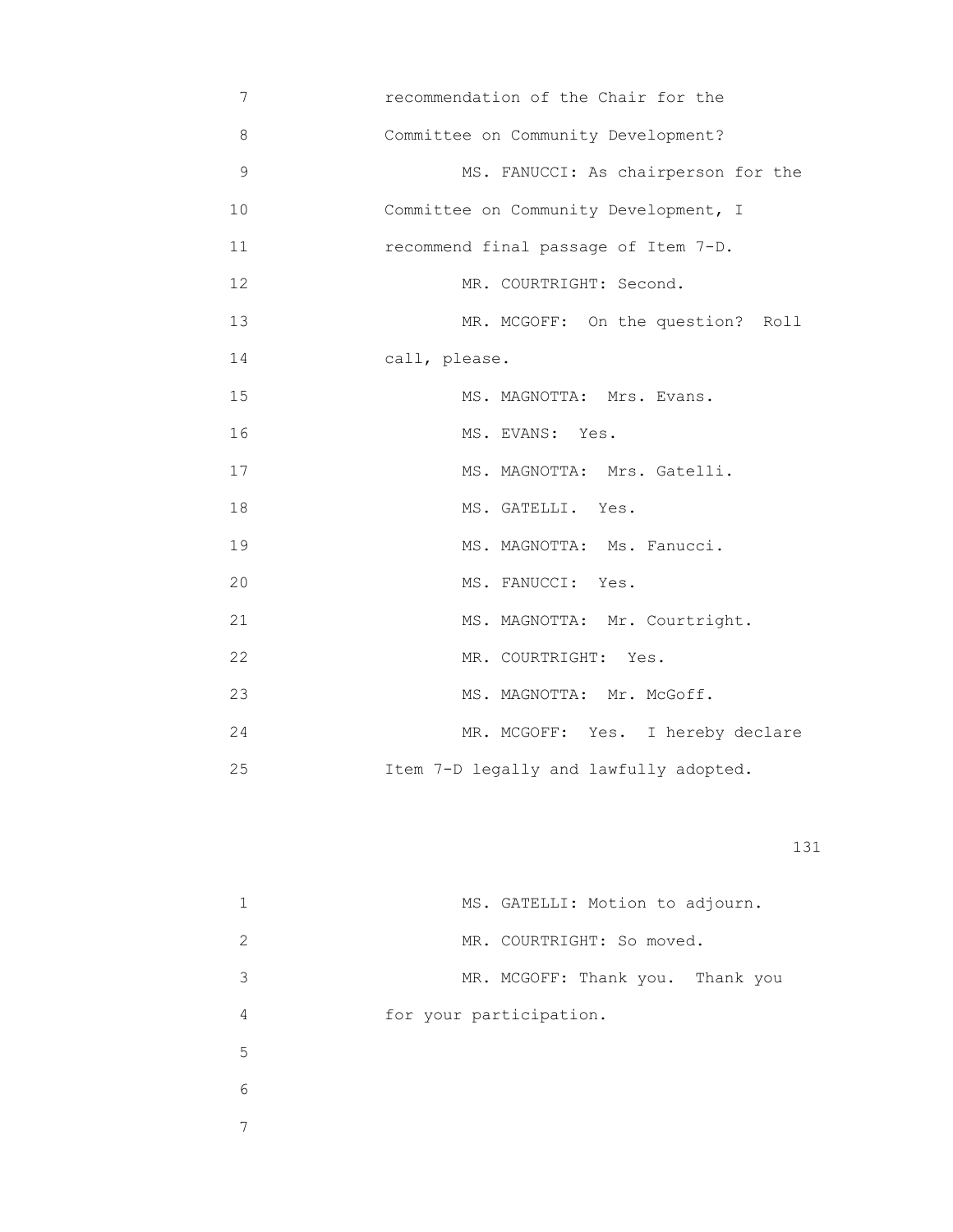| 7             | recommendation of the Chair for the    |
|---------------|----------------------------------------|
| $\,8\,$       | Committee on Community Development?    |
| $\mathcal{G}$ | MS. FANUCCI: As chairperson for the    |
| 10            | Committee on Community Development, I  |
| 11            | recommend final passage of Item 7-D.   |
| 12            | MR. COURTRIGHT: Second.                |
| 13            | MR. MCGOFF: On the question? Roll      |
| 14            | call, please.                          |
| 15            | MS. MAGNOTTA: Mrs. Evans.              |
| 16            | MS. EVANS: Yes.                        |
| 17            | MS. MAGNOTTA: Mrs. Gatelli.            |
| 18            | MS. GATELLI. Yes.                      |
| 19            | MS. MAGNOTTA: Ms. Fanucci.             |
| 20            | MS. FANUCCI: Yes.                      |
| 21            | MS. MAGNOTTA: Mr. Courtright.          |
| 22            | MR. COURTRIGHT: Yes.                   |
| 23            | MS. MAGNOTTA: Mr. McGoff.              |
| 24            | MR. MCGOFF: Yes. I hereby declare      |
| 25            | Item 7-D legally and lawfully adopted. |

|   | MS. GATELLI: Motion to adjourn.  |
|---|----------------------------------|
| 2 | MR. COURTRIGHT: So moved.        |
| 3 | MR. MCGOFF: Thank you. Thank you |
| 4 | for your participation.          |
| 5 |                                  |
| 6 |                                  |
|   |                                  |